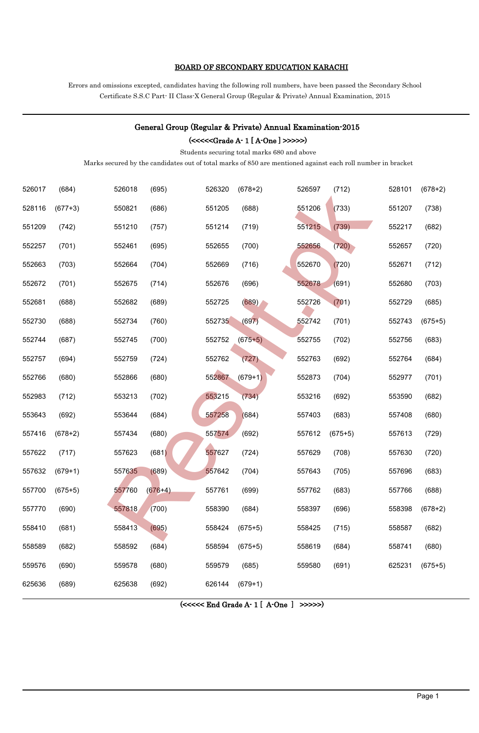#### BOARD OF SECONDARY EDUCATION KARACHI

Errors and omissions excepted, candidates having the following roll numbers, have been passed the Secondary School Certificate S.S.C Part- II Class-X General Group (Regular & Private) Annual Examination, 2015

## General Group (Regular & Private) Annual Examination-2015

(<<<<<Grade A- 1 [ A-One ] >>>>>)

Students securing total marks 680 and above

| 526017 | (684)     | 526018 | (695)     | 526320                                              | $(678+2)$ | 526597 | (712)     | 528101 | $(678+2)$ |
|--------|-----------|--------|-----------|-----------------------------------------------------|-----------|--------|-----------|--------|-----------|
| 528116 | $(677+3)$ | 550821 | (686)     | 551205                                              | (688)     | 551206 | (733)     | 551207 | (738)     |
| 551209 | (742)     | 551210 | (757)     | 551214                                              | (719)     | 551215 | (739)     | 552217 | (682)     |
| 552257 | (701)     | 552461 | (695)     | 552655                                              | (700)     | 552656 | (720)     | 552657 | (720)     |
| 552663 | (703)     | 552664 | (704)     | 552669                                              | (716)     | 552670 | (720)     | 552671 | (712)     |
| 552672 | (701)     | 552675 | (714)     | 552676                                              | (696)     | 552678 | (691)     | 552680 | (703)     |
| 552681 | (688)     | 552682 | (689)     | 552725                                              | (689)     | 552726 | (701)     | 552729 | (685)     |
| 552730 | (688)     | 552734 | (760)     | 552735                                              | (697)     | 552742 | (701)     | 552743 | $(675+5)$ |
| 552744 | (687)     | 552745 | (700)     | 552752                                              | $(675+5)$ | 552755 | (702)     | 552756 | (683)     |
| 552757 | (694)     | 552759 | (724)     | 552762                                              | (727)     | 552763 | (692)     | 552764 | (684)     |
| 552766 | (680)     | 552866 | (680)     | 552867                                              | $(679+1)$ | 552873 | (704)     | 552977 | (701)     |
| 552983 | (712)     | 553213 | (702)     | 553215                                              | (734)     | 553216 | (692)     | 553590 | (682)     |
| 553643 | (692)     | 553644 | (684)     | 557258                                              | (684)     | 557403 | (683)     | 557408 | (680)     |
| 557416 | $(678+2)$ | 557434 | (680)     | 557574                                              | (692)     | 557612 | $(675+5)$ | 557613 | (729)     |
| 557622 | (717)     | 557623 | (681)     | 557627                                              | (724)     | 557629 | (708)     | 557630 | (720)     |
| 557632 | $(679+1)$ | 557635 | (689)     | 557642                                              | (704)     | 557643 | (705)     | 557696 | (683)     |
| 557700 | $(675+5)$ | 557760 | $(676+4)$ | 557761                                              | (699)     | 557762 | (683)     | 557766 | (688)     |
| 557770 | (690)     | 557818 | (700)     | 558390                                              | (684)     | 558397 | (696)     | 558398 | $(678+2)$ |
| 558410 | (681)     | 558413 | (695)     | 558424                                              | $(675+5)$ | 558425 | (715)     | 558587 | (682)     |
| 558589 | (682)     | 558592 | (684)     | 558594                                              | $(675+5)$ | 558619 | (684)     | 558741 | (680)     |
| 559576 | (690)     | 559578 | (680)     | 559579                                              | (685)     | 559580 | (691)     | 625231 | $(675+5)$ |
| 625636 | (689)     | 625638 | (692)     | 626144                                              | $(679+1)$ |        |           |        |           |
|        |           |        |           | $(\ll \ll \ll \text{End Grade A-1} [A-One] >> \gg)$ |           |        |           |        |           |
|        |           |        |           |                                                     |           |        |           |        |           |
|        |           |        |           |                                                     |           |        |           |        |           |
|        |           |        |           |                                                     |           |        |           |        |           |
|        |           |        |           |                                                     |           |        |           |        |           |
|        |           |        |           |                                                     |           |        |           |        | Page 1    |

(<<<<< End Grade A- 1 [ A-One ] >>>>>)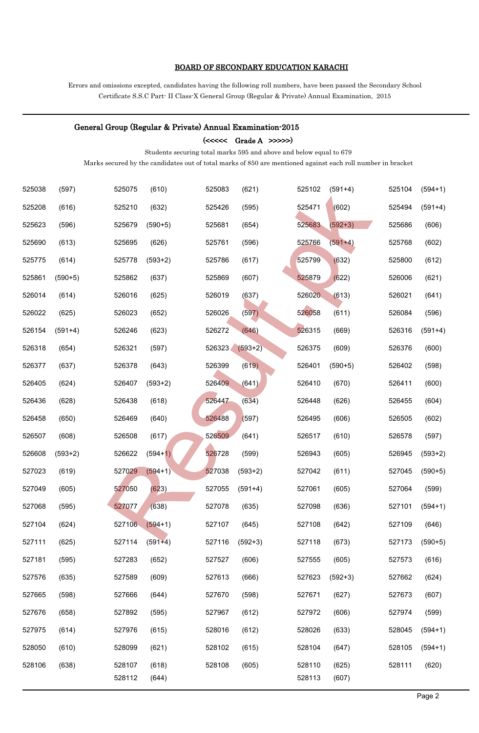#### BOARD OF SECONDARY EDUCATION KARACHI

Errors and omissions excepted, candidates having the following roll numbers, have been passed the Secondary School Certificate S.S.C Part- II Class-X General Group (Regular & Private) Annual Examination, 2015

# General Group (Regular & Private) Annual Examination-2015  $(\ll\ll\ll \text{Grade A}$  >>>>>) Students securing total marks 595 and above and below equal to 679 Marks secured by the candidates out of total marks of 850 are mentioned against each roll number in bracket (597) 525075 (610) 525083 (621) 525102 (591+4) 525104 (594+1) (616) 525210 (632) 525426 (595) 525471 (602) 525494 (591+4) (596) 525679 (590+5) 525681 (654) 525683 (592+3) 525686 (606) (613) 525695 (626) 525761 (596) 525766 (591+4) 525768 (602) (614) 525778 (593+2) 525786 (617) 525799 (632) 525800 (612) (590+5) 525862 (637) 525869 (607) 525879 (622) 526006 (621) (614) 526016 (625) 526019 (637) 526020 (613) 526021 (641) (625) 526023 (652) 526026 (597) 526058 (611) 526084 (596) (591+4) 526246 (623) 526272 (646) 526315 (669) 526316 (591+4) (654) 526321 (597) 526323 (593+2) 526375 (609) 526376 (600) (637) 526378 (643) 526399 (619) 526401 (590+5) 526402 (598) (624) 526407 (593+2) 526409 (641) 526410 (670) 526411 (600) (628) 526438 (618) 526447 (634) 526448 (626) 526455 (604) (650) 526469 (640) 526488 (597) 526495 (606) 526505 (602) (608) 526508 (617) 526509 (641) 526517 (610) 526578 (597) (593+2) 526622 (594+1) 526728 (599) 526943 (605) 526945 (593+2) (619) 527029 (594+1) 527038 (593+2) 527042 (611) 527045 (590+5) (605) 527050 (623) 527055 (591+4) 527061 (605) 527064 (599) (595) 527077 (638) 527078 (635) 527098 (636) 527101 (594+1) (624) 527106 (594+1) 527107 (645) 527108 (642) 527109 (646) (625) 527114 (591+4) 527116 (592+3) 527118 (673) 527173 (590+5) (595) 527283 (652) 527527 (606) 527555 (605) 527573 (616) (635) 527589 (609) 527613 (666) 527623 (592+3) 527662 (624) (598) 527666 (644) 527670 (598) 527671 (627) 527673 (607) (658) 527892 (595) 527967 (612) 527972 (606) 527974 (599) (614) 527976 (615) 528016 (612) 528026 (633) 528045 (594+1) (610) 528099 (621) 528102 (615) 528104 (647) 528105 (594+1) (638) 528107 (618) 528108 (605) 528110 (625) 528111 (620) (644) 528113 (607) 525075 (510) 525083 (621) 226083 (521) 2265122 (561144) 525152 (561144) 525152 (6314)<br>52210 (532) 225281 (634) 225281 (644) 225263 (6324) 525263 (6324) 525268 (6324) 525268 (6324) 525268 (6324) 525268 (6324) 525268 (6324)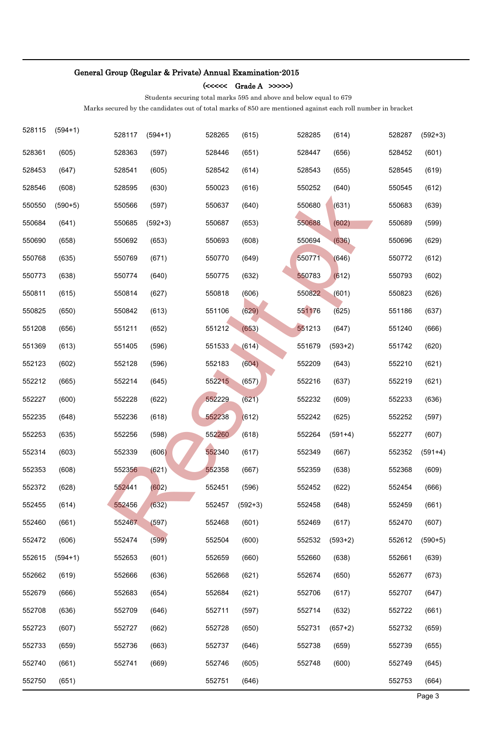(<<<<< Grade A >>>>>)

Students securing total marks 595 and above and below equal to 679

| 528115 | $(594+1)$ | 528117 | $(594+1)$ | 528265 | (615)     | 528285 | (614)     | 528287 | $(592+3)$ |
|--------|-----------|--------|-----------|--------|-----------|--------|-----------|--------|-----------|
| 528361 | (605)     | 528363 | (597)     | 528446 | (651)     | 528447 | (656)     | 528452 | (601)     |
| 528453 | (647)     | 528541 | (605)     | 528542 | (614)     | 528543 | (655)     | 528545 | (619)     |
| 528546 | (608)     | 528595 | (630)     | 550023 | (616)     | 550252 | (640)     | 550545 | (612)     |
| 550550 | $(590+5)$ | 550566 | (597)     | 550637 | (640)     | 550680 | (631)     | 550683 | (639)     |
| 550684 | (641)     | 550685 | $(592+3)$ | 550687 | (653)     | 550688 | (602)     | 550689 | (599)     |
| 550690 | (658)     | 550692 | (653)     | 550693 | (608)     | 550694 | (636)     | 550696 | (629)     |
| 550768 | (635)     | 550769 | (671)     | 550770 | (649)     | 550771 | (646)     | 550772 | (612)     |
| 550773 | (638)     | 550774 | (640)     | 550775 | (632)     | 550783 | (612)     | 550793 | (602)     |
| 550811 | (615)     | 550814 | (627)     | 550818 | (606)     | 550822 | (601)     | 550823 | (626)     |
| 550825 | (650)     | 550842 | (613)     | 551106 | (629)     | 551176 | (625)     | 551186 | (637)     |
| 551208 | (656)     | 551211 | (652)     | 551212 | (653)     | 551213 | (647)     | 551240 | (666)     |
| 551369 | (613)     | 551405 | (596)     | 551533 | (614)     | 551679 | $(593+2)$ | 551742 | (620)     |
| 552123 | (602)     | 552128 | (596)     | 552183 | (604)     | 552209 | (643)     | 552210 | (621)     |
| 552212 | (665)     | 552214 | (645)     | 552215 | (657)     | 552216 | (637)     | 552219 | (621)     |
| 552227 | (600)     | 552228 | (622)     | 552229 | (621)     | 552232 | (609)     | 552233 | (636)     |
| 552235 | (648)     | 552236 | (618)     | 552238 | (612)     | 552242 | (625)     | 552252 | (597)     |
| 552253 | (635)     | 552256 | (598)     | 552260 | (618)     | 552264 | $(591+4)$ | 552277 | (607)     |
| 552314 | (603)     | 552339 | (606)     | 552340 | (617)     | 552349 | (667)     | 552352 | $(591+4)$ |
| 552353 | (608)     | 552356 | (621)     | 552358 | (667)     | 552359 | (638)     | 552368 | (609)     |
| 552372 | (628)     | 552441 | (602)     | 552451 | (596)     | 552452 | (622)     | 552454 | (666)     |
| 552455 | (614)     | 552456 | (632)     | 552457 | $(592+3)$ | 552458 | (648)     | 552459 | (661)     |
| 552460 | (661)     | 552467 | (597)     | 552468 | (601)     | 552469 | (617)     | 552470 | (607)     |
| 552472 | (606)     | 552474 | (599)     | 552504 | (600)     | 552532 | $(593+2)$ | 552612 | $(590+5)$ |
| 552615 | $(594+1)$ | 552653 | (601)     | 552659 | (660)     | 552660 | (638)     | 552661 | (639)     |
| 552662 | (619)     | 552666 | (636)     | 552668 | (621)     | 552674 | (650)     | 552677 | (673)     |
| 552679 | (666)     | 552683 | (654)     | 552684 | (621)     | 552706 | (617)     | 552707 | (647)     |
| 552708 | (636)     | 552709 | (646)     | 552711 | (597)     | 552714 | (632)     | 552722 | (661)     |
| 552723 | (607)     | 552727 | (662)     | 552728 | (650)     | 552731 | $(657+2)$ | 552732 | (659)     |
| 552733 | (659)     | 552736 | (663)     | 552737 | (646)     | 552738 | (659)     | 552739 | (655)     |
| 552740 | (661)     | 552741 | (669)     | 552746 | (605)     | 552748 | (600)     | 552749 | (645)     |
| 552750 | (651)     |        |           | 552751 | (646)     |        |           | 552753 | (664)     |
|        |           |        |           |        |           |        |           |        | Page 3    |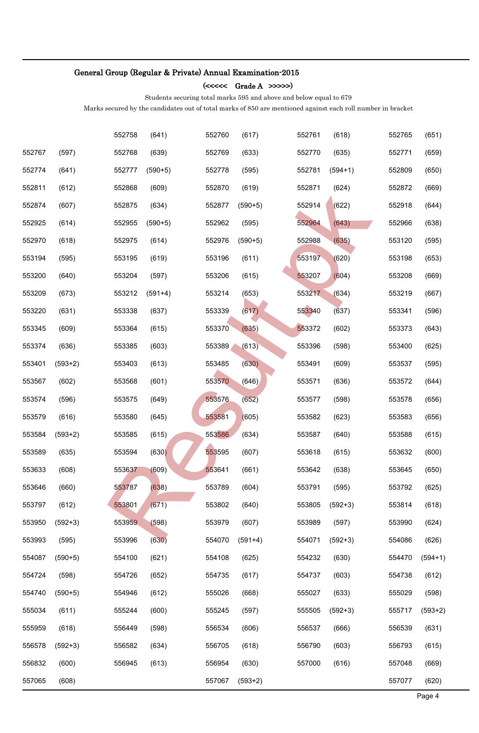$(<<<<\mathrm{Grade}\:A\;>>>>>)$ 

Students securing total marks 595 and above and below equal to 679

|        |           | 552758 | (641)     | 552760 | (617)     | 552761 | (618)     | 552765 | (651)     |
|--------|-----------|--------|-----------|--------|-----------|--------|-----------|--------|-----------|
| 552767 | (597)     | 552768 | (639)     | 552769 | (633)     | 552770 | (635)     | 552771 | (659)     |
| 552774 | (641)     | 552777 | $(590+5)$ | 552778 | (595)     | 552781 | $(594+1)$ | 552809 | (650)     |
| 552811 | (612)     | 552868 | (609)     | 552870 | (619)     | 552871 | (624)     | 552872 | (669)     |
| 552874 | (607)     | 552875 | (634)     | 552877 | $(590+5)$ | 552914 | (622)     | 552918 | (644)     |
| 552925 | (614)     | 552955 | $(590+5)$ | 552962 | (595)     | 552964 | (643)     | 552966 | (638)     |
| 552970 | (618)     | 552975 | (614)     | 552976 | $(590+5)$ | 552988 | (635)     | 553120 | (595)     |
| 553194 | (595)     | 553195 | (619)     | 553196 | (611)     | 553197 | (620)     | 553198 | (653)     |
| 553200 | (640)     | 553204 | (597)     | 553206 | (615)     | 553207 | (604)     | 553208 | (669)     |
| 553209 | (673)     | 553212 | $(591+4)$ | 553214 | (653)     | 553217 | (634)     | 553219 | (667)     |
| 553220 | (631)     | 553338 | (637)     | 553339 | (617)     | 553340 | (637)     | 553341 | (596)     |
| 553345 | (609)     | 553364 | (615)     | 553370 | (635)     | 553372 | (602)     | 553373 | (643)     |
| 553374 | (636)     | 553385 | (603)     | 553389 | (613)     | 553396 | (598)     | 553400 | (625)     |
| 553401 | $(593+2)$ | 553403 | (613)     | 553485 | (630)     | 553491 | (609)     | 553537 | (595)     |
| 553567 | (602)     | 553568 | (601)     | 553570 | (646)     | 553571 | (636)     | 553572 | (644)     |
| 553574 | (596)     | 553575 | (649)     | 553576 | (652)     | 553577 | (598)     | 553578 | (656)     |
| 553579 | (616)     | 553580 | (645)     | 553581 | (605)     | 553582 | (623)     | 553583 | (656)     |
| 553584 | $(593+2)$ | 553585 | (615)     | 553586 | (634)     | 553587 | (640)     | 553588 | (615)     |
| 553589 | (635)     | 553594 | (630)     | 553595 | (607)     | 553618 | (615)     | 553632 | (600)     |
| 553633 | (608)     | 553637 | (609)     | 553641 | (661)     | 553642 | (638)     | 553645 | (650)     |
| 553646 | (660)     | 553787 | (638)     | 553789 | (604)     | 553791 | (595)     | 553792 | (625)     |
| 553797 | (612)     | 553801 | (671)     | 553802 | (640)     | 553805 | $(592+3)$ | 553814 | (618)     |
| 553950 | $(592+3)$ | 553959 | (598)     | 553979 | (607)     | 553989 | (597)     | 553990 | (624)     |
| 553993 | (595)     | 553996 | (630)     | 554070 | $(591+4)$ | 554071 | $(592+3)$ | 554086 | (626)     |
| 554087 | $(590+5)$ | 554100 | (621)     | 554108 | (625)     | 554232 | (630)     | 554470 | $(594+1)$ |
| 554724 | (598)     | 554726 | (652)     | 554735 | (617)     | 554737 | (603)     | 554738 | (612)     |
| 554740 | $(590+5)$ | 554946 | (612)     | 555026 | (668)     | 555027 | (633)     | 555029 | (598)     |
| 555034 | (611)     | 555244 | (600)     | 555245 | (597)     | 555505 | $(592+3)$ | 555717 | $(593+2)$ |
| 555959 | (618)     | 556449 | (598)     | 556534 | (606)     | 556537 | (666)     | 556539 | (631)     |
| 556578 | $(592+3)$ | 556582 | (634)     | 556705 | (618)     | 556790 | (603)     | 556793 | (615)     |
| 556832 | (600)     | 556945 | (613)     | 556954 | (630)     | 557000 | (616)     | 557048 | (669)     |
| 557065 | (608)     |        |           | 557067 | $(593+2)$ |        |           | 557077 | (620)     |
|        |           |        |           |        |           |        |           |        | Page 4    |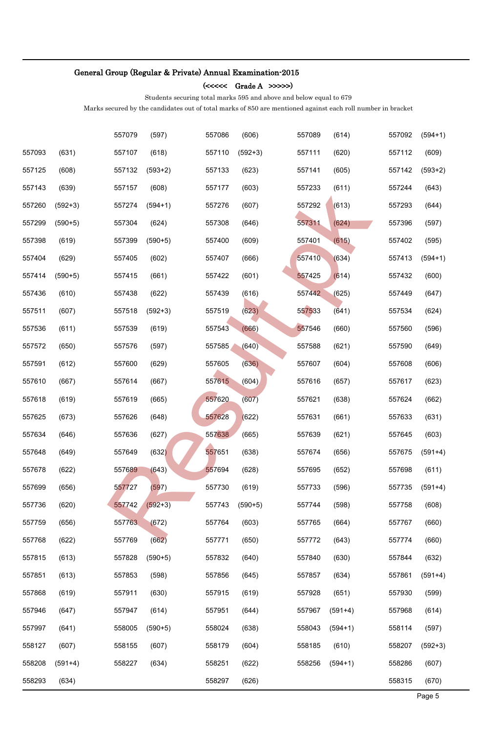(<<<<< Grade A >>>>>)

Students securing total marks 595 and above and below equal to 679

|        |           | 557079 | (597)     | 557086 | (606)     | 557089 | (614)     | 557092 | $(594+1)$ |
|--------|-----------|--------|-----------|--------|-----------|--------|-----------|--------|-----------|
| 557093 | (631)     | 557107 | (618)     | 557110 | $(592+3)$ | 557111 | (620)     | 557112 | (609)     |
| 557125 | (608)     | 557132 | $(593+2)$ | 557133 | (623)     | 557141 | (605)     | 557142 | $(593+2)$ |
| 557143 | (639)     | 557157 | (608)     | 557177 | (603)     | 557233 | (611)     | 557244 | (643)     |
| 557260 | $(592+3)$ | 557274 | $(594+1)$ | 557276 | (607)     | 557292 | (613)     | 557293 | (644)     |
| 557299 | $(590+5)$ | 557304 | (624)     | 557308 | (646)     | 557311 | (624)     | 557396 | (597)     |
| 557398 | (619)     | 557399 | $(590+5)$ | 557400 | (609)     | 557401 | (615)     | 557402 | (595)     |
| 557404 | (629)     | 557405 | (602)     | 557407 | (666)     | 557410 | (634)     | 557413 | $(594+1)$ |
| 557414 | $(590+5)$ | 557415 | (661)     | 557422 | (601)     | 557425 | (614)     | 557432 | (600)     |
| 557436 | (610)     | 557438 | (622)     | 557439 | (616)     | 557442 | (625)     | 557449 | (647)     |
| 557511 | (607)     | 557518 | $(592+3)$ | 557519 | (623)     | 557533 | (641)     | 557534 | (624)     |
| 557536 | (611)     | 557539 | (619)     | 557543 | (666)     | 557546 | (660)     | 557560 | (596)     |
| 557572 | (650)     | 557576 | (597)     | 557585 | (640)     | 557588 | (621)     | 557590 | (649)     |
| 557591 | (612)     | 557600 | (629)     | 557605 | (636)     | 557607 | (604)     | 557608 | (606)     |
| 557610 | (667)     | 557614 | (667)     | 557615 | (604)     | 557616 | (657)     | 557617 | (623)     |
| 557618 | (619)     | 557619 | (665)     | 557620 | (607)     | 557621 | (638)     | 557624 | (662)     |
| 557625 | (673)     | 557626 | (648)     | 557628 | (622)     | 557631 | (661)     | 557633 | (631)     |
| 557634 | (646)     | 557636 | (627)     | 557638 | (665)     | 557639 | (621)     | 557645 | (603)     |
| 557648 | (649)     | 557649 | (632)     | 557651 | (638)     | 557674 | (656)     | 557675 | $(591+4)$ |
| 557678 | (622)     | 557689 | (643)     | 557694 | (628)     | 557695 | (652)     | 557698 | (611)     |
| 557699 | (656)     | 557727 | (597)     | 557730 | (619)     | 557733 | (596)     | 557735 | $(591+4)$ |
| 557736 | (620)     | 557742 | $(592+3)$ | 557743 | $(590+5)$ | 557744 | (598)     | 557758 | (608)     |
| 557759 | (656)     | 557763 | (672)     | 557764 | (603)     | 557765 | (664)     | 557767 | (660)     |
| 557768 | (622)     | 557769 | (662)     | 557771 | (650)     | 557772 | (643)     | 557774 | (660)     |
| 557815 | (613)     | 557828 | $(590+5)$ | 557832 | (640)     | 557840 | (630)     | 557844 | (632)     |
| 557851 | (613)     | 557853 | (598)     | 557856 | (645)     | 557857 | (634)     | 557861 | $(591+4)$ |
| 557868 | (619)     | 557911 | (630)     | 557915 | (619)     | 557928 | (651)     | 557930 | (599)     |
| 557946 | (647)     | 557947 | (614)     | 557951 | (644)     | 557967 | $(591+4)$ | 557968 | (614)     |
| 557997 | (641)     | 558005 | $(590+5)$ | 558024 | (638)     | 558043 | $(594+1)$ | 558114 | (597)     |
| 558127 | (607)     | 558155 | (607)     | 558179 | (604)     | 558185 | (610)     | 558207 | $(592+3)$ |
| 558208 | $(591+4)$ | 558227 | (634)     | 558251 | (622)     | 558256 | $(594+1)$ | 558286 | (607)     |
| 558293 | (634)     |        |           | 558297 | (626)     |        |           | 558315 | (670)     |
|        |           |        |           |        |           |        |           |        | Page 5    |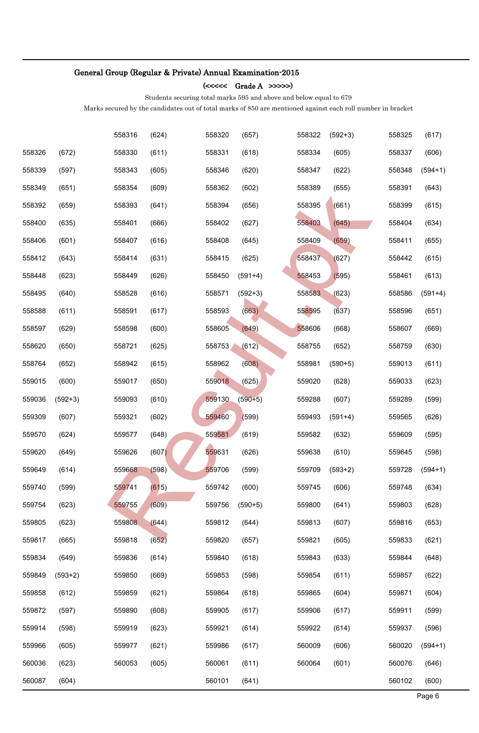(<<<<< Grade A >>>>>)

Students securing total marks 595 and above and below equal to 679

|        |           | 558316 | (624) | 558320 | (657)     | 558322 | $(592+3)$ | 558325 | (617)     |
|--------|-----------|--------|-------|--------|-----------|--------|-----------|--------|-----------|
| 558326 | (672)     | 558330 | (611) | 558331 | (618)     | 558334 | (605)     | 558337 | (606)     |
| 558339 | (597)     | 558343 | (605) | 558346 | (620)     | 558347 | (622)     | 558348 | $(594+1)$ |
| 558349 | (651)     | 558354 | (609) | 558362 | (602)     | 558389 | (655)     | 558391 | (643)     |
| 558392 | (659)     | 558393 | (641) | 558394 | (656)     | 558395 | (661)     | 558399 | (615)     |
| 558400 | (635)     | 558401 | (666) | 558402 | (627)     | 558403 | (645)     | 558404 | (634)     |
| 558406 | (601)     | 558407 | (616) | 558408 | (645)     | 558409 | (659)     | 558411 | (655)     |
| 558412 | (643)     | 558414 | (631) | 558415 | (625)     | 558437 | (627)     | 558442 | (615)     |
| 558448 | (623)     | 558449 | (626) | 558450 | $(591+4)$ | 558453 | (595)     | 558461 | (613)     |
| 558495 | (640)     | 558528 | (616) | 558571 | $(592+3)$ | 558583 | (623)     | 558586 | $(591+4)$ |
| 558588 | (611)     | 558591 | (617) | 558593 | (663)     | 558595 | (637)     | 558596 | (651)     |
| 558597 | (629)     | 558598 | (600) | 558605 | (649)     | 558606 | (668)     | 558607 | (669)     |
| 558620 | (650)     | 558721 | (625) | 558753 | (612)     | 558755 | (652)     | 558759 | (630)     |
| 558764 | (652)     | 558942 | (615) | 558962 | (608)     | 558981 | $(590+5)$ | 559013 | (611)     |
| 559015 | (600)     | 559017 | (650) | 559018 | (625)     | 559020 | (628)     | 559033 | (623)     |
| 559036 | $(592+3)$ | 559093 | (610) | 559130 | $(590+5)$ | 559288 | (607)     | 559289 | (599)     |
| 559309 | (607)     | 559321 | (602) | 559460 | (599)     | 559493 | $(591+4)$ | 559565 | (626)     |
| 559570 | (624)     | 559577 | (648) | 559581 | (619)     | 559582 | (632)     | 559609 | (595)     |
| 559620 | (649)     | 559626 | (607) | 559631 | (626)     | 559638 | (610)     | 559645 | (598)     |
| 559649 | (614)     | 559668 | (598) | 559706 | (599)     | 559709 | $(593+2)$ | 559728 | $(594+1)$ |
| 559740 | (599)     | 559741 | (615) | 559742 | (600)     | 559745 | (606)     | 559748 | (634)     |
| 559754 | (623)     | 559755 | (609) | 559756 | $(590+5)$ | 559800 | (641)     | 559803 | (628)     |
| 559805 | (623)     | 559808 | (644) | 559812 | (644)     | 559813 | (607)     | 559816 | (653)     |
| 559817 | (665)     | 559818 | (652) | 559820 | (657)     | 559821 | (605)     | 559833 | (621)     |
| 559834 | (649)     | 559836 | (614) | 559840 | (618)     | 559843 | (633)     | 559844 | (648)     |
| 559849 | $(593+2)$ | 559850 | (669) | 559853 | (598)     | 559854 | (611)     | 559857 | (622)     |
| 559858 | (612)     | 559859 | (621) | 559864 | (618)     | 559865 | (604)     | 559871 | (604)     |
| 559872 | (597)     | 559890 | (608) | 559905 | (617)     | 559906 | (617)     | 559911 | (599)     |
| 559914 | (598)     | 559919 | (623) | 559921 | (614)     | 559922 | (614)     | 559937 | (596)     |
| 559966 | (605)     | 559977 | (621) | 559986 | (617)     | 560009 | (606)     | 560020 | $(594+1)$ |
| 560036 | (623)     | 560053 | (605) | 560061 | (611)     | 560064 | (601)     | 560076 | (646)     |
| 560087 | (604)     |        |       | 560101 | (641)     |        |           | 560102 | (600)     |
|        |           |        |       |        |           |        |           |        | Page 6    |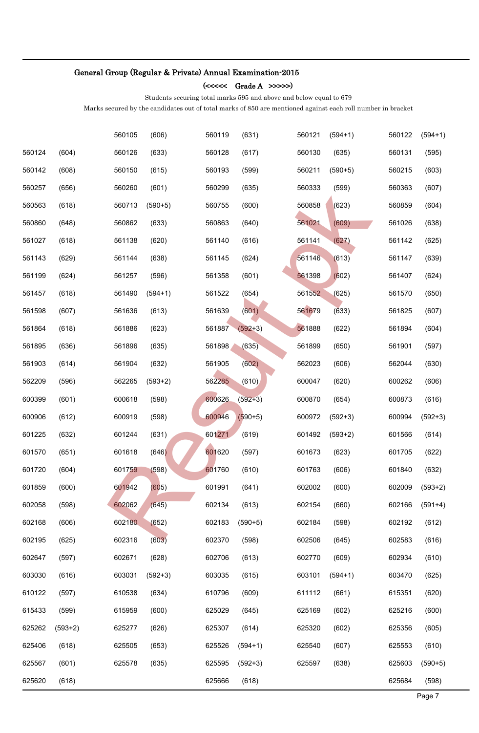$(<<<<\mathrm{Grade}\:A\;>>>>>)$ 

Students securing total marks 595 and above and below equal to 679

|                  |                |                  |                |                  |                |                  |                |                  | Page 7         |
|------------------|----------------|------------------|----------------|------------------|----------------|------------------|----------------|------------------|----------------|
| 625620           | (618)          |                  |                | 625666           | (618)          |                  |                | 625684           | (598)          |
| 625567           | (601)          | 625578           | (635)          | 625595           | $(592+3)$      | 625597           | (638)          | 625603           | $(590+5)$      |
| 625406           | (618)          | 625505           | (653)          | 625526           | $(594+1)$      | 625540           | (607)          | 625553           | (610)          |
| 625262           | $(593+2)$      | 625277           | (626)          | 625307           | (614)          | 625320           | (602)          | 625356           | (605)          |
| 610122<br>615433 | (597)<br>(599) | 610538<br>615959 | (634)<br>(600) | 610796<br>625029 | (609)<br>(645) | 611112<br>625169 | (661)<br>(602) | 615351<br>625216 | (620)<br>(600) |
| 603030           | (616)          | 603031           | $(592+3)$      | 603035           | (615)          | 603101           | $(594+1)$      | 603470           | (625)          |
| 602647           | (597)          | 602671           | (628)          | 602706           | (613)          | 602770           | (609)          | 602934           | (610)          |
| 602195           | (625)          | 602316           | (603)          | 602370           | (598)          | 602506           | (645)          | 602583           | (616)          |
| 602168           | (606)          | 602180           | (652)          | 602183           | $(590+5)$      | 602184           | (598)          | 602192           | (612)          |
| 602058           | (598)          | 602062           | (645)          | 602134           | (613)          | 602154           | (660)          | 602166           | $(591+4)$      |
| 601859           | (600)          | 601942           | (605)          | 601991           | (641)          | 602002           | (600)          | 602009           | $(593+2)$      |
| 601720           | (604)          | 601759           | (598)          | 601760           | (610)          | 601763           | (606)          | 601840           | (632)          |
| 601570           | (651)          | 601618           | (646)          | 601620           | (597)          | 601673           | (623)          | 601705           | (622)          |
| 601225           | (632)          | 601244           | (631)          | 601271           | (619)          | 601492           | $(593+2)$      | 601566           | (614)          |
| 600906           | (612)          | 600919           | (598)          | 600946           | $(590+5)$      | 600972           | $(592+3)$      | 600994           | $(592+3)$      |
| 600399           | (601)          | 600618           | (598)          | 600626           | $(592+3)$      | 600870           | (654)          | 600873           | (616)          |
| 562209           | (596)          | 562265           | $(593+2)$      | 562285           | (610)          | 600047           | (620)          | 600262           | (606)          |
| 561903           | (614)          | 561904           | (632)          | 561905           | (602)          | 562023           | (606)          | 562044           | (630)          |
| 561895           | (636)          | 561896           | (635)          | 561898           | (635)          | 561899           | (650)          | 561901           | (597)          |
| 561864           | (618)          | 561886           | (623)          | 561887           | $(592+3)$      | 561888           | (622)          | 561894           | (604)          |
| 561598           | (607)          | 561636           | (613)          | 561639           | (601)          | 561679           | (633)          | 561825           | (607)          |
| 561457           | (618)          | 561490           | $(594+1)$      | 561522           | (654)          | 561552           | (625)          | 561570           | (650)          |
| 561199           | (624)          | 561257           | (596)          | 561358           | (601)          | 561398           | (602)          | 561407           | (624)          |
| 561143           | (629)          | 561144           | (638)          | 561145           | (624)          | 561146           | (613)          | 561147           | (639)          |
| 561027           | (618)          | 561138           | (620)          | 561140           | (616)          | 561141           | (627)          | 561142           | (625)          |
| 560860           | (648)          | 560862           | (633)          | 560863           | (640)          | 561021           | (609)          | 561026           | (638)          |
| 560563           | (618)          | 560713           | $(590+5)$      | 560755           | (600)          | 560858           | (623)          | 560859           | (604)          |
| 560257           | (656)          | 560260           | (601)          | 560299           | (635)          | 560333           | (599)          | 560363           | (607)          |
| 560142           | (608)          | 560150           | (615)          | 560193           | (599)          | 560211           | $(590+5)$      | 560215           | (603)          |
| 560124           | (604)          | 560126           | (633)          | 560128           | (617)          | 560130           | (635)          | 560131           | (595)          |
|                  |                | 560105           | (606)          | 560119           | (631)          | 560121           | $(594+1)$      | 560122           | $(594+1)$      |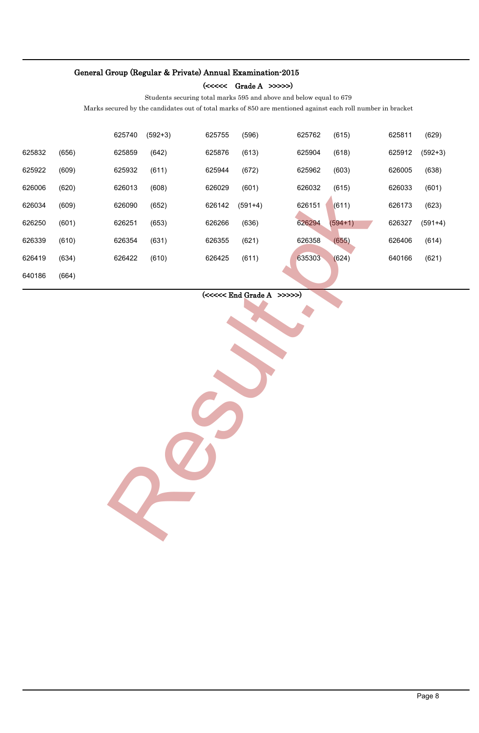(<<<<< Grade A >>>>>)

Students securing total marks 595 and above and below equal to 679

Marks secured by the candidates out of total marks of 850 are mentioned against each roll number in bracket

|        |       | 625740 | $(592+3)$ | 625755 | (596)     | 625762 | (615)     | 625811 | (629)     |
|--------|-------|--------|-----------|--------|-----------|--------|-----------|--------|-----------|
| 625832 | (656) | 625859 | (642)     | 625876 | (613)     | 625904 | (618)     | 625912 | $(592+3)$ |
| 625922 | (609) | 625932 | (611)     | 625944 | (672)     | 625962 | (603)     | 626005 | (638)     |
| 626006 | (620) | 626013 | (608)     | 626029 | (601)     | 626032 | (615)     | 626033 | (601)     |
| 626034 | (609) | 626090 | (652)     | 626142 | $(591+4)$ | 626151 | (611)     | 626173 | (623)     |
| 626250 | (601) | 626251 | (653)     | 626266 | (636)     | 626294 | $(594+1)$ | 626327 | $(591+4)$ |
| 626339 | (610) | 626354 | (631)     | 626355 | (621)     | 626358 | (655)     | 626406 | (614)     |
| 626419 | (634) | 626422 | (610)     | 626425 | (611)     | 635303 | (624)     | 640166 | (621)     |
| 640186 | (664) |        |           |        |           |        |           |        |           |
|        |       |        |           |        |           |        |           |        | Page 8    |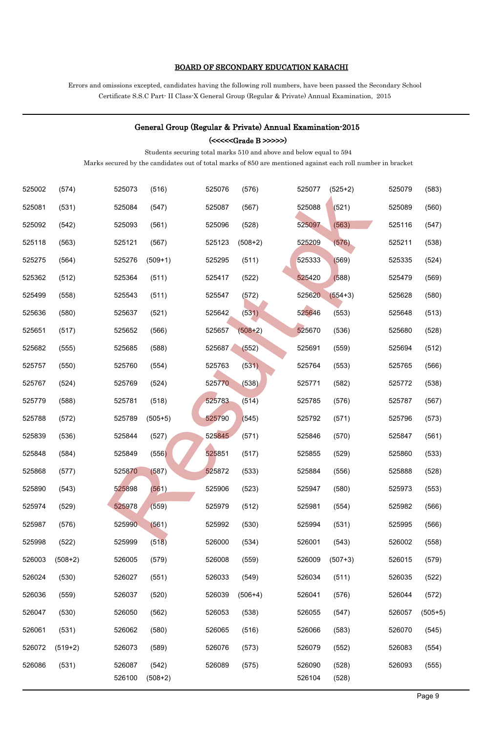#### BOARD OF SECONDARY EDUCATION KARACHI

Errors and omissions excepted, candidates having the following roll numbers, have been passed the Secondary School Certificate S.S.C Part- II Class-X General Group (Regular & Private) Annual Examination, 2015

|        |           |        |           |        |               | General Group (Regular & Private) Annual Examination-2015                                                   |           |        |           |
|--------|-----------|--------|-----------|--------|---------------|-------------------------------------------------------------------------------------------------------------|-----------|--------|-----------|
|        |           |        |           |        | $(<<< >>>>>)$ |                                                                                                             |           |        |           |
|        |           |        |           |        |               | Students securing total marks 510 and above and below equal to 594                                          |           |        |           |
|        |           |        |           |        |               | Marks secured by the candidates out of total marks of 850 are mentioned against each roll number in bracket |           |        |           |
| 525002 | (574)     | 525073 | (516)     | 525076 | (576)         | 525077                                                                                                      | $(525+2)$ | 525079 | (583)     |
| 525081 | (531)     | 525084 | (547)     | 525087 | (567)         | 525088                                                                                                      | (521)     | 525089 | (560)     |
| 525092 | (542)     | 525093 | (561)     | 525096 | (528)         | 525097                                                                                                      | (563)     | 525116 | (547)     |
| 525118 | (563)     | 525121 | (567)     | 525123 | $(508+2)$     | 525209                                                                                                      | (576)     | 525211 | (538)     |
| 525275 | (564)     | 525276 | $(509+1)$ | 525295 | (511)         | 525333                                                                                                      | (569)     | 525335 | (524)     |
| 525362 | (512)     | 525364 | (511)     | 525417 | (522)         | 525420                                                                                                      | (588)     | 525479 | (569)     |
| 525499 | (558)     | 525543 | (511)     | 525547 | (572)         | 525620                                                                                                      | $(554+3)$ | 525628 | (580)     |
| 525636 | (580)     | 525637 | (521)     | 525642 | (531)         | 525646                                                                                                      | (553)     | 525648 | (513)     |
| 525651 | (517)     | 525652 | (566)     | 525657 | $(508+2)$     | 525670                                                                                                      | (536)     | 525680 | (528)     |
| 525682 | (555)     | 525685 | (588)     | 525687 | (552)         | 525691                                                                                                      | (559)     | 525694 | (512)     |
| 525757 | (550)     | 525760 | (554)     | 525763 | (531)         | 525764                                                                                                      | (553)     | 525765 | (566)     |
| 525767 | (524)     | 525769 | (524)     | 525770 | (538)         | 525771                                                                                                      | (582)     | 525772 | (538)     |
| 525779 | (588)     | 525781 | (518)     | 525783 | (514)         | 525785                                                                                                      | (576)     | 525787 | (567)     |
| 525788 | (572)     | 525789 | $(505+5)$ | 525790 | (545)         | 525792                                                                                                      | (571)     | 525796 | (573)     |
| 525839 | (536)     | 525844 | (527)     | 525845 | (571)         | 525846                                                                                                      | (570)     | 525847 | (561)     |
| 525848 | (584)     | 525849 | (556)     | 525851 | (517)         | 525855                                                                                                      | (529)     | 525860 | (533)     |
| 525868 | (577)     | 525870 | (587)     | 525872 | (533)         | 525884                                                                                                      | (556)     | 525888 | (528)     |
| 525890 | (543)     | 525898 | (561)     | 525906 | (523)         | 525947                                                                                                      | (580)     | 525973 | (553)     |
| 525974 | (529)     | 525978 | (559)     | 525979 | (512)         | 525981                                                                                                      | (554)     | 525982 | (566)     |
| 525987 | (576)     | 525990 | (561)     | 525992 | (530)         | 525994                                                                                                      | (531)     | 525995 | (566)     |
| 525998 | (522)     | 525999 | (518)     | 526000 | (534)         | 526001                                                                                                      | (543)     | 526002 | (558)     |
| 526003 | $(508+2)$ | 526005 | (579)     | 526008 | (559)         | 526009                                                                                                      | $(507+3)$ | 526015 | (579)     |
| 526024 | (530)     | 526027 | (551)     | 526033 | (549)         | 526034                                                                                                      | (511)     | 526035 | (522)     |
| 526036 | (559)     | 526037 | (520)     | 526039 | $(506+4)$     | 526041                                                                                                      | (576)     | 526044 | (572)     |
| 526047 | (530)     | 526050 | (562)     | 526053 | (538)         | 526055                                                                                                      | (547)     | 526057 | $(505+5)$ |
| 526061 | (531)     | 526062 | (580)     | 526065 | (516)         | 526066                                                                                                      | (583)     | 526070 | (545)     |
| 526072 | $(519+2)$ | 526073 | (589)     | 526076 | (573)         | 526079                                                                                                      | (552)     | 526083 | (554)     |
| 526086 | (531)     | 526087 | (542)     | 526089 | (575)         | 526090                                                                                                      | (528)     | 526093 | (555)     |
|        |           | 526100 | $(508+2)$ |        |               | 526104                                                                                                      | (528)     |        |           |
|        |           |        |           |        |               |                                                                                                             |           |        | Page 9    |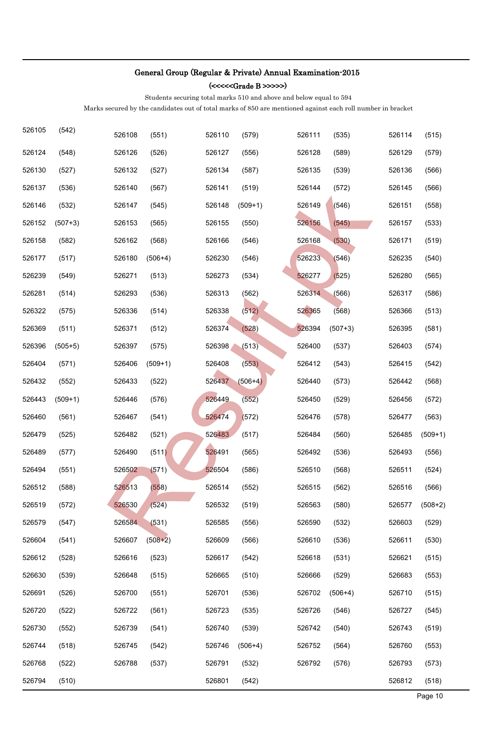(<<<<<Grade B >>>>>)

Students securing total marks 510 and above and below equal to 594

| 526105 | (542)     | 526108 | (551)     | 526110 | (579)     | 526111 | (535)     | 526114 | (515)     |
|--------|-----------|--------|-----------|--------|-----------|--------|-----------|--------|-----------|
| 526124 | (548)     | 526126 | (526)     | 526127 | (556)     | 526128 | (589)     | 526129 | (579)     |
| 526130 | (527)     | 526132 | (527)     | 526134 | (587)     | 526135 | (539)     | 526136 | (566)     |
| 526137 | (536)     | 526140 | (567)     | 526141 | (519)     | 526144 | (572)     | 526145 | (566)     |
| 526146 | (532)     | 526147 | (545)     | 526148 | $(509+1)$ | 526149 | (546)     | 526151 | (558)     |
| 526152 | $(507+3)$ | 526153 | (565)     | 526155 | (550)     | 526156 | (545)     | 526157 | (533)     |
| 526158 | (582)     | 526162 | (568)     | 526166 | (546)     | 526168 | (530)     | 526171 | (519)     |
| 526177 | (517)     | 526180 | $(506+4)$ | 526230 | (546)     | 526233 | (546)     | 526235 | (540)     |
| 526239 | (549)     | 526271 | (513)     | 526273 | (534)     | 526277 | (525)     | 526280 | (565)     |
| 526281 | (514)     | 526293 | (536)     | 526313 | (562)     | 526314 | (566)     | 526317 | (586)     |
| 526322 | (575)     | 526336 | (514)     | 526338 | (512)     | 526365 | (568)     | 526366 | (513)     |
| 526369 | (511)     | 526371 | (512)     | 526374 | (528)     | 526394 | $(507+3)$ | 526395 | (581)     |
| 526396 | $(505+5)$ | 526397 | (575)     | 526398 | (513)     | 526400 | (537)     | 526403 | (574)     |
| 526404 | (571)     | 526406 | $(509+1)$ | 526408 | (553)     | 526412 | (543)     | 526415 | (542)     |
| 526432 | (552)     | 526433 | (522)     | 526437 | $(506+4)$ | 526440 | (573)     | 526442 | (568)     |
| 526443 | $(509+1)$ | 526446 | (576)     | 526449 | (552)     | 526450 | (529)     | 526456 | (572)     |
| 526460 | (561)     | 526467 | (541)     | 526474 | (572)     | 526476 | (578)     | 526477 | (563)     |
| 526479 | (525)     | 526482 | (521)     | 526483 | (517)     | 526484 | (560)     | 526485 | $(509+1)$ |
| 526489 | (577)     | 526490 | (511)     | 526491 | (565)     | 526492 | (536)     | 526493 | (556)     |
| 526494 | (551)     | 526502 | (571)     | 526504 | (586)     | 526510 | (568)     | 526511 | (524)     |
| 526512 | (588)     | 526513 | (558)     | 526514 | (552)     | 526515 | (562)     | 526516 | (566)     |
| 526519 | (572)     | 526530 | (524)     | 526532 | (519)     | 526563 | (580)     | 526577 | $(508+2)$ |
| 526579 | (547)     | 526584 | (531)     | 526585 | (556)     | 526590 | (532)     | 526603 | (529)     |
| 526604 | (541)     | 526607 | $(508+2)$ | 526609 | (566)     | 526610 | (536)     | 526611 | (530)     |
| 526612 | (528)     | 526616 | (523)     | 526617 | (542)     | 526618 | (531)     | 526621 | (515)     |
| 526630 | (539)     | 526648 | (515)     | 526665 | (510)     | 526666 | (529)     | 526683 | (553)     |
| 526691 | (526)     | 526700 | (551)     | 526701 | (536)     | 526702 | $(506+4)$ | 526710 | (515)     |
| 526720 | (522)     | 526722 | (561)     | 526723 | (535)     | 526726 | (546)     | 526727 | (545)     |
| 526730 | (552)     | 526739 | (541)     | 526740 | (539)     | 526742 | (540)     | 526743 | (519)     |
| 526744 | (518)     | 526745 | (542)     | 526746 | $(506+4)$ | 526752 | (564)     | 526760 | (553)     |
| 526768 | (522)     | 526788 | (537)     | 526791 | (532)     | 526792 | (576)     | 526793 | (573)     |
| 526794 | (510)     |        |           | 526801 | (542)     |        |           | 526812 | (518)     |
|        |           |        |           |        |           |        |           |        | Page 10   |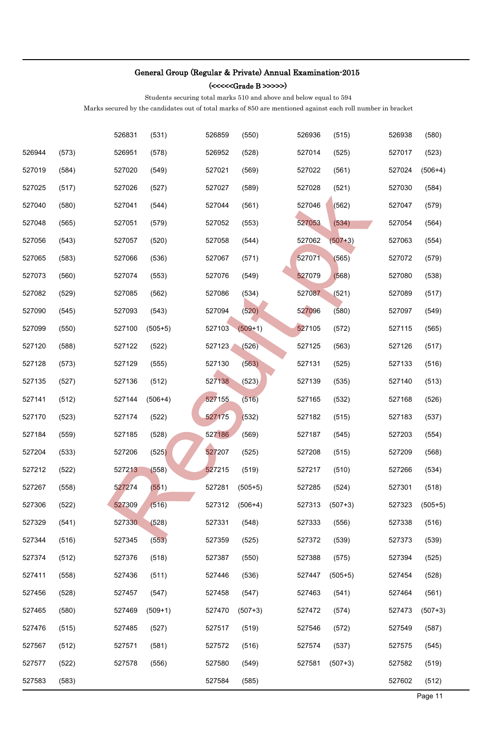(<<<<<Grade B >>>>>)

Students securing total marks 510 and above and below equal to 594

|        |       | 526831 | (531)     | 526859 | (550)     | 526936 | (515)     | 526938 | (580)     |
|--------|-------|--------|-----------|--------|-----------|--------|-----------|--------|-----------|
| 526944 | (573) | 526951 | (578)     | 526952 | (528)     | 527014 | (525)     | 527017 | (523)     |
| 527019 | (584) | 527020 | (549)     | 527021 | (569)     | 527022 | (561)     | 527024 | $(506+4)$ |
| 527025 | (517) | 527026 | (527)     | 527027 | (589)     | 527028 | (521)     | 527030 | (584)     |
| 527040 | (580) | 527041 | (544)     | 527044 | (561)     | 527046 | (562)     | 527047 | (579)     |
| 527048 | (565) | 527051 | (579)     | 527052 | (553)     | 527053 | (534)     | 527054 | (564)     |
| 527056 | (543) | 527057 | (520)     | 527058 | (544)     | 527062 | $(507+3)$ | 527063 | (554)     |
| 527065 | (583) | 527066 | (536)     | 527067 | (571)     | 527071 | (565)     | 527072 | (579)     |
| 527073 | (560) | 527074 | (553)     | 527076 | (549)     | 527079 | (568)     | 527080 | (538)     |
| 527082 | (529) | 527085 | (562)     | 527086 | (534)     | 527087 | (521)     | 527089 | (517)     |
| 527090 | (545) | 527093 | (543)     | 527094 | (520)     | 527096 | (580)     | 527097 | (549)     |
| 527099 | (550) | 527100 | $(505+5)$ | 527103 | $(509+1)$ | 527105 | (572)     | 527115 | (565)     |
| 527120 | (588) | 527122 | (522)     | 527123 | (526)     | 527125 | (563)     | 527126 | (517)     |
| 527128 | (573) | 527129 | (555)     | 527130 | (563)     | 527131 | (525)     | 527133 | (516)     |
| 527135 | (527) | 527136 | (512)     | 527138 | (523)     | 527139 | (535)     | 527140 | (513)     |
| 527141 | (512) | 527144 | $(506+4)$ | 527155 | (516)     | 527165 | (532)     | 527168 | (526)     |
| 527170 | (523) | 527174 | (522)     | 527175 | (532)     | 527182 | (515)     | 527183 | (537)     |
| 527184 | (559) | 527185 | (528)     | 527186 | (569)     | 527187 | (545)     | 527203 | (554)     |
| 527204 | (533) | 527206 | (525)     | 527207 | (525)     | 527208 | (515)     | 527209 | (568)     |
| 527212 | (522) | 527213 | (558)     | 527215 | (519)     | 527217 | (510)     | 527266 | (534)     |
| 527267 | (558) | 527274 | (551)     | 527281 | $(505+5)$ | 527285 | (524)     | 527301 | (518)     |
| 527306 | (522) | 527309 | (516)     | 527312 | $(506+4)$ | 527313 | $(507+3)$ | 527323 | $(505+5)$ |
| 527329 | (541) | 527330 | (528)     | 527331 | (548)     | 527333 | (556)     | 527338 | (516)     |
| 527344 | (516) | 527345 | (553)     | 527359 | (525)     | 527372 | (539)     | 527373 | (539)     |
| 527374 | (512) | 527376 | (518)     | 527387 | (550)     | 527388 | (575)     | 527394 | (525)     |
| 527411 | (558) | 527436 | (511)     | 527446 | (536)     | 527447 | $(505+5)$ | 527454 | (528)     |
| 527456 | (528) | 527457 | (547)     | 527458 | (547)     | 527463 | (541)     | 527464 | (561)     |
| 527465 | (580) | 527469 | $(509+1)$ | 527470 | $(507+3)$ | 527472 | (574)     | 527473 | $(507+3)$ |
| 527476 | (515) | 527485 | (527)     | 527517 | (519)     | 527546 | (572)     | 527549 | (587)     |
| 527567 | (512) | 527571 | (581)     | 527572 | (516)     | 527574 | (537)     | 527575 | (545)     |
| 527577 | (522) | 527578 | (556)     | 527580 | (549)     | 527581 | $(507+3)$ | 527582 | (519)     |
| 527583 | (583) |        |           | 527584 | (585)     |        |           | 527602 | (512)     |
|        |       |        |           |        |           |        |           |        | Page 11   |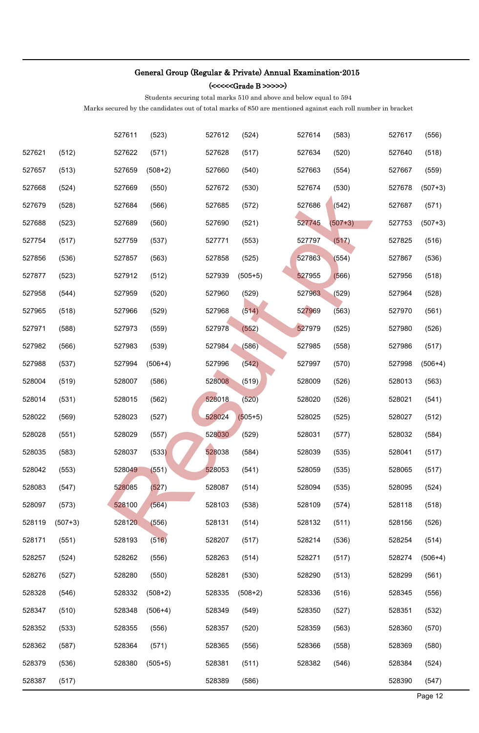(<<<<<Grade B >>>>>)

Students securing total marks 510 and above and below equal to 594

|        |           | 527611 | (523)     | 527612 | (524)     | 527614 | (583)     | 527617 | (556)     |
|--------|-----------|--------|-----------|--------|-----------|--------|-----------|--------|-----------|
| 527621 | (512)     | 527622 | (571)     | 527628 | (517)     | 527634 | (520)     | 527640 | (518)     |
| 527657 | (513)     | 527659 | $(508+2)$ | 527660 | (540)     | 527663 | (554)     | 527667 | (559)     |
| 527668 | (524)     | 527669 | (550)     | 527672 | (530)     | 527674 | (530)     | 527678 | $(507+3)$ |
| 527679 | (528)     | 527684 | (566)     | 527685 | (572)     | 527686 | (542)     | 527687 | (571)     |
| 527688 | (523)     | 527689 | (560)     | 527690 | (521)     | 527745 | $(507+3)$ | 527753 | $(507+3)$ |
| 527754 | (517)     | 527759 | (537)     | 527771 | (553)     | 527797 | (517)     | 527825 | (516)     |
| 527856 | (536)     | 527857 | (563)     | 527858 | (525)     | 527863 | (554)     | 527867 | (536)     |
| 527877 | (523)     | 527912 | (512)     | 527939 | $(505+5)$ | 527955 | (566)     | 527956 | (518)     |
| 527958 | (544)     | 527959 | (520)     | 527960 | (529)     | 527963 | (529)     | 527964 | (528)     |
| 527965 | (518)     | 527966 | (529)     | 527968 | (514)     | 527969 | (563)     | 527970 | (561)     |
| 527971 | (588)     | 527973 | (559)     | 527978 | (552)     | 527979 | (525)     | 527980 | (526)     |
| 527982 | (566)     | 527983 | (539)     | 527984 | (586)     | 527985 | (558)     | 527986 | (517)     |
| 527988 | (537)     | 527994 | $(506+4)$ | 527996 | (542)     | 527997 | (570)     | 527998 | $(506+4)$ |
| 528004 | (519)     | 528007 | (586)     | 528008 | (519)     | 528009 | (526)     | 528013 | (563)     |
| 528014 | (531)     | 528015 | (562)     | 528018 | (520)     | 528020 | (526)     | 528021 | (541)     |
| 528022 | (569)     | 528023 | (527)     | 528024 | $(505+5)$ | 528025 | (525)     | 528027 | (512)     |
| 528028 | (551)     | 528029 | (557)     | 528030 | (529)     | 528031 | (577)     | 528032 | (584)     |
| 528035 | (583)     | 528037 | (533)     | 528038 | (584)     | 528039 | (535)     | 528041 | (517)     |
| 528042 | (553)     | 528049 | (551)     | 528053 | (541)     | 528059 | (535)     | 528065 | (517)     |
| 528083 | (547)     | 528085 | (527)     | 528087 | (514)     | 528094 | (535)     | 528095 | (524)     |
| 528097 | (573)     | 528100 | (564)     | 528103 | (538)     | 528109 | (574)     | 528118 | (518)     |
| 528119 | $(507+3)$ | 528120 | (556)     | 528131 | (514)     | 528132 | (511)     | 528156 | (526)     |
| 528171 | (551)     | 528193 | (516)     | 528207 | (517)     | 528214 | (536)     | 528254 | (514)     |
| 528257 | (524)     | 528262 | (556)     | 528263 | (514)     | 528271 | (517)     | 528274 | $(506+4)$ |
| 528276 | (527)     | 528280 | (550)     | 528281 | (530)     | 528290 | (513)     | 528299 | (561)     |
| 528328 | (546)     | 528332 | $(508+2)$ | 528335 | $(508+2)$ | 528336 | (516)     | 528345 | (556)     |
| 528347 | (510)     | 528348 | $(506+4)$ | 528349 | (549)     | 528350 | (527)     | 528351 | (532)     |
| 528352 | (533)     | 528355 | (556)     | 528357 | (520)     | 528359 | (563)     | 528360 | (570)     |
| 528362 | (587)     | 528364 | (571)     | 528365 | (556)     | 528366 | (558)     | 528369 | (580)     |
| 528379 | (536)     | 528380 | $(505+5)$ | 528381 | (511)     | 528382 | (546)     | 528384 | (524)     |
| 528387 | (517)     |        |           | 528389 | (586)     |        |           | 528390 | (547)     |
|        |           |        |           |        |           |        |           |        | Page 12   |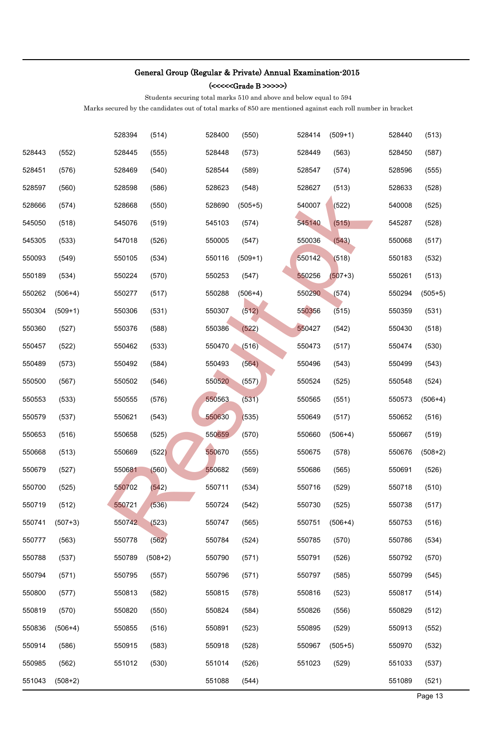(<<<<<Grade B >>>>>)

Students securing total marks 510 and above and below equal to 594

|        |           | 528394 | (514)     | 528400 | (550)     | 528414 | $(509+1)$ | 528440 | (513)     |
|--------|-----------|--------|-----------|--------|-----------|--------|-----------|--------|-----------|
| 528443 | (552)     | 528445 | (555)     | 528448 | (573)     | 528449 | (563)     | 528450 | (587)     |
| 528451 | (576)     | 528469 | (540)     | 528544 | (589)     | 528547 | (574)     | 528596 | (555)     |
| 528597 | (560)     | 528598 | (586)     | 528623 | (548)     | 528627 | (513)     | 528633 | (528)     |
| 528666 | (574)     | 528668 | (550)     | 528690 | $(505+5)$ | 540007 | (522)     | 540008 | (525)     |
| 545050 | (518)     | 545076 | (519)     | 545103 | (574)     | 545140 | (515)     | 545287 | (528)     |
| 545305 | (533)     | 547018 | (526)     | 550005 | (547)     | 550036 | (543)     | 550068 | (517)     |
| 550093 | (549)     | 550105 | (534)     | 550116 | $(509+1)$ | 550142 | (518)     | 550183 | (532)     |
| 550189 | (534)     | 550224 | (570)     | 550253 | (547)     | 550256 | $(507+3)$ | 550261 | (513)     |
| 550262 | $(506+4)$ | 550277 | (517)     | 550288 | $(506+4)$ | 550290 | (574)     | 550294 | $(505+5)$ |
| 550304 | $(509+1)$ | 550306 | (531)     | 550307 | (512)     | 550356 | (515)     | 550359 | (531)     |
| 550360 | (527)     | 550376 | (588)     | 550386 | (522)     | 550427 | (542)     | 550430 | (518)     |
| 550457 | (522)     | 550462 | (533)     | 550470 | (516)     | 550473 | (517)     | 550474 | (530)     |
| 550489 | (573)     | 550492 | (584)     | 550493 | (564)     | 550496 | (543)     | 550499 | (543)     |
| 550500 | (567)     | 550502 | (546)     | 550520 | (557)     | 550524 | (525)     | 550548 | (524)     |
| 550553 | (533)     | 550555 | (576)     | 550563 | (531)     | 550565 | (551)     | 550573 | $(506+4)$ |
| 550579 | (537)     | 550621 | (543)     | 550630 | (535)     | 550649 | (517)     | 550652 | (516)     |
| 550653 | (516)     | 550658 | (525)     | 550659 | (570)     | 550660 | $(506+4)$ | 550667 | (519)     |
| 550668 | (513)     | 550669 | (522)     | 550670 | (555)     | 550675 | (578)     | 550676 | $(508+2)$ |
| 550679 | (527)     | 550681 | (560)     | 550682 | (569)     | 550686 | (565)     | 550691 | (526)     |
| 550700 | (525)     | 550702 | (542)     | 550711 | (534)     | 550716 | (529)     | 550718 | (510)     |
| 550719 | (512)     | 550721 | (536)     | 550724 | (542)     | 550730 | (525)     | 550738 | (517)     |
| 550741 | $(507+3)$ | 550742 | (523)     | 550747 | (565)     | 550751 | $(506+4)$ | 550753 | (516)     |
| 550777 | (563)     | 550778 | (562)     | 550784 | (524)     | 550785 | (570)     | 550786 | (534)     |
| 550788 | (537)     | 550789 | $(508+2)$ | 550790 | (571)     | 550791 | (526)     | 550792 | (570)     |
| 550794 | (571)     | 550795 | (557)     | 550796 | (571)     | 550797 | (585)     | 550799 | (545)     |
| 550800 | (577)     | 550813 | (582)     | 550815 | (578)     | 550816 | (523)     | 550817 | (514)     |
| 550819 | (570)     | 550820 | (550)     | 550824 | (584)     | 550826 | (556)     | 550829 | (512)     |
| 550836 | $(506+4)$ | 550855 | (516)     | 550891 | (523)     | 550895 | (529)     | 550913 | (552)     |
| 550914 | (586)     | 550915 | (583)     | 550918 | (528)     | 550967 | $(505+5)$ | 550970 | (532)     |
| 550985 | (562)     | 551012 | (530)     | 551014 | (526)     | 551023 | (529)     | 551033 | (537)     |
| 551043 | $(508+2)$ |        |           | 551088 | (544)     |        |           | 551089 | (521)     |
|        |           |        |           |        |           |        |           |        | Page 13   |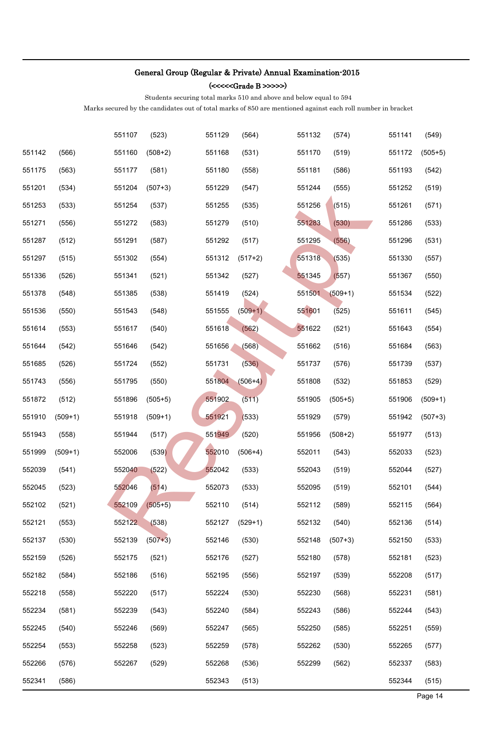(<<<<<Grade B >>>>>)

Students securing total marks 510 and above and below equal to 594

|        |           | 551107 | (523)     | 551129 | (564)     | 551132 | (574)     | 551141 | (549)     |
|--------|-----------|--------|-----------|--------|-----------|--------|-----------|--------|-----------|
| 551142 | (566)     | 551160 | $(508+2)$ | 551168 | (531)     | 551170 | (519)     | 551172 | $(505+5)$ |
| 551175 | (563)     | 551177 | (581)     | 551180 | (558)     | 551181 | (586)     | 551193 | (542)     |
| 551201 | (534)     | 551204 | $(507+3)$ | 551229 | (547)     | 551244 | (555)     | 551252 | (519)     |
| 551253 | (533)     | 551254 | (537)     | 551255 | (535)     | 551256 | (515)     | 551261 | (571)     |
| 551271 | (556)     | 551272 | (583)     | 551279 | (510)     | 551283 | (530)     | 551286 | (533)     |
| 551287 | (512)     | 551291 | (587)     | 551292 | (517)     | 551295 | (556)     | 551296 | (531)     |
| 551297 | (515)     | 551302 | (554)     | 551312 | $(517+2)$ | 551318 | (535)     | 551330 | (557)     |
| 551336 | (526)     | 551341 | (521)     | 551342 | (527)     | 551345 | (557)     | 551367 | (550)     |
| 551378 | (548)     | 551385 | (538)     | 551419 | (524)     | 551501 | $(509+1)$ | 551534 | (522)     |
| 551536 | (550)     | 551543 | (548)     | 551555 | $(509+1)$ | 551601 | (525)     | 551611 | (545)     |
| 551614 | (553)     | 551617 | (540)     | 551618 | (562)     | 551622 | (521)     | 551643 | (554)     |
| 551644 | (542)     | 551646 | (542)     | 551656 | (568)     | 551662 | (516)     | 551684 | (563)     |
| 551685 | (526)     | 551724 | (552)     | 551731 | (536)     | 551737 | (576)     | 551739 | (537)     |
| 551743 | (556)     | 551795 | (550)     | 551804 | $(506+4)$ | 551808 | (532)     | 551853 | (529)     |
| 551872 | (512)     | 551896 | $(505+5)$ | 551902 | (511)     | 551905 | $(505+5)$ | 551906 | $(509+1)$ |
| 551910 | $(509+1)$ | 551918 | $(509+1)$ | 551921 | (533)     | 551929 | (579)     | 551942 | $(507+3)$ |
| 551943 | (558)     | 551944 | (517)     | 551949 | (520)     | 551956 | $(508+2)$ | 551977 | (513)     |
| 551999 | $(509+1)$ | 552006 | (539)     | 552010 | $(506+4)$ | 552011 | (543)     | 552033 | (523)     |
| 552039 | (541)     | 552040 | (522)     | 552042 | (533)     | 552043 | (519)     | 552044 | (527)     |
| 552045 | (523)     | 552046 | (514)     | 552073 | (533)     | 552095 | (519)     | 552101 | (544)     |
| 552102 | (521)     | 552109 | $(505+5)$ | 552110 | (514)     | 552112 | (589)     | 552115 | (564)     |
| 552121 | (553)     | 552122 | (538)     | 552127 | $(529+1)$ | 552132 | (540)     | 552136 | (514)     |
| 552137 | (530)     | 552139 | $(507+3)$ | 552146 | (530)     | 552148 | $(507+3)$ | 552150 | (533)     |
| 552159 | (526)     | 552175 | (521)     | 552176 | (527)     | 552180 | (578)     | 552181 | (523)     |
| 552182 | (584)     | 552186 | (516)     | 552195 | (556)     | 552197 | (539)     | 552208 | (517)     |
| 552218 | (558)     | 552220 | (517)     | 552224 | (530)     | 552230 | (568)     | 552231 | (581)     |
| 552234 | (581)     | 552239 | (543)     | 552240 | (584)     | 552243 | (586)     | 552244 | (543)     |
| 552245 | (540)     | 552246 | (569)     | 552247 | (565)     | 552250 | (585)     | 552251 | (559)     |
| 552254 | (553)     | 552258 | (523)     | 552259 | (578)     | 552262 | (530)     | 552265 | (577)     |
| 552266 | (576)     | 552267 | (529)     | 552268 | (536)     | 552299 | (562)     | 552337 | (583)     |
| 552341 | (586)     |        |           | 552343 | (513)     |        |           | 552344 | (515)     |
|        |           |        |           |        |           |        |           |        | Page 14   |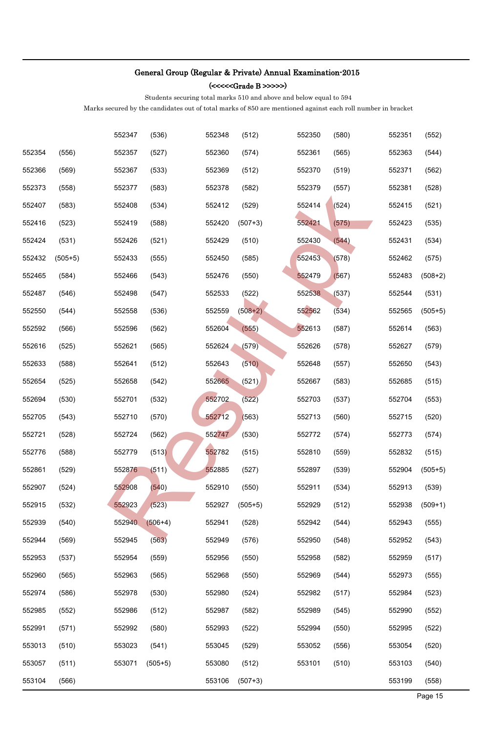(<<<<<Grade B >>>>>)

Students securing total marks 510 and above and below equal to 594

|        |           | 552347 | (536)     | 552348 | (512)     | 552350 | (580) | 552351 | (552)     |
|--------|-----------|--------|-----------|--------|-----------|--------|-------|--------|-----------|
| 552354 | (556)     | 552357 | (527)     | 552360 | (574)     | 552361 | (565) | 552363 | (544)     |
| 552366 | (569)     | 552367 | (533)     | 552369 | (512)     | 552370 | (519) | 552371 | (562)     |
| 552373 | (558)     | 552377 | (583)     | 552378 | (582)     | 552379 | (557) | 552381 | (528)     |
| 552407 | (583)     | 552408 | (534)     | 552412 | (529)     | 552414 | (524) | 552415 | (521)     |
| 552416 | (523)     | 552419 | (588)     | 552420 | $(507+3)$ | 552421 | (575) | 552423 | (535)     |
| 552424 | (531)     | 552426 | (521)     | 552429 | (510)     | 552430 | (544) | 552431 | (534)     |
| 552432 | $(505+5)$ | 552433 | (555)     | 552450 | (585)     | 552453 | (578) | 552462 | (575)     |
| 552465 | (584)     | 552466 | (543)     | 552476 | (550)     | 552479 | (567) | 552483 | $(508+2)$ |
| 552487 | (546)     | 552498 | (547)     | 552533 | (522)     | 552538 | (537) | 552544 | (531)     |
| 552550 | (544)     | 552558 | (536)     | 552559 | $(508+2)$ | 552562 | (534) | 552565 | $(505+5)$ |
| 552592 | (566)     | 552596 | (562)     | 552604 | (555)     | 552613 | (587) | 552614 | (563)     |
| 552616 | (525)     | 552621 | (565)     | 552624 | (579)     | 552626 | (578) | 552627 | (579)     |
| 552633 | (588)     | 552641 | (512)     | 552643 | (510)     | 552648 | (557) | 552650 | (543)     |
| 552654 | (525)     | 552658 | (542)     | 552665 | (521)     | 552667 | (583) | 552685 | (515)     |
| 552694 | (530)     | 552701 | (532)     | 552702 | (522)     | 552703 | (537) | 552704 | (553)     |
| 552705 | (543)     | 552710 | (570)     | 552712 | (563)     | 552713 | (560) | 552715 | (520)     |
| 552721 | (528)     | 552724 | (562)     | 552747 | (530)     | 552772 | (574) | 552773 | (574)     |
| 552776 | (588)     | 552779 | (513)     | 552782 | (515)     | 552810 | (559) | 552832 | (515)     |
| 552861 | (529)     | 552876 | (511)     | 552885 | (527)     | 552897 | (539) | 552904 | $(505+5)$ |
| 552907 | (524)     | 552908 | (540)     | 552910 | (550)     | 552911 | (534) | 552913 | (539)     |
| 552915 | (532)     | 552923 | (523)     | 552927 | $(505+5)$ | 552929 | (512) | 552938 | $(509+1)$ |
| 552939 | (540)     | 552940 | $(506+4)$ | 552941 | (528)     | 552942 | (544) | 552943 | (555)     |
| 552944 | (569)     | 552945 | (563)     | 552949 | (576)     | 552950 | (548) | 552952 | (543)     |
| 552953 | (537)     | 552954 | (559)     | 552956 | (550)     | 552958 | (582) | 552959 | (517)     |
| 552960 | (565)     | 552963 | (565)     | 552968 | (550)     | 552969 | (544) | 552973 | (555)     |
| 552974 | (586)     | 552978 | (530)     | 552980 | (524)     | 552982 | (517) | 552984 | (523)     |
| 552985 | (552)     | 552986 | (512)     | 552987 | (582)     | 552989 | (545) | 552990 | (552)     |
| 552991 | (571)     | 552992 | (580)     | 552993 | (522)     | 552994 | (550) | 552995 | (522)     |
| 553013 | (510)     | 553023 | (541)     | 553045 | (529)     | 553052 | (556) | 553054 | (520)     |
| 553057 | (511)     | 553071 | $(505+5)$ | 553080 | (512)     | 553101 | (510) | 553103 | (540)     |
| 553104 | (566)     |        |           | 553106 | $(507+3)$ |        |       | 553199 | (558)     |
|        |           |        |           |        |           |        |       |        | Page 15   |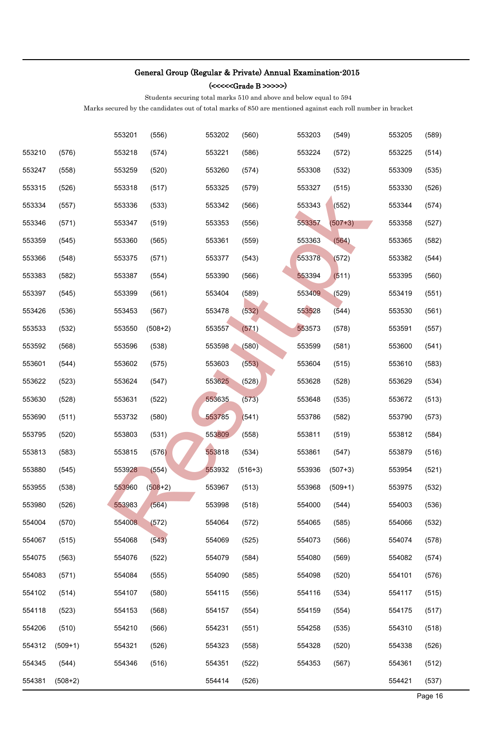(<<<<<Grade B >>>>>)

Students securing total marks 510 and above and below equal to 594

|        |           | 553201 | (556)     | 553202 | (560)     | 553203 | (549)     | 553205 | (589)   |
|--------|-----------|--------|-----------|--------|-----------|--------|-----------|--------|---------|
| 553210 | (576)     | 553218 | (574)     | 553221 | (586)     | 553224 | (572)     | 553225 | (514)   |
| 553247 | (558)     | 553259 | (520)     | 553260 | (574)     | 553308 | (532)     | 553309 | (535)   |
| 553315 | (526)     | 553318 | (517)     | 553325 | (579)     | 553327 | (515)     | 553330 | (526)   |
| 553334 | (557)     | 553336 | (533)     | 553342 | (566)     | 553343 | (552)     | 553344 | (574)   |
| 553346 | (571)     | 553347 | (519)     | 553353 | (556)     | 553357 | $(507+3)$ | 553358 | (527)   |
| 553359 | (545)     | 553360 | (565)     | 553361 | (559)     | 553363 | (564)     | 553365 | (582)   |
| 553366 | (548)     | 553375 | (571)     | 553377 | (543)     | 553378 | (572)     | 553382 | (544)   |
| 553383 | (582)     | 553387 | (554)     | 553390 | (566)     | 553394 | (511)     | 553395 | (560)   |
| 553397 | (545)     | 553399 | (561)     | 553404 | (589)     | 553409 | (529)     | 553419 | (551)   |
| 553426 | (536)     | 553453 | (567)     | 553478 | (532)     | 553528 | (544)     | 553530 | (561)   |
| 553533 | (532)     | 553550 | $(508+2)$ | 553557 | (571)     | 553573 | (578)     | 553591 | (557)   |
| 553592 | (568)     | 553596 | (538)     | 553598 | (580)     | 553599 | (581)     | 553600 | (541)   |
| 553601 | (544)     | 553602 | (575)     | 553603 | (553)     | 553604 | (515)     | 553610 | (583)   |
| 553622 | (523)     | 553624 | (547)     | 553625 | (528)     | 553628 | (528)     | 553629 | (534)   |
| 553630 | (528)     | 553631 | (522)     | 553635 | (573)     | 553648 | (535)     | 553672 | (513)   |
| 553690 | (511)     | 553732 | (580)     | 553785 | (541)     | 553786 | (582)     | 553790 | (573)   |
| 553795 | (520)     | 553803 | (531)     | 553809 | (558)     | 553811 | (519)     | 553812 | (584)   |
| 553813 | (583)     | 553815 | (576)     | 553818 | (534)     | 553861 | (547)     | 553879 | (516)   |
| 553880 | (545)     | 553928 | (554)     | 553932 | $(516+3)$ | 553936 | $(507+3)$ | 553954 | (521)   |
| 553955 | (538)     | 553960 | $(508+2)$ | 553967 | (513)     | 553968 | $(509+1)$ | 553975 | (532)   |
| 553980 | (526)     | 553983 | (564)     | 553998 | (518)     | 554000 | (544)     | 554003 | (536)   |
| 554004 | (570)     | 554008 | (572)     | 554064 | (572)     | 554065 | (585)     | 554066 | (532)   |
| 554067 | (515)     | 554068 | (543)     | 554069 | (525)     | 554073 | (566)     | 554074 | (578)   |
| 554075 | (563)     | 554076 | (522)     | 554079 | (584)     | 554080 | (569)     | 554082 | (574)   |
| 554083 | (571)     | 554084 | (555)     | 554090 | (585)     | 554098 | (520)     | 554101 | (576)   |
| 554102 | (514)     | 554107 | (580)     | 554115 | (556)     | 554116 | (534)     | 554117 | (515)   |
| 554118 | (523)     | 554153 | (568)     | 554157 | (554)     | 554159 | (554)     | 554175 | (517)   |
| 554206 | (510)     | 554210 | (566)     | 554231 | (551)     | 554258 | (535)     | 554310 | (518)   |
| 554312 | $(509+1)$ | 554321 | (526)     | 554323 | (558)     | 554328 | (520)     | 554338 | (526)   |
| 554345 | (544)     | 554346 | (516)     | 554351 | (522)     | 554353 | (567)     | 554361 | (512)   |
| 554381 | $(508+2)$ |        |           | 554414 | (526)     |        |           | 554421 | (537)   |
|        |           |        |           |        |           |        |           |        | Page 16 |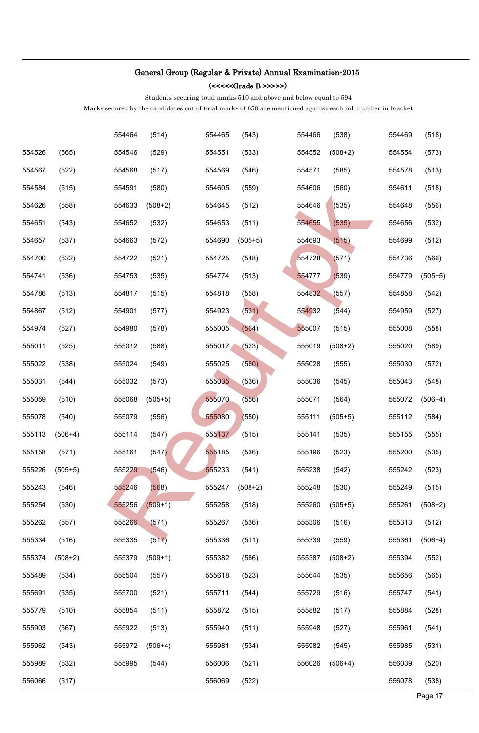(<<<<<Grade B >>>>>)

Students securing total marks 510 and above and below equal to 594

|        |           | 554464 | (514)     | 554465 | (543)     | 554466 | (538)     | 554469 | (518)     |
|--------|-----------|--------|-----------|--------|-----------|--------|-----------|--------|-----------|
| 554526 | (565)     | 554546 | (529)     | 554551 | (533)     | 554552 | $(508+2)$ | 554554 | (573)     |
| 554567 | (522)     | 554568 | (517)     | 554569 | (546)     | 554571 | (585)     | 554578 | (513)     |
| 554584 | (515)     | 554591 | (580)     | 554605 | (559)     | 554606 | (560)     | 554611 | (518)     |
| 554626 | (558)     | 554633 | $(508+2)$ | 554645 | (512)     | 554646 | (535)     | 554648 | (556)     |
| 554651 | (543)     | 554652 | (532)     | 554653 | (511)     | 554655 | (535)     | 554656 | (532)     |
| 554657 | (537)     | 554663 | (572)     | 554690 | $(505+5)$ | 554693 | (515)     | 554699 | (512)     |
| 554700 | (522)     | 554722 | (521)     | 554725 | (548)     | 554728 | (571)     | 554736 | (566)     |
| 554741 | (536)     | 554753 | (535)     | 554774 | (513)     | 554777 | (539)     | 554779 | $(505+5)$ |
| 554786 | (513)     | 554817 | (515)     | 554818 | (558)     | 554832 | (557)     | 554858 | (542)     |
| 554867 | (512)     | 554901 | (577)     | 554923 | (531)     | 554932 | (544)     | 554959 | (527)     |
| 554974 | (527)     | 554980 | (578)     | 555005 | (564)     | 555007 | (515)     | 555008 | (558)     |
| 555011 | (525)     | 555012 | (588)     | 555017 | (523)     | 555019 | $(508+2)$ | 555020 | (589)     |
| 555022 | (538)     | 555024 | (549)     | 555025 | (580)     | 555028 | (555)     | 555030 | (572)     |
| 555031 | (544)     | 555032 | (573)     | 555035 | (536)     | 555036 | (545)     | 555043 | (548)     |
| 555059 | (510)     | 555068 | $(505+5)$ | 555070 | (556)     | 555071 | (564)     | 555072 | $(506+4)$ |
| 555078 | (540)     | 555079 | (556)     | 555080 | (550)     | 555111 | $(505+5)$ | 555112 | (584)     |
| 555113 | $(506+4)$ | 555114 | (547)     | 555137 | (515)     | 555141 | (535)     | 555155 | (555)     |
| 555158 | (571)     | 555161 | (547)     | 555185 | (536)     | 555196 | (523)     | 555200 | (535)     |
| 555226 | $(505+5)$ | 555229 | (546)     | 555233 | (541)     | 555238 | (542)     | 555242 | (523)     |
| 555243 | (546)     | 555246 | (568)     | 555247 | $(508+2)$ | 555248 | (530)     | 555249 | (515)     |
| 555254 | (530)     | 555256 | $(509+1)$ | 555258 | (518)     | 555260 | $(505+5)$ | 555261 | $(508+2)$ |
| 555262 | (557)     | 555266 | (571)     | 555267 | (536)     | 555306 | (516)     | 555313 | (512)     |
| 555334 | (516)     | 555335 | (517)     | 555336 | (511)     | 555339 | (559)     | 555361 | $(506+4)$ |
| 555374 | $(508+2)$ | 555379 | $(509+1)$ | 555382 | (586)     | 555387 | $(508+2)$ | 555394 | (552)     |
| 555489 | (534)     | 555504 | (557)     | 555618 | (523)     | 555644 | (535)     | 555656 | (565)     |
| 555691 | (535)     | 555700 | (521)     | 555711 | (544)     | 555729 | (516)     | 555747 | (541)     |
| 555779 | (510)     | 555854 | (511)     | 555872 | (515)     | 555882 | (517)     | 555884 | (528)     |
| 555903 | (567)     | 555922 | (513)     | 555940 | (511)     | 555948 | (527)     | 555961 | (541)     |
| 555962 | (543)     | 555972 | $(506+4)$ | 555981 | (534)     | 555982 | (545)     | 555985 | (531)     |
| 555989 | (532)     | 555995 | (544)     | 556006 | (521)     | 556026 | $(506+4)$ | 556039 | (520)     |
| 556066 | (517)     |        |           | 556069 | (522)     |        |           | 556078 | (538)     |
|        |           |        |           |        |           |        |           |        | Page 17   |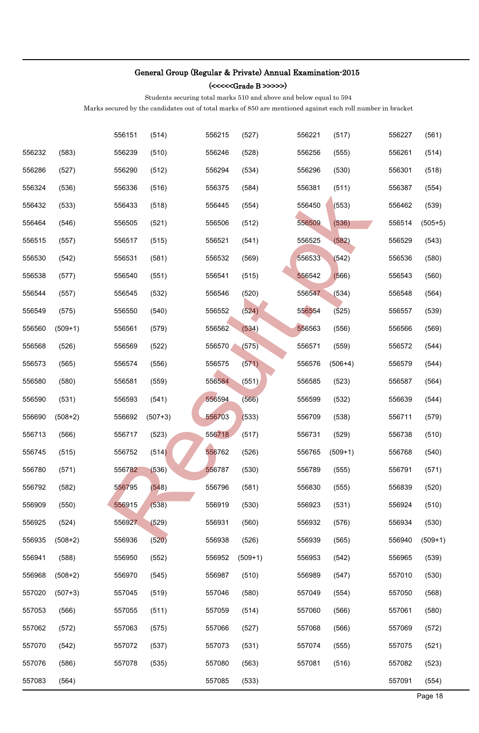(<<<<<Grade B >>>>>)

Students securing total marks 510 and above and below equal to 594

|        |           | 556151 | (514)     | 556215 | (527)     | 556221 | (517)     | 556227 | (561)     |
|--------|-----------|--------|-----------|--------|-----------|--------|-----------|--------|-----------|
| 556232 | (583)     | 556239 | (510)     | 556246 | (528)     | 556256 | (555)     | 556261 | (514)     |
| 556286 | (527)     | 556290 | (512)     | 556294 | (534)     | 556296 | (530)     | 556301 | (518)     |
| 556324 | (536)     | 556336 | (516)     | 556375 | (584)     | 556381 | (511)     | 556387 | (554)     |
| 556432 | (533)     | 556433 | (518)     | 556445 | (554)     | 556450 | (553)     | 556462 | (539)     |
| 556464 | (546)     | 556505 | (521)     | 556506 | (512)     | 556509 | (536)     | 556514 | $(505+5)$ |
| 556515 | (557)     | 556517 | (515)     | 556521 | (541)     | 556525 | (582)     | 556529 | (543)     |
| 556530 | (542)     | 556531 | (581)     | 556532 | (569)     | 556533 | (542)     | 556536 | (580)     |
| 556538 | (577)     | 556540 | (551)     | 556541 | (515)     | 556542 | (566)     | 556543 | (560)     |
| 556544 | (557)     | 556545 | (532)     | 556546 | (520)     | 556547 | (534)     | 556548 | (564)     |
| 556549 | (575)     | 556550 | (540)     | 556552 | (524)     | 556554 | (525)     | 556557 | (539)     |
| 556560 | $(509+1)$ | 556561 | (579)     | 556562 | (534)     | 556563 | (556)     | 556566 | (569)     |
| 556568 | (526)     | 556569 | (522)     | 556570 | (575)     | 556571 | (559)     | 556572 | (544)     |
| 556573 | (565)     | 556574 | (556)     | 556575 | (571)     | 556576 | $(506+4)$ | 556579 | (544)     |
| 556580 | (580)     | 556581 | (559)     | 556584 | (551)     | 556585 | (523)     | 556587 | (564)     |
| 556590 | (531)     | 556593 | (541)     | 556594 | (566)     | 556599 | (532)     | 556639 | (544)     |
| 556690 | $(508+2)$ | 556692 | $(507+3)$ | 556703 | (533)     | 556709 | (538)     | 556711 | (579)     |
| 556713 | (566)     | 556717 | (523)     | 556718 | (517)     | 556731 | (529)     | 556738 | (510)     |
| 556745 | (515)     | 556752 | (514)     | 556762 | (526)     | 556765 | $(509+1)$ | 556768 | (540)     |
| 556780 | (571)     | 556782 | (536)     | 556787 | (530)     | 556789 | (555)     | 556791 | (571)     |
| 556792 | (582)     | 556795 | (548)     | 556796 | (581)     | 556830 | (555)     | 556839 | (520)     |
| 556909 | (550)     | 556915 | (538)     | 556919 | (530)     | 556923 | (531)     | 556924 | (510)     |
| 556925 | (524)     | 556927 | (529)     | 556931 | (560)     | 556932 | (576)     | 556934 | (530)     |
| 556935 | $(508+2)$ | 556936 | (520)     | 556938 | (526)     | 556939 | (565)     | 556940 | $(509+1)$ |
| 556941 | (588)     | 556950 | (552)     | 556952 | $(509+1)$ | 556953 | (542)     | 556965 | (539)     |
| 556968 | $(508+2)$ | 556970 | (545)     | 556987 | (510)     | 556989 | (547)     | 557010 | (530)     |
| 557020 | $(507+3)$ | 557045 | (519)     | 557046 | (580)     | 557049 | (554)     | 557050 | (568)     |
| 557053 | (566)     | 557055 | (511)     | 557059 | (514)     | 557060 | (566)     | 557061 | (580)     |
| 557062 | (572)     | 557063 | (575)     | 557066 | (527)     | 557068 | (566)     | 557069 | (572)     |
| 557070 | (542)     | 557072 | (537)     | 557073 | (531)     | 557074 | (555)     | 557075 | (521)     |
| 557076 | (586)     | 557078 | (535)     | 557080 | (563)     | 557081 | (516)     | 557082 | (523)     |
| 557083 | (564)     |        |           | 557085 | (533)     |        |           | 557091 | (554)     |
|        |           |        |           |        |           |        |           |        | Page 18   |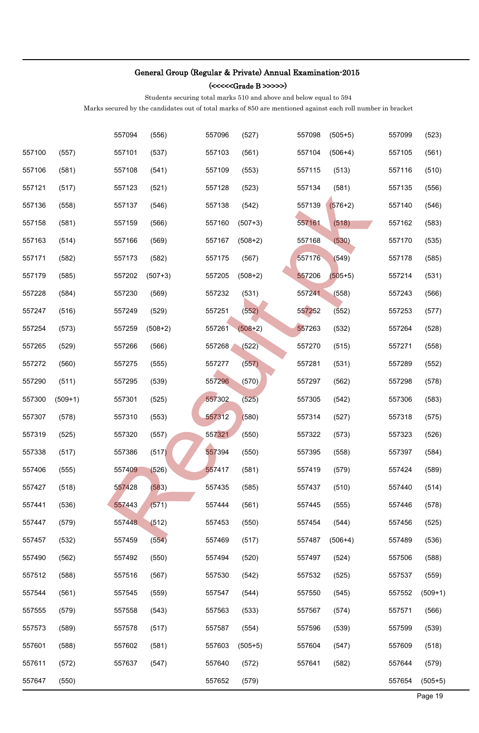(<<<<<Grade B >>>>>)

Students securing total marks 510 and above and below equal to 594

|        |           | 557094 | (556)     | 557096 | (527)     | 557098 | $(505+5)$ | 557099 | (523)     |
|--------|-----------|--------|-----------|--------|-----------|--------|-----------|--------|-----------|
| 557100 | (557)     | 557101 | (537)     | 557103 | (561)     | 557104 | $(506+4)$ | 557105 | (561)     |
| 557106 | (581)     | 557108 | (541)     | 557109 | (553)     | 557115 | (513)     | 557116 | (510)     |
| 557121 | (517)     | 557123 | (521)     | 557128 | (523)     | 557134 | (581)     | 557135 | (556)     |
| 557136 | (558)     | 557137 | (546)     | 557138 | (542)     | 557139 | $(576+2)$ | 557140 | (546)     |
| 557158 | (581)     | 557159 | (566)     | 557160 | $(507+3)$ | 557161 | (518)     | 557162 | (583)     |
| 557163 | (514)     | 557166 | (569)     | 557167 | $(508+2)$ | 557168 | (530)     | 557170 | (535)     |
| 557171 | (582)     | 557173 | (582)     | 557175 | (567)     | 557176 | (549)     | 557178 | (585)     |
| 557179 | (585)     | 557202 | $(507+3)$ | 557205 | $(508+2)$ | 557206 | $(505+5)$ | 557214 | (531)     |
| 557228 | (584)     | 557230 | (569)     | 557232 | (531)     | 557241 | (558)     | 557243 | (566)     |
| 557247 | (516)     | 557249 | (529)     | 557251 | (552)     | 557252 | (552)     | 557253 | (577)     |
| 557254 | (573)     | 557259 | $(508+2)$ | 557261 | $(508+2)$ | 557263 | (532)     | 557264 | (528)     |
| 557265 | (529)     | 557266 | (566)     | 557268 | (522)     | 557270 | (515)     | 557271 | (558)     |
| 557272 | (560)     | 557275 | (555)     | 557277 | (557)     | 557281 | (531)     | 557289 | (552)     |
| 557290 | (511)     | 557295 | (539)     | 557296 | (570)     | 557297 | (562)     | 557298 | (578)     |
| 557300 | $(509+1)$ | 557301 | (525)     | 557302 | (525)     | 557305 | (542)     | 557306 | (583)     |
| 557307 | (578)     | 557310 | (553)     | 557312 | (580)     | 557314 | (527)     | 557318 | (575)     |
| 557319 | (525)     | 557320 | (557)     | 557321 | (550)     | 557322 | (573)     | 557323 | (526)     |
| 557338 | (517)     | 557386 | (517)     | 557394 | (550)     | 557395 | (558)     | 557397 | (584)     |
| 557406 | (555)     | 557409 | (526)     | 557417 | (581)     | 557419 | (579)     | 557424 | (589)     |
| 557427 | (518)     | 557428 | (583)     | 557435 | (585)     | 557437 | (510)     | 557440 | (514)     |
| 557441 | (536)     | 557443 | (571)     | 557444 | (561)     | 557445 | (555)     | 557446 | (578)     |
| 557447 | (579)     | 557448 | (512)     | 557453 | (550)     | 557454 | (544)     | 557456 | (525)     |
| 557457 | (532)     | 557459 | (554)     | 557469 | (517)     | 557487 | $(506+4)$ | 557489 | (536)     |
| 557490 | (562)     | 557492 | (550)     | 557494 | (520)     | 557497 | (524)     | 557506 | (588)     |
| 557512 | (588)     | 557516 | (567)     | 557530 | (542)     | 557532 | (525)     | 557537 | (559)     |
| 557544 | (561)     | 557545 | (559)     | 557547 | (544)     | 557550 | (545)     | 557552 | $(509+1)$ |
| 557555 | (579)     | 557558 | (543)     | 557563 | (533)     | 557567 | (574)     | 557571 | (566)     |
| 557573 | (589)     | 557578 | (517)     | 557587 | (554)     | 557596 | (539)     | 557599 | (539)     |
| 557601 | (588)     | 557602 | (581)     | 557603 | $(505+5)$ | 557604 | (547)     | 557609 | (518)     |
| 557611 | (572)     | 557637 | (547)     | 557640 | (572)     | 557641 | (582)     | 557644 | (579)     |
| 557647 | (550)     |        |           | 557652 | (579)     |        |           | 557654 | $(505+5)$ |
|        |           |        |           |        |           |        |           |        | Page 19   |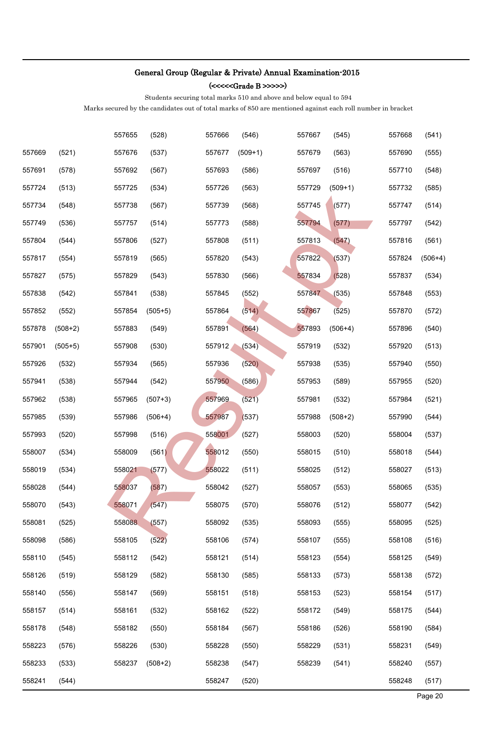(<<<<<Grade B >>>>>)

Students securing total marks 510 and above and below equal to 594

|        |           | 557655 | (528)     | 557666 | (546)     | 557667 | (545)     | 557668 | (541)     |
|--------|-----------|--------|-----------|--------|-----------|--------|-----------|--------|-----------|
| 557669 | (521)     | 557676 | (537)     | 557677 | $(509+1)$ | 557679 | (563)     | 557690 | (555)     |
| 557691 | (578)     | 557692 | (567)     | 557693 | (586)     | 557697 | (516)     | 557710 | (548)     |
| 557724 | (513)     | 557725 | (534)     | 557726 | (563)     | 557729 | $(509+1)$ | 557732 | (585)     |
| 557734 | (548)     | 557738 | (567)     | 557739 | (568)     | 557745 | (577)     | 557747 | (514)     |
| 557749 | (536)     | 557757 | (514)     | 557773 | (588)     | 557794 | (577)     | 557797 | (542)     |
| 557804 | (544)     | 557806 | (527)     | 557808 | (511)     | 557813 | (547)     | 557816 | (561)     |
| 557817 | (554)     | 557819 | (565)     | 557820 | (543)     | 557822 | (537)     | 557824 | $(506+4)$ |
| 557827 | (575)     | 557829 | (543)     | 557830 | (566)     | 557834 | (528)     | 557837 | (534)     |
| 557838 | (542)     | 557841 | (538)     | 557845 | (552)     | 557847 | (535)     | 557848 | (553)     |
| 557852 | (552)     | 557854 | $(505+5)$ | 557864 | (514)     | 557867 | (525)     | 557870 | (572)     |
| 557878 | $(508+2)$ | 557883 | (549)     | 557891 | (564)     | 557893 | $(506+4)$ | 557896 | (540)     |
| 557901 | $(505+5)$ | 557908 | (530)     | 557912 | (534)     | 557919 | (532)     | 557920 | (513)     |
| 557926 | (532)     | 557934 | (565)     | 557936 | (520)     | 557938 | (535)     | 557940 | (550)     |
| 557941 | (538)     | 557944 | (542)     | 557950 | (586)     | 557953 | (589)     | 557955 | (520)     |
| 557962 | (538)     | 557965 | $(507+3)$ | 557969 | (521)     | 557981 | (532)     | 557984 | (521)     |
| 557985 | (539)     | 557986 | $(506+4)$ | 557987 | (537)     | 557988 | $(508+2)$ | 557990 | (544)     |
| 557993 | (520)     | 557998 | (516)     | 558001 | (527)     | 558003 | (520)     | 558004 | (537)     |
| 558007 | (534)     | 558009 | (561)     | 558012 | (550)     | 558015 | (510)     | 558018 | (544)     |
| 558019 | (534)     | 558021 | (577)     | 558022 | (511)     | 558025 | (512)     | 558027 | (513)     |
| 558028 | (544)     | 558037 | (587)     | 558042 | (527)     | 558057 | (553)     | 558065 | (535)     |
| 558070 | (543)     | 558071 | (547)     | 558075 | (570)     | 558076 | (512)     | 558077 | (542)     |
| 558081 | (525)     | 558088 | (557)     | 558092 | (535)     | 558093 | (555)     | 558095 | (525)     |
| 558098 | (586)     | 558105 | (522)     | 558106 | (574)     | 558107 | (555)     | 558108 | (516)     |
| 558110 | (545)     | 558112 | (542)     | 558121 | (514)     | 558123 | (554)     | 558125 | (549)     |
| 558126 | (519)     | 558129 | (582)     | 558130 | (585)     | 558133 | (573)     | 558138 | (572)     |
| 558140 | (556)     | 558147 | (569)     | 558151 | (518)     | 558153 | (523)     | 558154 | (517)     |
| 558157 | (514)     | 558161 | (532)     | 558162 | (522)     | 558172 | (549)     | 558175 | (544)     |
| 558178 | (548)     | 558182 | (550)     | 558184 | (567)     | 558186 | (526)     | 558190 | (584)     |
| 558223 | (576)     | 558226 | (530)     | 558228 | (550)     | 558229 | (531)     | 558231 | (549)     |
| 558233 | (533)     | 558237 | $(508+2)$ | 558238 | (547)     | 558239 | (541)     | 558240 | (557)     |
| 558241 | (544)     |        |           | 558247 | (520)     |        |           | 558248 | (517)     |
|        |           |        |           |        |           |        |           |        | Page 20   |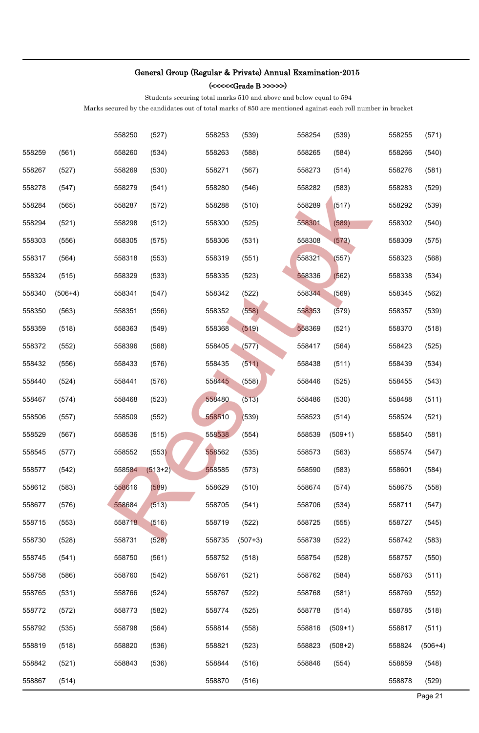(<<<<<Grade B >>>>>)

Students securing total marks 510 and above and below equal to 594

|        |           | 558250 | (527)     | 558253 | (539)     | 558254 | (539)     | 558255 | (571)     |
|--------|-----------|--------|-----------|--------|-----------|--------|-----------|--------|-----------|
| 558259 | (561)     | 558260 | (534)     | 558263 | (588)     | 558265 | (584)     | 558266 | (540)     |
| 558267 | (527)     | 558269 | (530)     | 558271 | (567)     | 558273 | (514)     | 558276 | (581)     |
| 558278 | (547)     | 558279 | (541)     | 558280 | (546)     | 558282 | (583)     | 558283 | (529)     |
| 558284 | (565)     | 558287 | (572)     | 558288 | (510)     | 558289 | (517)     | 558292 | (539)     |
| 558294 | (521)     | 558298 | (512)     | 558300 | (525)     | 558301 | (589)     | 558302 | (540)     |
| 558303 | (556)     | 558305 | (575)     | 558306 | (531)     | 558308 | (573)     | 558309 | (575)     |
| 558317 | (564)     | 558318 | (553)     | 558319 | (551)     | 558321 | (557)     | 558323 | (568)     |
| 558324 | (515)     | 558329 | (533)     | 558335 | (523)     | 558336 | (562)     | 558338 | (534)     |
| 558340 | $(506+4)$ | 558341 | (547)     | 558342 | (522)     | 558344 | (569)     | 558345 | (562)     |
| 558350 | (563)     | 558351 | (556)     | 558352 | (558)     | 558353 | (579)     | 558357 | (539)     |
| 558359 | (518)     | 558363 | (549)     | 558368 | (519)     | 558369 | (521)     | 558370 | (518)     |
| 558372 | (552)     | 558396 | (568)     | 558405 | (577)     | 558417 | (564)     | 558423 | (525)     |
| 558432 | (556)     | 558433 | (576)     | 558435 | (511)     | 558438 | (511)     | 558439 | (534)     |
| 558440 | (524)     | 558441 | (576)     | 558445 | (558)     | 558446 | (525)     | 558455 | (543)     |
| 558467 | (574)     | 558468 | (523)     | 558480 | (513)     | 558486 | (530)     | 558488 | (511)     |
| 558506 | (557)     | 558509 | (552)     | 558510 | (539)     | 558523 | (514)     | 558524 | (521)     |
| 558529 | (567)     | 558536 | (515)     | 558538 | (554)     | 558539 | $(509+1)$ | 558540 | (581)     |
| 558545 | (577)     | 558552 | (553)     | 558562 | (535)     | 558573 | (563)     | 558574 | (547)     |
| 558577 | (542)     | 558584 | $(513+2)$ | 558585 | (573)     | 558590 | (583)     | 558601 | (584)     |
| 558612 | (583)     | 558616 | (589)     | 558629 | (510)     | 558674 | (574)     | 558675 | (558)     |
| 558677 | (576)     | 558684 | (513)     | 558705 | (541)     | 558706 | (534)     | 558711 | (547)     |
| 558715 | (553)     | 558718 | (516)     | 558719 | (522)     | 558725 | (555)     | 558727 | (545)     |
| 558730 | (528)     | 558731 | (528)     | 558735 | $(507+3)$ | 558739 | (522)     | 558742 | (583)     |
| 558745 | (541)     | 558750 | (561)     | 558752 | (518)     | 558754 | (528)     | 558757 | (550)     |
| 558758 | (586)     | 558760 | (542)     | 558761 | (521)     | 558762 | (584)     | 558763 | (511)     |
| 558765 | (531)     | 558766 | (524)     | 558767 | (522)     | 558768 | (581)     | 558769 | (552)     |
| 558772 | (572)     | 558773 | (582)     | 558774 | (525)     | 558778 | (514)     | 558785 | (518)     |
| 558792 | (535)     | 558798 | (564)     | 558814 | (558)     | 558816 | $(509+1)$ | 558817 | (511)     |
| 558819 | (518)     | 558820 | (536)     | 558821 | (523)     | 558823 | $(508+2)$ | 558824 | $(506+4)$ |
| 558842 | (521)     | 558843 | (536)     | 558844 | (516)     | 558846 | (554)     | 558859 | (548)     |
| 558867 | (514)     |        |           | 558870 | (516)     |        |           | 558878 | (529)     |
|        |           |        |           |        |           |        |           |        | Page 21   |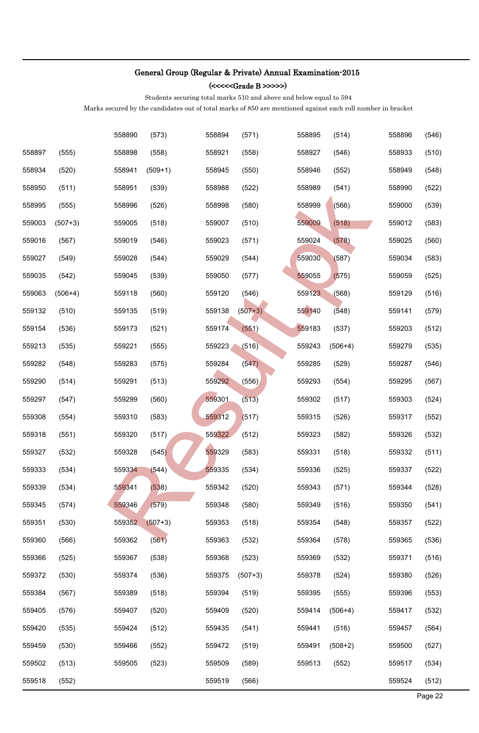(<<<<<Grade B >>>>>)

Students securing total marks 510 and above and below equal to 594

|        |           | 558890 | (573)     | 558894 | (571)     | 558895 | (514)     | 558896 | (546)   |
|--------|-----------|--------|-----------|--------|-----------|--------|-----------|--------|---------|
| 558897 | (555)     | 558898 | (558)     | 558921 | (558)     | 558927 | (546)     | 558933 | (510)   |
| 558934 | (520)     | 558941 | $(509+1)$ | 558945 | (550)     | 558946 | (552)     | 558949 | (548)   |
| 558950 | (511)     | 558951 | (539)     | 558988 | (522)     | 558989 | (541)     | 558990 | (522)   |
| 558995 | (555)     | 558996 | (526)     | 558998 | (580)     | 558999 | (566)     | 559000 | (539)   |
| 559003 | $(507+3)$ | 559005 | (518)     | 559007 | (510)     | 559009 | (518)     | 559012 | (583)   |
| 559016 | (567)     | 559019 | (546)     | 559023 | (571)     | 559024 | (578)     | 559025 | (560)   |
| 559027 | (549)     | 559028 | (544)     | 559029 | (544)     | 559030 | (587)     | 559034 | (583)   |
| 559035 | (542)     | 559045 | (539)     | 559050 | (577)     | 559055 | (575)     | 559059 | (525)   |
| 559063 | $(506+4)$ | 559118 | (560)     | 559120 | (546)     | 559123 | (568)     | 559129 | (516)   |
| 559132 | (510)     | 559135 | (519)     | 559138 | $(507+3)$ | 559140 | (548)     | 559141 | (579)   |
| 559154 | (536)     | 559173 | (521)     | 559174 | (551)     | 559183 | (537)     | 559203 | (512)   |
| 559213 | (535)     | 559221 | (555)     | 559223 | (516)     | 559243 | $(506+4)$ | 559279 | (535)   |
| 559282 | (548)     | 559283 | (575)     | 559284 | (547)     | 559285 | (529)     | 559287 | (546)   |
| 559290 | (514)     | 559291 | (513)     | 559292 | (556)     | 559293 | (554)     | 559295 | (567)   |
| 559297 | (547)     | 559299 | (560)     | 559301 | (513)     | 559302 | (517)     | 559303 | (524)   |
| 559308 | (554)     | 559310 | (583)     | 559312 | (517)     | 559315 | (526)     | 559317 | (552)   |
| 559318 | (551)     | 559320 | (517)     | 559322 | (512)     | 559323 | (582)     | 559326 | (532)   |
| 559327 | (532)     | 559328 | (545)     | 559329 | (583)     | 559331 | (518)     | 559332 | (511)   |
| 559333 | (534)     | 559334 | (544)     | 559335 | (534)     | 559336 | (525)     | 559337 | (522)   |
| 559339 | (534)     | 559341 | (538)     | 559342 | (520)     | 559343 | (571)     | 559344 | (528)   |
| 559345 | (574)     | 559346 | (579)     | 559348 | (580)     | 559349 | (516)     | 559350 | (541)   |
| 559351 | (530)     | 559352 | $(507+3)$ | 559353 | (518)     | 559354 | (548)     | 559357 | (522)   |
| 559360 | (566)     | 559362 | (561)     | 559363 | (532)     | 559364 | (578)     | 559365 | (536)   |
| 559366 | (525)     | 559367 | (538)     | 559368 | (523)     | 559369 | (532)     | 559371 | (516)   |
| 559372 | (530)     | 559374 | (536)     | 559375 | $(507+3)$ | 559378 | (524)     | 559380 | (526)   |
| 559384 | (567)     | 559389 | (518)     | 559394 | (519)     | 559395 | (555)     | 559396 | (553)   |
| 559405 | (576)     | 559407 | (520)     | 559409 | (520)     | 559414 | $(506+4)$ | 559417 | (532)   |
| 559420 | (535)     | 559424 | (512)     | 559435 | (541)     | 559441 | (516)     | 559457 | (564)   |
| 559459 | (530)     | 559466 | (552)     | 559472 | (519)     | 559491 | $(508+2)$ | 559500 | (527)   |
| 559502 | (513)     | 559505 | (523)     | 559509 | (589)     | 559513 | (552)     | 559517 | (534)   |
| 559518 | (552)     |        |           | 559519 | (566)     |        |           | 559524 | (512)   |
|        |           |        |           |        |           |        |           |        | Page 22 |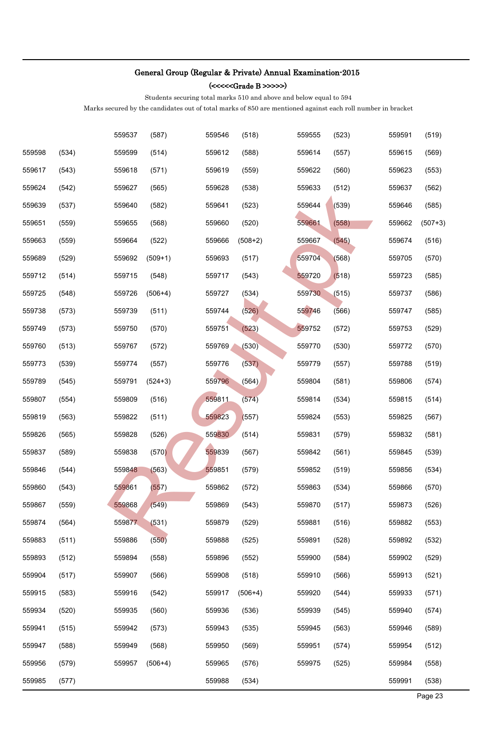(<<<<<Grade B >>>>>)

Students securing total marks 510 and above and below equal to 594

|        |       | 559537 | (587)     | 559546 | (518)     | 559555 | (523) | 559591 | (519)     |
|--------|-------|--------|-----------|--------|-----------|--------|-------|--------|-----------|
| 559598 | (534) | 559599 | (514)     | 559612 | (588)     | 559614 | (557) | 559615 | (569)     |
| 559617 | (543) | 559618 | (571)     | 559619 | (559)     | 559622 | (560) | 559623 | (553)     |
| 559624 | (542) | 559627 | (565)     | 559628 | (538)     | 559633 | (512) | 559637 | (562)     |
| 559639 | (537) | 559640 | (582)     | 559641 | (523)     | 559644 | (539) | 559646 | (585)     |
| 559651 | (559) | 559655 | (568)     | 559660 | (520)     | 559661 | (558) | 559662 | $(507+3)$ |
| 559663 | (559) | 559664 | (522)     | 559666 | $(508+2)$ | 559667 | (545) | 559674 | (516)     |
| 559689 | (529) | 559692 | $(509+1)$ | 559693 | (517)     | 559704 | (568) | 559705 | (570)     |
| 559712 | (514) | 559715 | (548)     | 559717 | (543)     | 559720 | (518) | 559723 | (585)     |
| 559725 | (548) | 559726 | $(506+4)$ | 559727 | (534)     | 559730 | (515) | 559737 | (586)     |
| 559738 | (573) | 559739 | (511)     | 559744 | (526)     | 559746 | (566) | 559747 | (585)     |
| 559749 | (573) | 559750 | (570)     | 559751 | (523)     | 559752 | (572) | 559753 | (529)     |
| 559760 | (513) | 559767 | (572)     | 559769 | (530)     | 559770 | (530) | 559772 | (570)     |
| 559773 | (539) | 559774 | (557)     | 559776 | (537)     | 559779 | (557) | 559788 | (519)     |
| 559789 | (545) | 559791 | $(524+3)$ | 559796 | (564)     | 559804 | (581) | 559806 | (574)     |
| 559807 | (554) | 559809 | (516)     | 559811 | (574)     | 559814 | (534) | 559815 | (514)     |
| 559819 | (563) | 559822 | (511)     | 559823 | (557)     | 559824 | (553) | 559825 | (567)     |
| 559826 | (565) | 559828 | (526)     | 559830 | (514)     | 559831 | (579) | 559832 | (581)     |
| 559837 | (589) | 559838 | (570)     | 559839 | (567)     | 559842 | (561) | 559845 | (539)     |
| 559846 | (544) | 559848 | (563)     | 559851 | (579)     | 559852 | (519) | 559856 | (534)     |
| 559860 | (543) | 559861 | (557)     | 559862 | (572)     | 559863 | (534) | 559866 | (570)     |
| 559867 | (559) | 559868 | (549)     | 559869 | (543)     | 559870 | (517) | 559873 | (526)     |
| 559874 | (564) | 559877 | (531)     | 559879 | (529)     | 559881 | (516) | 559882 | (553)     |
| 559883 | (511) | 559886 | (550)     | 559888 | (525)     | 559891 | (528) | 559892 | (532)     |
| 559893 | (512) | 559894 | (558)     | 559896 | (552)     | 559900 | (584) | 559902 | (529)     |
| 559904 | (517) | 559907 | (566)     | 559908 | (518)     | 559910 | (566) | 559913 | (521)     |
| 559915 | (583) | 559916 | (542)     | 559917 | $(506+4)$ | 559920 | (544) | 559933 | (571)     |
| 559934 | (520) | 559935 | (560)     | 559936 | (536)     | 559939 | (545) | 559940 | (574)     |
| 559941 | (515) | 559942 | (573)     | 559943 | (535)     | 559945 | (563) | 559946 | (589)     |
| 559947 | (588) | 559949 | (568)     | 559950 | (569)     | 559951 | (574) | 559954 | (512)     |
| 559956 | (579) | 559957 | $(506+4)$ | 559965 | (576)     | 559975 | (525) | 559984 | (558)     |
| 559985 | (577) |        |           | 559988 | (534)     |        |       | 559991 | (538)     |
|        |       |        |           |        |           |        |       |        | Page 23   |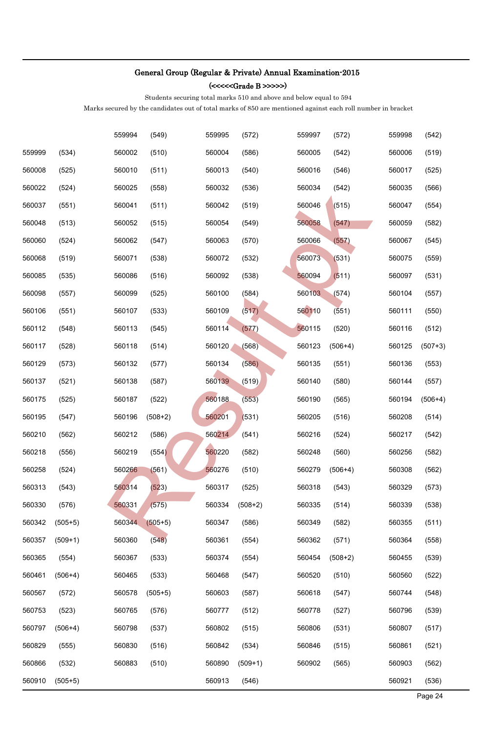(<<<<<Grade B >>>>>)

Students securing total marks 510 and above and below equal to 594

|        |           | 559994 | (549)     | 559995 | (572)     | 559997 | (572)     | 559998 | (542)     |
|--------|-----------|--------|-----------|--------|-----------|--------|-----------|--------|-----------|
| 559999 | (534)     | 560002 | (510)     | 560004 | (586)     | 560005 | (542)     | 560006 | (519)     |
| 560008 | (525)     | 560010 | (511)     | 560013 | (540)     | 560016 | (546)     | 560017 | (525)     |
| 560022 | (524)     | 560025 | (558)     | 560032 | (536)     | 560034 | (542)     | 560035 | (566)     |
| 560037 | (551)     | 560041 | (511)     | 560042 | (519)     | 560046 | (515)     | 560047 | (554)     |
| 560048 | (513)     | 560052 | (515)     | 560054 | (549)     | 560058 | (547)     | 560059 | (582)     |
| 560060 | (524)     | 560062 | (547)     | 560063 | (570)     | 560066 | (557)     | 560067 | (545)     |
| 560068 | (519)     | 560071 | (538)     | 560072 | (532)     | 560073 | (531)     | 560075 | (559)     |
| 560085 | (535)     | 560086 | (516)     | 560092 | (538)     | 560094 | (511)     | 560097 | (531)     |
| 560098 | (557)     | 560099 | (525)     | 560100 | (584)     | 560103 | (574)     | 560104 | (557)     |
| 560106 | (551)     | 560107 | (533)     | 560109 | (517)     | 560110 | (551)     | 560111 | (550)     |
| 560112 | (548)     | 560113 | (545)     | 560114 | (577)     | 560115 | (520)     | 560116 | (512)     |
| 560117 | (528)     | 560118 | (514)     | 560120 | (568)     | 560123 | $(506+4)$ | 560125 | $(507+3)$ |
| 560129 | (573)     | 560132 | (577)     | 560134 | (586)     | 560135 | (551)     | 560136 | (553)     |
| 560137 | (521)     | 560138 | (587)     | 560139 | (519)     | 560140 | (580)     | 560144 | (557)     |
| 560175 | (525)     | 560187 | (522)     | 560188 | (553)     | 560190 | (565)     | 560194 | $(506+4)$ |
| 560195 | (547)     | 560196 | $(508+2)$ | 560201 | (531)     | 560205 | (516)     | 560208 | (514)     |
| 560210 | (562)     | 560212 | (586)     | 560214 | (541)     | 560216 | (524)     | 560217 | (542)     |
| 560218 | (556)     | 560219 | (554)     | 560220 | (582)     | 560248 | (560)     | 560256 | (582)     |
| 560258 | (524)     | 560266 | (561)     | 560276 | (510)     | 560279 | $(506+4)$ | 560308 | (562)     |
| 560313 | (543)     | 560314 | (523)     | 560317 | (525)     | 560318 | (543)     | 560329 | (573)     |
| 560330 | (576)     | 560331 | (575)     | 560334 | $(508+2)$ | 560335 | (514)     | 560339 | (538)     |
| 560342 | $(505+5)$ | 560344 | $(505+5)$ | 560347 | (586)     | 560349 | (582)     | 560355 | (511)     |
| 560357 | $(509+1)$ | 560360 | (548)     | 560361 | (554)     | 560362 | (571)     | 560364 | (558)     |
| 560365 | (554)     | 560367 | (533)     | 560374 | (554)     | 560454 | $(508+2)$ | 560455 | (539)     |
| 560461 | $(506+4)$ | 560465 | (533)     | 560468 | (547)     | 560520 | (510)     | 560560 | (522)     |
| 560567 | (572)     | 560578 | $(505+5)$ | 560603 | (587)     | 560618 | (547)     | 560744 | (548)     |
| 560753 | (523)     | 560765 | (576)     | 560777 | (512)     | 560778 | (527)     | 560796 | (539)     |
| 560797 | $(506+4)$ | 560798 | (537)     | 560802 | (515)     | 560806 | (531)     | 560807 | (517)     |
| 560829 | (555)     | 560830 | (516)     | 560842 | (534)     | 560846 | (515)     | 560861 | (521)     |
| 560866 | (532)     | 560883 | (510)     | 560890 | $(509+1)$ | 560902 | (565)     | 560903 | (562)     |
| 560910 | $(505+5)$ |        |           | 560913 | (546)     |        |           | 560921 | (536)     |
|        |           |        |           |        |           |        |           |        | Page 24   |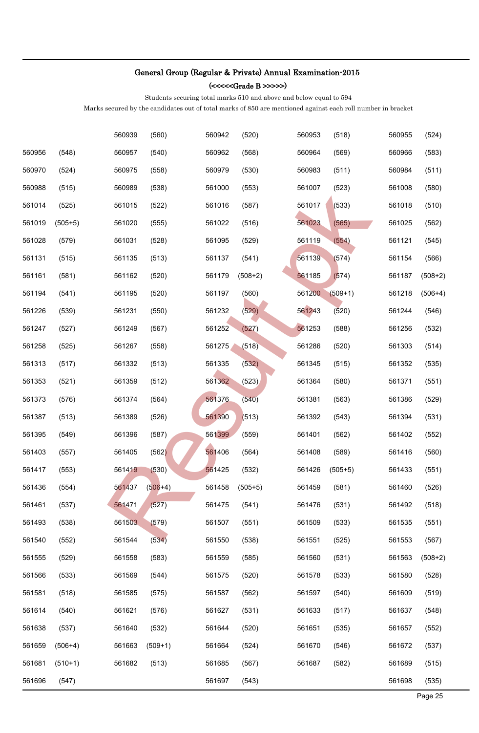(<<<<<Grade B >>>>>)

Students securing total marks 510 and above and below equal to 594

|        |           | 560939 | (560)     | 560942 | (520)     | 560953 | (518)     | 560955 | (524)     |
|--------|-----------|--------|-----------|--------|-----------|--------|-----------|--------|-----------|
| 560956 | (548)     | 560957 | (540)     | 560962 | (568)     | 560964 | (569)     | 560966 | (583)     |
| 560970 | (524)     | 560975 | (558)     | 560979 | (530)     | 560983 | (511)     | 560984 | (511)     |
| 560988 | (515)     | 560989 | (538)     | 561000 | (553)     | 561007 | (523)     | 561008 | (580)     |
| 561014 | (525)     | 561015 | (522)     | 561016 | (587)     | 561017 | (533)     | 561018 | (510)     |
| 561019 | $(505+5)$ | 561020 | (555)     | 561022 | (516)     | 561023 | (565)     | 561025 | (562)     |
| 561028 | (579)     | 561031 | (528)     | 561095 | (529)     | 561119 | (554)     | 561121 | (545)     |
| 561131 | (515)     | 561135 | (513)     | 561137 | (541)     | 561139 | (574)     | 561154 | (566)     |
| 561161 | (581)     | 561162 | (520)     | 561179 | $(508+2)$ | 561185 | (574)     | 561187 | $(508+2)$ |
| 561194 | (541)     | 561195 | (520)     | 561197 | (560)     | 561200 | $(509+1)$ | 561218 | $(506+4)$ |
| 561226 | (539)     | 561231 | (550)     | 561232 | (529)     | 561243 | (520)     | 561244 | (546)     |
| 561247 | (527)     | 561249 | (567)     | 561252 | (527)     | 561253 | (588)     | 561256 | (532)     |
| 561258 | (525)     | 561267 | (558)     | 561275 | (518)     | 561286 | (520)     | 561303 | (514)     |
| 561313 | (517)     | 561332 | (513)     | 561335 | (532)     | 561345 | (515)     | 561352 | (535)     |
| 561353 | (521)     | 561359 | (512)     | 561362 | (523)     | 561364 | (580)     | 561371 | (551)     |
| 561373 | (576)     | 561374 | (564)     | 561376 | (540)     | 561381 | (563)     | 561386 | (529)     |
| 561387 | (513)     | 561389 | (526)     | 561390 | (513)     | 561392 | (543)     | 561394 | (531)     |
| 561395 | (549)     | 561396 | (587)     | 561399 | (559)     | 561401 | (562)     | 561402 | (552)     |
| 561403 | (557)     | 561405 | (562)     | 561406 | (564)     | 561408 | (589)     | 561416 | (560)     |
| 561417 | (553)     | 561419 | (530)     | 561425 | (532)     | 561426 | $(505+5)$ | 561433 | (551)     |
| 561436 | (554)     | 561437 | $(506+4)$ | 561458 | $(505+5)$ | 561459 | (581)     | 561460 | (526)     |
| 561461 | (537)     | 561471 | (527)     | 561475 | (541)     | 561476 | (531)     | 561492 | (518)     |
| 561493 | (538)     | 561503 | (579)     | 561507 | (551)     | 561509 | (533)     | 561535 | (551)     |
| 561540 | (552)     | 561544 | (534)     | 561550 | (538)     | 561551 | (525)     | 561553 | (567)     |
| 561555 | (529)     | 561558 | (583)     | 561559 | (585)     | 561560 | (531)     | 561563 | $(508+2)$ |
| 561566 | (533)     | 561569 | (544)     | 561575 | (520)     | 561578 | (533)     | 561580 | (528)     |
| 561581 | (518)     | 561585 | (575)     | 561587 | (562)     | 561597 | (540)     | 561609 | (519)     |
| 561614 | (540)     | 561621 | (576)     | 561627 | (531)     | 561633 | (517)     | 561637 | (548)     |
| 561638 | (537)     | 561640 | (532)     | 561644 | (520)     | 561651 | (535)     | 561657 | (552)     |
| 561659 | $(506+4)$ | 561663 | $(509+1)$ | 561664 | (524)     | 561670 | (546)     | 561672 | (537)     |
| 561681 | $(510+1)$ | 561682 | (513)     | 561685 | (567)     | 561687 | (582)     | 561689 | (515)     |
| 561696 | (547)     |        |           | 561697 | (543)     |        |           | 561698 | (535)     |
|        |           |        |           |        |           |        |           |        | Page 25   |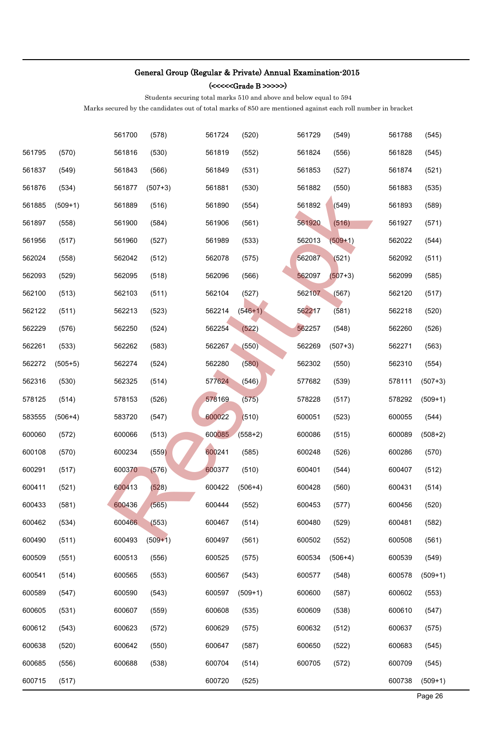(<<<<<Grade B >>>>>)

Students securing total marks 510 and above and below equal to 594

|        |           | 561700 | (578)     | 561724 | (520)     | 561729 | (549)     | 561788 | (545)     |
|--------|-----------|--------|-----------|--------|-----------|--------|-----------|--------|-----------|
| 561795 | (570)     | 561816 | (530)     | 561819 | (552)     | 561824 | (556)     | 561828 | (545)     |
| 561837 | (549)     | 561843 | (566)     | 561849 | (531)     | 561853 | (527)     | 561874 | (521)     |
| 561876 | (534)     | 561877 | $(507+3)$ | 561881 | (530)     | 561882 | (550)     | 561883 | (535)     |
| 561885 | $(509+1)$ | 561889 | (516)     | 561890 | (554)     | 561892 | (549)     | 561893 | (589)     |
| 561897 | (558)     | 561900 | (584)     | 561906 | (561)     | 561920 | (516)     | 561927 | (571)     |
| 561956 | (517)     | 561960 | (527)     | 561989 | (533)     | 562013 | $(509+1)$ | 562022 | (544)     |
| 562024 | (558)     | 562042 | (512)     | 562078 | (575)     | 562087 | (521)     | 562092 | (511)     |
| 562093 | (529)     | 562095 | (518)     | 562096 | (566)     | 562097 | $(507+3)$ | 562099 | (585)     |
| 562100 | (513)     | 562103 | (511)     | 562104 | (527)     | 562107 | (567)     | 562120 | (517)     |
| 562122 | (511)     | 562213 | (523)     | 562214 | $(546+1)$ | 562217 | (581)     | 562218 | (520)     |
| 562229 | (576)     | 562250 | (524)     | 562254 | (522)     | 562257 | (548)     | 562260 | (526)     |
| 562261 | (533)     | 562262 | (583)     | 562267 | (550)     | 562269 | $(507+3)$ | 562271 | (563)     |
| 562272 | $(505+5)$ | 562274 | (524)     | 562280 | (580)     | 562302 | (550)     | 562310 | (554)     |
| 562316 | (530)     | 562325 | (514)     | 577624 | (546)     | 577682 | (539)     | 578111 | $(507+3)$ |
| 578125 | (514)     | 578153 | (526)     | 578169 | (575)     | 578228 | (517)     | 578292 | $(509+1)$ |
| 583555 | $(506+4)$ | 583720 | (547)     | 600022 | (510)     | 600051 | (523)     | 600055 | (544)     |
| 600060 | (572)     | 600066 | (513)     | 600085 | $(558+2)$ | 600086 | (515)     | 600089 | $(508+2)$ |
| 600108 | (570)     | 600234 | (559)     | 600241 | (585)     | 600248 | (526)     | 600286 | (570)     |
| 600291 | (517)     | 600370 | (576)     | 600377 | (510)     | 600401 | (544)     | 600407 | (512)     |
| 600411 | (521)     | 600413 | (528)     | 600422 | $(506+4)$ | 600428 | (560)     | 600431 | (514)     |
| 600433 | (581)     | 600436 | (565)     | 600444 | (552)     | 600453 | (577)     | 600456 | (520)     |
| 600462 | (534)     | 600466 | (553)     | 600467 | (514)     | 600480 | (529)     | 600481 | (582)     |
| 600490 | (511)     | 600493 | $(509+1)$ | 600497 | (561)     | 600502 | (552)     | 600508 | (561)     |
| 600509 | (551)     | 600513 | (556)     | 600525 | (575)     | 600534 | $(506+4)$ | 600539 | (549)     |
| 600541 | (514)     | 600565 | (553)     | 600567 | (543)     | 600577 | (548)     | 600578 | $(509+1)$ |
| 600589 | (547)     | 600590 | (543)     | 600597 | $(509+1)$ | 600600 | (587)     | 600602 | (553)     |
| 600605 | (531)     | 600607 | (559)     | 600608 | (535)     | 600609 | (538)     | 600610 | (547)     |
| 600612 | (543)     | 600623 | (572)     | 600629 | (575)     | 600632 | (512)     | 600637 | (575)     |
| 600638 | (520)     | 600642 | (550)     | 600647 | (587)     | 600650 | (522)     | 600683 | (545)     |
| 600685 | (556)     | 600688 | (538)     | 600704 | (514)     | 600705 | (572)     | 600709 | (545)     |
| 600715 | (517)     |        |           | 600720 | (525)     |        |           | 600738 | $(509+1)$ |
|        |           |        |           |        |           |        |           |        | Page 26   |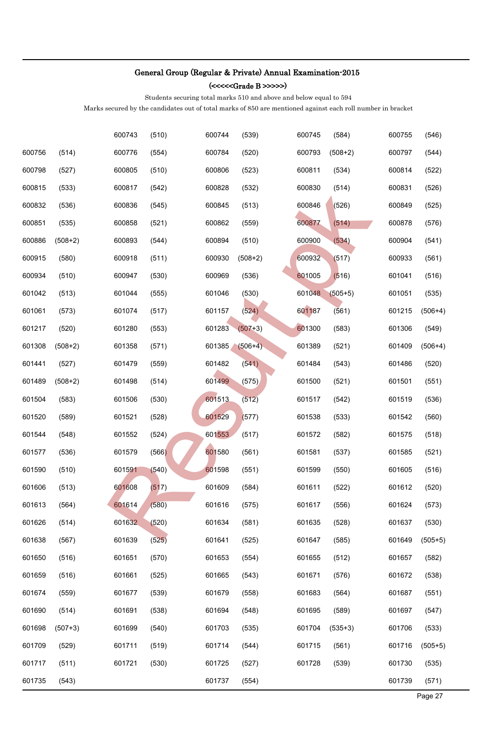(<<<<<Grade B >>>>>)

Students securing total marks 510 and above and below equal to 594

|        |           | 600743 | (510) | 600744 | (539)     | 600745 | (584)     | 600755 | (546)     |
|--------|-----------|--------|-------|--------|-----------|--------|-----------|--------|-----------|
| 600756 | (514)     | 600776 | (554) | 600784 | (520)     | 600793 | $(508+2)$ | 600797 | (544)     |
| 600798 | (527)     | 600805 | (510) | 600806 | (523)     | 600811 | (534)     | 600814 | (522)     |
| 600815 | (533)     | 600817 | (542) | 600828 | (532)     | 600830 | (514)     | 600831 | (526)     |
| 600832 | (536)     | 600836 | (545) | 600845 | (513)     | 600846 | (526)     | 600849 | (525)     |
| 600851 | (535)     | 600858 | (521) | 600862 | (559)     | 600877 | (514)     | 600878 | (576)     |
| 600886 | $(508+2)$ | 600893 | (544) | 600894 | (510)     | 600900 | (534)     | 600904 | (541)     |
| 600915 | (580)     | 600918 | (511) | 600930 | $(508+2)$ | 600932 | (517)     | 600933 | (561)     |
| 600934 | (510)     | 600947 | (530) | 600969 | (536)     | 601005 | (516)     | 601041 | (516)     |
| 601042 | (513)     | 601044 | (555) | 601046 | (530)     | 601048 | $(505+5)$ | 601051 | (535)     |
| 601061 | (573)     | 601074 | (517) | 601157 | (524)     | 601187 | (561)     | 601215 | $(506+4)$ |
| 601217 | (520)     | 601280 | (553) | 601283 | $(507+3)$ | 601300 | (583)     | 601306 | (549)     |
| 601308 | $(508+2)$ | 601358 | (571) | 601385 | $(506+4)$ | 601389 | (521)     | 601409 | $(506+4)$ |
| 601441 | (527)     | 601479 | (559) | 601482 | (541)     | 601484 | (543)     | 601486 | (520)     |
| 601489 | $(508+2)$ | 601498 | (514) | 601499 | (575)     | 601500 | (521)     | 601501 | (551)     |
| 601504 | (583)     | 601506 | (530) | 601513 | (512)     | 601517 | (542)     | 601519 | (536)     |
| 601520 | (589)     | 601521 | (528) | 601529 | (577)     | 601538 | (533)     | 601542 | (560)     |
| 601544 | (548)     | 601552 | (524) | 601553 | (517)     | 601572 | (582)     | 601575 | (518)     |
| 601577 | (536)     | 601579 | (566) | 601580 | (561)     | 601581 | (537)     | 601585 | (521)     |
| 601590 | (510)     | 601591 | (540) | 601598 | (551)     | 601599 | (550)     | 601605 | (516)     |
| 601606 | (513)     | 601608 | (517) | 601609 | (584)     | 601611 | (522)     | 601612 | (520)     |
| 601613 | (564)     | 601614 | (580) | 601616 | (575)     | 601617 | (556)     | 601624 | (573)     |
| 601626 | (514)     | 601632 | (520) | 601634 | (581)     | 601635 | (528)     | 601637 | (530)     |
| 601638 | (567)     | 601639 | (525) | 601641 | (525)     | 601647 | (585)     | 601649 | $(505+5)$ |
| 601650 | (516)     | 601651 | (570) | 601653 | (554)     | 601655 | (512)     | 601657 | (582)     |
| 601659 | (516)     | 601661 | (525) | 601665 | (543)     | 601671 | (576)     | 601672 | (538)     |
| 601674 | (559)     | 601677 | (539) | 601679 | (558)     | 601683 | (564)     | 601687 | (551)     |
| 601690 | (514)     | 601691 | (538) | 601694 | (548)     | 601695 | (589)     | 601697 | (547)     |
| 601698 | $(507+3)$ | 601699 | (540) | 601703 | (535)     | 601704 | $(535+3)$ | 601706 | (533)     |
| 601709 | (529)     | 601711 | (519) | 601714 | (544)     | 601715 | (561)     | 601716 | $(505+5)$ |
| 601717 | (511)     | 601721 | (530) | 601725 | (527)     | 601728 | (539)     | 601730 | (535)     |
| 601735 | (543)     |        |       | 601737 | (554)     |        |           | 601739 | (571)     |
|        |           |        |       |        |           |        |           |        | Page 27   |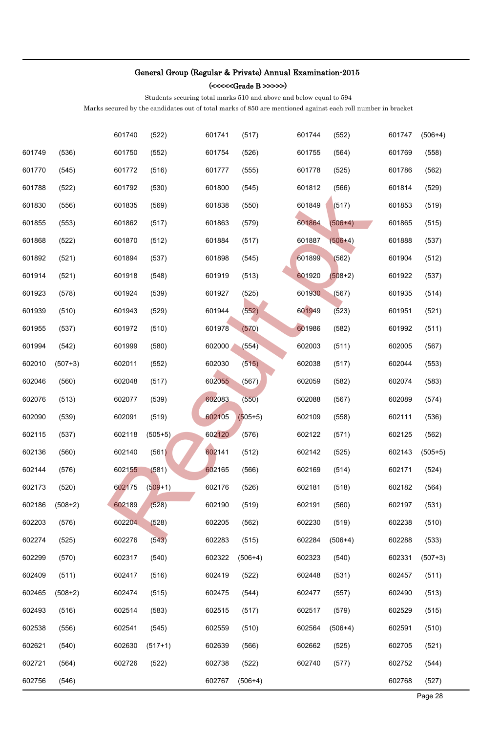(<<<<<Grade B >>>>>)

Students securing total marks 510 and above and below equal to 594

|        |           | 601740 | (522)     | 601741 | (517)     | 601744 | (552)     | 601747 | $(506+4)$ |
|--------|-----------|--------|-----------|--------|-----------|--------|-----------|--------|-----------|
| 601749 | (536)     | 601750 | (552)     | 601754 | (526)     | 601755 | (564)     | 601769 | (558)     |
| 601770 | (545)     | 601772 | (516)     | 601777 | (555)     | 601778 | (525)     | 601786 | (562)     |
| 601788 | (522)     | 601792 | (530)     | 601800 | (545)     | 601812 | (566)     | 601814 | (529)     |
| 601830 | (556)     | 601835 | (569)     | 601838 | (550)     | 601849 | (517)     | 601853 | (519)     |
| 601855 | (553)     | 601862 | (517)     | 601863 | (579)     | 601864 | $(506+4)$ | 601865 | (515)     |
| 601868 | (522)     | 601870 | (512)     | 601884 | (517)     | 601887 | $(506+4)$ | 601888 | (537)     |
| 601892 | (521)     | 601894 | (537)     | 601898 | (545)     | 601899 | (562)     | 601904 | (512)     |
| 601914 | (521)     | 601918 | (548)     | 601919 | (513)     | 601920 | $(508+2)$ | 601922 | (537)     |
| 601923 | (578)     | 601924 | (539)     | 601927 | (525)     | 601930 | (567)     | 601935 | (514)     |
| 601939 | (510)     | 601943 | (529)     | 601944 | (552)     | 601949 | (523)     | 601951 | (521)     |
| 601955 | (537)     | 601972 | (510)     | 601978 | (570)     | 601986 | (582)     | 601992 | (511)     |
| 601994 | (542)     | 601999 | (580)     | 602000 | (554)     | 602003 | (511)     | 602005 | (567)     |
| 602010 | $(507+3)$ | 602011 | (552)     | 602030 | (515)     | 602038 | (517)     | 602044 | (553)     |
| 602046 | (560)     | 602048 | (517)     | 602055 | (567)     | 602059 | (582)     | 602074 | (583)     |
| 602076 | (513)     | 602077 | (539)     | 602083 | (550)     | 602088 | (567)     | 602089 | (574)     |
| 602090 | (539)     | 602091 | (519)     | 602105 | $(505+5)$ | 602109 | (558)     | 602111 | (536)     |
| 602115 | (537)     | 602118 | $(505+5)$ | 602120 | (576)     | 602122 | (571)     | 602125 | (562)     |
| 602136 | (560)     | 602140 | (561)     | 602141 | (512)     | 602142 | (525)     | 602143 | $(505+5)$ |
| 602144 | (576)     | 602155 | (581)     | 602165 | (566)     | 602169 | (514)     | 602171 | (524)     |
| 602173 | (520)     | 602175 | $(509+1)$ | 602176 | (526)     | 602181 | (518)     | 602182 | (564)     |
| 602186 | $(508+2)$ | 602189 | (528)     | 602190 | (519)     | 602191 | (560)     | 602197 | (531)     |
| 602203 | (576)     | 602204 | (528)     | 602205 | (562)     | 602230 | (519)     | 602238 | (510)     |
| 602274 | (525)     | 602276 | (543)     | 602283 | (515)     | 602284 | $(506+4)$ | 602288 | (533)     |
| 602299 | (570)     | 602317 | (540)     | 602322 | $(506+4)$ | 602323 | (540)     | 602331 | $(507+3)$ |
| 602409 | (511)     | 602417 | (516)     | 602419 | (522)     | 602448 | (531)     | 602457 | (511)     |
| 602465 | $(508+2)$ | 602474 | (515)     | 602475 | (544)     | 602477 | (557)     | 602490 | (513)     |
| 602493 | (516)     | 602514 | (583)     | 602515 | (517)     | 602517 | (579)     | 602529 | (515)     |
| 602538 | (556)     | 602541 | (545)     | 602559 | (510)     | 602564 | $(506+4)$ | 602591 | (510)     |
| 602621 | (540)     | 602630 | $(517+1)$ | 602639 | (566)     | 602662 | (525)     | 602705 | (521)     |
| 602721 | (564)     | 602726 | (522)     | 602738 | (522)     | 602740 | (577)     | 602752 | (544)     |
| 602756 | (546)     |        |           | 602767 | $(506+4)$ |        |           | 602768 | (527)     |
|        |           |        |           |        |           |        |           |        | Page 28   |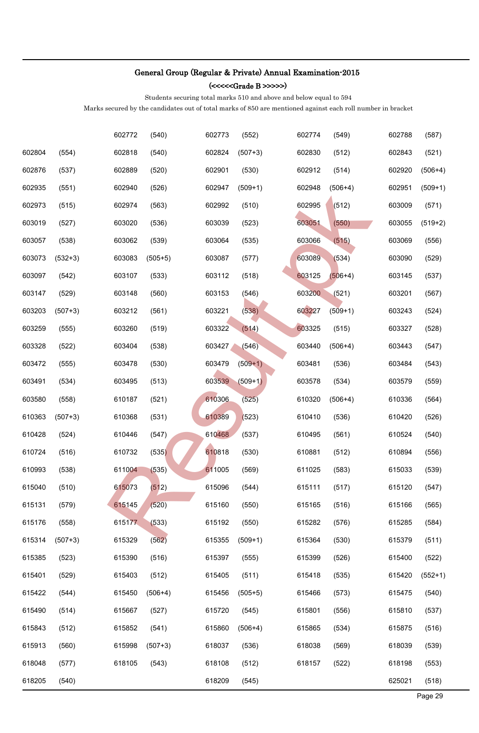(<<<<<Grade B >>>>>)

Students securing total marks 510 and above and below equal to 594

|        |           | 602772 | (540)     | 602773 | (552)     | 602774 | (549)     | 602788 | (587)     |
|--------|-----------|--------|-----------|--------|-----------|--------|-----------|--------|-----------|
| 602804 | (554)     | 602818 | (540)     | 602824 | $(507+3)$ | 602830 | (512)     | 602843 | (521)     |
| 602876 | (537)     | 602889 | (520)     | 602901 | (530)     | 602912 | (514)     | 602920 | $(506+4)$ |
| 602935 | (551)     | 602940 | (526)     | 602947 | $(509+1)$ | 602948 | $(506+4)$ | 602951 | $(509+1)$ |
| 602973 | (515)     | 602974 | (563)     | 602992 | (510)     | 602995 | (512)     | 603009 | (571)     |
| 603019 | (527)     | 603020 | (536)     | 603039 | (523)     | 603051 | (550)     | 603055 | $(519+2)$ |
| 603057 | (538)     | 603062 | (539)     | 603064 | (535)     | 603066 | (515)     | 603069 | (556)     |
| 603073 | $(532+3)$ | 603083 | $(505+5)$ | 603087 | (577)     | 603089 | (534)     | 603090 | (529)     |
| 603097 | (542)     | 603107 | (533)     | 603112 | (518)     | 603125 | $(506+4)$ | 603145 | (537)     |
| 603147 | (529)     | 603148 | (560)     | 603153 | (546)     | 603200 | (521)     | 603201 | (567)     |
| 603203 | $(507+3)$ | 603212 | (561)     | 603221 | (538)     | 603227 | $(509+1)$ | 603243 | (524)     |
| 603259 | (555)     | 603260 | (519)     | 603322 | (514)     | 603325 | (515)     | 603327 | (528)     |
| 603328 | (522)     | 603404 | (538)     | 603427 | (546)     | 603440 | $(506+4)$ | 603443 | (547)     |
| 603472 | (555)     | 603478 | (530)     | 603479 | $(509+1)$ | 603481 | (536)     | 603484 | (543)     |
| 603491 | (534)     | 603495 | (513)     | 603539 | $(509+1)$ | 603578 | (534)     | 603579 | (559)     |
| 603580 | (558)     | 610187 | (521)     | 610306 | (525)     | 610320 | $(506+4)$ | 610336 | (564)     |
| 610363 | $(507+3)$ | 610368 | (531)     | 610389 | (523)     | 610410 | (536)     | 610420 | (526)     |
| 610428 | (524)     | 610446 | (547)     | 610468 | (537)     | 610495 | (561)     | 610524 | (540)     |
| 610724 | (516)     | 610732 | (535)     | 610818 | (530)     | 610881 | (512)     | 610894 | (556)     |
| 610993 | (538)     | 611004 | (535)     | 611005 | (569)     | 611025 | (583)     | 615033 | (539)     |
| 615040 | (510)     | 615073 | (512)     | 615096 | (544)     | 615111 | (517)     | 615120 | (547)     |
| 615131 | (579)     | 615145 | (520)     | 615160 | (550)     | 615165 | (516)     | 615166 | (565)     |
| 615176 | (558)     | 615177 | (533)     | 615192 | (550)     | 615282 | (576)     | 615285 | (584)     |
| 615314 | $(507+3)$ | 615329 | (562)     | 615355 | $(509+1)$ | 615364 | (530)     | 615379 | (511)     |
| 615385 | (523)     | 615390 | (516)     | 615397 | (555)     | 615399 | (526)     | 615400 | (522)     |
| 615401 | (529)     | 615403 | (512)     | 615405 | (511)     | 615418 | (535)     | 615420 | $(552+1)$ |
| 615422 | (544)     | 615450 | $(506+4)$ | 615456 | $(505+5)$ | 615466 | (573)     | 615475 | (540)     |
| 615490 | (514)     | 615667 | (527)     | 615720 | (545)     | 615801 | (556)     | 615810 | (537)     |
| 615843 | (512)     | 615852 | (541)     | 615860 | $(506+4)$ | 615865 | (534)     | 615875 | (516)     |
| 615913 | (560)     | 615998 | $(507+3)$ | 618037 | (536)     | 618038 | (569)     | 618039 | (539)     |
| 618048 | (577)     | 618105 | (543)     | 618108 | (512)     | 618157 | (522)     | 618198 | (553)     |
| 618205 | (540)     |        |           | 618209 | (545)     |        |           | 625021 | (518)     |
|        |           |        |           |        |           |        |           |        | Page 29   |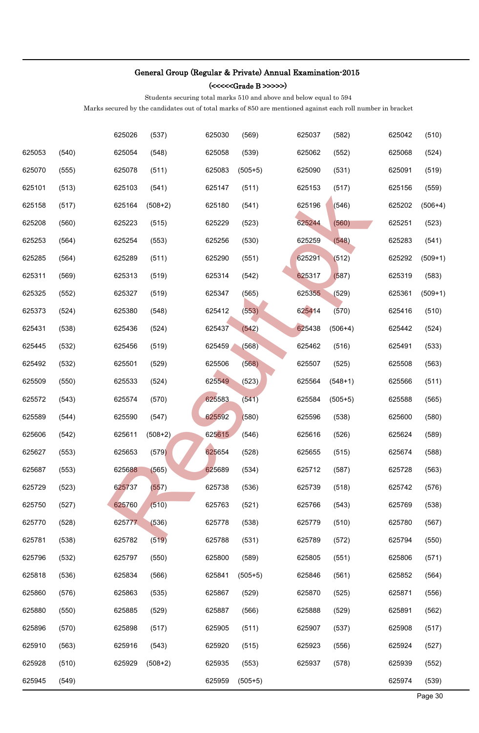(<<<<<Grade B >>>>>)

Students securing total marks 510 and above and below equal to 594

|        |       | 625026 | (537)     | 625030 | (569)     | 625037 | (582)     | 625042 | (510)     |
|--------|-------|--------|-----------|--------|-----------|--------|-----------|--------|-----------|
| 625053 | (540) | 625054 | (548)     | 625058 | (539)     | 625062 | (552)     | 625068 | (524)     |
| 625070 | (555) | 625078 | (511)     | 625083 | $(505+5)$ | 625090 | (531)     | 625091 | (519)     |
| 625101 | (513) | 625103 | (541)     | 625147 | (511)     | 625153 | (517)     | 625156 | (559)     |
| 625158 | (517) | 625164 | $(508+2)$ | 625180 | (541)     | 625196 | (546)     | 625202 | $(506+4)$ |
| 625208 | (560) | 625223 | (515)     | 625229 | (523)     | 625244 | (560)     | 625251 | (523)     |
| 625253 | (564) | 625254 | (553)     | 625256 | (530)     | 625259 | (548)     | 625283 | (541)     |
| 625285 | (564) | 625289 | (511)     | 625290 | (551)     | 625291 | (512)     | 625292 | $(509+1)$ |
| 625311 | (569) | 625313 | (519)     | 625314 | (542)     | 625317 | (587)     | 625319 | (583)     |
| 625325 | (552) | 625327 | (519)     | 625347 | (565)     | 625355 | (529)     | 625361 | $(509+1)$ |
| 625373 | (524) | 625380 | (548)     | 625412 | (553)     | 625414 | (570)     | 625416 | (510)     |
| 625431 | (538) | 625436 | (524)     | 625437 | (542)     | 625438 | $(506+4)$ | 625442 | (524)     |
| 625445 | (532) | 625456 | (519)     | 625459 | (568)     | 625462 | (516)     | 625491 | (533)     |
| 625492 | (532) | 625501 | (529)     | 625506 | (568)     | 625507 | (525)     | 625508 | (563)     |
| 625509 | (550) | 625533 | (524)     | 625549 | (523)     | 625564 | $(548+1)$ | 625566 | (511)     |
| 625572 | (543) | 625574 | (570)     | 625583 | (541)     | 625584 | $(505+5)$ | 625588 | (565)     |
| 625589 | (544) | 625590 | (547)     | 625592 | (580)     | 625596 | (538)     | 625600 | (580)     |
| 625606 | (542) | 625611 | $(508+2)$ | 625615 | (546)     | 625616 | (526)     | 625624 | (589)     |
| 625627 | (553) | 625653 | (579)     | 625654 | (528)     | 625655 | (515)     | 625674 | (588)     |
| 625687 | (553) | 625688 | (565)     | 625689 | (534)     | 625712 | (587)     | 625728 | (563)     |
| 625729 | (523) | 625737 | (557)     | 625738 | (536)     | 625739 | (518)     | 625742 | (576)     |
| 625750 | (527) | 625760 | (510)     | 625763 | (521)     | 625766 | (543)     | 625769 | (538)     |
| 625770 | (528) | 625777 | (536)     | 625778 | (538)     | 625779 | (510)     | 625780 | (567)     |
| 625781 | (538) | 625782 | (519)     | 625788 | (531)     | 625789 | (572)     | 625794 | (550)     |
| 625796 | (532) | 625797 | (550)     | 625800 | (589)     | 625805 | (551)     | 625806 | (571)     |
| 625818 | (536) | 625834 | (566)     | 625841 | $(505+5)$ | 625846 | (561)     | 625852 | (564)     |
| 625860 | (576) | 625863 | (535)     | 625867 | (529)     | 625870 | (525)     | 625871 | (556)     |
| 625880 | (550) | 625885 | (529)     | 625887 | (566)     | 625888 | (529)     | 625891 | (562)     |
| 625896 | (570) | 625898 | (517)     | 625905 | (511)     | 625907 | (537)     | 625908 | (517)     |
| 625910 | (563) | 625916 | (543)     | 625920 | (515)     | 625923 | (556)     | 625924 | (527)     |
| 625928 | (510) | 625929 | $(508+2)$ | 625935 | (553)     | 625937 | (578)     | 625939 | (552)     |
| 625945 | (549) |        |           | 625959 | $(505+5)$ |        |           | 625974 | (539)     |
|        |       |        |           |        |           |        |           |        | Page 30   |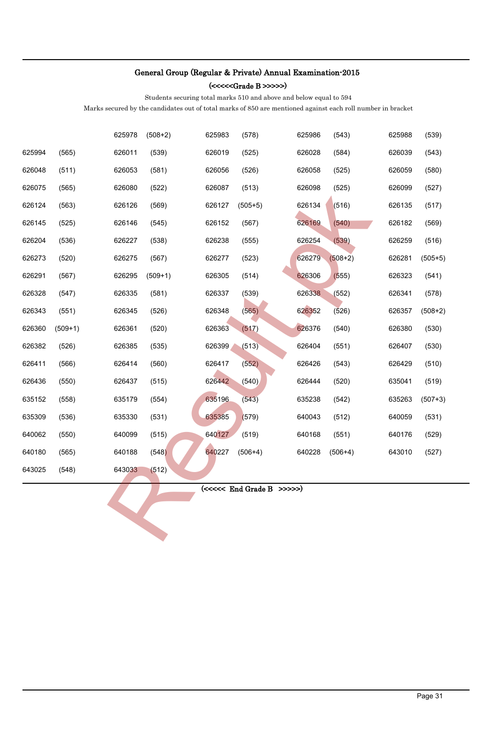(<<<<<Grade B >>>>>)

Students securing total marks 510 and above and below equal to 594

Marks secured by the candidates out of total marks of 850 are mentioned against each roll number in bracket

|        |           | 625978 | $(508+2)$ | 625983 | (578)                           | 625986 | (543)     | 625988 | (539)     |
|--------|-----------|--------|-----------|--------|---------------------------------|--------|-----------|--------|-----------|
| 625994 | (565)     | 626011 | (539)     | 626019 | (525)                           | 626028 | (584)     | 626039 | (543)     |
| 626048 | (511)     | 626053 | (581)     | 626056 | (526)                           | 626058 | (525)     | 626059 | (580)     |
| 626075 | (565)     | 626080 | (522)     | 626087 | (513)                           | 626098 | (525)     | 626099 | (527)     |
| 626124 | (563)     | 626126 | (569)     | 626127 | $(505+5)$                       | 626134 | (516)     | 626135 | (517)     |
| 626145 | (525)     | 626146 | (545)     | 626152 | (567)                           | 626169 | (540)     | 626182 | (569)     |
| 626204 | (536)     | 626227 | (538)     | 626238 | (555)                           | 626254 | (539)     | 626259 | (516)     |
| 626273 | (520)     | 626275 | (567)     | 626277 | (523)                           | 626279 | $(508+2)$ | 626281 | $(505+5)$ |
| 626291 | (567)     | 626295 | $(509+1)$ | 626305 | (514)                           | 626306 | (555)     | 626323 | (541)     |
| 626328 | (547)     | 626335 | (581)     | 626337 | (539)                           | 626338 | (552)     | 626341 | (578)     |
| 626343 | (551)     | 626345 | (526)     | 626348 | (565)                           | 626352 | (526)     | 626357 | $(508+2)$ |
| 626360 | $(509+1)$ | 626361 | (520)     | 626363 | (517)                           | 626376 | (540)     | 626380 | (530)     |
| 626382 | (526)     | 626385 | (535)     | 626399 | (513)                           | 626404 | (551)     | 626407 | (530)     |
| 626411 | (566)     | 626414 | (560)     | 626417 | (552)                           | 626426 | (543)     | 626429 | (510)     |
| 626436 | (550)     | 626437 | (515)     | 626442 | (540)                           | 626444 | (520)     | 635041 | (519)     |
| 635152 | (558)     | 635179 | (554)     | 635196 | (543)                           | 635238 | (542)     | 635263 | $(507+3)$ |
| 635309 | (536)     | 635330 | (531)     | 635385 | (579)                           | 640043 | (512)     | 640059 | (531)     |
| 640062 | (550)     | 640099 | (515)     | 640127 | (519)                           | 640168 | (551)     | 640176 | (529)     |
| 640180 | (565)     | 640188 | (548)     | 640227 | $(506+4)$                       | 640228 | $(506+4)$ | 643010 | (527)     |
| 643025 | (548)     | 643033 | (512)     |        |                                 |        |           |        |           |
|        |           |        |           |        | $(\ll\ll\ll$ End Grade B >>>>>) |        |           |        |           |
|        |           |        |           |        |                                 |        |           |        |           |
|        |           |        |           |        |                                 |        |           |        |           |
|        |           |        |           |        |                                 |        |           |        |           |
|        |           |        |           |        |                                 |        |           |        |           |
|        |           |        |           |        |                                 |        |           |        |           |
|        |           |        |           |        |                                 |        |           |        |           |
|        |           |        |           |        |                                 |        |           |        |           |
|        |           |        |           |        |                                 |        |           |        |           |
|        |           |        |           |        |                                 |        |           |        |           |
|        |           |        |           |        |                                 |        |           |        |           |
|        |           |        |           |        |                                 |        |           |        |           |
|        |           |        |           |        |                                 |        |           |        | Page 31   |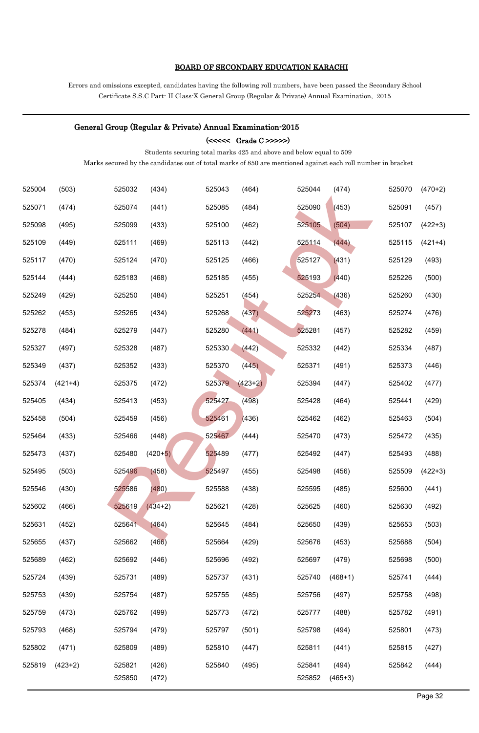#### BOARD OF SECONDARY EDUCATION KARACHI

Errors and omissions excepted, candidates having the following roll numbers, have been passed the Secondary School Certificate S.S.C Part- II Class-X General Group (Regular & Private) Annual Examination, 2015

#### General Group (Regular & Private) Annual Examination-2015

(<<<<< Grade C >>>>>)

Students securing total marks 425 and above and below equal to 509

| 525004 | (503)     | 525032 | (434)     | 525043 | (464)     | 525044 | (474)     | 525070 | $(470+2)$ |
|--------|-----------|--------|-----------|--------|-----------|--------|-----------|--------|-----------|
| 525071 | (474)     | 525074 | (441)     | 525085 | (484)     | 525090 | (453)     | 525091 | (457)     |
| 525098 | (495)     | 525099 | (433)     | 525100 | (462)     | 525105 | (504)     | 525107 | $(422+3)$ |
| 525109 | (449)     | 525111 | (469)     | 525113 | (442)     | 525114 | (444)     | 525115 | $(421+4)$ |
| 525117 | (470)     | 525124 | (470)     | 525125 | (466)     | 525127 | (431)     | 525129 | (493)     |
| 525144 | (444)     | 525183 | (468)     | 525185 | (455)     | 525193 | (440)     | 525226 | (500)     |
| 525249 | (429)     | 525250 | (484)     | 525251 | (454)     | 525254 | (436)     | 525260 | (430)     |
| 525262 | (453)     | 525265 | (434)     | 525268 | (437)     | 525273 | (463)     | 525274 | (476)     |
| 525278 | (484)     | 525279 | (447)     | 525280 | (441)     | 525281 | (457)     | 525282 | (459)     |
| 525327 | (497)     | 525328 | (487)     | 525330 | (442)     | 525332 | (442)     | 525334 | (487)     |
| 525349 | (437)     | 525352 | (433)     | 525370 | (445)     | 525371 | (491)     | 525373 | (446)     |
| 525374 | $(421+4)$ | 525375 | (472)     | 525379 | $(423+2)$ | 525394 | (447)     | 525402 | (477)     |
| 525405 | (434)     | 525413 | (453)     | 525427 | (498)     | 525428 | (464)     | 525441 | (429)     |
| 525458 | (504)     | 525459 | (456)     | 525461 | (436)     | 525462 | (462)     | 525463 | (504)     |
| 525464 | (433)     | 525466 | (448)     | 525467 | (444)     | 525470 | (473)     | 525472 | (435)     |
| 525473 | (437)     | 525480 | $(420+5)$ | 525489 | (477)     | 525492 | (447)     | 525493 | (488)     |
| 525495 | (503)     | 525496 | (458)     | 525497 | (455)     | 525498 | (456)     | 525509 | $(422+3)$ |
| 525546 | (430)     | 525586 | (480)     | 525588 | (438)     | 525595 | (485)     | 525600 | (441)     |
| 525602 | (466)     | 525619 | $(434+2)$ | 525621 | (428)     | 525625 | (460)     | 525630 | (492)     |
| 525631 | (452)     | 525641 | (464)     | 525645 | (484)     | 525650 | (439)     | 525653 | (503)     |
| 525655 | (437)     | 525662 | (466)     | 525664 | (429)     | 525676 | (453)     | 525688 | (504)     |
| 525689 | (462)     | 525692 | (446)     | 525696 | (492)     | 525697 | (479)     | 525698 | (500)     |
| 525724 | (439)     | 525731 | (489)     | 525737 | (431)     | 525740 | $(468+1)$ | 525741 | (444)     |
| 525753 | (439)     | 525754 | (487)     | 525755 | (485)     | 525756 | (497)     | 525758 | (498)     |
| 525759 | (473)     | 525762 | (499)     | 525773 | (472)     | 525777 | (488)     | 525782 | (491)     |
| 525793 | (468)     | 525794 | (479)     | 525797 | (501)     | 525798 | (494)     | 525801 | (473)     |
| 525802 | (471)     | 525809 | (489)     | 525810 | (447)     | 525811 | (441)     | 525815 | (427)     |
| 525819 | $(423+2)$ | 525821 | (426)     | 525840 | (495)     | 525841 | (494)     | 525842 | (444)     |
|        |           | 525850 | (472)     |        |           | 525852 | $(465+3)$ |        |           |
|        |           |        |           |        |           |        |           |        | Page 32   |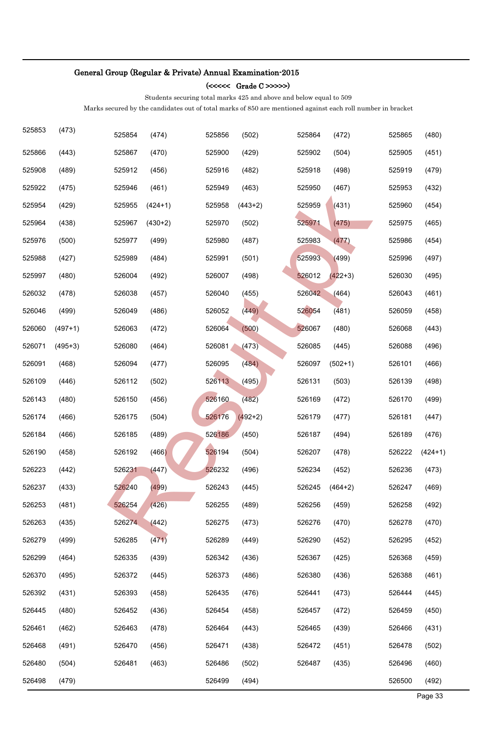#### (<<<<< Grade C >>>>>)

Students securing total marks 425 and above and below equal to 509

| 525853 | (473)     | 525854 | (474)     | 525856 | (502)     | 525864 | (472)     | 525865 | (480)     |
|--------|-----------|--------|-----------|--------|-----------|--------|-----------|--------|-----------|
| 525866 | (443)     | 525867 | (470)     | 525900 | (429)     | 525902 | (504)     | 525905 | (451)     |
| 525908 | (489)     | 525912 | (456)     | 525916 | (482)     | 525918 | (498)     | 525919 | (479)     |
| 525922 | (475)     | 525946 | (461)     | 525949 | (463)     | 525950 | (467)     | 525953 | (432)     |
| 525954 | (429)     | 525955 | $(424+1)$ | 525958 | $(443+2)$ | 525959 | (431)     | 525960 | (454)     |
| 525964 | (438)     | 525967 | $(430+2)$ | 525970 | (502)     | 525971 | (475)     | 525975 | (465)     |
| 525976 | (500)     | 525977 | (499)     | 525980 | (487)     | 525983 | (477)     | 525986 | (454)     |
| 525988 | (427)     | 525989 | (484)     | 525991 | (501)     | 525993 | (499)     | 525996 | (497)     |
| 525997 | (480)     | 526004 | (492)     | 526007 | (498)     | 526012 | $(422+3)$ | 526030 | (495)     |
| 526032 | (478)     | 526038 | (457)     | 526040 | (455)     | 526042 | (464)     | 526043 | (461)     |
| 526046 | (499)     | 526049 | (486)     | 526052 | (449)     | 526054 | (481)     | 526059 | (458)     |
| 526060 | $(497+1)$ | 526063 | (472)     | 526064 | (500)     | 526067 | (480)     | 526068 | (443)     |
| 526071 | $(495+3)$ | 526080 | (464)     | 526081 | (473)     | 526085 | (445)     | 526088 | (496)     |
| 526091 | (468)     | 526094 | (477)     | 526095 | (484)     | 526097 | $(502+1)$ | 526101 | (466)     |
| 526109 | (446)     | 526112 | (502)     | 526113 | (495)     | 526131 | (503)     | 526139 | (498)     |
| 526143 | (480)     | 526150 | (456)     | 526160 | (482)     | 526169 | (472)     | 526170 | (499)     |
| 526174 | (466)     | 526175 | (504)     | 526176 | $(492+2)$ | 526179 | (477)     | 526181 | (447)     |
| 526184 | (466)     | 526185 | (489)     | 526186 | (450)     | 526187 | (494)     | 526189 | (476)     |
| 526190 | (458)     | 526192 | (466)     | 526194 | (504)     | 526207 | (478)     | 526222 | $(424+1)$ |
| 526223 | (442)     | 526231 | (447)     | 526232 | (496)     | 526234 | (452)     | 526236 | (473)     |
| 526237 | (433)     | 526240 | (499)     | 526243 | (445)     | 526245 | $(464+2)$ | 526247 | (469)     |
| 526253 | (481)     | 526254 | (426)     | 526255 | (489)     | 526256 | (459)     | 526258 | (492)     |
| 526263 | (435)     | 526274 | (442)     | 526275 | (473)     | 526276 | (470)     | 526278 | (470)     |
| 526279 | (499)     | 526285 | (471)     | 526289 | (449)     | 526290 | (452)     | 526295 | (452)     |
| 526299 | (464)     | 526335 | (439)     | 526342 | (436)     | 526367 | (425)     | 526368 | (459)     |
| 526370 | (495)     | 526372 | (445)     | 526373 | (486)     | 526380 | (436)     | 526388 | (461)     |
| 526392 | (431)     | 526393 | (458)     | 526435 | (476)     | 526441 | (473)     | 526444 | (445)     |
| 526445 | (480)     | 526452 | (436)     | 526454 | (458)     | 526457 | (472)     | 526459 | (450)     |
| 526461 | (462)     | 526463 | (478)     | 526464 | (443)     | 526465 | (439)     | 526466 | (431)     |
| 526468 | (491)     | 526470 | (456)     | 526471 | (438)     | 526472 | (451)     | 526478 | (502)     |
| 526480 | (504)     | 526481 | (463)     | 526486 | (502)     | 526487 | (435)     | 526496 | (460)     |
| 526498 | (479)     |        |           | 526499 | (494)     |        |           | 526500 | (492)     |
|        |           |        |           |        |           |        |           |        | Page 33   |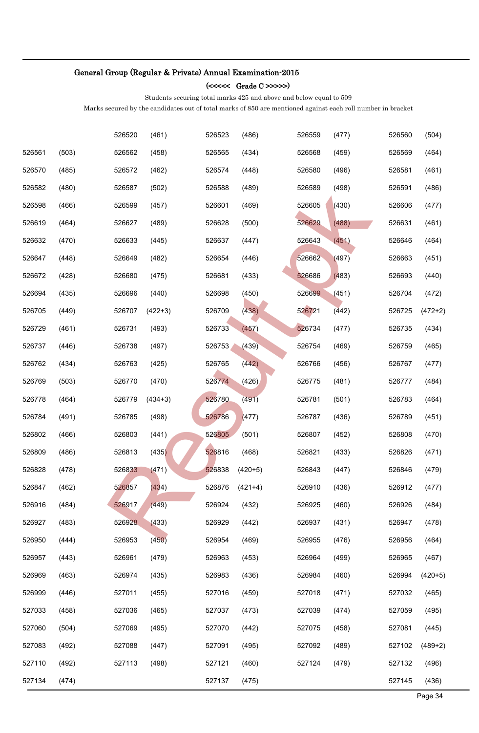#### (<<<<< Grade C >>>>>)

Students securing total marks 425 and above and below equal to 509

|        |       | 526520 | (461)     | 526523 | (486)     | 526559 | (477) | 526560 | (504)     |
|--------|-------|--------|-----------|--------|-----------|--------|-------|--------|-----------|
| 526561 | (503) | 526562 | (458)     | 526565 | (434)     | 526568 | (459) | 526569 | (464)     |
| 526570 | (485) | 526572 | (462)     | 526574 | (448)     | 526580 | (496) | 526581 | (461)     |
| 526582 | (480) | 526587 | (502)     | 526588 | (489)     | 526589 | (498) | 526591 | (486)     |
| 526598 | (466) | 526599 | (457)     | 526601 | (469)     | 526605 | (430) | 526606 | (477)     |
| 526619 | (464) | 526627 | (489)     | 526628 | (500)     | 526629 | (488) | 526631 | (461)     |
| 526632 | (470) | 526633 | (445)     | 526637 | (447)     | 526643 | (451) | 526646 | (464)     |
| 526647 | (448) | 526649 | (482)     | 526654 | (446)     | 526662 | (497) | 526663 | (451)     |
| 526672 | (428) | 526680 | (475)     | 526681 | (433)     | 526686 | (483) | 526693 | (440)     |
| 526694 | (435) | 526696 | (440)     | 526698 | (450)     | 526699 | (451) | 526704 | (472)     |
| 526705 | (449) | 526707 | $(422+3)$ | 526709 | (438)     | 526721 | (442) | 526725 | $(472+2)$ |
| 526729 | (461) | 526731 | (493)     | 526733 | (457)     | 526734 | (477) | 526735 | (434)     |
| 526737 | (446) | 526738 | (497)     | 526753 | (439)     | 526754 | (469) | 526759 | (465)     |
| 526762 | (434) | 526763 | (425)     | 526765 | (442)     | 526766 | (456) | 526767 | (477)     |
| 526769 | (503) | 526770 | (470)     | 526774 | (426)     | 526775 | (481) | 526777 | (484)     |
| 526778 | (464) | 526779 | $(434+3)$ | 526780 | (491)     | 526781 | (501) | 526783 | (464)     |
| 526784 | (491) | 526785 | (498)     | 526786 | (477)     | 526787 | (436) | 526789 | (451)     |
| 526802 | (466) | 526803 | (441)     | 526805 | (501)     | 526807 | (452) | 526808 | (470)     |
| 526809 | (486) | 526813 | (435)     | 526816 | (468)     | 526821 | (433) | 526826 | (471)     |
| 526828 | (478) | 526833 | (471)     | 526838 | $(420+5)$ | 526843 | (447) | 526846 | (479)     |
| 526847 | (462) | 526857 | (434)     | 526876 | $(421+4)$ | 526910 | (436) | 526912 | (477)     |
| 526916 | (484) | 526917 | (449)     | 526924 | (432)     | 526925 | (460) | 526926 | (484)     |
| 526927 | (483) | 526928 | (433)     | 526929 | (442)     | 526937 | (431) | 526947 | (478)     |
| 526950 | (444) | 526953 | (450)     | 526954 | (469)     | 526955 | (476) | 526956 | (464)     |
| 526957 | (443) | 526961 | (479)     | 526963 | (453)     | 526964 | (499) | 526965 | (467)     |
| 526969 | (463) | 526974 | (435)     | 526983 | (436)     | 526984 | (460) | 526994 | $(420+5)$ |
| 526999 | (446) | 527011 | (455)     | 527016 | (459)     | 527018 | (471) | 527032 | (465)     |
| 527033 | (458) | 527036 | (465)     | 527037 | (473)     | 527039 | (474) | 527059 | (495)     |
| 527060 | (504) | 527069 | (495)     | 527070 | (442)     | 527075 | (458) | 527081 | (445)     |
| 527083 | (492) | 527088 | (447)     | 527091 | (495)     | 527092 | (489) | 527102 | $(489+2)$ |
| 527110 | (492) | 527113 | (498)     | 527121 | (460)     | 527124 | (479) | 527132 | (496)     |
| 527134 | (474) |        |           | 527137 | (475)     |        |       | 527145 | (436)     |
|        |       |        |           |        |           |        |       |        | Page 34   |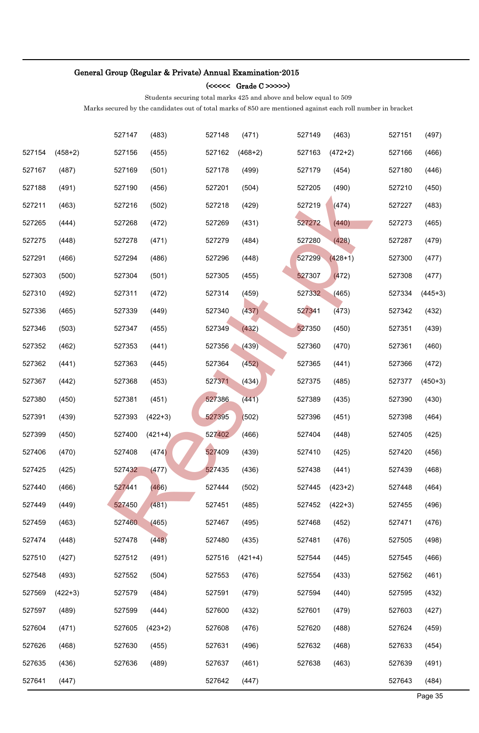#### (<<<<< Grade C >>>>>)

Students securing total marks 425 and above and below equal to 509

|        |           | 527147 | (483)     | 527148 | (471)     | 527149 | (463)     | 527151 | (497)     |
|--------|-----------|--------|-----------|--------|-----------|--------|-----------|--------|-----------|
| 527154 | $(458+2)$ | 527156 | (455)     | 527162 | $(468+2)$ | 527163 | $(472+2)$ | 527166 | (466)     |
| 527167 | (487)     | 527169 | (501)     | 527178 | (499)     | 527179 | (454)     | 527180 | (446)     |
| 527188 | (491)     | 527190 | (456)     | 527201 | (504)     | 527205 | (490)     | 527210 | (450)     |
| 527211 | (463)     | 527216 | (502)     | 527218 | (429)     | 527219 | (474)     | 527227 | (483)     |
| 527265 | (444)     | 527268 | (472)     | 527269 | (431)     | 527272 | (440)     | 527273 | (465)     |
| 527275 | (448)     | 527278 | (471)     | 527279 | (484)     | 527280 | (428)     | 527287 | (479)     |
| 527291 | (466)     | 527294 | (486)     | 527296 | (448)     | 527299 | $(428+1)$ | 527300 | (477)     |
| 527303 | (500)     | 527304 | (501)     | 527305 | (455)     | 527307 | (472)     | 527308 | (477)     |
| 527310 | (492)     | 527311 | (472)     | 527314 | (459)     | 527332 | (465)     | 527334 | $(445+3)$ |
| 527336 | (465)     | 527339 | (449)     | 527340 | (437)     | 527341 | (473)     | 527342 | (432)     |
| 527346 | (503)     | 527347 | (455)     | 527349 | (432)     | 527350 | (450)     | 527351 | (439)     |
| 527352 | (462)     | 527353 | (441)     | 527356 | (439)     | 527360 | (470)     | 527361 | (460)     |
| 527362 | (441)     | 527363 | (445)     | 527364 | (452)     | 527365 | (441)     | 527366 | (472)     |
| 527367 | (442)     | 527368 | (453)     | 527371 | (434)     | 527375 | (485)     | 527377 | $(450+3)$ |
| 527380 | (450)     | 527381 | (451)     | 527386 | (441)     | 527389 | (435)     | 527390 | (430)     |
| 527391 | (439)     | 527393 | $(422+3)$ | 527395 | (502)     | 527396 | (451)     | 527398 | (464)     |
| 527399 | (450)     | 527400 | $(421+4)$ | 527402 | (466)     | 527404 | (448)     | 527405 | (425)     |
| 527406 | (470)     | 527408 | (474)     | 527409 | (439)     | 527410 | (425)     | 527420 | (456)     |
| 527425 | (425)     | 527432 | (477)     | 527435 | (436)     | 527438 | (441)     | 527439 | (468)     |
| 527440 | (466)     | 527441 | (466)     | 527444 | (502)     | 527445 | $(423+2)$ | 527448 | (464)     |
| 527449 | (449)     | 527450 | (481)     | 527451 | (485)     | 527452 | $(422+3)$ | 527455 | (496)     |
| 527459 | (463)     | 527460 | (465)     | 527467 | (495)     | 527468 | (452)     | 527471 | (476)     |
| 527474 | (448)     | 527478 | (448)     | 527480 | (435)     | 527481 | (476)     | 527505 | (498)     |
| 527510 | (427)     | 527512 | (491)     | 527516 | $(421+4)$ | 527544 | (445)     | 527545 | (466)     |
| 527548 | (493)     | 527552 | (504)     | 527553 | (476)     | 527554 | (433)     | 527562 | (461)     |
| 527569 | $(422+3)$ | 527579 | (484)     | 527591 | (479)     | 527594 | (440)     | 527595 | (432)     |
| 527597 | (489)     | 527599 | (444)     | 527600 | (432)     | 527601 | (479)     | 527603 | (427)     |
| 527604 | (471)     | 527605 | $(423+2)$ | 527608 | (476)     | 527620 | (488)     | 527624 | (459)     |
| 527626 | (468)     | 527630 | (455)     | 527631 | (496)     | 527632 | (468)     | 527633 | (454)     |
| 527635 | (436)     | 527636 | (489)     | 527637 | (461)     | 527638 | (463)     | 527639 | (491)     |
| 527641 | (447)     |        |           | 527642 | (447)     |        |           | 527643 | (484)     |
|        |           |        |           |        |           |        |           |        | Page 35   |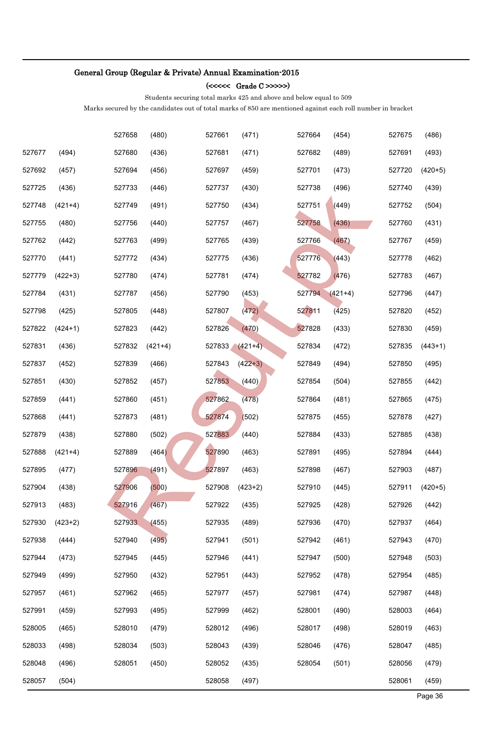#### (<<<<< Grade C >>>>>)

Students securing total marks 425 and above and below equal to 509

|        |           | 527658 | (480)     | 527661 | (471)     | 527664 | (454)     | 527675 | (486)     |
|--------|-----------|--------|-----------|--------|-----------|--------|-----------|--------|-----------|
| 527677 | (494)     | 527680 | (436)     | 527681 | (471)     | 527682 | (489)     | 527691 | (493)     |
| 527692 | (457)     | 527694 | (456)     | 527697 | (459)     | 527701 | (473)     | 527720 | $(420+5)$ |
| 527725 | (436)     | 527733 | (446)     | 527737 | (430)     | 527738 | (496)     | 527740 | (439)     |
| 527748 | $(421+4)$ | 527749 | (491)     | 527750 | (434)     | 527751 | (449)     | 527752 | (504)     |
| 527755 | (480)     | 527756 | (440)     | 527757 | (467)     | 527758 | (436)     | 527760 | (431)     |
| 527762 | (442)     | 527763 | (499)     | 527765 | (439)     | 527766 | (467)     | 527767 | (459)     |
| 527770 | (441)     | 527772 | (434)     | 527775 | (436)     | 527776 | (443)     | 527778 | (462)     |
| 527779 | $(422+3)$ | 527780 | (474)     | 527781 | (474)     | 527782 | (476)     | 527783 | (467)     |
| 527784 | (431)     | 527787 | (456)     | 527790 | (453)     | 527794 | $(421+4)$ | 527796 | (447)     |
| 527798 | (425)     | 527805 | (448)     | 527807 | (472)     | 527811 | (425)     | 527820 | (452)     |
| 527822 | $(424+1)$ | 527823 | (442)     | 527826 | (470)     | 527828 | (433)     | 527830 | (459)     |
| 527831 | (436)     | 527832 | $(421+4)$ | 527833 | $(421+4)$ | 527834 | (472)     | 527835 | $(443+1)$ |
| 527837 | (452)     | 527839 | (466)     | 527843 | $(422+3)$ | 527849 | (494)     | 527850 | (495)     |
| 527851 | (430)     | 527852 | (457)     | 527853 | (440)     | 527854 | (504)     | 527855 | (442)     |
| 527859 | (441)     | 527860 | (451)     | 527862 | (478)     | 527864 | (481)     | 527865 | (475)     |
| 527868 | (441)     | 527873 | (481)     | 527874 | (502)     | 527875 | (455)     | 527878 | (427)     |
| 527879 | (438)     | 527880 | (502)     | 527883 | (440)     | 527884 | (433)     | 527885 | (438)     |
| 527888 | $(421+4)$ | 527889 | (464)     | 527890 | (463)     | 527891 | (495)     | 527894 | (444)     |
| 527895 | (477)     | 527896 | (491)     | 527897 | (463)     | 527898 | (467)     | 527903 | (487)     |
| 527904 | (438)     | 527906 | (500)     | 527908 | $(423+2)$ | 527910 | (445)     | 527911 | $(420+5)$ |
| 527913 | (483)     | 527916 | (467)     | 527922 | (435)     | 527925 | (428)     | 527926 | (442)     |
| 527930 | $(423+2)$ | 527933 | (455)     | 527935 | (489)     | 527936 | (470)     | 527937 | (464)     |
| 527938 | (444)     | 527940 | (495)     | 527941 | (501)     | 527942 | (461)     | 527943 | (470)     |
| 527944 | (473)     | 527945 | (445)     | 527946 | (441)     | 527947 | (500)     | 527948 | (503)     |
| 527949 | (499)     | 527950 | (432)     | 527951 | (443)     | 527952 | (478)     | 527954 | (485)     |
| 527957 | (461)     | 527962 | (465)     | 527977 | (457)     | 527981 | (474)     | 527987 | (448)     |
| 527991 | (459)     | 527993 | (495)     | 527999 | (462)     | 528001 | (490)     | 528003 | (464)     |
| 528005 | (465)     | 528010 | (479)     | 528012 | (496)     | 528017 | (498)     | 528019 | (463)     |
| 528033 | (498)     | 528034 | (503)     | 528043 | (439)     | 528046 | (476)     | 528047 | (485)     |
| 528048 | (496)     | 528051 | (450)     | 528052 | (435)     | 528054 | (501)     | 528056 | (479)     |
| 528057 | (504)     |        |           | 528058 | (497)     |        |           | 528061 | (459)     |
|        |           |        |           |        |           |        |           |        | Page 36   |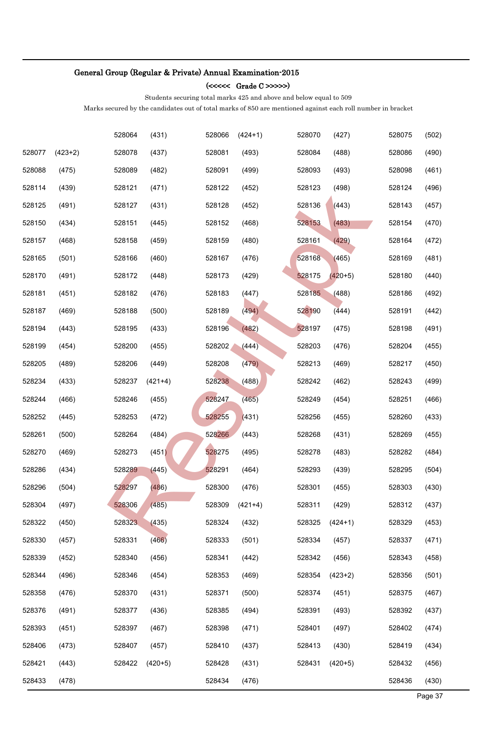### (<<<<< Grade C >>>>>)

Students securing total marks 425 and above and below equal to 509

|        |           | 528064 | (431)     | 528066 | $(424+1)$ | 528070 | (427)     | 528075 | (502)   |
|--------|-----------|--------|-----------|--------|-----------|--------|-----------|--------|---------|
| 528077 | $(423+2)$ | 528078 | (437)     | 528081 | (493)     | 528084 | (488)     | 528086 | (490)   |
| 528088 | (475)     | 528089 | (482)     | 528091 | (499)     | 528093 | (493)     | 528098 | (461)   |
| 528114 | (439)     | 528121 | (471)     | 528122 | (452)     | 528123 | (498)     | 528124 | (496)   |
| 528125 | (491)     | 528127 | (431)     | 528128 | (452)     | 528136 | (443)     | 528143 | (457)   |
| 528150 | (434)     | 528151 | (445)     | 528152 | (468)     | 528153 | (483)     | 528154 | (470)   |
| 528157 | (468)     | 528158 | (459)     | 528159 | (480)     | 528161 | (429)     | 528164 | (472)   |
| 528165 | (501)     | 528166 | (460)     | 528167 | (476)     | 528168 | (465)     | 528169 | (481)   |
| 528170 | (491)     | 528172 | (448)     | 528173 | (429)     | 528175 | $(420+5)$ | 528180 | (440)   |
| 528181 | (451)     | 528182 | (476)     | 528183 | (447)     | 528185 | (488)     | 528186 | (492)   |
| 528187 | (469)     | 528188 | (500)     | 528189 | (494)     | 528190 | (444)     | 528191 | (442)   |
| 528194 | (443)     | 528195 | (433)     | 528196 | (482)     | 528197 | (475)     | 528198 | (491)   |
| 528199 | (454)     | 528200 | (455)     | 528202 | (444)     | 528203 | (476)     | 528204 | (455)   |
| 528205 | (489)     | 528206 | (449)     | 528208 | (479)     | 528213 | (469)     | 528217 | (450)   |
| 528234 | (433)     | 528237 | $(421+4)$ | 528238 | (488)     | 528242 | (462)     | 528243 | (499)   |
| 528244 | (466)     | 528246 | (455)     | 528247 | (465)     | 528249 | (454)     | 528251 | (466)   |
| 528252 | (445)     | 528253 | (472)     | 528255 | (431)     | 528256 | (455)     | 528260 | (433)   |
| 528261 | (500)     | 528264 | (484)     | 528266 | (443)     | 528268 | (431)     | 528269 | (455)   |
| 528270 | (469)     | 528273 | (451)     | 528275 | (495)     | 528278 | (483)     | 528282 | (484)   |
| 528286 | (434)     | 528289 | (445)     | 528291 | (464)     | 528293 | (439)     | 528295 | (504)   |
| 528296 | (504)     | 528297 | (486)     | 528300 | (476)     | 528301 | (455)     | 528303 | (430)   |
| 528304 | (497)     | 528306 | (485)     | 528309 | $(421+4)$ | 528311 | (429)     | 528312 | (437)   |
| 528322 | (450)     | 528323 | (435)     | 528324 | (432)     | 528325 | $(424+1)$ | 528329 | (453)   |
| 528330 | (457)     | 528331 | (466)     | 528333 | (501)     | 528334 | (457)     | 528337 | (471)   |
| 528339 | (452)     | 528340 | (456)     | 528341 | (442)     | 528342 | (456)     | 528343 | (458)   |
| 528344 | (496)     | 528346 | (454)     | 528353 | (469)     | 528354 | $(423+2)$ | 528356 | (501)   |
| 528358 | (476)     | 528370 | (431)     | 528371 | (500)     | 528374 | (451)     | 528375 | (467)   |
| 528376 | (491)     | 528377 | (436)     | 528385 | (494)     | 528391 | (493)     | 528392 | (437)   |
| 528393 | (451)     | 528397 | (467)     | 528398 | (471)     | 528401 | (497)     | 528402 | (474)   |
| 528406 | (473)     | 528407 | (457)     | 528410 | (437)     | 528413 | (430)     | 528419 | (434)   |
| 528421 | (443)     | 528422 | $(420+5)$ | 528428 | (431)     | 528431 | $(420+5)$ | 528432 | (456)   |
| 528433 | (478)     |        |           | 528434 | (476)     |        |           | 528436 | (430)   |
|        |           |        |           |        |           |        |           |        | Page 37 |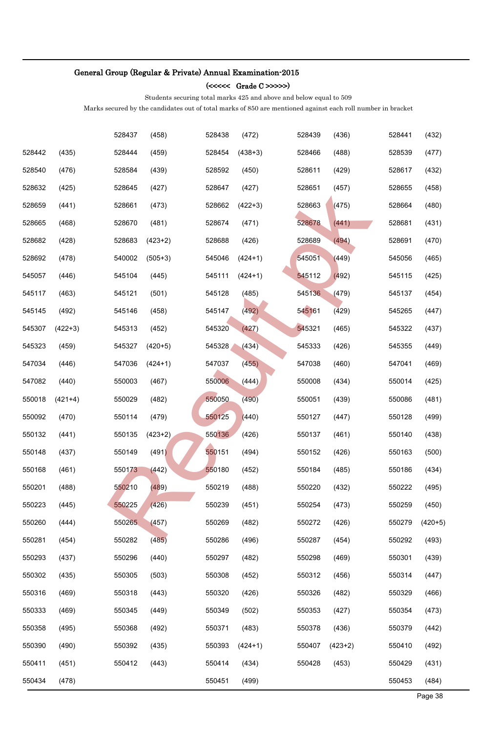### (<<<<< Grade C >>>>>)

Students securing total marks 425 and above and below equal to 509

|        |           | 528437 | (458)     | 528438 | (472)     | 528439 | (436)     | 528441 | (432)     |
|--------|-----------|--------|-----------|--------|-----------|--------|-----------|--------|-----------|
| 528442 | (435)     | 528444 | (459)     | 528454 | $(438+3)$ | 528466 | (488)     | 528539 | (477)     |
| 528540 | (476)     | 528584 | (439)     | 528592 | (450)     | 528611 | (429)     | 528617 | (432)     |
| 528632 | (425)     | 528645 | (427)     | 528647 | (427)     | 528651 | (457)     | 528655 | (458)     |
| 528659 | (441)     | 528661 | (473)     | 528662 | $(422+3)$ | 528663 | (475)     | 528664 | (480)     |
| 528665 | (468)     | 528670 | (481)     | 528674 | (471)     | 528678 | (441)     | 528681 | (431)     |
| 528682 | (428)     | 528683 | $(423+2)$ | 528688 | (426)     | 528689 | (494)     | 528691 | (470)     |
| 528692 | (478)     | 540002 | $(505+3)$ | 545046 | $(424+1)$ | 545051 | (449)     | 545056 | (465)     |
| 545057 | (446)     | 545104 | (445)     | 545111 | $(424+1)$ | 545112 | (492)     | 545115 | (425)     |
| 545117 | (463)     | 545121 | (501)     | 545128 | (485)     | 545136 | (479)     | 545137 | (454)     |
| 545145 | (492)     | 545146 | (458)     | 545147 | (492)     | 545161 | (429)     | 545265 | (447)     |
| 545307 | $(422+3)$ | 545313 | (452)     | 545320 | (427)     | 545321 | (465)     | 545322 | (437)     |
| 545323 | (459)     | 545327 | $(420+5)$ | 545328 | (434)     | 545333 | (426)     | 545355 | (449)     |
| 547034 | (446)     | 547036 | $(424+1)$ | 547037 | (455)     | 547038 | (460)     | 547041 | (469)     |
| 547082 | (440)     | 550003 | (467)     | 550006 | (444)     | 550008 | (434)     | 550014 | (425)     |
| 550018 | $(421+4)$ | 550029 | (482)     | 550050 | (490)     | 550051 | (439)     | 550086 | (481)     |
| 550092 | (470)     | 550114 | (479)     | 550125 | (440)     | 550127 | (447)     | 550128 | (499)     |
| 550132 | (441)     | 550135 | $(423+2)$ | 550136 | (426)     | 550137 | (461)     | 550140 | (438)     |
| 550148 | (437)     | 550149 | (491)     | 550151 | (494)     | 550152 | (426)     | 550163 | (500)     |
| 550168 | (461)     | 550173 | (442)     | 550180 | (452)     | 550184 | (485)     | 550186 | (434)     |
| 550201 | (488)     | 550210 | (489)     | 550219 | (488)     | 550220 | (432)     | 550222 | (495)     |
| 550223 | (445)     | 550225 | (426)     | 550239 | (451)     | 550254 | (473)     | 550259 | (450)     |
| 550260 | (444)     | 550265 | (457)     | 550269 | (482)     | 550272 | (426)     | 550279 | $(420+5)$ |
| 550281 | (454)     | 550282 | (485)     | 550286 | (496)     | 550287 | (454)     | 550292 | (493)     |
| 550293 | (437)     | 550296 | (440)     | 550297 | (482)     | 550298 | (469)     | 550301 | (439)     |
| 550302 | (435)     | 550305 | (503)     | 550308 | (452)     | 550312 | (456)     | 550314 | (447)     |
| 550316 | (469)     | 550318 | (443)     | 550320 | (426)     | 550326 | (482)     | 550329 | (466)     |
| 550333 | (469)     | 550345 | (449)     | 550349 | (502)     | 550353 | (427)     | 550354 | (473)     |
| 550358 | (495)     | 550368 | (492)     | 550371 | (483)     | 550378 | (436)     | 550379 | (442)     |
| 550390 | (490)     | 550392 | (435)     | 550393 | $(424+1)$ | 550407 | $(423+2)$ | 550410 | (492)     |
| 550411 | (451)     | 550412 | (443)     | 550414 | (434)     | 550428 | (453)     | 550429 | (431)     |
| 550434 | (478)     |        |           | 550451 | (499)     |        |           | 550453 | (484)     |
|        |           |        |           |        |           |        |           |        | Page 38   |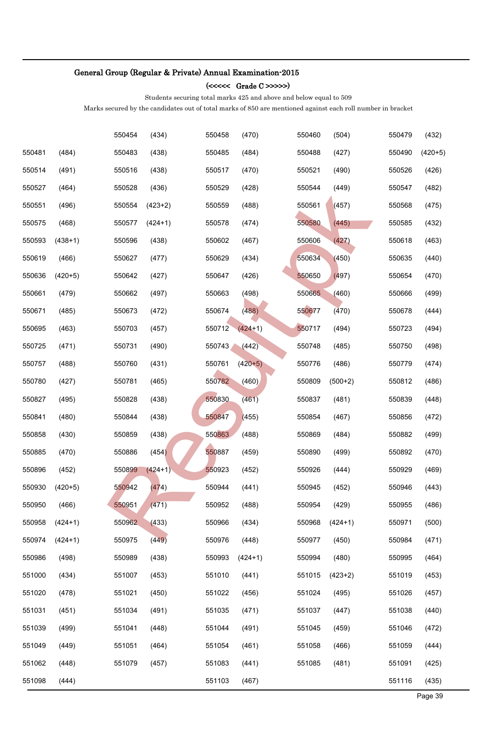### (<<<<< Grade C >>>>>)

Students securing total marks 425 and above and below equal to 509

|        |           | 550454 | (434)     | 550458 | (470)     | 550460 | (504)     | 550479 | (432)     |
|--------|-----------|--------|-----------|--------|-----------|--------|-----------|--------|-----------|
| 550481 | (484)     | 550483 | (438)     | 550485 | (484)     | 550488 | (427)     | 550490 | $(420+5)$ |
| 550514 | (491)     | 550516 | (438)     | 550517 | (470)     | 550521 | (490)     | 550526 | (426)     |
| 550527 | (464)     | 550528 | (436)     | 550529 | (428)     | 550544 | (449)     | 550547 | (482)     |
| 550551 | (496)     | 550554 | $(423+2)$ | 550559 | (488)     | 550561 | (457)     | 550568 | (475)     |
| 550575 | (468)     | 550577 | $(424+1)$ | 550578 | (474)     | 550580 | (445)     | 550585 | (432)     |
| 550593 | $(438+1)$ | 550596 | (438)     | 550602 | (467)     | 550606 | (427)     | 550618 | (463)     |
| 550619 | (466)     | 550627 | (477)     | 550629 | (434)     | 550634 | (450)     | 550635 | (440)     |
| 550636 | $(420+5)$ | 550642 | (427)     | 550647 | (426)     | 550650 | (497)     | 550654 | (470)     |
| 550661 | (479)     | 550662 | (497)     | 550663 | (498)     | 550665 | (460)     | 550666 | (499)     |
| 550671 | (485)     | 550673 | (472)     | 550674 | (488)     | 550677 | (470)     | 550678 | (444)     |
| 550695 | (463)     | 550703 | (457)     | 550712 | $(424+1)$ | 550717 | (494)     | 550723 | (494)     |
| 550725 | (471)     | 550731 | (490)     | 550743 | (442)     | 550748 | (485)     | 550750 | (498)     |
| 550757 | (488)     | 550760 | (431)     | 550761 | $(420+5)$ | 550776 | (486)     | 550779 | (474)     |
| 550780 | (427)     | 550781 | (465)     | 550782 | (460)     | 550809 | $(500+2)$ | 550812 | (486)     |
| 550827 | (495)     | 550828 | (438)     | 550830 | (461)     | 550837 | (481)     | 550839 | (448)     |
| 550841 | (480)     | 550844 | (438)     | 550847 | (455)     | 550854 | (467)     | 550856 | (472)     |
| 550858 | (430)     | 550859 | (438)     | 550863 | (488)     | 550869 | (484)     | 550882 | (499)     |
| 550885 | (470)     | 550886 | (454)     | 550887 | (459)     | 550890 | (499)     | 550892 | (470)     |
| 550896 | (452)     | 550899 | $(424+1)$ | 550923 | (452)     | 550926 | (444)     | 550929 | (469)     |
| 550930 | $(420+5)$ | 550942 | (474)     | 550944 | (441)     | 550945 | (452)     | 550946 | (443)     |
| 550950 | (466)     | 550951 | (471)     | 550952 | (488)     | 550954 | (429)     | 550955 | (486)     |
| 550958 | $(424+1)$ | 550962 | (433)     | 550966 | (434)     | 550968 | $(424+1)$ | 550971 | (500)     |
| 550974 | $(424+1)$ | 550975 | (449)     | 550976 | (448)     | 550977 | (450)     | 550984 | (471)     |
| 550986 | (498)     | 550989 | (438)     | 550993 | $(424+1)$ | 550994 | (480)     | 550995 | (464)     |
| 551000 | (434)     | 551007 | (453)     | 551010 | (441)     | 551015 | $(423+2)$ | 551019 | (453)     |
| 551020 | (478)     | 551021 | (450)     | 551022 | (456)     | 551024 | (495)     | 551026 | (457)     |
| 551031 | (451)     | 551034 | (491)     | 551035 | (471)     | 551037 | (447)     | 551038 | (440)     |
| 551039 | (499)     | 551041 | (448)     | 551044 | (491)     | 551045 | (459)     | 551046 | (472)     |
| 551049 | (449)     | 551051 | (464)     | 551054 | (461)     | 551058 | (466)     | 551059 | (444)     |
| 551062 | (448)     | 551079 | (457)     | 551083 | (441)     | 551085 | (481)     | 551091 | (425)     |
| 551098 | (444)     |        |           | 551103 | (467)     |        |           | 551116 | (435)     |
|        |           |        |           |        |           |        |           |        | Page 39   |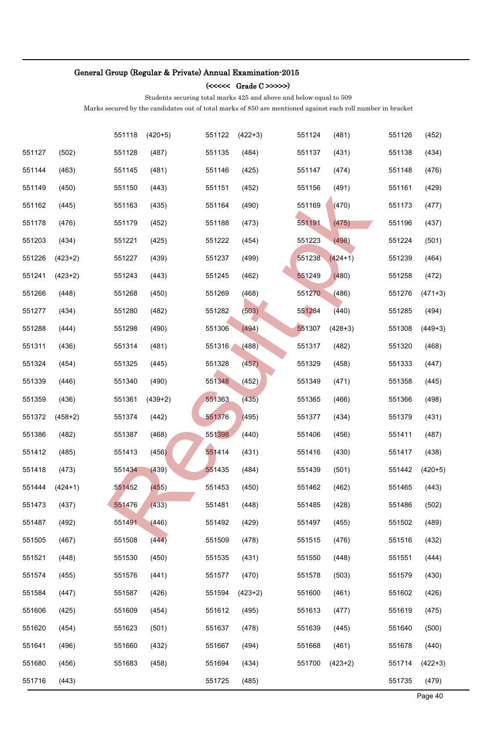### (<<<<< Grade C >>>>>)

Students securing total marks 425 and above and below equal to 509

|        |           | 551118 | $(420+5)$ | 551122 | $(422+3)$ | 551124 | (481)     | 551126 | (452)     |
|--------|-----------|--------|-----------|--------|-----------|--------|-----------|--------|-----------|
| 551127 | (502)     | 551128 | (487)     | 551135 | (484)     | 551137 | (431)     | 551138 | (434)     |
| 551144 | (463)     | 551145 | (481)     | 551146 | (425)     | 551147 | (474)     | 551148 | (476)     |
| 551149 | (450)     | 551150 | (443)     | 551151 | (452)     | 551156 | (491)     | 551161 | (429)     |
| 551162 | (445)     | 551163 | (435)     | 551164 | (490)     | 551169 | (470)     | 551173 | (477)     |
| 551178 | (476)     | 551179 | (452)     | 551188 | (473)     | 551191 | (475)     | 551196 | (437)     |
| 551203 | (434)     | 551221 | (425)     | 551222 | (454)     | 551223 | (498)     | 551224 | (501)     |
| 551226 | $(423+2)$ | 551227 | (439)     | 551237 | (499)     | 551238 | $(424+1)$ | 551239 | (464)     |
| 551241 | $(423+2)$ | 551243 | (443)     | 551245 | (462)     | 551249 | (480)     | 551258 | (472)     |
| 551266 | (448)     | 551268 | (450)     | 551269 | (468)     | 551270 | (486)     | 551276 | $(471+3)$ |
| 551277 | (434)     | 551280 | (482)     | 551282 | (503)     | 551284 | (440)     | 551285 | (494)     |
| 551288 | (444)     | 551298 | (490)     | 551306 | (494)     | 551307 | $(428+3)$ | 551308 | $(449+3)$ |
| 551311 | (436)     | 551314 | (481)     | 551316 | (488)     | 551317 | (482)     | 551320 | (468)     |
| 551324 | (454)     | 551325 | (445)     | 551328 | (457)     | 551329 | (458)     | 551333 | (447)     |
| 551339 | (446)     | 551340 | (490)     | 551348 | (452)     | 551349 | (471)     | 551358 | (445)     |
| 551359 | (436)     | 551361 | $(439+2)$ | 551363 | (435)     | 551365 | (466)     | 551366 | (498)     |
| 551372 | $(458+2)$ | 551374 | (442)     | 551376 | (495)     | 551377 | (434)     | 551379 | (431)     |
| 551386 | (482)     | 551387 | (468)     | 551398 | (440)     | 551406 | (456)     | 551411 | (487)     |
| 551412 | (485)     | 551413 | (456)     | 551414 | (431)     | 551416 | (430)     | 551417 | (438)     |
| 551418 | (473)     | 551434 | (439)     | 551435 | (484)     | 551439 | (501)     | 551442 | $(420+5)$ |
| 551444 | $(424+1)$ | 551452 | (455)     | 551453 | (450)     | 551462 | (462)     | 551465 | (443)     |
| 551473 | (437)     | 551476 | (433)     | 551481 | (448)     | 551485 | (428)     | 551486 | (502)     |
| 551487 | (492)     | 551491 | (446)     | 551492 | (429)     | 551497 | (455)     | 551502 | (489)     |
| 551505 | (467)     | 551508 | (444)     | 551509 | (478)     | 551515 | (476)     | 551516 | (432)     |
| 551521 | (448)     | 551530 | (450)     | 551535 | (431)     | 551550 | (448)     | 551551 | (444)     |
| 551574 | (455)     | 551576 | (441)     | 551577 | (470)     | 551578 | (503)     | 551579 | (430)     |
| 551584 | (447)     | 551587 | (426)     | 551594 | $(423+2)$ | 551600 | (461)     | 551602 | (426)     |
| 551606 | (425)     | 551609 | (454)     | 551612 | (495)     | 551613 | (477)     | 551619 | (475)     |
| 551620 | (454)     | 551623 | (501)     | 551637 | (478)     | 551639 | (445)     | 551640 | (500)     |
| 551641 | (496)     | 551660 | (432)     | 551667 | (494)     | 551668 | (461)     | 551678 | (440)     |
| 551680 | (456)     | 551683 | (458)     | 551694 | (434)     | 551700 | $(423+2)$ | 551714 | $(422+3)$ |
| 551716 | (443)     |        |           | 551725 | (485)     |        |           | 551735 | (479)     |
|        |           |        |           |        |           |        |           |        | Page 40   |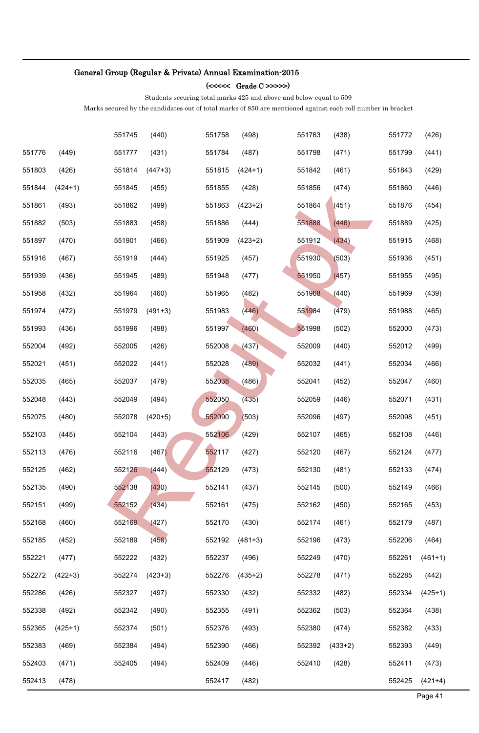### (<<<<< Grade C >>>>>)

Students securing total marks 425 and above and below equal to 509

|        |           | 551745 | (440)     | 551758 | (498)     | 551763 | (438)     | 551772 | (426)     |
|--------|-----------|--------|-----------|--------|-----------|--------|-----------|--------|-----------|
| 551776 | (449)     | 551777 | (431)     | 551784 | (487)     | 551798 | (471)     | 551799 | (441)     |
| 551803 | (426)     | 551814 | $(447+3)$ | 551815 | $(424+1)$ | 551842 | (461)     | 551843 | (429)     |
| 551844 | $(424+1)$ | 551845 | (455)     | 551855 | (428)     | 551856 | (474)     | 551860 | (446)     |
| 551861 | (493)     | 551862 | (499)     | 551863 | $(423+2)$ | 551864 | (451)     | 551876 | (454)     |
| 551882 | (503)     | 551883 | (458)     | 551886 | (444)     | 551888 | (446)     | 551889 | (425)     |
| 551897 | (470)     | 551901 | (466)     | 551909 | $(423+2)$ | 551912 | (434)     | 551915 | (468)     |
| 551916 | (467)     | 551919 | (444)     | 551925 | (457)     | 551930 | (503)     | 551936 | (451)     |
| 551939 | (436)     | 551945 | (489)     | 551948 | (477)     | 551950 | (457)     | 551955 | (495)     |
| 551958 | (432)     | 551964 | (460)     | 551965 | (482)     | 551968 | (440)     | 551969 | (439)     |
| 551974 | (472)     | 551979 | $(491+3)$ | 551983 | (446)     | 551984 | (479)     | 551988 | (465)     |
| 551993 | (436)     | 551996 | (498)     | 551997 | (460)     | 551998 | (502)     | 552000 | (473)     |
| 552004 | (492)     | 552005 | (426)     | 552008 | (437)     | 552009 | (440)     | 552012 | (499)     |
| 552021 | (451)     | 552022 | (441)     | 552028 | (489)     | 552032 | (441)     | 552034 | (466)     |
| 552035 | (465)     | 552037 | (479)     | 552038 | (486)     | 552041 | (452)     | 552047 | (460)     |
| 552048 | (443)     | 552049 | (494)     | 552050 | (435)     | 552059 | (446)     | 552071 | (431)     |
| 552075 | (480)     | 552078 | $(420+5)$ | 552090 | (503)     | 552096 | (497)     | 552098 | (451)     |
| 552103 | (445)     | 552104 | (443)     | 552106 | (429)     | 552107 | (465)     | 552108 | (446)     |
| 552113 | (476)     | 552116 | (467)     | 552117 | (427)     | 552120 | (467)     | 552124 | (477)     |
| 552125 | (462)     | 552126 | (444)     | 552129 | (473)     | 552130 | (481)     | 552133 | (474)     |
| 552135 | (490)     | 552138 | (430)     | 552141 | (437)     | 552145 | (500)     | 552149 | (466)     |
| 552151 | (499)     | 552152 | (434)     | 552161 | (475)     | 552162 | (450)     | 552165 | (453)     |
| 552168 | (460)     | 552169 | (427)     | 552170 | (430)     | 552174 | (461)     | 552179 | (487)     |
| 552185 | (452)     | 552189 | (456)     | 552192 | $(481+3)$ | 552196 | (473)     | 552206 | (464)     |
| 552221 | (477)     | 552222 | (432)     | 552237 | (496)     | 552249 | (470)     | 552261 | $(461+1)$ |
| 552272 | $(422+3)$ | 552274 | $(423+3)$ | 552276 | $(435+2)$ | 552278 | (471)     | 552285 | (442)     |
| 552286 | (426)     | 552327 | (497)     | 552330 | (432)     | 552332 | (482)     | 552334 | $(425+1)$ |
| 552338 | (492)     | 552342 | (490)     | 552355 | (491)     | 552362 | (503)     | 552364 | (438)     |
| 552365 | $(425+1)$ | 552374 | (501)     | 552376 | (493)     | 552380 | (474)     | 552382 | (433)     |
| 552383 | (469)     | 552384 | (494)     | 552390 | (466)     | 552392 | $(433+2)$ | 552393 | (449)     |
| 552403 | (471)     | 552405 | (494)     | 552409 | (446)     | 552410 | (428)     | 552411 | (473)     |
| 552413 | (478)     |        |           | 552417 | (482)     |        |           | 552425 | $(421+4)$ |
|        |           |        |           |        |           |        |           |        | Page 41   |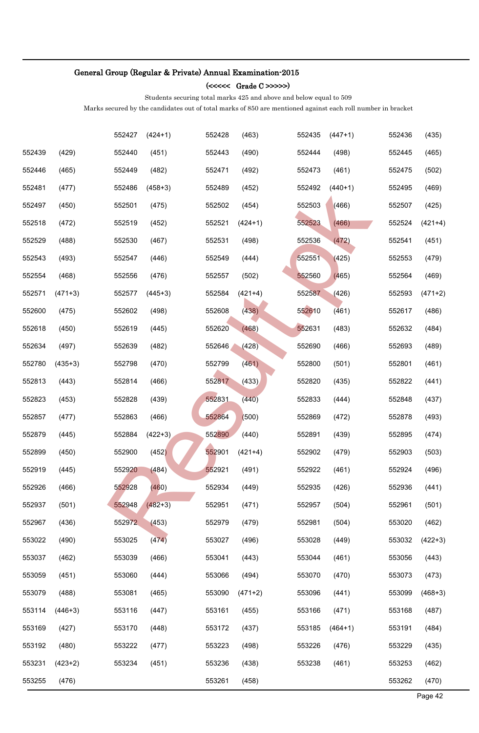### (<<<<< Grade C >>>>>)

Students securing total marks 425 and above and below equal to 509

|        |           | 552427 | $(424+1)$ | 552428 | (463)     | 552435 | $(447+1)$ | 552436 | (435)     |
|--------|-----------|--------|-----------|--------|-----------|--------|-----------|--------|-----------|
| 552439 | (429)     | 552440 | (451)     | 552443 | (490)     | 552444 | (498)     | 552445 | (465)     |
| 552446 | (465)     | 552449 | (482)     | 552471 | (492)     | 552473 | (461)     | 552475 | (502)     |
| 552481 | (477)     | 552486 | $(458+3)$ | 552489 | (452)     | 552492 | $(440+1)$ | 552495 | (469)     |
| 552497 | (450)     | 552501 | (475)     | 552502 | (454)     | 552503 | (466)     | 552507 | (425)     |
| 552518 | (472)     | 552519 | (452)     | 552521 | $(424+1)$ | 552523 | (466)     | 552524 | $(421+4)$ |
| 552529 | (488)     | 552530 | (467)     | 552531 | (498)     | 552536 | (472)     | 552541 | (451)     |
| 552543 | (493)     | 552547 | (446)     | 552549 | (444)     | 552551 | (425)     | 552553 | (479)     |
| 552554 | (468)     | 552556 | (476)     | 552557 | (502)     | 552560 | (465)     | 552564 | (469)     |
| 552571 | $(471+3)$ | 552577 | $(445+3)$ | 552584 | $(421+4)$ | 552587 | (426)     | 552593 | $(471+2)$ |
| 552600 | (475)     | 552602 | (498)     | 552608 | (438)     | 552610 | (461)     | 552617 | (486)     |
| 552618 | (450)     | 552619 | (445)     | 552620 | (468)     | 552631 | (483)     | 552632 | (484)     |
| 552634 | (497)     | 552639 | (482)     | 552646 | (428)     | 552690 | (466)     | 552693 | (489)     |
| 552780 | $(435+3)$ | 552798 | (470)     | 552799 | (461)     | 552800 | (501)     | 552801 | (461)     |
| 552813 | (443)     | 552814 | (466)     | 552817 | (433)     | 552820 | (435)     | 552822 | (441)     |
| 552823 | (453)     | 552828 | (439)     | 552831 | (440)     | 552833 | (444)     | 552848 | (437)     |
| 552857 | (477)     | 552863 | (466)     | 552864 | (500)     | 552869 | (472)     | 552878 | (493)     |
| 552879 | (445)     | 552884 | $(422+3)$ | 552890 | (440)     | 552891 | (439)     | 552895 | (474)     |
| 552899 | (450)     | 552900 | (452)     | 552901 | $(421+4)$ | 552902 | (479)     | 552903 | (503)     |
| 552919 | (445)     | 552920 | (484)     | 552921 | (491)     | 552922 | (461)     | 552924 | (496)     |
| 552926 | (466)     | 552928 | (460)     | 552934 | (449)     | 552935 | (426)     | 552936 | (441)     |
| 552937 | (501)     | 552948 | $(482+3)$ | 552951 | (471)     | 552957 | (504)     | 552961 | (501)     |
| 552967 | (436)     | 552972 | (453)     | 552979 | (479)     | 552981 | (504)     | 553020 | (462)     |
| 553022 | (490)     | 553025 | (474)     | 553027 | (496)     | 553028 | (449)     | 553032 | $(422+3)$ |
| 553037 | (462)     | 553039 | (466)     | 553041 | (443)     | 553044 | (461)     | 553056 | (443)     |
| 553059 | (451)     | 553060 | (444)     | 553066 | (494)     | 553070 | (470)     | 553073 | (473)     |
| 553079 | (488)     | 553081 | (465)     | 553090 | $(471+2)$ | 553096 | (441)     | 553099 | $(468+3)$ |
| 553114 | $(446+3)$ | 553116 | (447)     | 553161 | (455)     | 553166 | (471)     | 553168 | (487)     |
| 553169 | (427)     | 553170 | (448)     | 553172 | (437)     | 553185 | $(464+1)$ | 553191 | (484)     |
| 553192 | (480)     | 553222 | (477)     | 553223 | (498)     | 553226 | (476)     | 553229 | (435)     |
| 553231 | $(423+2)$ | 553234 | (451)     | 553236 | (438)     | 553238 | (461)     | 553253 | (462)     |
| 553255 | (476)     |        |           | 553261 | (458)     |        |           | 553262 | (470)     |
|        |           |        |           |        |           |        |           |        | Page 42   |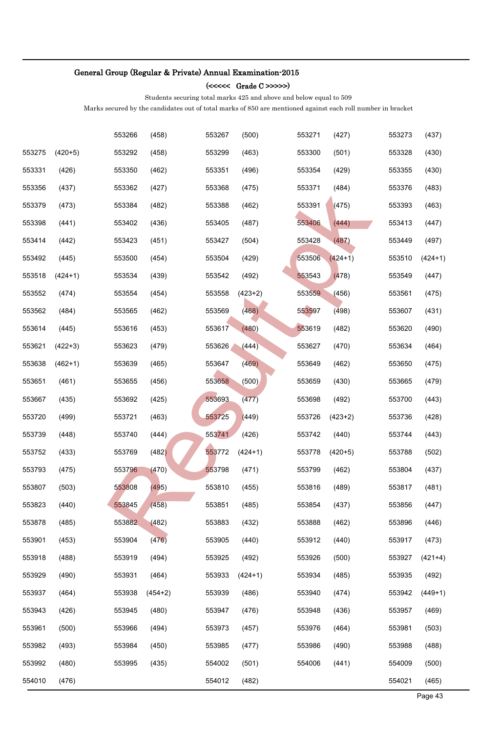### (<<<<< Grade C >>>>>)

Students securing total marks 425 and above and below equal to 509

|        |           | 553266 | (458)     | 553267 | (500)     | 553271 | (427)     | 553273 | (437)     |
|--------|-----------|--------|-----------|--------|-----------|--------|-----------|--------|-----------|
| 553275 | $(420+5)$ | 553292 | (458)     | 553299 | (463)     | 553300 | (501)     | 553328 | (430)     |
| 553331 | (426)     | 553350 | (462)     | 553351 | (496)     | 553354 | (429)     | 553355 | (430)     |
| 553356 | (437)     | 553362 | (427)     | 553368 | (475)     | 553371 | (484)     | 553376 | (483)     |
| 553379 | (473)     | 553384 | (482)     | 553388 | (462)     | 553391 | (475)     | 553393 | (463)     |
| 553398 | (441)     | 553402 | (436)     | 553405 | (487)     | 553406 | (444)     | 553413 | (447)     |
| 553414 | (442)     | 553423 | (451)     | 553427 | (504)     | 553428 | (487)     | 553449 | (497)     |
| 553492 | (445)     | 553500 | (454)     | 553504 | (429)     | 553506 | $(424+1)$ | 553510 | $(424+1)$ |
| 553518 | $(424+1)$ | 553534 | (439)     | 553542 | (492)     | 553543 | (478)     | 553549 | (447)     |
| 553552 | (474)     | 553554 | (454)     | 553558 | $(423+2)$ | 553559 | (456)     | 553561 | (475)     |
| 553562 | (484)     | 553565 | (462)     | 553569 | (468)     | 553597 | (498)     | 553607 | (431)     |
| 553614 | (445)     | 553616 | (453)     | 553617 | (480)     | 553619 | (482)     | 553620 | (490)     |
| 553621 | $(422+3)$ | 553623 | (479)     | 553626 | (444)     | 553627 | (470)     | 553634 | (464)     |
| 553638 | $(462+1)$ | 553639 | (465)     | 553647 | (469)     | 553649 | (462)     | 553650 | (475)     |
| 553651 | (461)     | 553655 | (456)     | 553658 | (500)     | 553659 | (430)     | 553665 | (479)     |
| 553667 | (435)     | 553692 | (425)     | 553693 | (477)     | 553698 | (492)     | 553700 | (443)     |
| 553720 | (499)     | 553721 | (463)     | 553725 | (449)     | 553726 | $(423+2)$ | 553736 | (428)     |
| 553739 | (448)     | 553740 | (444)     | 553741 | (426)     | 553742 | (440)     | 553744 | (443)     |
| 553752 | (433)     | 553769 | (482)     | 553772 | $(424+1)$ | 553778 | $(420+5)$ | 553788 | (502)     |
| 553793 | (475)     | 553796 | (470)     | 553798 | (471)     | 553799 | (462)     | 553804 | (437)     |
| 553807 | (503)     | 553808 | (495)     | 553810 | (455)     | 553816 | (489)     | 553817 | (481)     |
| 553823 | (440)     | 553845 | (458)     | 553851 | (485)     | 553854 | (437)     | 553856 | (447)     |
| 553878 | (485)     | 553882 | (482)     | 553883 | (432)     | 553888 | (462)     | 553896 | (446)     |
| 553901 | (453)     | 553904 | (476)     | 553905 | (440)     | 553912 | (440)     | 553917 | (473)     |
| 553918 | (488)     | 553919 | (494)     | 553925 | (492)     | 553926 | (500)     | 553927 | $(421+4)$ |
| 553929 | (490)     | 553931 | (464)     | 553933 | $(424+1)$ | 553934 | (485)     | 553935 | (492)     |
| 553937 | (464)     | 553938 | $(454+2)$ | 553939 | (486)     | 553940 | (474)     | 553942 | $(449+1)$ |
| 553943 | (426)     | 553945 | (480)     | 553947 | (476)     | 553948 | (436)     | 553957 | (469)     |
| 553961 | (500)     | 553966 | (494)     | 553973 | (457)     | 553976 | (464)     | 553981 | (503)     |
| 553982 | (493)     | 553984 | (450)     | 553985 | (477)     | 553986 | (490)     | 553988 | (488)     |
| 553992 | (480)     | 553995 | (435)     | 554002 | (501)     | 554006 | (441)     | 554009 | (500)     |
| 554010 | (476)     |        |           | 554012 | (482)     |        |           | 554021 | (465)     |
|        |           |        |           |        |           |        |           |        | Page 43   |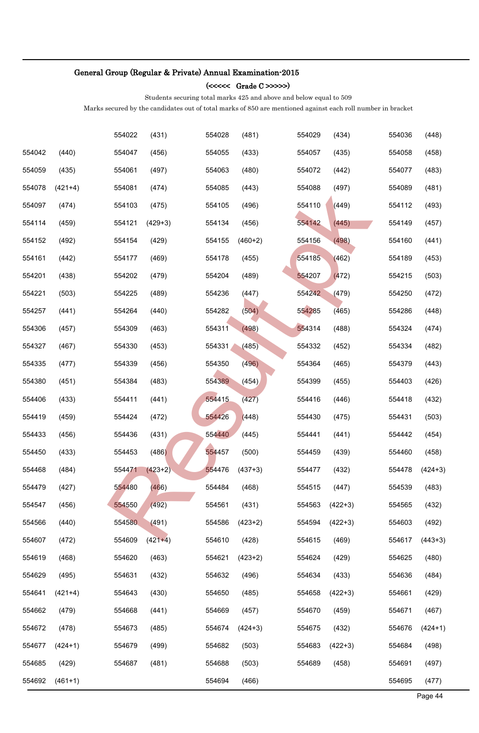### (<<<<< Grade C >>>>>)

Students securing total marks 425 and above and below equal to 509

|        |           | 554022 | (431)     | 554028 | (481)     | 554029 | (434)     | 554036 | (448)     |
|--------|-----------|--------|-----------|--------|-----------|--------|-----------|--------|-----------|
| 554042 | (440)     | 554047 | (456)     | 554055 | (433)     | 554057 | (435)     | 554058 | (458)     |
| 554059 | (435)     | 554061 | (497)     | 554063 | (480)     | 554072 | (442)     | 554077 | (483)     |
| 554078 | $(421+4)$ | 554081 | (474)     | 554085 | (443)     | 554088 | (497)     | 554089 | (481)     |
| 554097 | (474)     | 554103 | (475)     | 554105 | (496)     | 554110 | (449)     | 554112 | (493)     |
| 554114 | (459)     | 554121 | $(429+3)$ | 554134 | (456)     | 554142 | (445)     | 554149 | (457)     |
| 554152 | (492)     | 554154 | (429)     | 554155 | $(460+2)$ | 554156 | (498)     | 554160 | (441)     |
| 554161 | (442)     | 554177 | (469)     | 554178 | (455)     | 554185 | (462)     | 554189 | (453)     |
| 554201 | (438)     | 554202 | (479)     | 554204 | (489)     | 554207 | (472)     | 554215 | (503)     |
| 554221 | (503)     | 554225 | (489)     | 554236 | (447)     | 554242 | (479)     | 554250 | (472)     |
| 554257 | (441)     | 554264 | (440)     | 554282 | (504)     | 554285 | (465)     | 554286 | (448)     |
| 554306 | (457)     | 554309 | (463)     | 554311 | (498)     | 554314 | (488)     | 554324 | (474)     |
| 554327 | (467)     | 554330 | (453)     | 554331 | (485)     | 554332 | (452)     | 554334 | (482)     |
| 554335 | (477)     | 554339 | (456)     | 554350 | (496)     | 554364 | (465)     | 554379 | (443)     |
| 554380 | (451)     | 554384 | (483)     | 554389 | (454)     | 554399 | (455)     | 554403 | (426)     |
| 554406 | (433)     | 554411 | (441)     | 554415 | (427)     | 554416 | (446)     | 554418 | (432)     |
| 554419 | (459)     | 554424 | (472)     | 554426 | (448)     | 554430 | (475)     | 554431 | (503)     |
| 554433 | (456)     | 554436 | (431)     | 554440 | (445)     | 554441 | (441)     | 554442 | (454)     |
| 554450 | (433)     | 554453 | (486)     | 554457 | (500)     | 554459 | (439)     | 554460 | (458)     |
| 554468 | (484)     | 554471 | $(423+2)$ | 554476 | $(437+3)$ | 554477 | (432)     | 554478 | $(424+3)$ |
| 554479 | (427)     | 554480 | (466)     | 554484 | (468)     | 554515 | (447)     | 554539 | (483)     |
| 554547 | (456)     | 554550 | (492)     | 554561 | (431)     | 554563 | $(422+3)$ | 554565 | (432)     |
| 554566 | (440)     | 554580 | (491)     | 554586 | $(423+2)$ | 554594 | $(422+3)$ | 554603 | (492)     |
| 554607 | (472)     | 554609 | $(421+4)$ | 554610 | (428)     | 554615 | (469)     | 554617 | $(443+3)$ |
| 554619 | (468)     | 554620 | (463)     | 554621 | $(423+2)$ | 554624 | (429)     | 554625 | (480)     |
| 554629 | (495)     | 554631 | (432)     | 554632 | (496)     | 554634 | (433)     | 554636 | (484)     |
| 554641 | $(421+4)$ | 554643 | (430)     | 554650 | (485)     | 554658 | $(422+3)$ | 554661 | (429)     |
| 554662 | (479)     | 554668 | (441)     | 554669 | (457)     | 554670 | (459)     | 554671 | (467)     |
| 554672 | (478)     | 554673 | (485)     | 554674 | $(424+3)$ | 554675 | (432)     | 554676 | $(424+1)$ |
| 554677 | $(424+1)$ | 554679 | (499)     | 554682 | (503)     | 554683 | $(422+3)$ | 554684 | (498)     |
| 554685 | (429)     | 554687 | (481)     | 554688 | (503)     | 554689 | (458)     | 554691 | (497)     |
| 554692 | $(461+1)$ |        |           | 554694 | (466)     |        |           | 554695 | (477)     |
|        |           |        |           |        |           |        |           |        | Page 44   |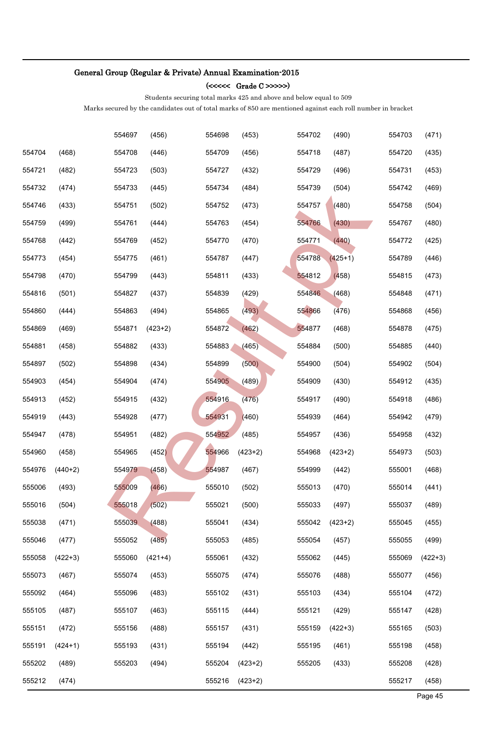### (<<<<< Grade C >>>>>)

Students securing total marks 425 and above and below equal to 509

|        |           | 554697 | (456)     | 554698 | (453)     | 554702 | (490)     | 554703 | (471)     |
|--------|-----------|--------|-----------|--------|-----------|--------|-----------|--------|-----------|
| 554704 | (468)     | 554708 | (446)     | 554709 | (456)     | 554718 | (487)     | 554720 | (435)     |
| 554721 | (482)     | 554723 | (503)     | 554727 | (432)     | 554729 | (496)     | 554731 | (453)     |
| 554732 | (474)     | 554733 | (445)     | 554734 | (484)     | 554739 | (504)     | 554742 | (469)     |
| 554746 | (433)     | 554751 | (502)     | 554752 | (473)     | 554757 | (480)     | 554758 | (504)     |
| 554759 | (499)     | 554761 | (444)     | 554763 | (454)     | 554766 | (430)     | 554767 | (480)     |
| 554768 | (442)     | 554769 | (452)     | 554770 | (470)     | 554771 | (440)     | 554772 | (425)     |
| 554773 | (454)     | 554775 | (461)     | 554787 | (447)     | 554788 | $(425+1)$ | 554789 | (446)     |
| 554798 | (470)     | 554799 | (443)     | 554811 | (433)     | 554812 | (458)     | 554815 | (473)     |
| 554816 | (501)     | 554827 | (437)     | 554839 | (429)     | 554846 | (468)     | 554848 | (471)     |
| 554860 | (444)     | 554863 | (494)     | 554865 | (493)     | 554866 | (476)     | 554868 | (456)     |
| 554869 | (469)     | 554871 | $(423+2)$ | 554872 | (462)     | 554877 | (468)     | 554878 | (475)     |
| 554881 | (458)     | 554882 | (433)     | 554883 | (465)     | 554884 | (500)     | 554885 | (440)     |
| 554897 | (502)     | 554898 | (434)     | 554899 | (500)     | 554900 | (504)     | 554902 | (504)     |
| 554903 | (454)     | 554904 | (474)     | 554905 | (489)     | 554909 | (430)     | 554912 | (435)     |
| 554913 | (452)     | 554915 | (432)     | 554916 | (476)     | 554917 | (490)     | 554918 | (486)     |
| 554919 | (443)     | 554928 | (477)     | 554931 | (460)     | 554939 | (464)     | 554942 | (479)     |
| 554947 | (478)     | 554951 | (482)     | 554952 | (485)     | 554957 | (436)     | 554958 | (432)     |
| 554960 | (458)     | 554965 | (452)     | 554966 | $(423+2)$ | 554968 | $(423+2)$ | 554973 | (503)     |
| 554976 | $(440+2)$ | 554979 | (458)     | 554987 | (467)     | 554999 | (442)     | 555001 | (468)     |
| 555006 | (493)     | 555009 | (466)     | 555010 | (502)     | 555013 | (470)     | 555014 | (441)     |
| 555016 | (504)     | 555018 | (502)     | 555021 | (500)     | 555033 | (497)     | 555037 | (489)     |
| 555038 | (471)     | 555039 | (488)     | 555041 | (434)     | 555042 | $(423+2)$ | 555045 | (455)     |
| 555046 | (477)     | 555052 | (485)     | 555053 | (485)     | 555054 | (457)     | 555055 | (499)     |
| 555058 | $(422+3)$ | 555060 | $(421+4)$ | 555061 | (432)     | 555062 | (445)     | 555069 | $(422+3)$ |
| 555073 | (467)     | 555074 | (453)     | 555075 | (474)     | 555076 | (488)     | 555077 | (456)     |
| 555092 | (464)     | 555096 | (483)     | 555102 | (431)     | 555103 | (434)     | 555104 | (472)     |
| 555105 | (487)     | 555107 | (463)     | 555115 | (444)     | 555121 | (429)     | 555147 | (428)     |
| 555151 | (472)     | 555156 | (488)     | 555157 | (431)     | 555159 | $(422+3)$ | 555165 | (503)     |
| 555191 | $(424+1)$ | 555193 | (431)     | 555194 | (442)     | 555195 | (461)     | 555198 | (458)     |
| 555202 | (489)     | 555203 | (494)     | 555204 | $(423+2)$ | 555205 | (433)     | 555208 | (428)     |
| 555212 | (474)     |        |           | 555216 | $(423+2)$ |        |           | 555217 | (458)     |
|        |           |        |           |        |           |        |           |        | Page 45   |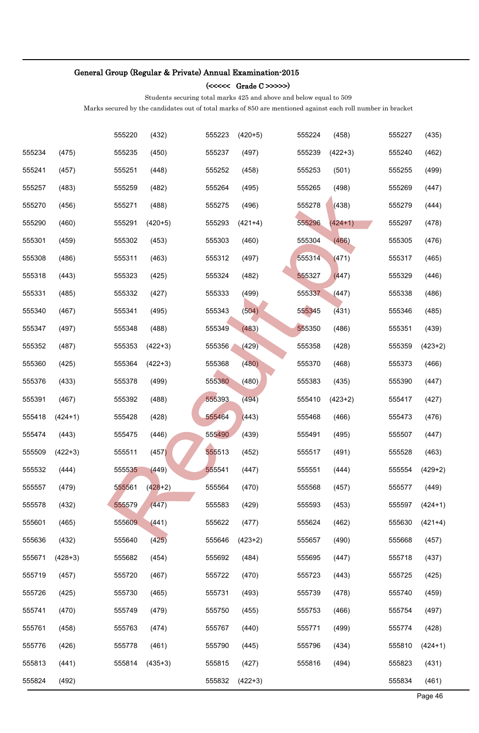### (<<<<< Grade C >>>>>)

Students securing total marks 425 and above and below equal to 509

|        |           | 555220 | (432)     | 555223 | $(420+5)$ | 555224 | (458)     | 555227 | (435)     |
|--------|-----------|--------|-----------|--------|-----------|--------|-----------|--------|-----------|
| 555234 | (475)     | 555235 | (450)     | 555237 | (497)     | 555239 | $(422+3)$ | 555240 | (462)     |
| 555241 | (457)     | 555251 | (448)     | 555252 | (458)     | 555253 | (501)     | 555255 | (499)     |
| 555257 | (483)     | 555259 | (482)     | 555264 | (495)     | 555265 | (498)     | 555269 | (447)     |
| 555270 | (456)     | 555271 | (488)     | 555275 | (496)     | 555278 | (438)     | 555279 | (444)     |
| 555290 | (460)     | 555291 | $(420+5)$ | 555293 | $(421+4)$ | 555296 | $(424+1)$ | 555297 | (478)     |
| 555301 | (459)     | 555302 | (453)     | 555303 | (460)     | 555304 | (466)     | 555305 | (476)     |
| 555308 | (486)     | 555311 | (463)     | 555312 | (497)     | 555314 | (471)     | 555317 | (465)     |
| 555318 | (443)     | 555323 | (425)     | 555324 | (482)     | 555327 | (447)     | 555329 | (446)     |
| 555331 | (485)     | 555332 | (427)     | 555333 | (499)     | 555337 | (447)     | 555338 | (486)     |
| 555340 | (467)     | 555341 | (495)     | 555343 | (504)     | 555345 | (431)     | 555346 | (485)     |
| 555347 | (497)     | 555348 | (488)     | 555349 | (483)     | 555350 | (486)     | 555351 | (439)     |
| 555352 | (487)     | 555353 | $(422+3)$ | 555356 | (429)     | 555358 | (428)     | 555359 | $(423+2)$ |
| 555360 | (425)     | 555364 | $(422+3)$ | 555368 | (480)     | 555370 | (468)     | 555373 | (466)     |
| 555376 | (433)     | 555378 | (499)     | 555380 | (480)     | 555383 | (435)     | 555390 | (447)     |
| 555391 | (467)     | 555392 | (488)     | 555393 | (494)     | 555410 | $(423+2)$ | 555417 | (427)     |
| 555418 | $(424+1)$ | 555428 | (428)     | 555464 | (443)     | 555468 | (466)     | 555473 | (476)     |
| 555474 | (443)     | 555475 | (446)     | 555490 | (439)     | 555491 | (495)     | 555507 | (447)     |
| 555509 | $(422+3)$ | 555511 | (457)     | 555513 | (452)     | 555517 | (491)     | 555528 | (463)     |
| 555532 | (444)     | 555535 | (449)     | 555541 | (447)     | 555551 | (444)     | 555554 | $(429+2)$ |
| 555557 | (479)     | 555561 | $(428+2)$ | 555564 | (470)     | 555568 | (457)     | 555577 | (449)     |
| 555578 | (432)     | 555579 | (447)     | 555583 | (429)     | 555593 | (453)     | 555597 | $(424+1)$ |
| 555601 | (465)     | 555609 | (441)     | 555622 | (477)     | 555624 | (462)     | 555630 | $(421+4)$ |
| 555636 | (432)     | 555640 | (425)     | 555646 | $(423+2)$ | 555657 | (490)     | 555668 | (457)     |
| 555671 | $(428+3)$ | 555682 | (454)     | 555692 | (484)     | 555695 | (447)     | 555718 | (437)     |
| 555719 | (457)     | 555720 | (467)     | 555722 | (470)     | 555723 | (443)     | 555725 | (425)     |
| 555726 | (425)     | 555730 | (465)     | 555731 | (493)     | 555739 | (478)     | 555740 | (459)     |
| 555741 | (470)     | 555749 | (479)     | 555750 | (455)     | 555753 | (466)     | 555754 | (497)     |
| 555761 | (458)     | 555763 | (474)     | 555767 | (440)     | 555771 | (499)     | 555774 | (428)     |
| 555776 | (426)     | 555778 | (461)     | 555790 | (445)     | 555796 | (434)     | 555810 | $(424+1)$ |
| 555813 | (441)     | 555814 | $(435+3)$ | 555815 | (427)     | 555816 | (494)     | 555823 | (431)     |
| 555824 | (492)     |        |           | 555832 | $(422+3)$ |        |           | 555834 | (461)     |
|        |           |        |           |        |           |        |           |        | Page 46   |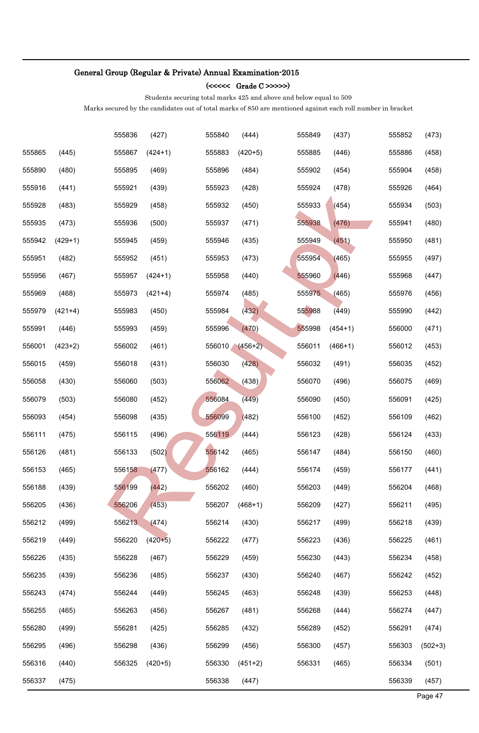### (<<<<< Grade C >>>>>)

Students securing total marks 425 and above and below equal to 509

|        |           | 555836 | (427)     | 555840 | (444)     | 555849 | (437)     | 555852 | (473)     |
|--------|-----------|--------|-----------|--------|-----------|--------|-----------|--------|-----------|
| 555865 | (445)     | 555867 | $(424+1)$ | 555883 | $(420+5)$ | 555885 | (446)     | 555886 | (458)     |
| 555890 | (480)     | 555895 | (469)     | 555896 | (484)     | 555902 | (454)     | 555904 | (458)     |
| 555916 | (441)     | 555921 | (439)     | 555923 | (428)     | 555924 | (478)     | 555926 | (464)     |
| 555928 | (483)     | 555929 | (458)     | 555932 | (450)     | 555933 | (454)     | 555934 | (503)     |
| 555935 | (473)     | 555936 | (500)     | 555937 | (471)     | 555938 | (476)     | 555941 | (480)     |
| 555942 | $(429+1)$ | 555945 | (459)     | 555946 | (435)     | 555949 | (451)     | 555950 | (481)     |
| 555951 | (482)     | 555952 | (451)     | 555953 | (473)     | 555954 | (465)     | 555955 | (497)     |
| 555956 | (467)     | 555957 | $(424+1)$ | 555958 | (440)     | 555960 | (446)     | 555968 | (447)     |
| 555969 | (468)     | 555973 | $(421+4)$ | 555974 | (485)     | 555975 | (465)     | 555976 | (456)     |
| 555979 | $(421+4)$ | 555983 | (450)     | 555984 | (432)     | 555988 | (449)     | 555990 | (442)     |
| 555991 | (446)     | 555993 | (459)     | 555996 | (470)     | 555998 | $(454+1)$ | 556000 | (471)     |
| 556001 | $(423+2)$ | 556002 | (461)     | 556010 | $(456+2)$ | 556011 | $(466+1)$ | 556012 | (453)     |
| 556015 | (459)     | 556018 | (431)     | 556030 | (428)     | 556032 | (491)     | 556035 | (452)     |
| 556058 | (430)     | 556060 | (503)     | 556062 | (438)     | 556070 | (496)     | 556075 | (469)     |
| 556079 | (503)     | 556080 | (452)     | 556084 | (449)     | 556090 | (450)     | 556091 | (425)     |
| 556093 | (454)     | 556098 | (435)     | 556099 | (482)     | 556100 | (452)     | 556109 | (462)     |
| 556111 | (475)     | 556115 | (496)     | 556119 | (444)     | 556123 | (428)     | 556124 | (433)     |
| 556126 | (481)     | 556133 | (502)     | 556142 | (465)     | 556147 | (484)     | 556150 | (460)     |
| 556153 | (465)     | 556158 | (477)     | 556162 | (444)     | 556174 | (459)     | 556177 | (441)     |
| 556188 | (439)     | 556199 | (442)     | 556202 | (460)     | 556203 | (449)     | 556204 | (468)     |
| 556205 | (436)     | 556206 | (453)     | 556207 | $(468+1)$ | 556209 | (427)     | 556211 | (495)     |
| 556212 | (499)     | 556213 | (474)     | 556214 | (430)     | 556217 | (499)     | 556218 | (439)     |
| 556219 | (449)     | 556220 | $(420+5)$ | 556222 | (477)     | 556223 | (436)     | 556225 | (461)     |
| 556226 | (435)     | 556228 | (467)     | 556229 | (459)     | 556230 | (443)     | 556234 | (458)     |
| 556235 | (439)     | 556236 | (485)     | 556237 | (430)     | 556240 | (467)     | 556242 | (452)     |
| 556243 | (474)     | 556244 | (449)     | 556245 | (463)     | 556248 | (439)     | 556253 | (448)     |
| 556255 | (465)     | 556263 | (456)     | 556267 | (481)     | 556268 | (444)     | 556274 | (447)     |
| 556280 | (499)     | 556281 | (425)     | 556285 | (432)     | 556289 | (452)     | 556291 | (474)     |
| 556295 | (496)     | 556298 | (436)     | 556299 | (456)     | 556300 | (457)     | 556303 | $(502+3)$ |
| 556316 | (440)     | 556325 | $(420+5)$ | 556330 | $(451+2)$ | 556331 | (465)     | 556334 | (501)     |
| 556337 | (475)     |        |           | 556338 | (447)     |        |           | 556339 | (457)     |
|        |           |        |           |        |           |        |           |        | Page 47   |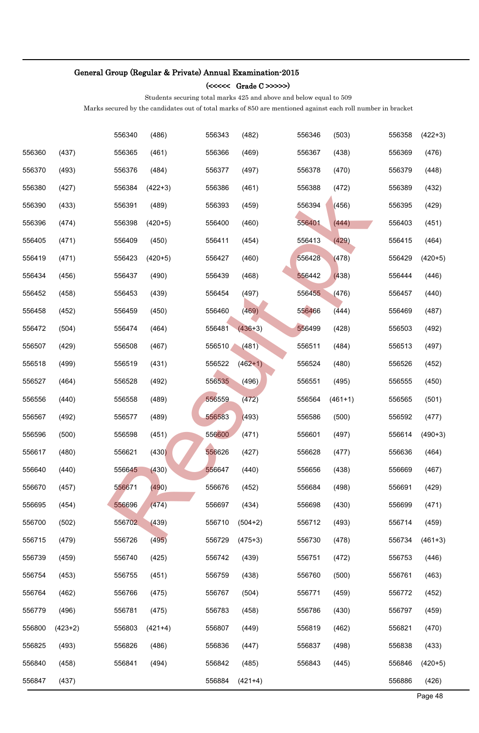### (<<<<< Grade C >>>>>)

Students securing total marks 425 and above and below equal to 509

|        |           | 556340 | (486)     | 556343 | (482)     | 556346 | (503)     | 556358 | $(422+3)$ |
|--------|-----------|--------|-----------|--------|-----------|--------|-----------|--------|-----------|
| 556360 | (437)     | 556365 | (461)     | 556366 | (469)     | 556367 | (438)     | 556369 | (476)     |
| 556370 | (493)     | 556376 | (484)     | 556377 | (497)     | 556378 | (470)     | 556379 | (448)     |
| 556380 | (427)     | 556384 | $(422+3)$ | 556386 | (461)     | 556388 | (472)     | 556389 | (432)     |
| 556390 | (433)     | 556391 | (489)     | 556393 | (459)     | 556394 | (456)     | 556395 | (429)     |
| 556396 | (474)     | 556398 | $(420+5)$ | 556400 | (460)     | 556401 | (444)     | 556403 | (451)     |
| 556405 | (471)     | 556409 | (450)     | 556411 | (454)     | 556413 | (429)     | 556415 | (464)     |
| 556419 | (471)     | 556423 | $(420+5)$ | 556427 | (460)     | 556428 | (478)     | 556429 | $(420+5)$ |
| 556434 | (456)     | 556437 | (490)     | 556439 | (468)     | 556442 | (438)     | 556444 | (446)     |
| 556452 | (458)     | 556453 | (439)     | 556454 | (497)     | 556455 | (476)     | 556457 | (440)     |
| 556458 | (452)     | 556459 | (450)     | 556460 | (469)     | 556466 | (444)     | 556469 | (487)     |
| 556472 | (504)     | 556474 | (464)     | 556481 | $(436+3)$ | 556499 | (428)     | 556503 | (492)     |
| 556507 | (429)     | 556508 | (467)     | 556510 | (481)     | 556511 | (484)     | 556513 | (497)     |
| 556518 | (499)     | 556519 | (431)     | 556522 | $(462+1)$ | 556524 | (480)     | 556526 | (452)     |
| 556527 | (464)     | 556528 | (492)     | 556535 | (496)     | 556551 | (495)     | 556555 | (450)     |
| 556556 | (440)     | 556558 | (489)     | 556559 | (472)     | 556564 | $(461+1)$ | 556565 | (501)     |
| 556567 | (492)     | 556577 | (489)     | 556583 | (493)     | 556586 | (500)     | 556592 | (477)     |
| 556596 | (500)     | 556598 | (451)     | 556600 | (471)     | 556601 | (497)     | 556614 | $(490+3)$ |
| 556617 | (480)     | 556621 | (430)     | 556626 | (427)     | 556628 | (477)     | 556636 | (464)     |
| 556640 | (440)     | 556645 | (430)     | 556647 | (440)     | 556656 | (438)     | 556669 | (467)     |
| 556670 | (457)     | 556671 | (490)     | 556676 | (452)     | 556684 | (498)     | 556691 | (429)     |
| 556695 | (454)     | 556696 | (474)     | 556697 | (434)     | 556698 | (430)     | 556699 | (471)     |
| 556700 | (502)     | 556702 | (439)     | 556710 | $(504+2)$ | 556712 | (493)     | 556714 | (459)     |
| 556715 | (479)     | 556726 | (495)     | 556729 | $(475+3)$ | 556730 | (478)     | 556734 | $(461+3)$ |
| 556739 | (459)     | 556740 | (425)     | 556742 | (439)     | 556751 | (472)     | 556753 | (446)     |
| 556754 | (453)     | 556755 | (451)     | 556759 | (438)     | 556760 | (500)     | 556761 | (463)     |
| 556764 | (462)     | 556766 | (475)     | 556767 | (504)     | 556771 | (459)     | 556772 | (452)     |
| 556779 | (496)     | 556781 | (475)     | 556783 | (458)     | 556786 | (430)     | 556797 | (459)     |
| 556800 | $(423+2)$ | 556803 | $(421+4)$ | 556807 | (449)     | 556819 | (462)     | 556821 | (470)     |
| 556825 | (493)     | 556826 | (486)     | 556836 | (447)     | 556837 | (498)     | 556838 | (433)     |
| 556840 | (458)     | 556841 | (494)     | 556842 | (485)     | 556843 | (445)     | 556846 | $(420+5)$ |
| 556847 | (437)     |        |           | 556884 | $(421+4)$ |        |           | 556886 | (426)     |
|        |           |        |           |        |           |        |           |        | Page 48   |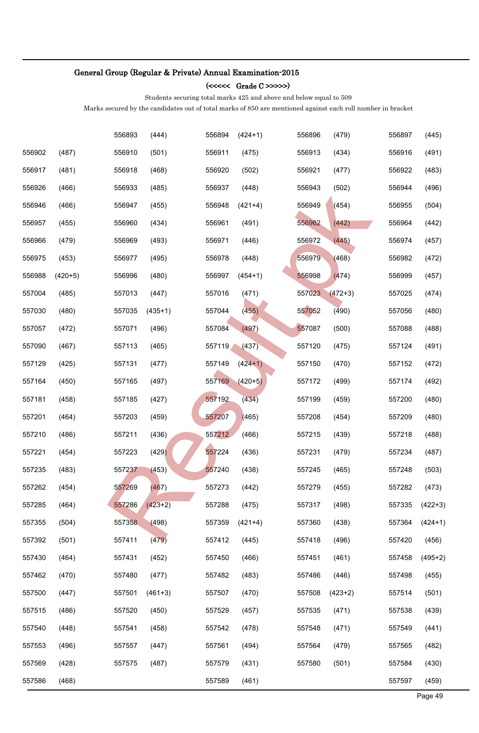### (<<<<< Grade C >>>>>)

Students securing total marks 425 and above and below equal to 509

|        |           | 556893 | (444)     | 556894 | $(424+1)$ | 556896 | (479)     | 556897 | (445)     |
|--------|-----------|--------|-----------|--------|-----------|--------|-----------|--------|-----------|
| 556902 | (487)     | 556910 | (501)     | 556911 | (475)     | 556913 | (434)     | 556916 | (491)     |
| 556917 | (481)     | 556918 | (468)     | 556920 | (502)     | 556921 | (477)     | 556922 | (483)     |
| 556926 | (466)     | 556933 | (485)     | 556937 | (448)     | 556943 | (502)     | 556944 | (496)     |
| 556946 | (466)     | 556947 | (455)     | 556948 | $(421+4)$ | 556949 | (454)     | 556955 | (504)     |
| 556957 | (455)     | 556960 | (434)     | 556961 | (491)     | 556962 | (442)     | 556964 | (442)     |
| 556966 | (479)     | 556969 | (493)     | 556971 | (446)     | 556972 | (445)     | 556974 | (457)     |
| 556975 | (453)     | 556977 | (495)     | 556978 | (448)     | 556979 | (468)     | 556982 | (472)     |
| 556988 | $(420+5)$ | 556996 | (480)     | 556997 | $(454+1)$ | 556998 | (474)     | 556999 | (457)     |
| 557004 | (485)     | 557013 | (447)     | 557016 | (471)     | 557023 | $(472+3)$ | 557025 | (474)     |
| 557030 | (480)     | 557035 | $(435+1)$ | 557044 | (455)     | 557052 | (490)     | 557056 | (480)     |
| 557057 | (472)     | 557071 | (496)     | 557084 | (497)     | 557087 | (500)     | 557088 | (488)     |
| 557090 | (467)     | 557113 | (465)     | 557119 | (437)     | 557120 | (475)     | 557124 | (491)     |
| 557129 | (425)     | 557131 | (477)     | 557149 | $(424+1)$ | 557150 | (470)     | 557152 | (472)     |
| 557164 | (450)     | 557165 | (497)     | 557169 | $(420+5)$ | 557172 | (499)     | 557174 | (492)     |
| 557181 | (458)     | 557185 | (427)     | 557192 | (434)     | 557199 | (459)     | 557200 | (480)     |
| 557201 | (464)     | 557203 | (459)     | 557207 | (465)     | 557208 | (454)     | 557209 | (480)     |
| 557210 | (486)     | 557211 | (436)     | 557212 | (466)     | 557215 | (439)     | 557218 | (488)     |
| 557221 | (454)     | 557223 | (429)     | 557224 | (436)     | 557231 | (479)     | 557234 | (487)     |
| 557235 | (483)     | 557237 | (453)     | 557240 | (438)     | 557245 | (465)     | 557248 | (503)     |
| 557262 | (454)     | 557269 | (467)     | 557273 | (442)     | 557279 | (455)     | 557282 | (473)     |
| 557285 | (464)     | 557286 | $(423+2)$ | 557288 | (475)     | 557317 | (498)     | 557335 | $(422+3)$ |
| 557355 | (504)     | 557358 | (498)     | 557359 | $(421+4)$ | 557360 | (438)     | 557364 | $(424+1)$ |
| 557392 | (501)     | 557411 | (479)     | 557412 | (445)     | 557418 | (496)     | 557420 | (456)     |
| 557430 | (464)     | 557431 | (452)     | 557450 | (466)     | 557451 | (461)     | 557458 | $(495+2)$ |
| 557462 | (470)     | 557480 | (477)     | 557482 | (483)     | 557486 | (446)     | 557498 | (455)     |
| 557500 | (447)     | 557501 | $(461+3)$ | 557507 | (470)     | 557508 | $(423+2)$ | 557514 | (501)     |
| 557515 | (486)     | 557520 | (450)     | 557529 | (457)     | 557535 | (471)     | 557538 | (439)     |
| 557540 | (448)     | 557541 | (458)     | 557542 | (478)     | 557548 | (471)     | 557549 | (441)     |
| 557553 | (496)     | 557557 | (447)     | 557561 | (494)     | 557564 | (479)     | 557565 | (482)     |
| 557569 | (428)     | 557575 | (487)     | 557579 | (431)     | 557580 | (501)     | 557584 | (430)     |
| 557586 | (468)     |        |           | 557589 | (461)     |        |           | 557597 | (459)     |
|        |           |        |           |        |           |        |           |        | Page 49   |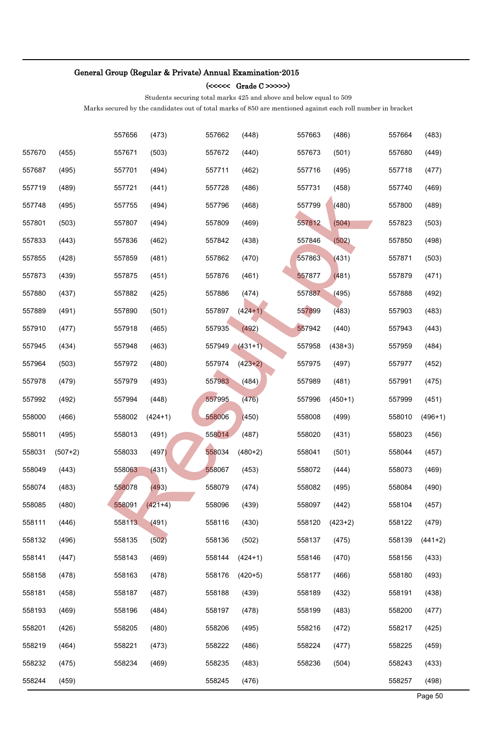### (<<<<< Grade C >>>>>)

Students securing total marks 425 and above and below equal to 509

|        |           | 557656 | (473)     | 557662 | (448)     | 557663 | (486)     | 557664 | (483)     |
|--------|-----------|--------|-----------|--------|-----------|--------|-----------|--------|-----------|
| 557670 | (455)     | 557671 | (503)     | 557672 | (440)     | 557673 | (501)     | 557680 | (449)     |
| 557687 | (495)     | 557701 | (494)     | 557711 | (462)     | 557716 | (495)     | 557718 | (477)     |
| 557719 | (489)     | 557721 | (441)     | 557728 | (486)     | 557731 | (458)     | 557740 | (469)     |
| 557748 | (495)     | 557755 | (494)     | 557796 | (468)     | 557799 | (480)     | 557800 | (489)     |
| 557801 | (503)     | 557807 | (494)     | 557809 | (469)     | 557812 | (504)     | 557823 | (503)     |
| 557833 | (443)     | 557836 | (462)     | 557842 | (438)     | 557846 | (502)     | 557850 | (498)     |
| 557855 | (428)     | 557859 | (481)     | 557862 | (470)     | 557863 | (431)     | 557871 | (503)     |
| 557873 | (439)     | 557875 | (451)     | 557876 | (461)     | 557877 | (481)     | 557879 | (471)     |
| 557880 | (437)     | 557882 | (425)     | 557886 | (474)     | 557887 | (495)     | 557888 | (492)     |
| 557889 | (491)     | 557890 | (501)     | 557897 | $(424+1)$ | 557899 | (483)     | 557903 | (483)     |
| 557910 | (477)     | 557918 | (465)     | 557935 | (492)     | 557942 | (440)     | 557943 | (443)     |
| 557945 | (434)     | 557948 | (463)     | 557949 | $(431+1)$ | 557958 | $(438+3)$ | 557959 | (484)     |
| 557964 | (503)     | 557972 | (480)     | 557974 | $(423+2)$ | 557975 | (497)     | 557977 | (452)     |
| 557978 | (479)     | 557979 | (493)     | 557983 | (484)     | 557989 | (481)     | 557991 | (475)     |
| 557992 | (492)     | 557994 | (448)     | 557995 | (476)     | 557996 | $(450+1)$ | 557999 | (451)     |
| 558000 | (466)     | 558002 | $(424+1)$ | 558006 | (450)     | 558008 | (499)     | 558010 | $(496+1)$ |
| 558011 | (495)     | 558013 | (491)     | 558014 | (487)     | 558020 | (431)     | 558023 | (456)     |
| 558031 | $(507+2)$ | 558033 | (497)     | 558034 | $(480+2)$ | 558041 | (501)     | 558044 | (457)     |
| 558049 | (443)     | 558063 | (431)     | 558067 | (453)     | 558072 | (444)     | 558073 | (469)     |
| 558074 | (483)     | 558078 | (493)     | 558079 | (474)     | 558082 | (495)     | 558084 | (490)     |
| 558085 | (480)     | 558091 | $(421+4)$ | 558096 | (439)     | 558097 | (442)     | 558104 | (457)     |
| 558111 | (446)     | 558113 | (491)     | 558116 | (430)     | 558120 | $(423+2)$ | 558122 | (479)     |
| 558132 | (496)     | 558135 | (502)     | 558136 | (502)     | 558137 | (475)     | 558139 | $(441+2)$ |
| 558141 | (447)     | 558143 | (469)     | 558144 | $(424+1)$ | 558146 | (470)     | 558156 | (433)     |
| 558158 | (478)     | 558163 | (478)     | 558176 | $(420+5)$ | 558177 | (466)     | 558180 | (493)     |
| 558181 | (458)     | 558187 | (487)     | 558188 | (439)     | 558189 | (432)     | 558191 | (438)     |
| 558193 | (469)     | 558196 | (484)     | 558197 | (478)     | 558199 | (483)     | 558200 | (477)     |
| 558201 | (426)     | 558205 | (480)     | 558206 | (495)     | 558216 | (472)     | 558217 | (425)     |
| 558219 | (464)     | 558221 | (473)     | 558222 | (486)     | 558224 | (477)     | 558225 | (459)     |
| 558232 | (475)     | 558234 | (469)     | 558235 | (483)     | 558236 | (504)     | 558243 | (433)     |
| 558244 | (459)     |        |           | 558245 | (476)     |        |           | 558257 | (498)     |
|        |           |        |           |        |           |        |           |        | Page 50   |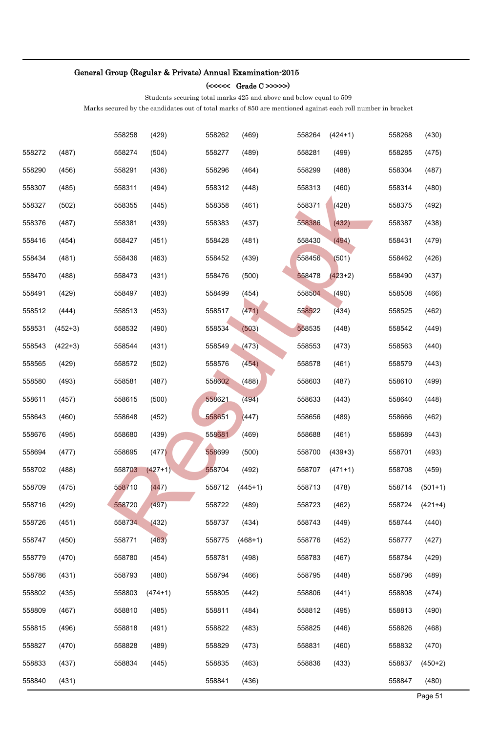### (<<<<< Grade C >>>>>)

Students securing total marks 425 and above and below equal to 509

|        |           | 558258 | (429)     | 558262 | (469)     | 558264 | $(424+1)$ | 558268 | (430)     |
|--------|-----------|--------|-----------|--------|-----------|--------|-----------|--------|-----------|
| 558272 | (487)     | 558274 | (504)     | 558277 | (489)     | 558281 | (499)     | 558285 | (475)     |
| 558290 | (456)     | 558291 | (436)     | 558296 | (464)     | 558299 | (488)     | 558304 | (487)     |
| 558307 | (485)     | 558311 | (494)     | 558312 | (448)     | 558313 | (460)     | 558314 | (480)     |
| 558327 | (502)     | 558355 | (445)     | 558358 | (461)     | 558371 | (428)     | 558375 | (492)     |
| 558376 | (487)     | 558381 | (439)     | 558383 | (437)     | 558386 | (432)     | 558387 | (438)     |
| 558416 | (454)     | 558427 | (451)     | 558428 | (481)     | 558430 | (494)     | 558431 | (479)     |
| 558434 | (481)     | 558436 | (463)     | 558452 | (439)     | 558456 | (501)     | 558462 | (426)     |
| 558470 | (488)     | 558473 | (431)     | 558476 | (500)     | 558478 | $(423+2)$ | 558490 | (437)     |
| 558491 | (429)     | 558497 | (483)     | 558499 | (454)     | 558504 | (490)     | 558508 | (466)     |
| 558512 | (444)     | 558513 | (453)     | 558517 | (471)     | 558522 | (434)     | 558525 | (462)     |
| 558531 | $(452+3)$ | 558532 | (490)     | 558534 | (503)     | 558535 | (448)     | 558542 | (449)     |
| 558543 | $(422+3)$ | 558544 | (431)     | 558549 | (473)     | 558553 | (473)     | 558563 | (440)     |
| 558565 | (429)     | 558572 | (502)     | 558576 | (454)     | 558578 | (461)     | 558579 | (443)     |
| 558580 | (493)     | 558581 | (487)     | 558602 | (488)     | 558603 | (487)     | 558610 | (499)     |
| 558611 | (457)     | 558615 | (500)     | 558621 | (494)     | 558633 | (443)     | 558640 | (448)     |
| 558643 | (460)     | 558648 | (452)     | 558651 | (447)     | 558656 | (489)     | 558666 | (462)     |
| 558676 | (495)     | 558680 | (439)     | 558681 | (469)     | 558688 | (461)     | 558689 | (443)     |
| 558694 | (477)     | 558695 | (477)     | 558699 | (500)     | 558700 | $(439+3)$ | 558701 | (493)     |
| 558702 | (488)     | 558703 | $(427+1)$ | 558704 | (492)     | 558707 | $(471+1)$ | 558708 | (459)     |
| 558709 | (475)     | 558710 | (447)     | 558712 | $(445+1)$ | 558713 | (478)     | 558714 | $(501+1)$ |
| 558716 | (429)     | 558720 | (497)     | 558722 | (489)     | 558723 | (462)     | 558724 | $(421+4)$ |
| 558726 | (451)     | 558734 | (432)     | 558737 | (434)     | 558743 | (449)     | 558744 | (440)     |
| 558747 | (450)     | 558771 | (463)     | 558775 | $(468+1)$ | 558776 | (452)     | 558777 | (427)     |
| 558779 | (470)     | 558780 | (454)     | 558781 | (498)     | 558783 | (467)     | 558784 | (429)     |
| 558786 | (431)     | 558793 | (480)     | 558794 | (466)     | 558795 | (448)     | 558796 | (489)     |
| 558802 | (435)     | 558803 | $(474+1)$ | 558805 | (442)     | 558806 | (441)     | 558808 | (474)     |
| 558809 | (467)     | 558810 | (485)     | 558811 | (484)     | 558812 | (495)     | 558813 | (490)     |
| 558815 | (496)     | 558818 | (491)     | 558822 | (483)     | 558825 | (446)     | 558826 | (468)     |
| 558827 | (470)     | 558828 | (489)     | 558829 | (473)     | 558831 | (460)     | 558832 | (470)     |
| 558833 | (437)     | 558834 | (445)     | 558835 | (463)     | 558836 | (433)     | 558837 | $(450+2)$ |
| 558840 | (431)     |        |           | 558841 | (436)     |        |           | 558847 | (480)     |
|        |           |        |           |        |           |        |           |        | Page 51   |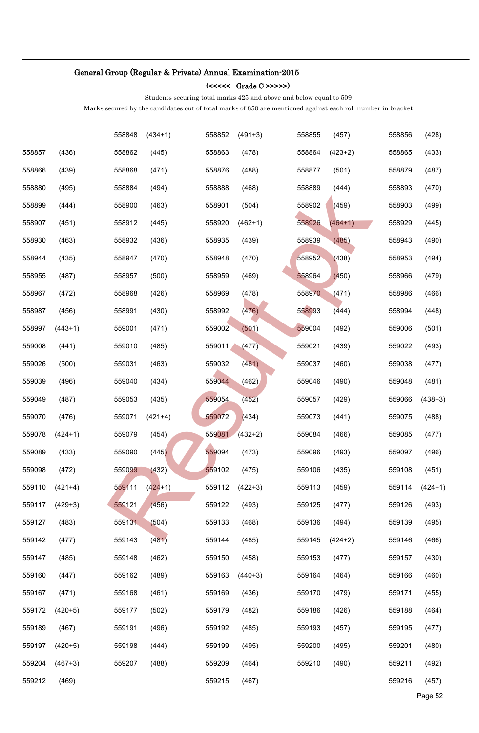### (<<<<< Grade C >>>>>)

Students securing total marks 425 and above and below equal to 509

|        |           | 558848 | $(434+1)$ | 558852 | $(491+3)$ | 558855 | (457)     | 558856 | (428)     |
|--------|-----------|--------|-----------|--------|-----------|--------|-----------|--------|-----------|
| 558857 | (436)     | 558862 | (445)     | 558863 | (478)     | 558864 | $(423+2)$ | 558865 | (433)     |
| 558866 | (439)     | 558868 | (471)     | 558876 | (488)     | 558877 | (501)     | 558879 | (487)     |
| 558880 | (495)     | 558884 | (494)     | 558888 | (468)     | 558889 | (444)     | 558893 | (470)     |
| 558899 | (444)     | 558900 | (463)     | 558901 | (504)     | 558902 | (459)     | 558903 | (499)     |
| 558907 | (451)     | 558912 | (445)     | 558920 | $(462+1)$ | 558926 | $(464+1)$ | 558929 | (445)     |
| 558930 | (463)     | 558932 | (436)     | 558935 | (439)     | 558939 | (485)     | 558943 | (490)     |
| 558944 | (435)     | 558947 | (470)     | 558948 | (470)     | 558952 | (438)     | 558953 | (494)     |
| 558955 | (487)     | 558957 | (500)     | 558959 | (469)     | 558964 | (450)     | 558966 | (479)     |
| 558967 | (472)     | 558968 | (426)     | 558969 | (478)     | 558970 | (471)     | 558986 | (466)     |
| 558987 | (456)     | 558991 | (430)     | 558992 | (476)     | 558993 | (444)     | 558994 | (448)     |
| 558997 | $(443+1)$ | 559001 | (471)     | 559002 | (501)     | 559004 | (492)     | 559006 | (501)     |
| 559008 | (441)     | 559010 | (485)     | 559011 | (477)     | 559021 | (439)     | 559022 | (493)     |
| 559026 | (500)     | 559031 | (463)     | 559032 | (481)     | 559037 | (460)     | 559038 | (477)     |
| 559039 | (496)     | 559040 | (434)     | 559044 | (462)     | 559046 | (490)     | 559048 | (481)     |
| 559049 | (487)     | 559053 | (435)     | 559054 | (452)     | 559057 | (429)     | 559066 | $(438+3)$ |
| 559070 | (476)     | 559071 | $(421+4)$ | 559072 | (434)     | 559073 | (441)     | 559075 | (488)     |
| 559078 | $(424+1)$ | 559079 | (454)     | 559081 | $(432+2)$ | 559084 | (466)     | 559085 | (477)     |
| 559089 | (433)     | 559090 | (445)     | 559094 | (473)     | 559096 | (493)     | 559097 | (496)     |
| 559098 | (472)     | 559099 | (432)     | 559102 | (475)     | 559106 | (435)     | 559108 | (451)     |
| 559110 | $(421+4)$ | 559111 | $(424+1)$ | 559112 | $(422+3)$ | 559113 | (459)     | 559114 | $(424+1)$ |
| 559117 | $(429+3)$ | 559121 | (456)     | 559122 | (493)     | 559125 | (477)     | 559126 | (493)     |
| 559127 | (483)     | 559131 | (504)     | 559133 | (468)     | 559136 | (494)     | 559139 | (495)     |
| 559142 | (477)     | 559143 | (481)     | 559144 | (485)     | 559145 | $(424+2)$ | 559146 | (466)     |
| 559147 | (485)     | 559148 | (462)     | 559150 | (458)     | 559153 | (477)     | 559157 | (430)     |
| 559160 | (447)     | 559162 | (489)     | 559163 | $(440+3)$ | 559164 | (464)     | 559166 | (460)     |
| 559167 | (471)     | 559168 | (461)     | 559169 | (436)     | 559170 | (479)     | 559171 | (455)     |
| 559172 | $(420+5)$ | 559177 | (502)     | 559179 | (482)     | 559186 | (426)     | 559188 | (464)     |
| 559189 | (467)     | 559191 | (496)     | 559192 | (485)     | 559193 | (457)     | 559195 | (477)     |
| 559197 | $(420+5)$ | 559198 | (444)     | 559199 | (495)     | 559200 | (495)     | 559201 | (480)     |
| 559204 | $(467+3)$ | 559207 | (488)     | 559209 | (464)     | 559210 | (490)     | 559211 | (492)     |
| 559212 | (469)     |        |           | 559215 | (467)     |        |           | 559216 | (457)     |
|        |           |        |           |        |           |        |           |        | Page 52   |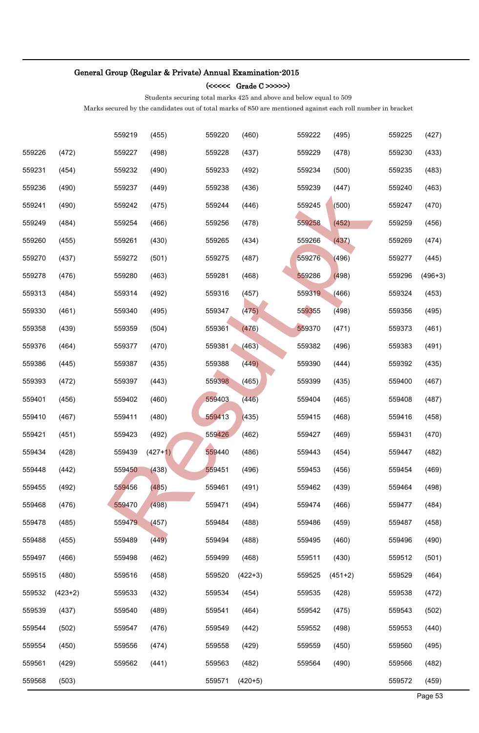### (<<<<< Grade C >>>>>)

Students securing total marks 425 and above and below equal to 509

|        |           | 559219 | (455)     | 559220 | (460)     | 559222 | (495)     | 559225 | (427)     |
|--------|-----------|--------|-----------|--------|-----------|--------|-----------|--------|-----------|
| 559226 | (472)     | 559227 | (498)     | 559228 | (437)     | 559229 | (478)     | 559230 | (433)     |
| 559231 | (454)     | 559232 | (490)     | 559233 | (492)     | 559234 | (500)     | 559235 | (483)     |
| 559236 | (490)     | 559237 | (449)     | 559238 | (436)     | 559239 | (447)     | 559240 | (463)     |
| 559241 | (490)     | 559242 | (475)     | 559244 | (446)     | 559245 | (500)     | 559247 | (470)     |
| 559249 | (484)     | 559254 | (466)     | 559256 | (478)     | 559258 | (452)     | 559259 | (456)     |
| 559260 | (455)     | 559261 | (430)     | 559265 | (434)     | 559266 | (437)     | 559269 | (474)     |
| 559270 | (437)     | 559272 | (501)     | 559275 | (487)     | 559276 | (496)     | 559277 | (445)     |
| 559278 | (476)     | 559280 | (463)     | 559281 | (468)     | 559286 | (498)     | 559296 | $(496+3)$ |
| 559313 | (484)     | 559314 | (492)     | 559316 | (457)     | 559319 | (466)     | 559324 | (453)     |
| 559330 | (461)     | 559340 | (495)     | 559347 | (475)     | 559355 | (498)     | 559356 | (495)     |
| 559358 | (439)     | 559359 | (504)     | 559361 | (476)     | 559370 | (471)     | 559373 | (461)     |
| 559376 | (464)     | 559377 | (470)     | 559381 | (463)     | 559382 | (496)     | 559383 | (491)     |
| 559386 | (445)     | 559387 | (435)     | 559388 | (449)     | 559390 | (444)     | 559392 | (435)     |
| 559393 | (472)     | 559397 | (443)     | 559398 | (465)     | 559399 | (435)     | 559400 | (467)     |
| 559401 | (456)     | 559402 | (460)     | 559403 | (446)     | 559404 | (465)     | 559408 | (487)     |
| 559410 | (467)     | 559411 | (480)     | 559413 | (435)     | 559415 | (468)     | 559416 | (458)     |
| 559421 | (451)     | 559423 | (492)     | 559426 | (462)     | 559427 | (469)     | 559431 | (470)     |
| 559434 | (428)     | 559439 | $(427+1)$ | 559440 | (486)     | 559443 | (454)     | 559447 | (482)     |
| 559448 | (442)     | 559450 | (438)     | 559451 | (496)     | 559453 | (456)     | 559454 | (469)     |
| 559455 | (492)     | 559456 | (485)     | 559461 | (491)     | 559462 | (439)     | 559464 | (498)     |
| 559468 | (476)     | 559470 | (498)     | 559471 | (494)     | 559474 | (466)     | 559477 | (484)     |
| 559478 | (485)     | 559479 | (457)     | 559484 | (488)     | 559486 | (459)     | 559487 | (458)     |
| 559488 | (455)     | 559489 | (449)     | 559494 | (488)     | 559495 | (460)     | 559496 | (490)     |
| 559497 | (466)     | 559498 | (462)     | 559499 | (468)     | 559511 | (430)     | 559512 | (501)     |
| 559515 | (480)     | 559516 | (458)     | 559520 | $(422+3)$ | 559525 | $(451+2)$ | 559529 | (464)     |
| 559532 | $(423+2)$ | 559533 | (432)     | 559534 | (454)     | 559535 | (428)     | 559538 | (472)     |
| 559539 | (437)     | 559540 | (489)     | 559541 | (464)     | 559542 | (475)     | 559543 | (502)     |
| 559544 | (502)     | 559547 | (476)     | 559549 | (442)     | 559552 | (498)     | 559553 | (440)     |
| 559554 | (450)     | 559556 | (474)     | 559558 | (429)     | 559559 | (450)     | 559560 | (495)     |
| 559561 | (429)     | 559562 | (441)     | 559563 | (482)     | 559564 | (490)     | 559566 | (482)     |
| 559568 | (503)     |        |           | 559571 | $(420+5)$ |        |           | 559572 | (459)     |
|        |           |        |           |        |           |        |           |        | Page 53   |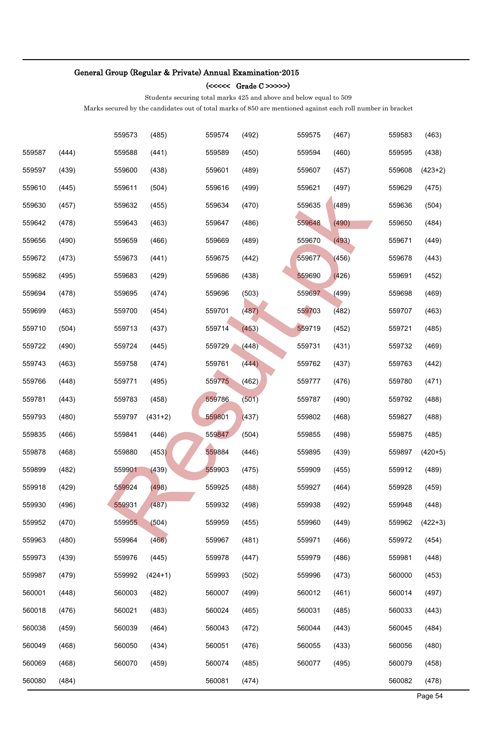### (<<<<< Grade C >>>>>)

Students securing total marks 425 and above and below equal to 509

|        |       | 559573 | (485)     | 559574 | (492) | 559575 | (467) | 559583 | (463)     |
|--------|-------|--------|-----------|--------|-------|--------|-------|--------|-----------|
| 559587 | (444) | 559588 | (441)     | 559589 | (450) | 559594 | (460) | 559595 | (438)     |
| 559597 | (439) | 559600 | (438)     | 559601 | (489) | 559607 | (457) | 559608 | $(423+2)$ |
| 559610 | (445) | 559611 | (504)     | 559616 | (499) | 559621 | (497) | 559629 | (475)     |
| 559630 | (457) | 559632 | (455)     | 559634 | (470) | 559635 | (489) | 559636 | (504)     |
| 559642 | (478) | 559643 | (463)     | 559647 | (486) | 559648 | (490) | 559650 | (484)     |
| 559656 | (490) | 559659 | (466)     | 559669 | (489) | 559670 | (493) | 559671 | (449)     |
| 559672 | (473) | 559673 | (441)     | 559675 | (442) | 559677 | (456) | 559678 | (443)     |
| 559682 | (495) | 559683 | (429)     | 559686 | (438) | 559690 | (426) | 559691 | (452)     |
| 559694 | (478) | 559695 | (474)     | 559696 | (503) | 559697 | (499) | 559698 | (469)     |
| 559699 | (463) | 559700 | (454)     | 559701 | (487) | 559703 | (482) | 559707 | (463)     |
| 559710 | (504) | 559713 | (437)     | 559714 | (453) | 559719 | (452) | 559721 | (485)     |
| 559722 | (490) | 559724 | (445)     | 559729 | (448) | 559731 | (431) | 559732 | (469)     |
| 559743 | (463) | 559758 | (474)     | 559761 | (444) | 559762 | (437) | 559763 | (442)     |
| 559766 | (448) | 559771 | (495)     | 559775 | (462) | 559777 | (476) | 559780 | (471)     |
| 559781 | (443) | 559783 | (458)     | 559786 | (501) | 559787 | (490) | 559792 | (488)     |
| 559793 | (480) | 559797 | $(431+2)$ | 559801 | (437) | 559802 | (468) | 559827 | (488)     |
| 559835 | (466) | 559841 | (446)     | 559847 | (504) | 559855 | (498) | 559875 | (485)     |
| 559878 | (468) | 559880 | (453)     | 559884 | (446) | 559895 | (439) | 559897 | $(420+5)$ |
| 559899 | (482) | 559901 | (439)     | 559903 | (475) | 559909 | (455) | 559912 | (489)     |
| 559918 | (429) | 559924 | (498)     | 559925 | (488) | 559927 | (464) | 559928 | (459)     |
| 559930 | (496) | 559931 | (487)     | 559932 | (498) | 559938 | (492) | 559948 | (448)     |
| 559952 | (470) | 559955 | (504)     | 559959 | (455) | 559960 | (449) | 559962 | $(422+3)$ |
| 559963 | (480) | 559964 | (466)     | 559967 | (481) | 559971 | (466) | 559972 | (454)     |
| 559973 | (439) | 559976 | (445)     | 559978 | (447) | 559979 | (486) | 559981 | (448)     |
| 559987 | (479) | 559992 | $(424+1)$ | 559993 | (502) | 559996 | (473) | 560000 | (453)     |
| 560001 | (448) | 560003 | (482)     | 560007 | (499) | 560012 | (461) | 560014 | (497)     |
| 560018 | (476) | 560021 | (483)     | 560024 | (465) | 560031 | (485) | 560033 | (443)     |
| 560038 | (459) | 560039 | (464)     | 560043 | (472) | 560044 | (443) | 560045 | (484)     |
| 560049 | (468) | 560050 | (434)     | 560051 | (476) | 560055 | (433) | 560056 | (480)     |
| 560069 | (468) | 560070 | (459)     | 560074 | (485) | 560077 | (495) | 560079 | (458)     |
| 560080 | (484) |        |           | 560081 | (474) |        |       | 560082 | (478)     |
|        |       |        |           |        |       |        |       |        | Page 54   |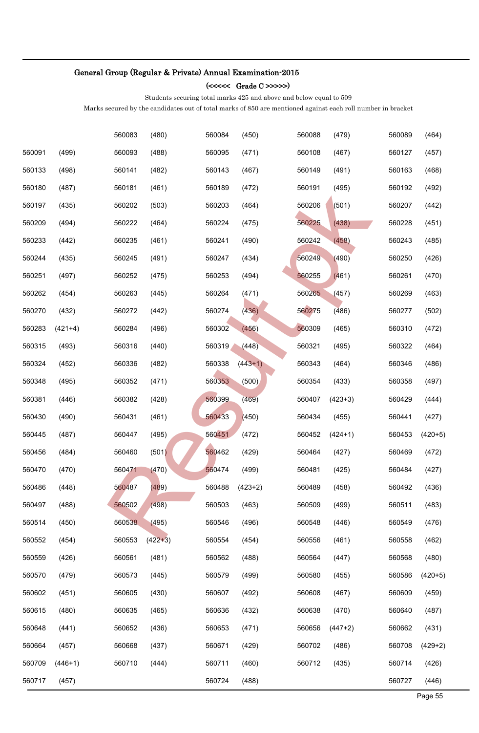### (<<<<< Grade C >>>>>)

Students securing total marks 425 and above and below equal to 509

|        |           | 560083 | (480)     | 560084 | (450)     | 560088 | (479)     | 560089 | (464)     |
|--------|-----------|--------|-----------|--------|-----------|--------|-----------|--------|-----------|
| 560091 | (499)     | 560093 | (488)     | 560095 | (471)     | 560108 | (467)     | 560127 | (457)     |
| 560133 | (498)     | 560141 | (482)     | 560143 | (467)     | 560149 | (491)     | 560163 | (468)     |
| 560180 | (487)     | 560181 | (461)     | 560189 | (472)     | 560191 | (495)     | 560192 | (492)     |
| 560197 | (435)     | 560202 | (503)     | 560203 | (464)     | 560206 | (501)     | 560207 | (442)     |
| 560209 | (494)     | 560222 | (464)     | 560224 | (475)     | 560225 | (438)     | 560228 | (451)     |
| 560233 | (442)     | 560235 | (461)     | 560241 | (490)     | 560242 | (458)     | 560243 | (485)     |
| 560244 | (435)     | 560245 | (491)     | 560247 | (434)     | 560249 | (490)     | 560250 | (426)     |
| 560251 | (497)     | 560252 | (475)     | 560253 | (494)     | 560255 | (461)     | 560261 | (470)     |
| 560262 | (454)     | 560263 | (445)     | 560264 | (471)     | 560265 | (457)     | 560269 | (463)     |
| 560270 | (432)     | 560272 | (442)     | 560274 | (436)     | 560275 | (486)     | 560277 | (502)     |
| 560283 | $(421+4)$ | 560284 | (496)     | 560302 | (456)     | 560309 | (465)     | 560310 | (472)     |
| 560315 | (493)     | 560316 | (440)     | 560319 | (448)     | 560321 | (495)     | 560322 | (464)     |
| 560324 | (452)     | 560336 | (482)     | 560338 | $(443+1)$ | 560343 | (464)     | 560346 | (486)     |
| 560348 | (495)     | 560352 | (471)     | 560353 | (500)     | 560354 | (433)     | 560358 | (497)     |
| 560381 | (446)     | 560382 | (428)     | 560399 | (469)     | 560407 | $(423+3)$ | 560429 | (444)     |
| 560430 | (490)     | 560431 | (461)     | 560433 | (450)     | 560434 | (455)     | 560441 | (427)     |
| 560445 | (487)     | 560447 | (495)     | 560451 | (472)     | 560452 | $(424+1)$ | 560453 | $(420+5)$ |
| 560456 | (484)     | 560460 | (501)     | 560462 | (429)     | 560464 | (427)     | 560469 | (472)     |
| 560470 | (470)     | 560471 | (470)     | 560474 | (499)     | 560481 | (425)     | 560484 | (427)     |
| 560486 | (448)     | 560487 | (489)     | 560488 | $(423+2)$ | 560489 | (458)     | 560492 | (436)     |
| 560497 | (488)     | 560502 | (498)     | 560503 | (463)     | 560509 | (499)     | 560511 | (483)     |
| 560514 | (450)     | 560538 | (495)     | 560546 | (496)     | 560548 | (446)     | 560549 | (476)     |
| 560552 | (454)     | 560553 | $(422+3)$ | 560554 | (454)     | 560556 | (461)     | 560558 | (462)     |
| 560559 | (426)     | 560561 | (481)     | 560562 | (488)     | 560564 | (447)     | 560568 | (480)     |
| 560570 | (479)     | 560573 | (445)     | 560579 | (499)     | 560580 | (455)     | 560586 | $(420+5)$ |
| 560602 | (451)     | 560605 | (430)     | 560607 | (492)     | 560608 | (467)     | 560609 | (459)     |
| 560615 | (480)     | 560635 | (465)     | 560636 | (432)     | 560638 | (470)     | 560640 | (487)     |
| 560648 | (441)     | 560652 | (436)     | 560653 | (471)     | 560656 | $(447+2)$ | 560662 | (431)     |
| 560664 | (457)     | 560668 | (437)     | 560671 | (429)     | 560702 | (486)     | 560708 | $(429+2)$ |
| 560709 | $(446+1)$ | 560710 | (444)     | 560711 | (460)     | 560712 | (435)     | 560714 | (426)     |
| 560717 | (457)     |        |           | 560724 | (488)     |        |           | 560727 | (446)     |
|        |           |        |           |        |           |        |           |        | Page 55   |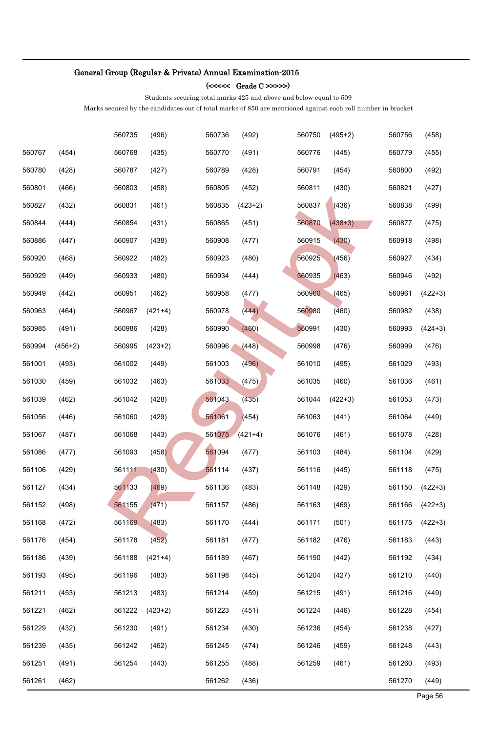### (<<<<< Grade C >>>>>)

Students securing total marks 425 and above and below equal to 509

|        |           | 560735 | (496)     | 560736 | (492)     | 560750 | $(495+2)$ | 560756 | (458)     |
|--------|-----------|--------|-----------|--------|-----------|--------|-----------|--------|-----------|
| 560767 | (454)     | 560768 | (435)     | 560770 | (491)     | 560776 | (445)     | 560779 | (455)     |
| 560780 | (428)     | 560787 | (427)     | 560789 | (428)     | 560791 | (454)     | 560800 | (492)     |
| 560801 | (466)     | 560803 | (458)     | 560805 | (452)     | 560811 | (430)     | 560821 | (427)     |
| 560827 | (432)     | 560831 | (461)     | 560835 | $(423+2)$ | 560837 | (436)     | 560838 | (499)     |
| 560844 | (444)     | 560854 | (431)     | 560865 | (451)     | 560870 | $(438+3)$ | 560877 | (475)     |
| 560886 | (447)     | 560907 | (438)     | 560908 | (477)     | 560915 | (430)     | 560918 | (498)     |
| 560920 | (468)     | 560922 | (482)     | 560923 | (480)     | 560925 | (456)     | 560927 | (434)     |
| 560929 | (449)     | 560933 | (480)     | 560934 | (444)     | 560935 | (463)     | 560946 | (492)     |
| 560949 | (442)     | 560951 | (462)     | 560958 | (477)     | 560960 | (465)     | 560961 | $(422+3)$ |
| 560963 | (464)     | 560967 | $(421+4)$ | 560978 | (444)     | 560980 | (460)     | 560982 | (438)     |
| 560985 | (491)     | 560986 | (428)     | 560990 | (460)     | 560991 | (430)     | 560993 | $(424+3)$ |
| 560994 | $(456+2)$ | 560995 | $(423+2)$ | 560996 | (448)     | 560998 | (476)     | 560999 | (476)     |
| 561001 | (493)     | 561002 | (449)     | 561003 | (496)     | 561010 | (495)     | 561029 | (493)     |
| 561030 | (459)     | 561032 | (463)     | 561033 | (475)     | 561035 | (460)     | 561036 | (461)     |
| 561039 | (462)     | 561042 | (428)     | 561043 | (435)     | 561044 | $(422+3)$ | 561053 | (473)     |
| 561056 | (446)     | 561060 | (429)     | 561061 | (454)     | 561063 | (441)     | 561064 | (449)     |
| 561067 | (487)     | 561068 | (443)     | 561075 | $(421+4)$ | 561076 | (461)     | 561078 | (428)     |
| 561086 | (477)     | 561093 | (458)     | 561094 | (477)     | 561103 | (484)     | 561104 | (429)     |
| 561106 | (429)     | 561111 | (430)     | 561114 | (437)     | 561116 | (445)     | 561118 | (475)     |
| 561127 | (434)     | 561133 | (469)     | 561136 | (483)     | 561148 | (429)     | 561150 | $(422+3)$ |
| 561152 | (498)     | 561155 | (471)     | 561157 | (486)     | 561163 | (469)     | 561166 | $(422+3)$ |
| 561168 | (472)     | 561169 | (483)     | 561170 | (444)     | 561171 | (501)     | 561175 | $(422+3)$ |
| 561176 | (454)     | 561178 | (452)     | 561181 | (477)     | 561182 | (476)     | 561183 | (443)     |
| 561186 | (439)     | 561188 | $(421+4)$ | 561189 | (467)     | 561190 | (442)     | 561192 | (434)     |
| 561193 | (495)     | 561196 | (483)     | 561198 | (445)     | 561204 | (427)     | 561210 | (440)     |
| 561211 | (453)     | 561213 | (483)     | 561214 | (459)     | 561215 | (491)     | 561216 | (449)     |
| 561221 | (462)     | 561222 | $(423+2)$ | 561223 | (451)     | 561224 | (446)     | 561228 | (454)     |
| 561229 | (432)     | 561230 | (491)     | 561234 | (430)     | 561236 | (454)     | 561238 | (427)     |
| 561239 | (435)     | 561242 | (462)     | 561245 | (474)     | 561246 | (459)     | 561248 | (443)     |
| 561251 | (491)     | 561254 | (443)     | 561255 | (488)     | 561259 | (461)     | 561260 | (493)     |
| 561261 | (462)     |        |           | 561262 | (436)     |        |           | 561270 | (449)     |
|        |           |        |           |        |           |        |           |        | Page 56   |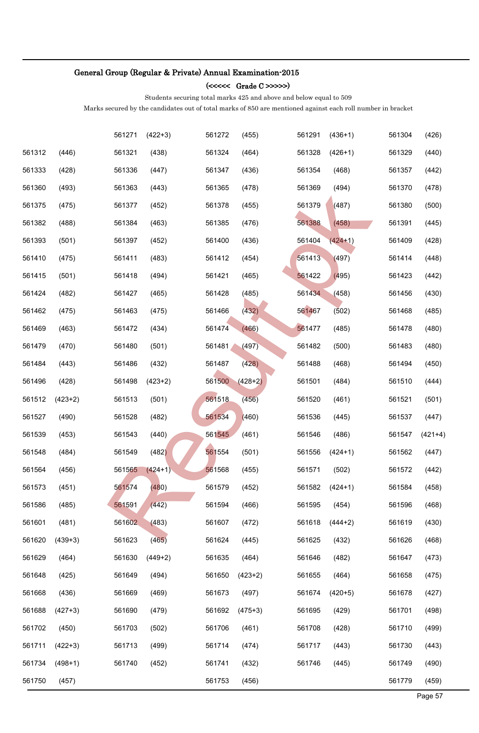### (<<<<< Grade C >>>>>)

Students securing total marks 425 and above and below equal to 509

|        |           | 561271 | $(422+3)$ | 561272 | (455)     | 561291 | $(436+1)$ | 561304 | (426)     |
|--------|-----------|--------|-----------|--------|-----------|--------|-----------|--------|-----------|
| 561312 | (446)     | 561321 | (438)     | 561324 | (464)     | 561328 | $(426+1)$ | 561329 | (440)     |
| 561333 | (428)     | 561336 | (447)     | 561347 | (436)     | 561354 | (468)     | 561357 | (442)     |
| 561360 | (493)     | 561363 | (443)     | 561365 | (478)     | 561369 | (494)     | 561370 | (478)     |
| 561375 | (475)     | 561377 | (452)     | 561378 | (455)     | 561379 | (487)     | 561380 | (500)     |
| 561382 | (488)     | 561384 | (463)     | 561385 | (476)     | 561388 | (458)     | 561391 | (445)     |
| 561393 | (501)     | 561397 | (452)     | 561400 | (436)     | 561404 | $(424+1)$ | 561409 | (428)     |
| 561410 | (475)     | 561411 | (483)     | 561412 | (454)     | 561413 | (497)     | 561414 | (448)     |
| 561415 | (501)     | 561418 | (494)     | 561421 | (465)     | 561422 | (495)     | 561423 | (442)     |
| 561424 | (482)     | 561427 | (465)     | 561428 | (485)     | 561434 | (458)     | 561456 | (430)     |
| 561462 | (475)     | 561463 | (475)     | 561466 | (432)     | 561467 | (502)     | 561468 | (485)     |
| 561469 | (463)     | 561472 | (434)     | 561474 | (466)     | 561477 | (485)     | 561478 | (480)     |
| 561479 | (470)     | 561480 | (501)     | 561481 | (497)     | 561482 | (500)     | 561483 | (480)     |
| 561484 | (443)     | 561486 | (432)     | 561487 | (428)     | 561488 | (468)     | 561494 | (450)     |
| 561496 | (428)     | 561498 | $(423+2)$ | 561500 | $(428+2)$ | 561501 | (484)     | 561510 | (444)     |
| 561512 | $(423+2)$ | 561513 | (501)     | 561518 | (456)     | 561520 | (461)     | 561521 | (501)     |
| 561527 | (490)     | 561528 | (482)     | 561534 | (460)     | 561536 | (445)     | 561537 | (447)     |
| 561539 | (453)     | 561543 | (440)     | 561545 | (461)     | 561546 | (486)     | 561547 | $(421+4)$ |
| 561548 | (484)     | 561549 | (482)     | 561554 | (501)     | 561556 | $(424+1)$ | 561562 | (447)     |
| 561564 | (456)     | 561565 | $(424+1)$ | 561568 | (455)     | 561571 | (502)     | 561572 | (442)     |
| 561573 | (451)     | 561574 | (480)     | 561579 | (452)     | 561582 | $(424+1)$ | 561584 | (458)     |
| 561586 | (485)     | 561591 | (442)     | 561594 | (466)     | 561595 | (454)     | 561596 | (468)     |
| 561601 | (481)     | 561602 | (483)     | 561607 | (472)     | 561618 | $(444+2)$ | 561619 | (430)     |
| 561620 | $(439+3)$ | 561623 | (465)     | 561624 | (445)     | 561625 | (432)     | 561626 | (468)     |
| 561629 | (464)     | 561630 | $(449+2)$ | 561635 | (464)     | 561646 | (482)     | 561647 | (473)     |
| 561648 | (425)     | 561649 | (494)     | 561650 | $(423+2)$ | 561655 | (464)     | 561658 | (475)     |
| 561668 | (436)     | 561669 | (469)     | 561673 | (497)     | 561674 | $(420+5)$ | 561678 | (427)     |
| 561688 | $(427+3)$ | 561690 | (479)     | 561692 | $(475+3)$ | 561695 | (429)     | 561701 | (498)     |
| 561702 | (450)     | 561703 | (502)     | 561706 | (461)     | 561708 | (428)     | 561710 | (499)     |
| 561711 | $(422+3)$ | 561713 | (499)     | 561714 | (474)     | 561717 | (443)     | 561730 | (443)     |
| 561734 | $(498+1)$ | 561740 | (452)     | 561741 | (432)     | 561746 | (445)     | 561749 | (490)     |
| 561750 | (457)     |        |           | 561753 | (456)     |        |           | 561779 | (459)     |
|        |           |        |           |        |           |        |           |        | Page 57   |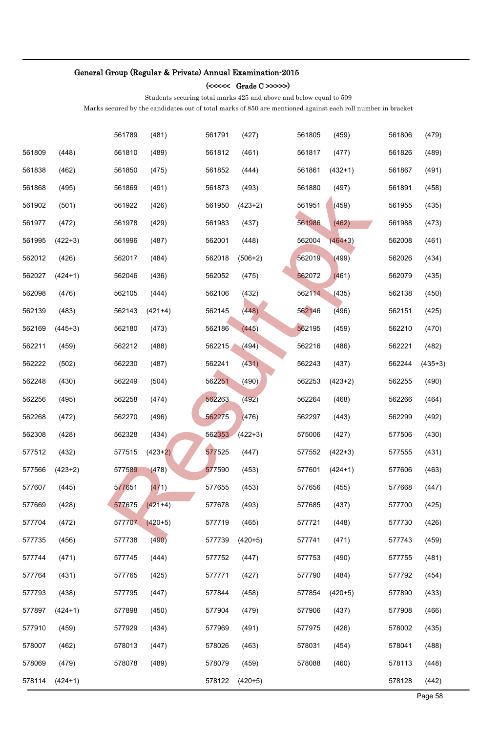(<<<<< Grade C >>>>>)

Students securing total marks 425 and above and below equal to 509

|        |           | 561789 | (481)     | 561791 | (427)     | 561805 | (459)     | 561806 | (479)     |
|--------|-----------|--------|-----------|--------|-----------|--------|-----------|--------|-----------|
| 561809 | (448)     | 561810 | (489)     | 561812 | (461)     | 561817 | (477)     | 561826 | (489)     |
| 561838 | (462)     | 561850 | (475)     | 561852 | (444)     | 561861 | $(432+1)$ | 561867 | (491)     |
| 561868 | (495)     | 561869 | (491)     | 561873 | (493)     | 561880 | (497)     | 561891 | (458)     |
| 561902 | (501)     | 561922 | (426)     | 561950 | $(423+2)$ | 561951 | (459)     | 561955 | (435)     |
| 561977 | (472)     | 561978 | (429)     | 561983 | (437)     | 561986 | (462)     | 561988 | (473)     |
| 561995 | $(422+3)$ | 561996 | (487)     | 562001 | (448)     | 562004 | $(464+3)$ | 562008 | (461)     |
| 562012 | (426)     | 562017 | (484)     | 562018 | $(506+2)$ | 562019 | (499)     | 562026 | (434)     |
| 562027 | $(424+1)$ | 562046 | (436)     | 562052 | (475)     | 562072 | (461)     | 562079 | (435)     |
| 562098 | (476)     | 562105 | (444)     | 562106 | (432)     | 562114 | (435)     | 562138 | (450)     |
| 562139 | (483)     | 562143 | $(421+4)$ | 562145 | (448)     | 562146 | (496)     | 562151 | (425)     |
| 562169 | $(445+3)$ | 562180 | (473)     | 562186 | (445)     | 562195 | (459)     | 562210 | (470)     |
| 562211 | (459)     | 562212 | (488)     | 562215 | (494)     | 562216 | (486)     | 562221 | (482)     |
| 562222 | (502)     | 562230 | (487)     | 562241 | (431)     | 562243 | (437)     | 562244 | $(435+3)$ |
| 562248 | (430)     | 562249 | (504)     | 562251 | (490)     | 562253 | $(423+2)$ | 562255 | (490)     |
| 562256 | (495)     | 562258 | (474)     | 562263 | (492)     | 562264 | (468)     | 562266 | (464)     |
| 562268 | (472)     | 562270 | (496)     | 562275 | (476)     | 562297 | (443)     | 562299 | (492)     |
| 562308 | (428)     | 562328 | (434)     | 562353 | $(422+3)$ | 575006 | (427)     | 577506 | (430)     |
| 577512 | (432)     | 577515 | $(423+2)$ | 577525 | (447)     | 577552 | $(422+3)$ | 577555 | (431)     |
| 577566 | $(423+2)$ | 577589 | (478)     | 577590 | (453)     | 577601 | $(424+1)$ | 577606 | (463)     |
| 577607 | (445)     | 577651 | (471)     | 577655 | (453)     | 577656 | (455)     | 577668 | (447)     |
| 577669 | (428)     | 577675 | $(421+4)$ | 577678 | (493)     | 577685 | (437)     | 577700 | (425)     |
| 577704 | (472)     | 577707 | $(420+5)$ | 577719 | (465)     | 577721 | (448)     | 577730 | (426)     |
| 577735 | (456)     | 577738 | (490)     | 577739 | $(420+5)$ | 577741 | (471)     | 577743 | (459)     |
| 577744 | (471)     | 577745 | (444)     | 577752 | (447)     | 577753 | (490)     | 577755 | (481)     |
| 577764 | (431)     | 577765 | (425)     | 577771 | (427)     | 577790 | (484)     | 577792 | (454)     |
| 577793 | (438)     | 577795 | (447)     | 577844 | (458)     | 577854 | $(420+5)$ | 577890 | (433)     |
| 577897 | $(424+1)$ | 577898 | (450)     | 577904 | (479)     | 577906 | (437)     | 577908 | (466)     |
| 577910 | (459)     | 577929 | (434)     | 577969 | (491)     | 577975 | (426)     | 578002 | (435)     |
| 578007 | (462)     | 578013 | (447)     | 578026 | (463)     | 578031 | (454)     | 578041 | (488)     |
| 578069 | (479)     | 578078 | (489)     | 578079 | (459)     | 578088 | (460)     | 578113 | (448)     |
| 578114 | $(424+1)$ |        |           | 578122 | $(420+5)$ |        |           | 578128 | (442)     |
|        |           |        |           |        |           |        |           |        | Page 58   |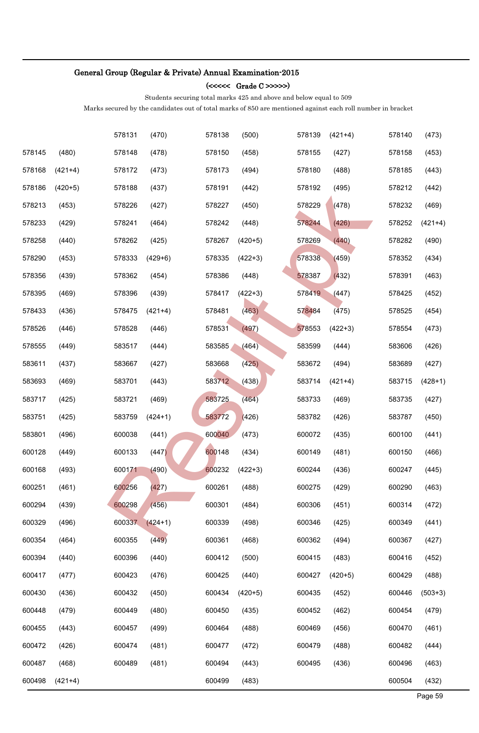### (<<<<< Grade C >>>>>)

Students securing total marks 425 and above and below equal to 509

|        |           | 578131 | (470)     | 578138 | (500)     | 578139 | $(421+4)$ | 578140 | (473)     |
|--------|-----------|--------|-----------|--------|-----------|--------|-----------|--------|-----------|
| 578145 | (480)     | 578148 | (478)     | 578150 | (458)     | 578155 | (427)     | 578158 | (453)     |
| 578168 | $(421+4)$ | 578172 | (473)     | 578173 | (494)     | 578180 | (488)     | 578185 | (443)     |
| 578186 | $(420+5)$ | 578188 | (437)     | 578191 | (442)     | 578192 | (495)     | 578212 | (442)     |
| 578213 | (453)     | 578226 | (427)     | 578227 | (450)     | 578229 | (478)     | 578232 | (469)     |
| 578233 | (429)     | 578241 | (464)     | 578242 | (448)     | 578244 | (426)     | 578252 | $(421+4)$ |
| 578258 | (440)     | 578262 | (425)     | 578267 | $(420+5)$ | 578269 | (440)     | 578282 | (490)     |
| 578290 | (453)     | 578333 | $(429+6)$ | 578335 | $(422+3)$ | 578338 | (459)     | 578352 | (434)     |
| 578356 | (439)     | 578362 | (454)     | 578386 | (448)     | 578387 | (432)     | 578391 | (463)     |
| 578395 | (469)     | 578396 | (439)     | 578417 | $(422+3)$ | 578419 | (447)     | 578425 | (452)     |
| 578433 | (436)     | 578475 | $(421+4)$ | 578481 | (463)     | 578484 | (475)     | 578525 | (454)     |
| 578526 | (446)     | 578528 | (446)     | 578531 | (497)     | 578553 | $(422+3)$ | 578554 | (473)     |
| 578555 | (449)     | 583517 | (444)     | 583585 | (464)     | 583599 | (444)     | 583606 | (426)     |
| 583611 | (437)     | 583667 | (427)     | 583668 | (425)     | 583672 | (494)     | 583689 | (427)     |
| 583693 | (469)     | 583701 | (443)     | 583712 | (438)     | 583714 | $(421+4)$ | 583715 | $(428+1)$ |
| 583717 | (425)     | 583721 | (469)     | 583725 | (464)     | 583733 | (469)     | 583735 | (427)     |
| 583751 | (425)     | 583759 | $(424+1)$ | 583772 | (426)     | 583782 | (426)     | 583787 | (450)     |
| 583801 | (496)     | 600038 | (441)     | 600040 | (473)     | 600072 | (435)     | 600100 | (441)     |
| 600128 | (449)     | 600133 | (447)     | 600148 | (434)     | 600149 | (481)     | 600150 | (466)     |
| 600168 | (493)     | 600171 | (490)     | 600232 | $(422+3)$ | 600244 | (436)     | 600247 | (445)     |
| 600251 | (461)     | 600256 | (427)     | 600261 | (488)     | 600275 | (429)     | 600290 | (463)     |
| 600294 | (439)     | 600298 | (456)     | 600301 | (484)     | 600306 | (451)     | 600314 | (472)     |
| 600329 | (496)     | 600337 | $(424+1)$ | 600339 | (498)     | 600346 | (425)     | 600349 | (441)     |
| 600354 | (464)     | 600355 | (449)     | 600361 | (468)     | 600362 | (494)     | 600367 | (427)     |
| 600394 | (440)     | 600396 | (440)     | 600412 | (500)     | 600415 | (483)     | 600416 | (452)     |
| 600417 | (477)     | 600423 | (476)     | 600425 | (440)     | 600427 | $(420+5)$ | 600429 | (488)     |
| 600430 | (436)     | 600432 | (450)     | 600434 | $(420+5)$ | 600435 | (452)     | 600446 | $(503+3)$ |
| 600448 | (479)     | 600449 | (480)     | 600450 | (435)     | 600452 | (462)     | 600454 | (479)     |
| 600455 | (443)     | 600457 | (499)     | 600464 | (488)     | 600469 | (456)     | 600470 | (461)     |
| 600472 | (426)     | 600474 | (481)     | 600477 | (472)     | 600479 | (488)     | 600482 | (444)     |
| 600487 | (468)     | 600489 | (481)     | 600494 | (443)     | 600495 | (436)     | 600496 | (463)     |
| 600498 | $(421+4)$ |        |           | 600499 | (483)     |        |           | 600504 | (432)     |
|        |           |        |           |        |           |        |           |        | Page 59   |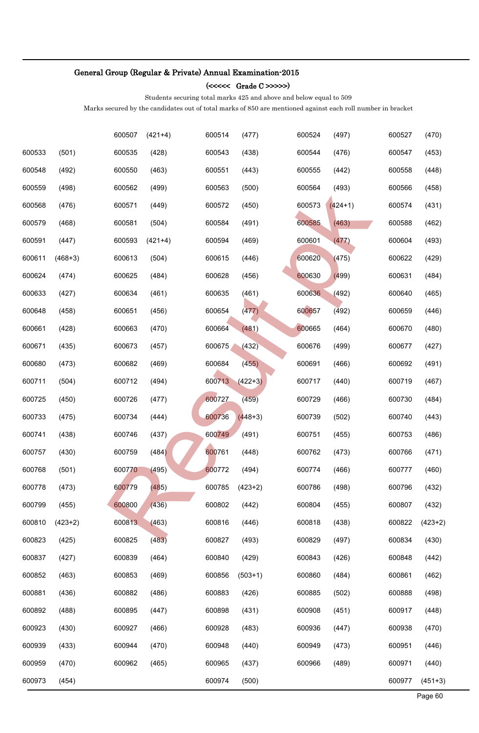### (<<<<< Grade C >>>>>)

Students securing total marks 425 and above and below equal to 509

|        |           | 600507 | $(421+4)$ | 600514 | (477)     | 600524 | (497)     | 600527 | (470)     |
|--------|-----------|--------|-----------|--------|-----------|--------|-----------|--------|-----------|
| 600533 | (501)     | 600535 | (428)     | 600543 | (438)     | 600544 | (476)     | 600547 | (453)     |
| 600548 | (492)     | 600550 | (463)     | 600551 | (443)     | 600555 | (442)     | 600558 | (448)     |
| 600559 | (498)     | 600562 | (499)     | 600563 | (500)     | 600564 | (493)     | 600566 | (458)     |
| 600568 | (476)     | 600571 | (449)     | 600572 | (450)     | 600573 | $(424+1)$ | 600574 | (431)     |
| 600579 | (468)     | 600581 | (504)     | 600584 | (491)     | 600585 | (463)     | 600588 | (462)     |
| 600591 | (447)     | 600593 | $(421+4)$ | 600594 | (469)     | 600601 | (477)     | 600604 | (493)     |
| 600611 | $(468+3)$ | 600613 | (504)     | 600615 | (446)     | 600620 | (475)     | 600622 | (429)     |
| 600624 | (474)     | 600625 | (484)     | 600628 | (456)     | 600630 | (499)     | 600631 | (484)     |
| 600633 | (427)     | 600634 | (461)     | 600635 | (461)     | 600636 | (492)     | 600640 | (465)     |
| 600648 | (458)     | 600651 | (456)     | 600654 | (477)     | 600657 | (492)     | 600659 | (446)     |
| 600661 | (428)     | 600663 | (470)     | 600664 | (481)     | 600665 | (464)     | 600670 | (480)     |
| 600671 | (435)     | 600673 | (457)     | 600675 | (432)     | 600676 | (499)     | 600677 | (427)     |
| 600680 | (473)     | 600682 | (469)     | 600684 | (455)     | 600691 | (466)     | 600692 | (491)     |
| 600711 | (504)     | 600712 | (494)     | 600713 | $(422+3)$ | 600717 | (440)     | 600719 | (467)     |
| 600725 | (450)     | 600726 | (477)     | 600727 | (459)     | 600729 | (466)     | 600730 | (484)     |
| 600733 | (475)     | 600734 | (444)     | 600736 | $(448+3)$ | 600739 | (502)     | 600740 | (443)     |
| 600741 | (438)     | 600746 | (437)     | 600749 | (491)     | 600751 | (455)     | 600753 | (486)     |
| 600757 | (430)     | 600759 | (484)     | 600761 | (448)     | 600762 | (473)     | 600766 | (471)     |
| 600768 | (501)     | 600770 | (495)     | 600772 | (494)     | 600774 | (466)     | 600777 | (460)     |
| 600778 | (473)     | 600779 | (485)     | 600785 | $(423+2)$ | 600786 | (498)     | 600796 | (432)     |
| 600799 | (455)     | 600800 | (436)     | 600802 | (442)     | 600804 | (455)     | 600807 | (432)     |
| 600810 | $(423+2)$ | 600813 | (463)     | 600816 | (446)     | 600818 | (438)     | 600822 | $(423+2)$ |
| 600823 | (425)     | 600825 | (483)     | 600827 | (493)     | 600829 | (497)     | 600834 | (430)     |
| 600837 | (427)     | 600839 | (464)     | 600840 | (429)     | 600843 | (426)     | 600848 | (442)     |
| 600852 | (463)     | 600853 | (469)     | 600856 | $(503+1)$ | 600860 | (484)     | 600861 | (462)     |
| 600881 | (436)     | 600882 | (486)     | 600883 | (426)     | 600885 | (502)     | 600888 | (498)     |
| 600892 | (488)     | 600895 | (447)     | 600898 | (431)     | 600908 | (451)     | 600917 | (448)     |
| 600923 | (430)     | 600927 | (466)     | 600928 | (483)     | 600936 | (447)     | 600938 | (470)     |
| 600939 | (433)     | 600944 | (470)     | 600948 | (440)     | 600949 | (473)     | 600951 | (446)     |
| 600959 | (470)     | 600962 | (465)     | 600965 | (437)     | 600966 | (489)     | 600971 | (440)     |
| 600973 | (454)     |        |           | 600974 | (500)     |        |           | 600977 | $(451+3)$ |
|        |           |        |           |        |           |        |           |        | Page 60   |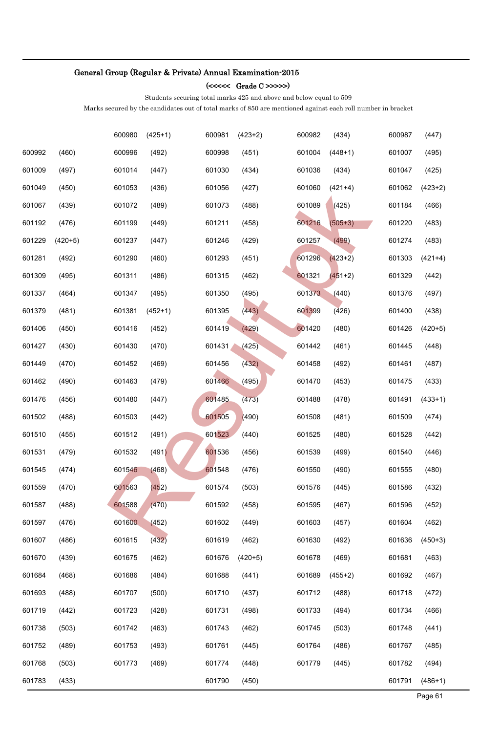### (<<<<< Grade C >>>>>)

Students securing total marks 425 and above and below equal to 509

|        |           | 600980 | $(425+1)$ | 600981 | $(423+2)$ | 600982 | (434)     | 600987 | (447)     |
|--------|-----------|--------|-----------|--------|-----------|--------|-----------|--------|-----------|
| 600992 | (460)     | 600996 | (492)     | 600998 | (451)     | 601004 | $(448+1)$ | 601007 | (495)     |
| 601009 | (497)     | 601014 | (447)     | 601030 | (434)     | 601036 | (434)     | 601047 | (425)     |
| 601049 | (450)     | 601053 | (436)     | 601056 | (427)     | 601060 | $(421+4)$ | 601062 | $(423+2)$ |
| 601067 | (439)     | 601072 | (489)     | 601073 | (488)     | 601089 | (425)     | 601184 | (466)     |
| 601192 | (476)     | 601199 | (449)     | 601211 | (458)     | 601216 | $(505+3)$ | 601220 | (483)     |
| 601229 | $(420+5)$ | 601237 | (447)     | 601246 | (429)     | 601257 | (499)     | 601274 | (483)     |
| 601281 | (492)     | 601290 | (460)     | 601293 | (451)     | 601296 | $(423+2)$ | 601303 | $(421+4)$ |
| 601309 | (495)     | 601311 | (486)     | 601315 | (462)     | 601321 | $(451+2)$ | 601329 | (442)     |
| 601337 | (464)     | 601347 | (495)     | 601350 | (495)     | 601373 | (440)     | 601376 | (497)     |
| 601379 | (481)     | 601381 | $(452+1)$ | 601395 | (443)     | 601399 | (426)     | 601400 | (438)     |
| 601406 | (450)     | 601416 | (452)     | 601419 | (429)     | 601420 | (480)     | 601426 | $(420+5)$ |
| 601427 | (430)     | 601430 | (470)     | 601431 | (425)     | 601442 | (461)     | 601445 | (448)     |
| 601449 | (470)     | 601452 | (469)     | 601456 | (432)     | 601458 | (492)     | 601461 | (487)     |
| 601462 | (490)     | 601463 | (479)     | 601466 | (495)     | 601470 | (453)     | 601475 | (433)     |
| 601476 | (456)     | 601480 | (447)     | 601485 | (473)     | 601488 | (478)     | 601491 | $(433+1)$ |
| 601502 | (488)     | 601503 | (442)     | 601505 | (490)     | 601508 | (481)     | 601509 | (474)     |
| 601510 | (455)     | 601512 | (491)     | 601523 | (440)     | 601525 | (480)     | 601528 | (442)     |
| 601531 | (479)     | 601532 | (491)     | 601536 | (456)     | 601539 | (499)     | 601540 | (446)     |
| 601545 | (474)     | 601546 | (468)     | 601548 | (476)     | 601550 | (490)     | 601555 | (480)     |
| 601559 | (470)     | 601563 | (452)     | 601574 | (503)     | 601576 | (445)     | 601586 | (432)     |
| 601587 | (488)     | 601588 | (470)     | 601592 | (458)     | 601595 | (467)     | 601596 | (452)     |
| 601597 | (476)     | 601600 | (452)     | 601602 | (449)     | 601603 | (457)     | 601604 | (462)     |
| 601607 | (486)     | 601615 | (432)     | 601619 | (462)     | 601630 | (492)     | 601636 | $(450+3)$ |
| 601670 | (439)     | 601675 | (462)     | 601676 | $(420+5)$ | 601678 | (469)     | 601681 | (463)     |
| 601684 | (468)     | 601686 | (484)     | 601688 | (441)     | 601689 | $(455+2)$ | 601692 | (467)     |
| 601693 | (488)     | 601707 | (500)     | 601710 | (437)     | 601712 | (488)     | 601718 | (472)     |
| 601719 | (442)     | 601723 | (428)     | 601731 | (498)     | 601733 | (494)     | 601734 | (466)     |
| 601738 | (503)     | 601742 | (463)     | 601743 | (462)     | 601745 | (503)     | 601748 | (441)     |
| 601752 | (489)     | 601753 | (493)     | 601761 | (445)     | 601764 | (486)     | 601767 | (485)     |
| 601768 | (503)     | 601773 | (469)     | 601774 | (448)     | 601779 | (445)     | 601782 | (494)     |
| 601783 | (433)     |        |           | 601790 | (450)     |        |           | 601791 | $(486+1)$ |
|        |           |        |           |        |           |        |           |        | Page 61   |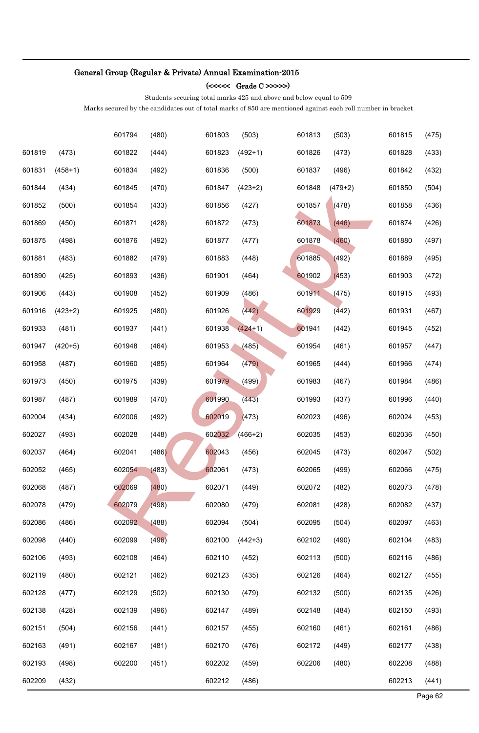### (<<<<< Grade C >>>>>)

Students securing total marks 425 and above and below equal to 509

|        |           | 601794 | (480) | 601803 | (503)     | 601813 | (503)     | 601815 | (475)   |
|--------|-----------|--------|-------|--------|-----------|--------|-----------|--------|---------|
| 601819 | (473)     | 601822 | (444) | 601823 | $(492+1)$ | 601826 | (473)     | 601828 | (433)   |
| 601831 | $(458+1)$ | 601834 | (492) | 601836 | (500)     | 601837 | (496)     | 601842 | (432)   |
| 601844 | (434)     | 601845 | (470) | 601847 | $(423+2)$ | 601848 | $(479+2)$ | 601850 | (504)   |
| 601852 | (500)     | 601854 | (433) | 601856 | (427)     | 601857 | (478)     | 601858 | (436)   |
| 601869 | (450)     | 601871 | (428) | 601872 | (473)     | 601873 | (446)     | 601874 | (426)   |
| 601875 | (498)     | 601876 | (492) | 601877 | (477)     | 601878 | (460)     | 601880 | (497)   |
| 601881 | (483)     | 601882 | (479) | 601883 | (448)     | 601885 | (492)     | 601889 | (495)   |
| 601890 | (425)     | 601893 | (436) | 601901 | (464)     | 601902 | (453)     | 601903 | (472)   |
| 601906 | (443)     | 601908 | (452) | 601909 | (486)     | 601911 | (475)     | 601915 | (493)   |
| 601916 | $(423+2)$ | 601925 | (480) | 601926 | (442)     | 601929 | (442)     | 601931 | (467)   |
| 601933 | (481)     | 601937 | (441) | 601938 | $(424+1)$ | 601941 | (442)     | 601945 | (452)   |
| 601947 | $(420+5)$ | 601948 | (464) | 601953 | (485)     | 601954 | (461)     | 601957 | (447)   |
| 601958 | (487)     | 601960 | (485) | 601964 | (479)     | 601965 | (444)     | 601966 | (474)   |
| 601973 | (450)     | 601975 | (439) | 601979 | (499)     | 601983 | (467)     | 601984 | (486)   |
| 601987 | (487)     | 601989 | (470) | 601990 | (443)     | 601993 | (437)     | 601996 | (440)   |
| 602004 | (434)     | 602006 | (492) | 602019 | (473)     | 602023 | (496)     | 602024 | (453)   |
| 602027 | (493)     | 602028 | (448) | 602032 | $(466+2)$ | 602035 | (453)     | 602036 | (450)   |
| 602037 | (464)     | 602041 | (486) | 602043 | (456)     | 602045 | (473)     | 602047 | (502)   |
| 602052 | (465)     | 602054 | (483) | 602061 | (473)     | 602065 | (499)     | 602066 | (475)   |
| 602068 | (487)     | 602069 | (480) | 602071 | (449)     | 602072 | (482)     | 602073 | (478)   |
| 602078 | (479)     | 602079 | (498) | 602080 | (479)     | 602081 | (428)     | 602082 | (437)   |
| 602086 | (486)     | 602092 | (488) | 602094 | (504)     | 602095 | (504)     | 602097 | (463)   |
| 602098 | (440)     | 602099 | (496) | 602100 | $(442+3)$ | 602102 | (490)     | 602104 | (483)   |
| 602106 | (493)     | 602108 | (464) | 602110 | (452)     | 602113 | (500)     | 602116 | (486)   |
| 602119 | (480)     | 602121 | (462) | 602123 | (435)     | 602126 | (464)     | 602127 | (455)   |
| 602128 | (477)     | 602129 | (502) | 602130 | (479)     | 602132 | (500)     | 602135 | (426)   |
| 602138 | (428)     | 602139 | (496) | 602147 | (489)     | 602148 | (484)     | 602150 | (493)   |
| 602151 | (504)     | 602156 | (441) | 602157 | (455)     | 602160 | (461)     | 602161 | (486)   |
| 602163 | (491)     | 602167 | (481) | 602170 | (476)     | 602172 | (449)     | 602177 | (438)   |
| 602193 | (498)     | 602200 | (451) | 602202 | (459)     | 602206 | (480)     | 602208 | (488)   |
| 602209 | (432)     |        |       | 602212 | (486)     |        |           | 602213 | (441)   |
|        |           |        |       |        |           |        |           |        | Page 62 |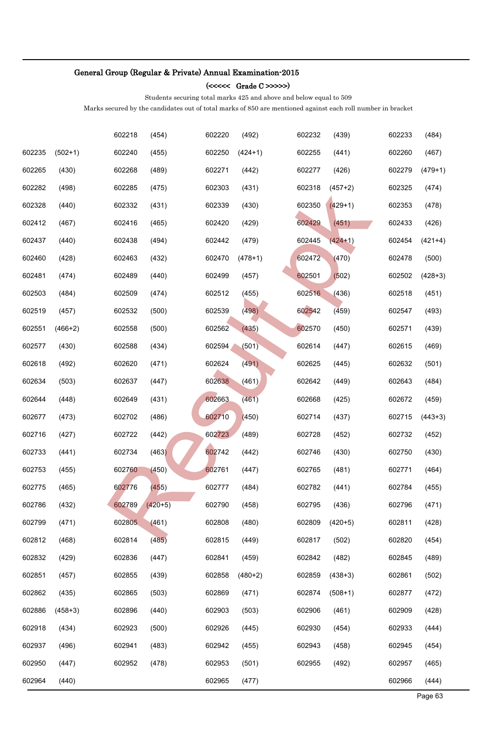### (<<<<< Grade C >>>>>)

Students securing total marks 425 and above and below equal to 509

|        |           | 602218 | (454)     | 602220 | (492)     | 602232 | (439)     | 602233 | (484)     |
|--------|-----------|--------|-----------|--------|-----------|--------|-----------|--------|-----------|
| 602235 | $(502+1)$ | 602240 | (455)     | 602250 | $(424+1)$ | 602255 | (441)     | 602260 | (467)     |
| 602265 | (430)     | 602268 | (489)     | 602271 | (442)     | 602277 | (426)     | 602279 | $(479+1)$ |
| 602282 | (498)     | 602285 | (475)     | 602303 | (431)     | 602318 | $(457+2)$ | 602325 | (474)     |
| 602328 | (440)     | 602332 | (431)     | 602339 | (430)     | 602350 | $(429+1)$ | 602353 | (478)     |
| 602412 | (467)     | 602416 | (465)     | 602420 | (429)     | 602429 | (451)     | 602433 | (426)     |
| 602437 | (440)     | 602438 | (494)     | 602442 | (479)     | 602445 | $(424+1)$ | 602454 | $(421+4)$ |
| 602460 | (428)     | 602463 | (432)     | 602470 | $(478+1)$ | 602472 | (470)     | 602478 | (500)     |
| 602481 | (474)     | 602489 | (440)     | 602499 | (457)     | 602501 | (502)     | 602502 | $(428+3)$ |
| 602503 | (484)     | 602509 | (474)     | 602512 | (455)     | 602516 | (436)     | 602518 | (451)     |
| 602519 | (457)     | 602532 | (500)     | 602539 | (498)     | 602542 | (459)     | 602547 | (493)     |
| 602551 | $(466+2)$ | 602558 | (500)     | 602562 | (435)     | 602570 | (450)     | 602571 | (439)     |
| 602577 | (430)     | 602588 | (434)     | 602594 | (501)     | 602614 | (447)     | 602615 | (469)     |
| 602618 | (492)     | 602620 | (471)     | 602624 | (491)     | 602625 | (445)     | 602632 | (501)     |
| 602634 | (503)     | 602637 | (447)     | 602638 | (461)     | 602642 | (449)     | 602643 | (484)     |
| 602644 | (448)     | 602649 | (431)     | 602663 | (461)     | 602668 | (425)     | 602672 | (459)     |
| 602677 | (473)     | 602702 | (486)     | 602710 | (450)     | 602714 | (437)     | 602715 | $(443+3)$ |
| 602716 | (427)     | 602722 | (442)     | 602723 | (489)     | 602728 | (452)     | 602732 | (452)     |
| 602733 | (441)     | 602734 | (463)     | 602742 | (442)     | 602746 | (430)     | 602750 | (430)     |
| 602753 | (455)     | 602760 | (450)     | 602761 | (447)     | 602765 | (481)     | 602771 | (464)     |
| 602775 | (465)     | 602776 | (455)     | 602777 | (484)     | 602782 | (441)     | 602784 | (455)     |
| 602786 | (432)     | 602789 | $(420+5)$ | 602790 | (458)     | 602795 | (436)     | 602796 | (471)     |
| 602799 | (471)     | 602805 | (461)     | 602808 | (480)     | 602809 | $(420+5)$ | 602811 | (428)     |
| 602812 | (468)     | 602814 | (485)     | 602815 | (449)     | 602817 | (502)     | 602820 | (454)     |
| 602832 | (429)     | 602836 | (447)     | 602841 | (459)     | 602842 | (482)     | 602845 | (489)     |
| 602851 | (457)     | 602855 | (439)     | 602858 | $(480+2)$ | 602859 | $(438+3)$ | 602861 | (502)     |
| 602862 | (435)     | 602865 | (503)     | 602869 | (471)     | 602874 | $(508+1)$ | 602877 | (472)     |
| 602886 | $(458+3)$ | 602896 | (440)     | 602903 | (503)     | 602906 | (461)     | 602909 | (428)     |
| 602918 | (434)     | 602923 | (500)     | 602926 | (445)     | 602930 | (454)     | 602933 | (444)     |
| 602937 | (496)     | 602941 | (483)     | 602942 | (455)     | 602943 | (458)     | 602945 | (454)     |
| 602950 | (447)     | 602952 | (478)     | 602953 | (501)     | 602955 | (492)     | 602957 | (465)     |
| 602964 | (440)     |        |           | 602965 | (477)     |        |           | 602966 | (444)     |
|        |           |        |           |        |           |        |           |        | Page 63   |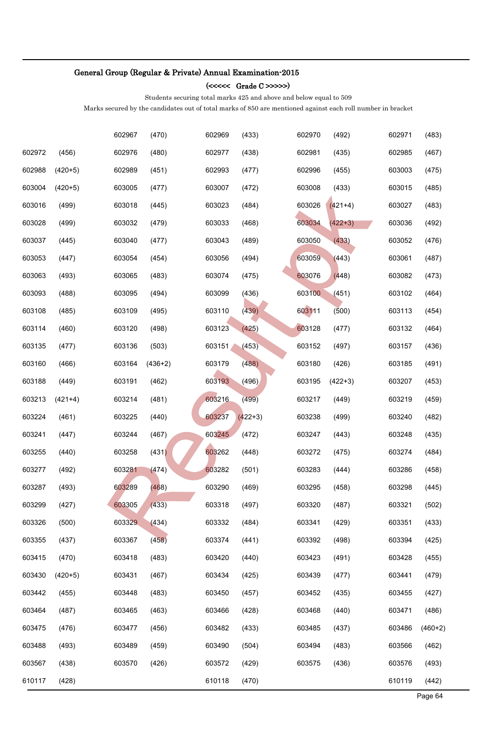### (<<<<< Grade C >>>>>)

Students securing total marks 425 and above and below equal to 509

|        |           | 602967 | (470)     | 602969 | (433)     | 602970 | (492)     | 602971 | (483)     |
|--------|-----------|--------|-----------|--------|-----------|--------|-----------|--------|-----------|
| 602972 | (456)     | 602976 | (480)     | 602977 | (438)     | 602981 | (435)     | 602985 | (467)     |
| 602988 | $(420+5)$ | 602989 | (451)     | 602993 | (477)     | 602996 | (455)     | 603003 | (475)     |
| 603004 | $(420+5)$ | 603005 | (477)     | 603007 | (472)     | 603008 | (433)     | 603015 | (485)     |
| 603016 | (499)     | 603018 | (445)     | 603023 | (484)     | 603026 | $(421+4)$ | 603027 | (483)     |
| 603028 | (499)     | 603032 | (479)     | 603033 | (468)     | 603034 | $(422+3)$ | 603036 | (492)     |
| 603037 | (445)     | 603040 | (477)     | 603043 | (489)     | 603050 | (433)     | 603052 | (476)     |
| 603053 | (447)     | 603054 | (454)     | 603056 | (494)     | 603059 | (443)     | 603061 | (487)     |
| 603063 | (493)     | 603065 | (483)     | 603074 | (475)     | 603076 | (448)     | 603082 | (473)     |
| 603093 | (488)     | 603095 | (494)     | 603099 | (436)     | 603100 | (451)     | 603102 | (464)     |
| 603108 | (485)     | 603109 | (495)     | 603110 | (439)     | 603111 | (500)     | 603113 | (454)     |
| 603114 | (460)     | 603120 | (498)     | 603123 | (425)     | 603128 | (477)     | 603132 | (464)     |
| 603135 | (477)     | 603136 | (503)     | 603151 | (453)     | 603152 | (497)     | 603157 | (436)     |
| 603160 | (466)     | 603164 | $(436+2)$ | 603179 | (488)     | 603180 | (426)     | 603185 | (491)     |
| 603188 | (449)     | 603191 | (462)     | 603193 | (496)     | 603195 | $(422+3)$ | 603207 | (453)     |
| 603213 | $(421+4)$ | 603214 | (481)     | 603216 | (499)     | 603217 | (449)     | 603219 | (459)     |
| 603224 | (461)     | 603225 | (440)     | 603237 | $(422+3)$ | 603238 | (499)     | 603240 | (482)     |
| 603241 | (447)     | 603244 | (467)     | 603245 | (472)     | 603247 | (443)     | 603248 | (435)     |
| 603255 | (440)     | 603258 | (431)     | 603262 | (448)     | 603272 | (475)     | 603274 | (484)     |
| 603277 | (492)     | 603281 | (474)     | 603282 | (501)     | 603283 | (444)     | 603286 | (458)     |
| 603287 | (493)     | 603289 | (468)     | 603290 | (469)     | 603295 | (458)     | 603298 | (445)     |
| 603299 | (427)     | 603305 | (433)     | 603318 | (497)     | 603320 | (487)     | 603321 | (502)     |
| 603326 | (500)     | 603329 | (434)     | 603332 | (484)     | 603341 | (429)     | 603351 | (433)     |
| 603355 | (437)     | 603367 | (458)     | 603374 | (441)     | 603392 | (498)     | 603394 | (425)     |
| 603415 | (470)     | 603418 | (483)     | 603420 | (440)     | 603423 | (491)     | 603428 | (455)     |
| 603430 | $(420+5)$ | 603431 | (467)     | 603434 | (425)     | 603439 | (477)     | 603441 | (479)     |
| 603442 | (455)     | 603448 | (483)     | 603450 | (457)     | 603452 | (435)     | 603455 | (427)     |
| 603464 | (487)     | 603465 | (463)     | 603466 | (428)     | 603468 | (440)     | 603471 | (486)     |
| 603475 | (476)     | 603477 | (456)     | 603482 | (433)     | 603485 | (437)     | 603486 | $(460+2)$ |
| 603488 | (493)     | 603489 | (459)     | 603490 | (504)     | 603494 | (483)     | 603566 | (462)     |
| 603567 | (438)     | 603570 | (426)     | 603572 | (429)     | 603575 | (436)     | 603576 | (493)     |
| 610117 | (428)     |        |           | 610118 | (470)     |        |           | 610119 | (442)     |
|        |           |        |           |        |           |        |           |        | Page 64   |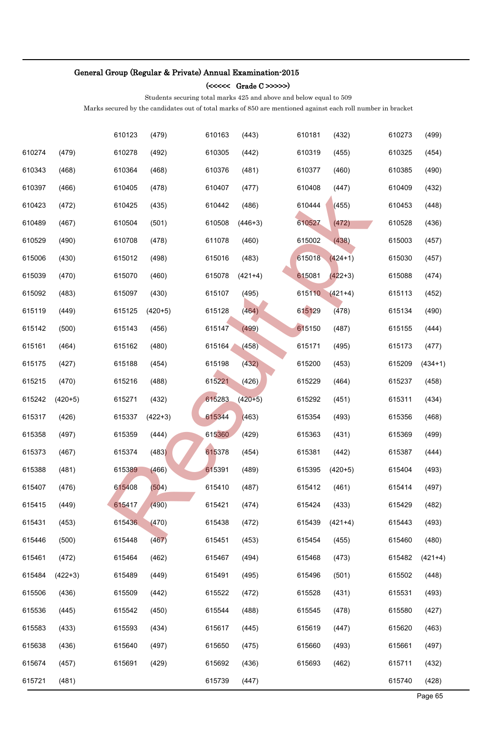### (<<<<< Grade C >>>>>)

Students securing total marks 425 and above and below equal to 509

|        |           | 610123 | (479)     | 610163 | (443)     | 610181 | (432)     | 610273 | (499)     |
|--------|-----------|--------|-----------|--------|-----------|--------|-----------|--------|-----------|
| 610274 | (479)     | 610278 | (492)     | 610305 | (442)     | 610319 | (455)     | 610325 | (454)     |
| 610343 | (468)     | 610364 | (468)     | 610376 | (481)     | 610377 | (460)     | 610385 | (490)     |
| 610397 | (466)     | 610405 | (478)     | 610407 | (477)     | 610408 | (447)     | 610409 | (432)     |
| 610423 | (472)     | 610425 | (435)     | 610442 | (486)     | 610444 | (455)     | 610453 | (448)     |
| 610489 | (467)     | 610504 | (501)     | 610508 | $(446+3)$ | 610527 | (472)     | 610528 | (436)     |
| 610529 | (490)     | 610708 | (478)     | 611078 | (460)     | 615002 | (438)     | 615003 | (457)     |
| 615006 | (430)     | 615012 | (498)     | 615016 | (483)     | 615018 | $(424+1)$ | 615030 | (457)     |
| 615039 | (470)     | 615070 | (460)     | 615078 | $(421+4)$ | 615081 | $(422+3)$ | 615088 | (474)     |
| 615092 | (483)     | 615097 | (430)     | 615107 | (495)     | 615110 | $(421+4)$ | 615113 | (452)     |
| 615119 | (449)     | 615125 | $(420+5)$ | 615128 | (464)     | 615129 | (478)     | 615134 | (490)     |
| 615142 | (500)     | 615143 | (456)     | 615147 | (499)     | 615150 | (487)     | 615155 | (444)     |
| 615161 | (464)     | 615162 | (480)     | 615164 | (458)     | 615171 | (495)     | 615173 | (477)     |
| 615175 | (427)     | 615188 | (454)     | 615198 | (432)     | 615200 | (453)     | 615209 | $(434+1)$ |
| 615215 | (470)     | 615216 | (488)     | 615221 | (426)     | 615229 | (464)     | 615237 | (458)     |
| 615242 | $(420+5)$ | 615271 | (432)     | 615283 | $(420+5)$ | 615292 | (451)     | 615311 | (434)     |
| 615317 | (426)     | 615337 | $(422+3)$ | 615344 | (463)     | 615354 | (493)     | 615356 | (468)     |
| 615358 | (497)     | 615359 | (444)     | 615360 | (429)     | 615363 | (431)     | 615369 | (499)     |
| 615373 | (467)     | 615374 | (483)     | 615378 | (454)     | 615381 | (442)     | 615387 | (444)     |
| 615388 | (481)     | 615389 | (466)     | 615391 | (489)     | 615395 | $(420+5)$ | 615404 | (493)     |
| 615407 | (476)     | 615408 | (504)     | 615410 | (487)     | 615412 | (461)     | 615414 | (497)     |
| 615415 | (449)     | 615417 | (490)     | 615421 | (474)     | 615424 | (433)     | 615429 | (482)     |
| 615431 | (453)     | 615436 | (470)     | 615438 | (472)     | 615439 | $(421+4)$ | 615443 | (493)     |
| 615446 | (500)     | 615448 | (467)     | 615451 | (453)     | 615454 | (455)     | 615460 | (480)     |
| 615461 | (472)     | 615464 | (462)     | 615467 | (494)     | 615468 | (473)     | 615482 | $(421+4)$ |
| 615484 | $(422+3)$ | 615489 | (449)     | 615491 | (495)     | 615496 | (501)     | 615502 | (448)     |
| 615506 | (436)     | 615509 | (442)     | 615522 | (472)     | 615528 | (431)     | 615531 | (493)     |
| 615536 | (445)     | 615542 | (450)     | 615544 | (488)     | 615545 | (478)     | 615580 | (427)     |
| 615583 | (433)     | 615593 | (434)     | 615617 | (445)     | 615619 | (447)     | 615620 | (463)     |
| 615638 | (436)     | 615640 | (497)     | 615650 | (475)     | 615660 | (493)     | 615661 | (497)     |
| 615674 | (457)     | 615691 | (429)     | 615692 | (436)     | 615693 | (462)     | 615711 | (432)     |
| 615721 | (481)     |        |           | 615739 | (447)     |        |           | 615740 | (428)     |
|        |           |        |           |        |           |        |           |        | Page 65   |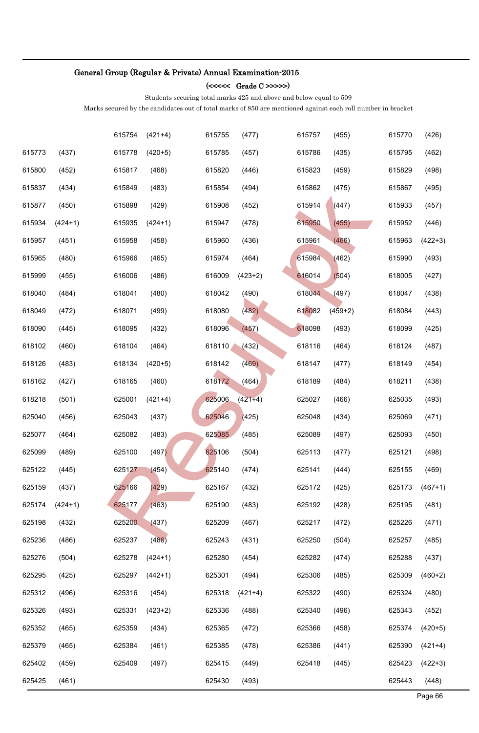### (<<<<< Grade C >>>>>)

Students securing total marks 425 and above and below equal to 509

|        |           | 615754 | $(421+4)$ | 615755 | (477)     | 615757 | (455)     | 615770 | (426)     |
|--------|-----------|--------|-----------|--------|-----------|--------|-----------|--------|-----------|
| 615773 | (437)     | 615778 | $(420+5)$ | 615785 | (457)     | 615786 | (435)     | 615795 | (462)     |
| 615800 | (452)     | 615817 | (468)     | 615820 | (446)     | 615823 | (459)     | 615829 | (498)     |
| 615837 | (434)     | 615849 | (483)     | 615854 | (494)     | 615862 | (475)     | 615867 | (495)     |
| 615877 | (450)     | 615898 | (429)     | 615908 | (452)     | 615914 | (447)     | 615933 | (457)     |
| 615934 | $(424+1)$ | 615935 | $(424+1)$ | 615947 | (478)     | 615950 | (455)     | 615952 | (446)     |
| 615957 | (451)     | 615958 | (458)     | 615960 | (436)     | 615961 | (466)     | 615963 | $(422+3)$ |
| 615965 | (480)     | 615966 | (465)     | 615974 | (464)     | 615984 | (462)     | 615990 | (493)     |
| 615999 | (455)     | 616006 | (486)     | 616009 | $(423+2)$ | 616014 | (504)     | 618005 | (427)     |
| 618040 | (484)     | 618041 | (480)     | 618042 | (490)     | 618044 | (497)     | 618047 | (438)     |
| 618049 | (472)     | 618071 | (499)     | 618080 | (482)     | 618082 | $(459+2)$ | 618084 | (443)     |
| 618090 | (445)     | 618095 | (432)     | 618096 | (457)     | 618098 | (493)     | 618099 | (425)     |
| 618102 | (460)     | 618104 | (464)     | 618110 | (432)     | 618116 | (464)     | 618124 | (487)     |
| 618126 | (483)     | 618134 | $(420+5)$ | 618142 | (469)     | 618147 | (477)     | 618149 | (454)     |
| 618162 | (427)     | 618165 | (460)     | 618172 | (464)     | 618189 | (484)     | 618211 | (438)     |
| 618218 | (501)     | 625001 | $(421+4)$ | 625006 | $(421+4)$ | 625027 | (466)     | 625035 | (493)     |
| 625040 | (456)     | 625043 | (437)     | 625046 | (425)     | 625048 | (434)     | 625069 | (471)     |
| 625077 | (464)     | 625082 | (483)     | 625085 | (485)     | 625089 | (497)     | 625093 | (450)     |
| 625099 | (489)     | 625100 | (497)     | 625106 | (504)     | 625113 | (477)     | 625121 | (498)     |
| 625122 | (445)     | 625127 | (454)     | 625140 | (474)     | 625141 | (444)     | 625155 | (469)     |
| 625159 | (437)     | 625166 | (429)     | 625167 | (432)     | 625172 | (425)     | 625173 | $(467+1)$ |
| 625174 | $(424+1)$ | 625177 | (463)     | 625190 | (483)     | 625192 | (428)     | 625195 | (481)     |
| 625198 | (432)     | 625200 | (437)     | 625209 | (467)     | 625217 | (472)     | 625226 | (471)     |
| 625236 | (486)     | 625237 | (486)     | 625243 | (431)     | 625250 | (504)     | 625257 | (485)     |
| 625276 | (504)     | 625278 | $(424+1)$ | 625280 | (454)     | 625282 | (474)     | 625288 | (437)     |
| 625295 | (425)     | 625297 | $(442+1)$ | 625301 | (494)     | 625306 | (485)     | 625309 | $(460+2)$ |
| 625312 | (496)     | 625316 | (454)     | 625318 | $(421+4)$ | 625322 | (490)     | 625324 | (480)     |
| 625326 | (493)     | 625331 | $(423+2)$ | 625336 | (488)     | 625340 | (496)     | 625343 | (452)     |
| 625352 | (465)     | 625359 | (434)     | 625365 | (472)     | 625366 | (458)     | 625374 | $(420+5)$ |
| 625379 | (465)     | 625384 | (461)     | 625385 | (478)     | 625386 | (441)     | 625390 | $(421+4)$ |
| 625402 | (459)     | 625409 | (497)     | 625415 | (449)     | 625418 | (445)     | 625423 | $(422+3)$ |
| 625425 | (461)     |        |           | 625430 | (493)     |        |           | 625443 | (448)     |
|        |           |        |           |        |           |        |           |        | Page 66   |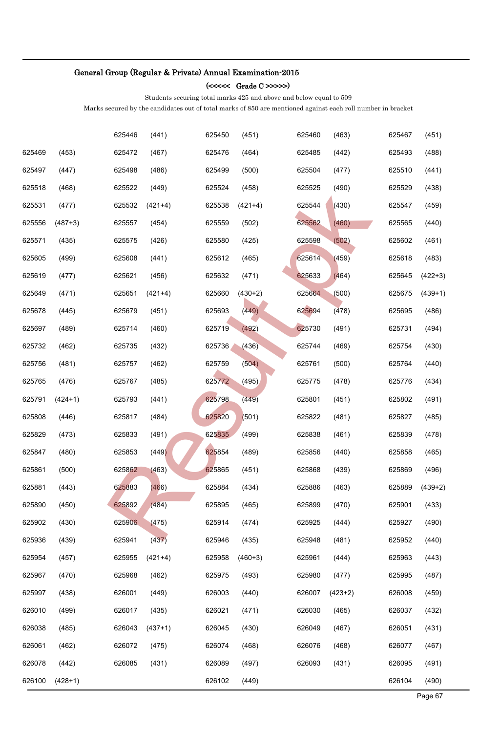### (<<<<< Grade C >>>>>)

Students securing total marks 425 and above and below equal to 509

|        |           | 625446 | (441)     | 625450 | (451)     | 625460 | (463)     | 625467 | (451)     |
|--------|-----------|--------|-----------|--------|-----------|--------|-----------|--------|-----------|
| 625469 | (453)     | 625472 | (467)     | 625476 | (464)     | 625485 | (442)     | 625493 | (488)     |
| 625497 | (447)     | 625498 | (486)     | 625499 | (500)     | 625504 | (477)     | 625510 | (441)     |
| 625518 | (468)     | 625522 | (449)     | 625524 | (458)     | 625525 | (490)     | 625529 | (438)     |
| 625531 | (477)     | 625532 | $(421+4)$ | 625538 | $(421+4)$ | 625544 | (430)     | 625547 | (459)     |
| 625556 | $(487+3)$ | 625557 | (454)     | 625559 | (502)     | 625562 | (460)     | 625565 | (440)     |
| 625571 | (435)     | 625575 | (426)     | 625580 | (425)     | 625598 | (502)     | 625602 | (461)     |
| 625605 | (499)     | 625608 | (441)     | 625612 | (465)     | 625614 | (459)     | 625618 | (483)     |
| 625619 | (477)     | 625621 | (456)     | 625632 | (471)     | 625633 | (464)     | 625645 | $(422+3)$ |
| 625649 | (471)     | 625651 | $(421+4)$ | 625660 | $(430+2)$ | 625664 | (500)     | 625675 | $(439+1)$ |
| 625678 | (445)     | 625679 | (451)     | 625693 | (449)     | 625694 | (478)     | 625695 | (486)     |
| 625697 | (489)     | 625714 | (460)     | 625719 | (492)     | 625730 | (491)     | 625731 | (494)     |
| 625732 | (462)     | 625735 | (432)     | 625736 | (436)     | 625744 | (469)     | 625754 | (430)     |
| 625756 | (481)     | 625757 | (462)     | 625759 | (504)     | 625761 | (500)     | 625764 | (440)     |
| 625765 | (476)     | 625767 | (485)     | 625772 | (495)     | 625775 | (478)     | 625776 | (434)     |
| 625791 | $(424+1)$ | 625793 | (441)     | 625798 | (449)     | 625801 | (451)     | 625802 | (491)     |
| 625808 | (446)     | 625817 | (484)     | 625820 | (501)     | 625822 | (481)     | 625827 | (485)     |
| 625829 | (473)     | 625833 | (491)     | 625835 | (499)     | 625838 | (461)     | 625839 | (478)     |
| 625847 | (480)     | 625853 | (449)     | 625854 | (489)     | 625856 | (440)     | 625858 | (465)     |
| 625861 | (500)     | 625862 | (463)     | 625865 | (451)     | 625868 | (439)     | 625869 | (496)     |
| 625881 | (443)     | 625883 | (466)     | 625884 | (434)     | 625886 | (463)     | 625889 | $(439+2)$ |
| 625890 | (450)     | 625892 | (484)     | 625895 | (465)     | 625899 | (470)     | 625901 | (433)     |
| 625902 | (430)     | 625906 | (475)     | 625914 | (474)     | 625925 | (444)     | 625927 | (490)     |
| 625936 | (439)     | 625941 | (437)     | 625946 | (435)     | 625948 | (481)     | 625952 | (440)     |
| 625954 | (457)     | 625955 | $(421+4)$ | 625958 | $(460+3)$ | 625961 | (444)     | 625963 | (443)     |
| 625967 | (470)     | 625968 | (462)     | 625975 | (493)     | 625980 | (477)     | 625995 | (487)     |
| 625997 | (438)     | 626001 | (449)     | 626003 | (440)     | 626007 | $(423+2)$ | 626008 | (459)     |
| 626010 | (499)     | 626017 | (435)     | 626021 | (471)     | 626030 | (465)     | 626037 | (432)     |
| 626038 | (485)     | 626043 | $(437+1)$ | 626045 | (430)     | 626049 | (467)     | 626051 | (431)     |
| 626061 | (462)     | 626072 | (475)     | 626074 | (468)     | 626076 | (468)     | 626077 | (467)     |
| 626078 | (442)     | 626085 | (431)     | 626089 | (497)     | 626093 | (431)     | 626095 | (491)     |
| 626100 | $(428+1)$ |        |           | 626102 | (449)     |        |           | 626104 | (490)     |
|        |           |        |           |        |           |        |           |        | Page 67   |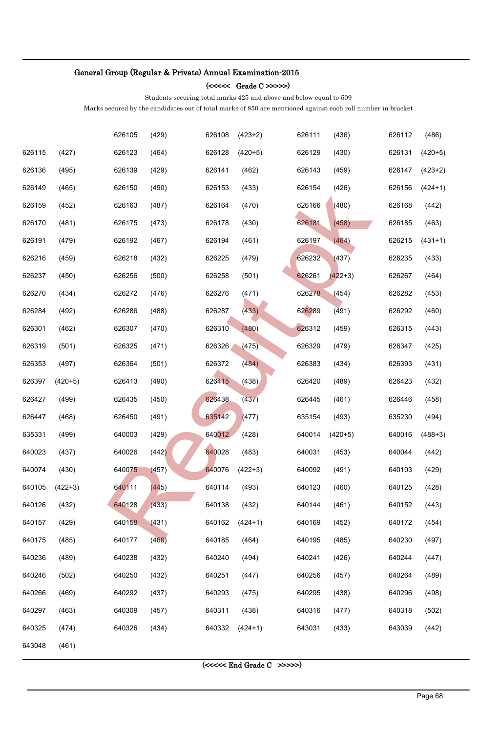(<<<<< Grade C >>>>>)

Students securing total marks 425 and above and below equal to 509

Marks secured by the candidates out of total marks of 850 are mentioned against each roll number in bracket

|        |           | 626105 | (429) | 626108 | $(423+2)$ | 626111                     | (436)     | 626112 | (486)     |
|--------|-----------|--------|-------|--------|-----------|----------------------------|-----------|--------|-----------|
| 626115 | (427)     | 626123 | (464) | 626128 | $(420+5)$ | 626129                     | (430)     | 626131 | $(420+5)$ |
| 626136 | (495)     | 626139 | (429) | 626141 | (462)     | 626143                     | (459)     | 626147 | $(423+2)$ |
| 626149 | (465)     | 626150 | (490) | 626153 | (433)     | 626154                     | (426)     | 626156 | $(424+1)$ |
| 626159 | (452)     | 626163 | (487) | 626164 | (470)     | 626166                     | (480)     | 626168 | (442)     |
| 626170 | (481)     | 626175 | (473) | 626178 | (430)     | 626181                     | (458)     | 626185 | (463)     |
| 626191 | (479)     | 626192 | (467) | 626194 | (461)     | 626197                     | (464)     | 626215 | $(431+1)$ |
| 626216 | (459)     | 626218 | (432) | 626225 | (479)     | 626232                     | (437)     | 626235 | (433)     |
| 626237 | (450)     | 626256 | (500) | 626258 | (501)     | 626261                     | $(422+3)$ | 626267 | (464)     |
| 626270 | (434)     | 626272 | (476) | 626276 | (471)     | 626278                     | (454)     | 626282 | (453)     |
| 626284 | (492)     | 626286 | (488) | 626287 | (433)     | 626289                     | (491)     | 626292 | (460)     |
| 626301 | (462)     | 626307 | (470) | 626310 | (480)     | 626312                     | (459)     | 626315 | (443)     |
| 626319 | (501)     | 626325 | (471) | 626326 | (475)     | 626329                     | (479)     | 626347 | (425)     |
| 626353 | (497)     | 626364 | (501) | 626372 | (484)     | 626383                     | (434)     | 626393 | (431)     |
| 626397 | $(420+5)$ | 626413 | (490) | 626415 | (438)     | 626420                     | (489)     | 626423 | (432)     |
| 626427 | (499)     | 626435 | (450) | 626438 | (437)     | 626445                     | (461)     | 626446 | (458)     |
| 626447 | (468)     | 626450 | (491) | 635142 | (477)     | 635154                     | (493)     | 635230 | (494)     |
| 635331 | (499)     | 640003 | (429) | 640012 | (428)     | 640014                     | $(420+5)$ | 640016 | $(488+3)$ |
| 640023 | (437)     | 640026 | (442) | 640028 | (483)     | 640031                     | (453)     | 640044 | (442)     |
| 640074 | (430)     | 640075 | (457) | 640076 | $(422+3)$ | 640092                     | (491)     | 640103 | (429)     |
| 640105 | $(422+3)$ | 640111 | (445) | 640114 | (493)     | 640123                     | (460)     | 640125 | (428)     |
| 640126 | (432)     | 640128 | (433) | 640138 | (432)     | 640144                     | (461)     | 640152 | (443)     |
| 640157 | (429)     | 640158 | (431) | 640162 | $(424+1)$ | 640169                     | (452)     | 640172 | (454)     |
| 640175 | (485)     | 640177 | (466) | 640185 | (464)     | 640195                     | (485)     | 640230 | (497)     |
| 640236 | (489)     | 640238 | (432) | 640240 | (494)     | 640241                     | (426)     | 640244 | (447)     |
| 640246 | (502)     | 640250 | (432) | 640251 | (447)     | 640256                     | (457)     | 640264 | (489)     |
| 640266 | (469)     | 640292 | (437) | 640293 | (475)     | 640295                     | (438)     | 640296 | (498)     |
| 640297 | (463)     | 640309 | (457) | 640311 | (438)     | 640316                     | (477)     | 640318 | (502)     |
| 640325 | (474)     | 640326 | (434) | 640332 | $(424+1)$ | 643031                     | (433)     | 643039 | (442)     |
| 643048 | (461)     |        |       |        |           |                            |           |        |           |
|        |           |        |       |        |           | $(<<<<$ End Grade C >>>>>) |           |        |           |
|        |           |        |       |        |           |                            |           |        |           |
|        |           |        |       |        |           |                            |           |        | Page 68   |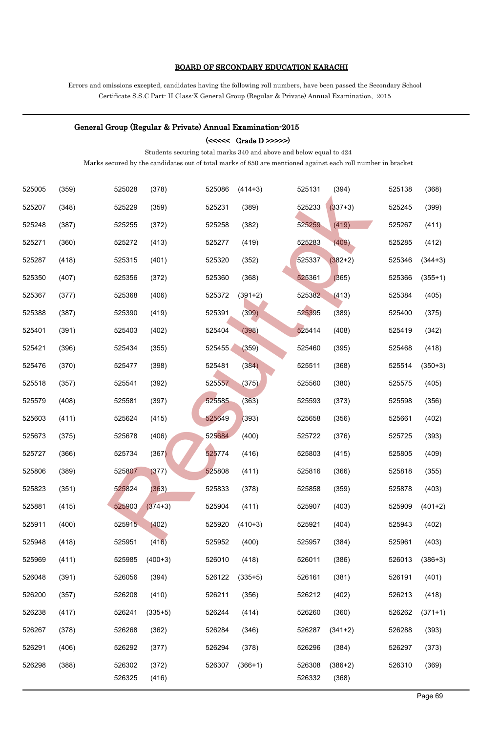### BOARD OF SECONDARY EDUCATION KARACHI

Errors and omissions excepted, candidates having the following roll numbers, have been passed the Secondary School Certificate S.S.C Part- II Class-X General Group (Regular & Private) Annual Examination, 2015

#### General Group (Regular & Private) Annual Examination-2015

 $\left( << << \hbox{ Grade D} > >> \right)$ 

Students securing total marks 340 and above and below equal to 424

| 525005 | (359) | 525028 | (378)     | 525086 | $(414+3)$ | 525131 | (394)     | 525138 | (368)     |
|--------|-------|--------|-----------|--------|-----------|--------|-----------|--------|-----------|
| 525207 | (348) | 525229 | (359)     | 525231 | (389)     | 525233 | $(337+3)$ | 525245 | (399)     |
| 525248 | (387) | 525255 | (372)     | 525258 | (382)     | 525259 | (419)     | 525267 | (411)     |
| 525271 | (360) | 525272 | (413)     | 525277 | (419)     | 525283 | (409)     | 525285 | (412)     |
| 525287 | (418) | 525315 | (401)     | 525320 | (352)     | 525337 | $(382+2)$ | 525346 | $(344+3)$ |
| 525350 | (407) | 525356 | (372)     | 525360 | (368)     | 525361 | (365)     | 525366 | $(355+1)$ |
| 525367 | (377) | 525368 | (406)     | 525372 | $(391+2)$ | 525382 | (413)     | 525384 | (405)     |
| 525388 | (387) | 525390 | (419)     | 525391 | (399)     | 525395 | (389)     | 525400 | (375)     |
| 525401 | (391) | 525403 | (402)     | 525404 | (398)     | 525414 | (408)     | 525419 | (342)     |
| 525421 | (396) | 525434 | (355)     | 525455 | (359)     | 525460 | (395)     | 525468 | (418)     |
| 525476 | (370) | 525477 | (398)     | 525481 | (384)     | 525511 | (368)     | 525514 | $(350+3)$ |
| 525518 | (357) | 525541 | (392)     | 525557 | (375)     | 525560 | (380)     | 525575 | (405)     |
| 525579 | (408) | 525581 | (397)     | 525585 | (363)     | 525593 | (373)     | 525598 | (356)     |
| 525603 | (411) | 525624 | (415)     | 525649 | (393)     | 525658 | (356)     | 525661 | (402)     |
| 525673 | (375) | 525678 | (406)     | 525684 | (400)     | 525722 | (376)     | 525725 | (393)     |
| 525727 | (366) | 525734 | (367)     | 525774 | (416)     | 525803 | (415)     | 525805 | (409)     |
| 525806 | (389) | 525807 | (377)     | 525808 | (411)     | 525816 | (366)     | 525818 | (355)     |
| 525823 | (351) | 525824 | (363)     | 525833 | (378)     | 525858 | (359)     | 525878 | (403)     |
| 525881 | (415) | 525903 | $(374+3)$ | 525904 | (411)     | 525907 | (403)     | 525909 | $(401+2)$ |
| 525911 | (400) | 525915 | (402)     | 525920 | $(410+3)$ | 525921 | (404)     | 525943 | (402)     |
| 525948 | (418) | 525951 | (416)     | 525952 | (400)     | 525957 | (384)     | 525961 | (403)     |
| 525969 | (411) | 525985 | $(400+3)$ | 526010 | (418)     | 526011 | (386)     | 526013 | $(386+3)$ |
| 526048 | (391) | 526056 | (394)     | 526122 | $(335+5)$ | 526161 | (381)     | 526191 | (401)     |
| 526200 | (357) | 526208 | (410)     | 526211 | (356)     | 526212 | (402)     | 526213 | (418)     |
| 526238 | (417) | 526241 | $(335+5)$ | 526244 | (414)     | 526260 | (360)     | 526262 | $(371+1)$ |
| 526267 | (378) | 526268 | (362)     | 526284 | (346)     | 526287 | $(341+2)$ | 526288 | (393)     |
| 526291 | (406) | 526292 | (377)     | 526294 | (378)     | 526296 | (384)     | 526297 | (373)     |
| 526298 | (388) | 526302 | (372)     | 526307 | $(366+1)$ | 526308 | $(386+2)$ | 526310 | (369)     |
|        |       | 526325 | (416)     |        |           | 526332 | (368)     |        |           |
|        |       |        |           |        |           |        |           |        | Page 69   |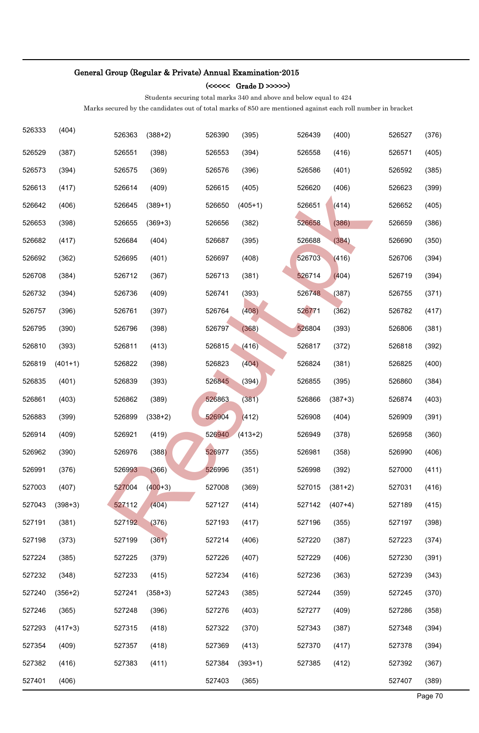### (<<<<< Grade D >>>>>)

Students securing total marks 340 and above and below equal to 424

| 526333 | (404)     | 526363 | $(388+2)$ | 526390 | (395)     | 526439 | (400)     | 526527 | (376)   |
|--------|-----------|--------|-----------|--------|-----------|--------|-----------|--------|---------|
| 526529 | (387)     | 526551 | (398)     | 526553 | (394)     | 526558 | (416)     | 526571 | (405)   |
| 526573 | (394)     | 526575 | (369)     | 526576 | (396)     | 526586 | (401)     | 526592 | (385)   |
| 526613 | (417)     | 526614 | (409)     | 526615 | (405)     | 526620 | (406)     | 526623 | (399)   |
| 526642 | (406)     | 526645 | $(389+1)$ | 526650 | $(405+1)$ | 526651 | (414)     | 526652 | (405)   |
| 526653 | (398)     | 526655 | $(369+3)$ | 526656 | (382)     | 526658 | (386)     | 526659 | (386)   |
| 526682 | (417)     | 526684 | (404)     | 526687 | (395)     | 526688 | (384)     | 526690 | (350)   |
| 526692 | (362)     | 526695 | (401)     | 526697 | (408)     | 526703 | (416)     | 526706 | (394)   |
| 526708 | (384)     | 526712 | (367)     | 526713 | (381)     | 526714 | (404)     | 526719 | (394)   |
| 526732 | (394)     | 526736 | (409)     | 526741 | (393)     | 526748 | (387)     | 526755 | (371)   |
| 526757 | (396)     | 526761 | (397)     | 526764 | (408)     | 526771 | (362)     | 526782 | (417)   |
| 526795 | (390)     | 526796 | (398)     | 526797 | (368)     | 526804 | (393)     | 526806 | (381)   |
| 526810 | (393)     | 526811 | (413)     | 526815 | (416)     | 526817 | (372)     | 526818 | (392)   |
| 526819 | $(401+1)$ | 526822 | (398)     | 526823 | (404)     | 526824 | (381)     | 526825 | (400)   |
| 526835 | (401)     | 526839 | (393)     | 526845 | (394)     | 526855 | (395)     | 526860 | (384)   |
| 526861 | (403)     | 526862 | (389)     | 526863 | (381)     | 526866 | $(387+3)$ | 526874 | (403)   |
| 526883 | (399)     | 526899 | $(338+2)$ | 526904 | (412)     | 526908 | (404)     | 526909 | (391)   |
| 526914 | (409)     | 526921 | (419)     | 526940 | $(413+2)$ | 526949 | (378)     | 526958 | (360)   |
| 526962 | (390)     | 526976 | (388)     | 526977 | (355)     | 526981 | (358)     | 526990 | (406)   |
| 526991 | (376)     | 526993 | (366)     | 526996 | (351)     | 526998 | (392)     | 527000 | (411)   |
| 527003 | (407)     | 527004 | $(400+3)$ | 527008 | (369)     | 527015 | $(381+2)$ | 527031 | (416)   |
| 527043 | $(398+3)$ | 527112 | (404)     | 527127 | (414)     | 527142 | $(407+4)$ | 527189 | (415)   |
| 527191 | (381)     | 527192 | (376)     | 527193 | (417)     | 527196 | (355)     | 527197 | (398)   |
| 527198 | (373)     | 527199 | (361)     | 527214 | (406)     | 527220 | (387)     | 527223 | (374)   |
| 527224 | (385)     | 527225 | (379)     | 527226 | (407)     | 527229 | (406)     | 527230 | (391)   |
| 527232 | (348)     | 527233 | (415)     | 527234 | (416)     | 527236 | (363)     | 527239 | (343)   |
| 527240 | $(356+2)$ | 527241 | $(358+3)$ | 527243 | (385)     | 527244 | (359)     | 527245 | (370)   |
| 527246 | (365)     | 527248 | (396)     | 527276 | (403)     | 527277 | (409)     | 527286 | (358)   |
| 527293 | $(417+3)$ | 527315 | (418)     | 527322 | (370)     | 527343 | (387)     | 527348 | (394)   |
| 527354 | (409)     | 527357 | (418)     | 527369 | (413)     | 527370 | (417)     | 527378 | (394)   |
| 527382 | (416)     | 527383 | (411)     | 527384 | $(393+1)$ | 527385 | (412)     | 527392 | (367)   |
| 527401 | (406)     |        |           | 527403 | (365)     |        |           | 527407 | (389)   |
|        |           |        |           |        |           |        |           |        | Page 70 |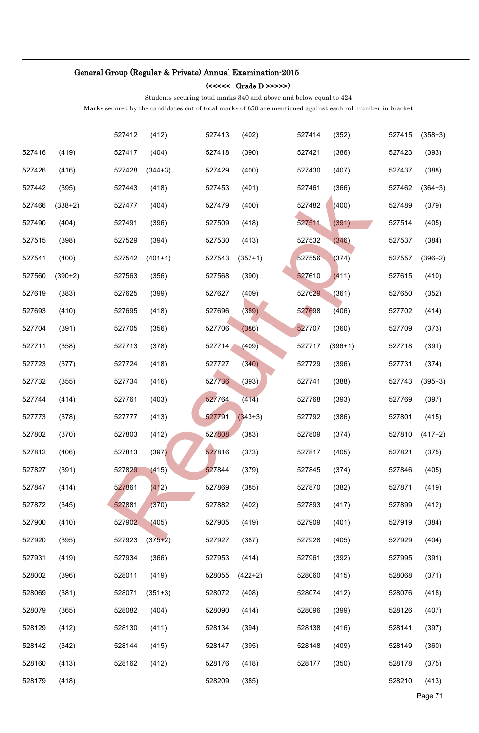### (<<<<< Grade D >>>>>)

Students securing total marks 340 and above and below equal to 424

|        |           | 527412 | (412)     | 527413 | (402)     | 527414 | (352)     | 527415 | $(358+3)$ |
|--------|-----------|--------|-----------|--------|-----------|--------|-----------|--------|-----------|
| 527416 | (419)     | 527417 | (404)     | 527418 | (390)     | 527421 | (386)     | 527423 | (393)     |
| 527426 | (416)     | 527428 | $(344+3)$ | 527429 | (400)     | 527430 | (407)     | 527437 | (388)     |
| 527442 | (395)     | 527443 | (418)     | 527453 | (401)     | 527461 | (366)     | 527462 | $(364+3)$ |
| 527466 | $(338+2)$ | 527477 | (404)     | 527479 | (400)     | 527482 | (400)     | 527489 | (379)     |
| 527490 | (404)     | 527491 | (396)     | 527509 | (418)     | 527511 | (391)     | 527514 | (405)     |
| 527515 | (398)     | 527529 | (394)     | 527530 | (413)     | 527532 | (346)     | 527537 | (384)     |
| 527541 | (400)     | 527542 | $(401+1)$ | 527543 | $(357+1)$ | 527556 | (374)     | 527557 | $(396+2)$ |
| 527560 | $(390+2)$ | 527563 | (356)     | 527568 | (390)     | 527610 | (411)     | 527615 | (410)     |
| 527619 | (383)     | 527625 | (399)     | 527627 | (409)     | 527629 | (361)     | 527650 | (352)     |
| 527693 | (410)     | 527695 | (418)     | 527696 | (389)     | 527698 | (406)     | 527702 | (414)     |
| 527704 | (391)     | 527705 | (356)     | 527706 | (386)     | 527707 | (360)     | 527709 | (373)     |
| 527711 | (358)     | 527713 | (378)     | 527714 | (409)     | 527717 | $(396+1)$ | 527718 | (391)     |
| 527723 | (377)     | 527724 | (418)     | 527727 | (340)     | 527729 | (396)     | 527731 | (374)     |
| 527732 | (355)     | 527734 | (416)     | 527736 | (393)     | 527741 | (388)     | 527743 | $(395+3)$ |
| 527744 | (414)     | 527761 | (403)     | 527764 | (414)     | 527768 | (393)     | 527769 | (397)     |
| 527773 | (378)     | 527777 | (413)     | 527791 | $(343+3)$ | 527792 | (386)     | 527801 | (415)     |
| 527802 | (370)     | 527803 | (412)     | 527808 | (383)     | 527809 | (374)     | 527810 | $(417+2)$ |
| 527812 | (406)     | 527813 | (397)     | 527816 | (373)     | 527817 | (405)     | 527821 | (375)     |
| 527827 | (391)     | 527829 | (415)     | 527844 | (379)     | 527845 | (374)     | 527846 | (405)     |
| 527847 | (414)     | 527861 | (412)     | 527869 | (385)     | 527870 | (382)     | 527871 | (419)     |
| 527872 | (345)     | 527881 | (370)     | 527882 | (402)     | 527893 | (417)     | 527899 | (412)     |
| 527900 | (410)     | 527902 | (405)     | 527905 | (419)     | 527909 | (401)     | 527919 | (384)     |
| 527920 | (395)     | 527923 | $(375+2)$ | 527927 | (387)     | 527928 | (405)     | 527929 | (404)     |
| 527931 | (419)     | 527934 | (366)     | 527953 | (414)     | 527961 | (392)     | 527995 | (391)     |
| 528002 | (396)     | 528011 | (419)     | 528055 | $(422+2)$ | 528060 | (415)     | 528068 | (371)     |
| 528069 | (381)     | 528071 | $(351+3)$ | 528072 | (408)     | 528074 | (412)     | 528076 | (418)     |
| 528079 | (365)     | 528082 | (404)     | 528090 | (414)     | 528096 | (399)     | 528126 | (407)     |
| 528129 | (412)     | 528130 | (411)     | 528134 | (394)     | 528138 | (416)     | 528141 | (397)     |
| 528142 | (342)     | 528144 | (415)     | 528147 | (395)     | 528148 | (409)     | 528149 | (360)     |
| 528160 | (413)     | 528162 | (412)     | 528176 | (418)     | 528177 | (350)     | 528178 | (375)     |
| 528179 | (418)     |        |           | 528209 | (385)     |        |           | 528210 | (413)     |
|        |           |        |           |        |           |        |           |        | Page 71   |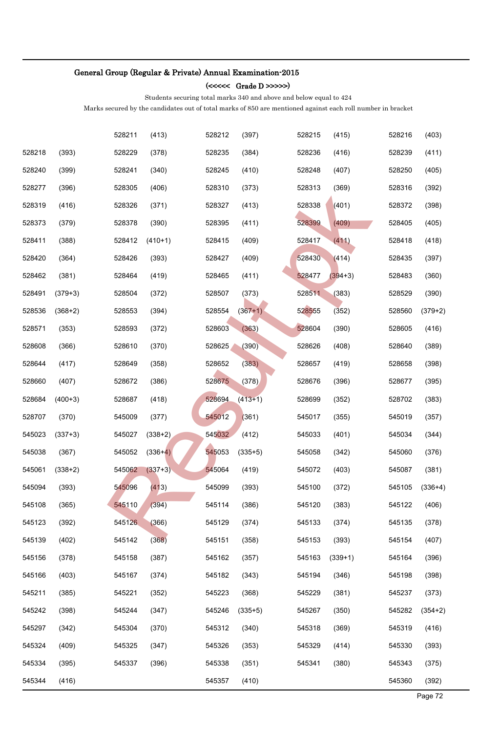### (<<<<< Grade D >>>>>)

Students securing total marks 340 and above and below equal to 424

|        |           | 528211 | (413)     | 528212 | (397)     | 528215 | (415)     | 528216 | (403)     |
|--------|-----------|--------|-----------|--------|-----------|--------|-----------|--------|-----------|
| 528218 | (393)     | 528229 | (378)     | 528235 | (384)     | 528236 | (416)     | 528239 | (411)     |
| 528240 | (399)     | 528241 | (340)     | 528245 | (410)     | 528248 | (407)     | 528250 | (405)     |
| 528277 | (396)     | 528305 | (406)     | 528310 | (373)     | 528313 | (369)     | 528316 | (392)     |
| 528319 | (416)     | 528326 | (371)     | 528327 | (413)     | 528338 | (401)     | 528372 | (398)     |
| 528373 | (379)     | 528378 | (390)     | 528395 | (411)     | 528399 | (409)     | 528405 | (405)     |
| 528411 | (388)     | 528412 | $(410+1)$ | 528415 | (409)     | 528417 | (411)     | 528418 | (418)     |
| 528420 | (364)     | 528426 | (393)     | 528427 | (409)     | 528430 | (414)     | 528435 | (397)     |
| 528462 | (381)     | 528464 | (419)     | 528465 | (411)     | 528477 | $(394+3)$ | 528483 | (360)     |
| 528491 | $(379+3)$ | 528504 | (372)     | 528507 | (373)     | 528511 | (383)     | 528529 | (390)     |
| 528536 | $(368+2)$ | 528553 | (394)     | 528554 | $(367+1)$ | 528555 | (352)     | 528560 | $(379+2)$ |
| 528571 | (353)     | 528593 | (372)     | 528603 | (363)     | 528604 | (390)     | 528605 | (416)     |
| 528608 | (366)     | 528610 | (370)     | 528625 | (390)     | 528626 | (408)     | 528640 | (389)     |
| 528644 | (417)     | 528649 | (358)     | 528652 | (383)     | 528657 | (419)     | 528658 | (398)     |
| 528660 | (407)     | 528672 | (386)     | 528675 | (378)     | 528676 | (396)     | 528677 | (395)     |
| 528684 | $(400+3)$ | 528687 | (418)     | 528694 | $(413+1)$ | 528699 | (352)     | 528702 | (383)     |
| 528707 | (370)     | 545009 | (377)     | 545012 | (361)     | 545017 | (355)     | 545019 | (357)     |
| 545023 | $(337+3)$ | 545027 | $(338+2)$ | 545032 | (412)     | 545033 | (401)     | 545034 | (344)     |
| 545038 | (367)     | 545052 | $(336+4)$ | 545053 | $(335+5)$ | 545058 | (342)     | 545060 | (376)     |
| 545061 | $(338+2)$ | 545062 | $(337+3)$ | 545064 | (419)     | 545072 | (403)     | 545087 | (381)     |
| 545094 | (393)     | 545096 | (413)     | 545099 | (393)     | 545100 | (372)     | 545105 | $(336+4)$ |
| 545108 | (365)     | 545110 | (394)     | 545114 | (386)     | 545120 | (383)     | 545122 | (406)     |
| 545123 | (392)     | 545126 | (366)     | 545129 | (374)     | 545133 | (374)     | 545135 | (378)     |
| 545139 | (402)     | 545142 | (368)     | 545151 | (358)     | 545153 | (393)     | 545154 | (407)     |
| 545156 | (378)     | 545158 | (387)     | 545162 | (357)     | 545163 | $(339+1)$ | 545164 | (396)     |
| 545166 | (403)     | 545167 | (374)     | 545182 | (343)     | 545194 | (346)     | 545198 | (398)     |
| 545211 | (385)     | 545221 | (352)     | 545223 | (368)     | 545229 | (381)     | 545237 | (373)     |
| 545242 | (398)     | 545244 | (347)     | 545246 | $(335+5)$ | 545267 | (350)     | 545282 | $(354+2)$ |
| 545297 | (342)     | 545304 | (370)     | 545312 | (340)     | 545318 | (369)     | 545319 | (416)     |
| 545324 | (409)     | 545325 | (347)     | 545326 | (353)     | 545329 | (414)     | 545330 | (393)     |
| 545334 | (395)     | 545337 | (396)     | 545338 | (351)     | 545341 | (380)     | 545343 | (375)     |
| 545344 | (416)     |        |           | 545357 | (410)     |        |           | 545360 | (392)     |
|        |           |        |           |        |           |        |           |        | Page 72   |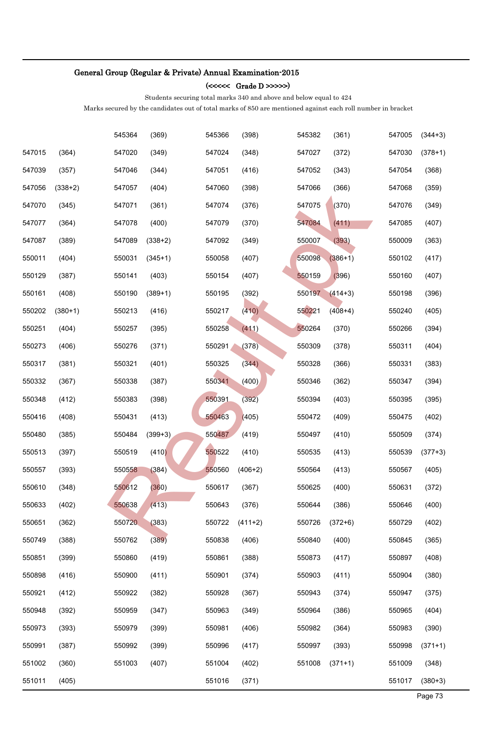### (<<<<< Grade D >>>>>)

Students securing total marks 340 and above and below equal to 424

|        |           | 545364 | (369)     | 545366 | (398)     | 545382 | (361)     | 547005 | $(344+3)$ |
|--------|-----------|--------|-----------|--------|-----------|--------|-----------|--------|-----------|
| 547015 | (364)     | 547020 | (349)     | 547024 | (348)     | 547027 | (372)     | 547030 | $(378+1)$ |
| 547039 | (357)     | 547046 | (344)     | 547051 | (416)     | 547052 | (343)     | 547054 | (368)     |
| 547056 | $(338+2)$ | 547057 | (404)     | 547060 | (398)     | 547066 | (366)     | 547068 | (359)     |
| 547070 | (345)     | 547071 | (361)     | 547074 | (376)     | 547075 | (370)     | 547076 | (349)     |
| 547077 | (364)     | 547078 | (400)     | 547079 | (370)     | 547084 | (411)     | 547085 | (407)     |
| 547087 | (389)     | 547089 | $(338+2)$ | 547092 | (349)     | 550007 | (393)     | 550009 | (363)     |
| 550011 | (404)     | 550031 | $(345+1)$ | 550058 | (407)     | 550098 | $(386+1)$ | 550102 | (417)     |
| 550129 | (387)     | 550141 | (403)     | 550154 | (407)     | 550159 | (396)     | 550160 | (407)     |
| 550161 | (408)     | 550190 | $(389+1)$ | 550195 | (392)     | 550197 | $(414+3)$ | 550198 | (396)     |
| 550202 | $(380+1)$ | 550213 | (416)     | 550217 | (410)     | 550221 | $(408+4)$ | 550240 | (405)     |
| 550251 | (404)     | 550257 | (395)     | 550258 | (411)     | 550264 | (370)     | 550266 | (394)     |
| 550273 | (406)     | 550276 | (371)     | 550291 | (378)     | 550309 | (378)     | 550311 | (404)     |
| 550317 | (381)     | 550321 | (401)     | 550325 | (344)     | 550328 | (366)     | 550331 | (383)     |
| 550332 | (367)     | 550338 | (387)     | 550341 | (400)     | 550346 | (362)     | 550347 | (394)     |
| 550348 | (412)     | 550383 | (398)     | 550391 | (392)     | 550394 | (403)     | 550395 | (395)     |
| 550416 | (408)     | 550431 | (413)     | 550463 | (405)     | 550472 | (409)     | 550475 | (402)     |
| 550480 | (385)     | 550484 | $(399+3)$ | 550487 | (419)     | 550497 | (410)     | 550509 | (374)     |
| 550513 | (397)     | 550519 | (410)     | 550522 | (410)     | 550535 | (413)     | 550539 | $(377+3)$ |
| 550557 | (393)     | 550558 | (384)     | 550560 | $(406+2)$ | 550564 | (413)     | 550567 | (405)     |
| 550610 | (348)     | 550612 | (360)     | 550617 | (367)     | 550625 | (400)     | 550631 | (372)     |
| 550633 | (402)     | 550638 | (413)     | 550643 | (376)     | 550644 | (386)     | 550646 | (400)     |
| 550651 | (362)     | 550720 | (383)     | 550722 | $(411+2)$ | 550726 | $(372+6)$ | 550729 | (402)     |
| 550749 | (388)     | 550762 | (389)     | 550838 | (406)     | 550840 | (400)     | 550845 | (365)     |
| 550851 | (399)     | 550860 | (419)     | 550861 | (388)     | 550873 | (417)     | 550897 | (408)     |
| 550898 | (416)     | 550900 | (411)     | 550901 | (374)     | 550903 | (411)     | 550904 | (380)     |
| 550921 | (412)     | 550922 | (382)     | 550928 | (367)     | 550943 | (374)     | 550947 | (375)     |
| 550948 | (392)     | 550959 | (347)     | 550963 | (349)     | 550964 | (386)     | 550965 | (404)     |
| 550973 | (393)     | 550979 | (399)     | 550981 | (406)     | 550982 | (364)     | 550983 | (390)     |
| 550991 | (387)     | 550992 | (399)     | 550996 | (417)     | 550997 | (393)     | 550998 | $(371+1)$ |
| 551002 | (360)     | 551003 | (407)     | 551004 | (402)     | 551008 | $(371+1)$ | 551009 | (348)     |
| 551011 | (405)     |        |           | 551016 | (371)     |        |           | 551017 | $(380+3)$ |
|        |           |        |           |        |           |        |           |        | Page 73   |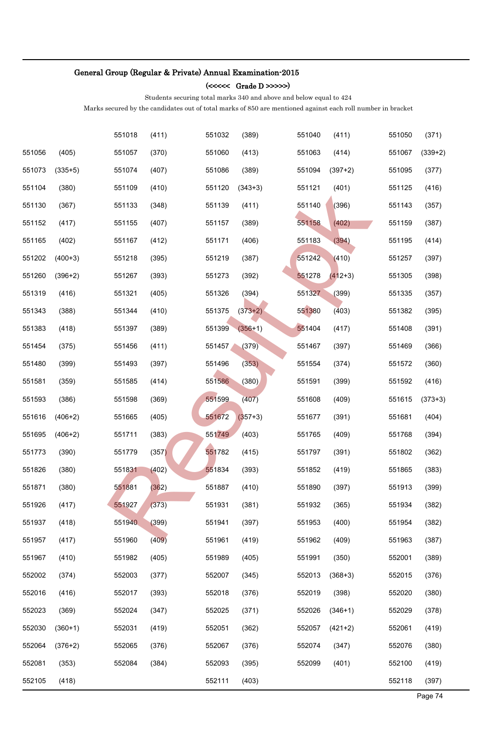#### (<<<<< Grade D >>>>>)

Students securing total marks 340 and above and below equal to 424

|        |           | 551018 | (411) | 551032 | (389)     | 551040 | (411)     | 551050 | (371)     |
|--------|-----------|--------|-------|--------|-----------|--------|-----------|--------|-----------|
| 551056 | (405)     | 551057 | (370) | 551060 | (413)     | 551063 | (414)     | 551067 | $(339+2)$ |
| 551073 | $(335+5)$ | 551074 | (407) | 551086 | (389)     | 551094 | $(397+2)$ | 551095 | (377)     |
| 551104 | (380)     | 551109 | (410) | 551120 | $(343+3)$ | 551121 | (401)     | 551125 | (416)     |
| 551130 | (367)     | 551133 | (348) | 551139 | (411)     | 551140 | (396)     | 551143 | (357)     |
| 551152 | (417)     | 551155 | (407) | 551157 | (389)     | 551158 | (402)     | 551159 | (387)     |
| 551165 | (402)     | 551167 | (412) | 551171 | (406)     | 551183 | (394)     | 551195 | (414)     |
| 551202 | $(400+3)$ | 551218 | (395) | 551219 | (387)     | 551242 | (410)     | 551257 | (397)     |
| 551260 | $(396+2)$ | 551267 | (393) | 551273 | (392)     | 551278 | $(412+3)$ | 551305 | (398)     |
| 551319 | (416)     | 551321 | (405) | 551326 | (394)     | 551327 | (399)     | 551335 | (357)     |
| 551343 | (388)     | 551344 | (410) | 551375 | $(373+2)$ | 551380 | (403)     | 551382 | (395)     |
| 551383 | (418)     | 551397 | (389) | 551399 | $(356+1)$ | 551404 | (417)     | 551408 | (391)     |
| 551454 | (375)     | 551456 | (411) | 551457 | (379)     | 551467 | (397)     | 551469 | (366)     |
| 551480 | (399)     | 551493 | (397) | 551496 | (353)     | 551554 | (374)     | 551572 | (360)     |
| 551581 | (359)     | 551585 | (414) | 551586 | (380)     | 551591 | (399)     | 551592 | (416)     |
| 551593 | (386)     | 551598 | (369) | 551599 | (407)     | 551608 | (409)     | 551615 | $(373+3)$ |
| 551616 | $(406+2)$ | 551665 | (405) | 551672 | $(357+3)$ | 551677 | (391)     | 551681 | (404)     |
| 551695 | $(406+2)$ | 551711 | (383) | 551749 | (403)     | 551765 | (409)     | 551768 | (394)     |
| 551773 | (390)     | 551779 | (357) | 551782 | (415)     | 551797 | (391)     | 551802 | (362)     |
| 551826 | (380)     | 551831 | (402) | 551834 | (393)     | 551852 | (419)     | 551865 | (383)     |
| 551871 | (380)     | 551881 | (362) | 551887 | (410)     | 551890 | (397)     | 551913 | (399)     |
| 551926 | (417)     | 551927 | (373) | 551931 | (381)     | 551932 | (365)     | 551934 | (382)     |
| 551937 | (418)     | 551940 | (399) | 551941 | (397)     | 551953 | (400)     | 551954 | (382)     |
| 551957 | (417)     | 551960 | (409) | 551961 | (419)     | 551962 | (409)     | 551963 | (387)     |
| 551967 | (410)     | 551982 | (405) | 551989 | (405)     | 551991 | (350)     | 552001 | (389)     |
| 552002 | (374)     | 552003 | (377) | 552007 | (345)     | 552013 | $(368+3)$ | 552015 | (376)     |
| 552016 | (416)     | 552017 | (393) | 552018 | (376)     | 552019 | (398)     | 552020 | (380)     |
| 552023 | (369)     | 552024 | (347) | 552025 | (371)     | 552026 | $(346+1)$ | 552029 | (378)     |
| 552030 | $(360+1)$ | 552031 | (419) | 552051 | (362)     | 552057 | $(421+2)$ | 552061 | (419)     |
| 552064 | $(376+2)$ | 552065 | (376) | 552067 | (376)     | 552074 | (347)     | 552076 | (380)     |
| 552081 | (353)     | 552084 | (384) | 552093 | (395)     | 552099 | (401)     | 552100 | (419)     |
| 552105 | (418)     |        |       | 552111 | (403)     |        |           | 552118 | (397)     |
|        |           |        |       |        |           |        |           |        | Page 74   |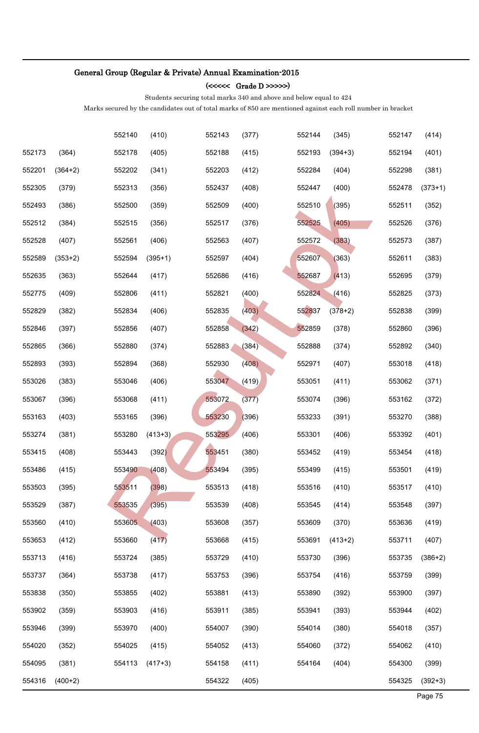#### (<<<<< Grade D >>>>>)

Students securing total marks 340 and above and below equal to 424

| 554316           | $(400+2)$          |                  |                | 554322           | (405)          |                  |                    | 554325           | $(392+3)$          |
|------------------|--------------------|------------------|----------------|------------------|----------------|------------------|--------------------|------------------|--------------------|
| 554095           | (381)              | 554113           | $(417+3)$      | 554158           | (411)          | 554164           | (404)              | 554300           | (399)              |
| 554020           | (352)              | 554025           | (415)          | 554052           | (413)          | 554060           | (372)              | 554062           | (410)              |
| 553946           | (399)              | 553970           | (400)          | 554007           | (390)          | 554014           | (380)              | 554018           | (357)              |
| 553902           | (359)              | 553903           | (416)          | 553911           | (385)          | 553941           | (393)              | 553944           | (402)              |
| 553838           | (350)              | 553855           | (402)          | 553881           | (413)          | 553890           | (392)              | 553900           | (397)              |
| 553737           | (364)              | 553738           | (417)          | 553753           | (396)          | 553754           | (416)              | 553759           | (399)              |
| 553713           | (416)              | 553724           | (385)          | 553729           | (410)          | 553730           | (396)              | 553735           | $(386+2)$          |
| 553653           | (412)              | 553660           | (417)          | 553668           | (415)          | 553691           | $(413+2)$          | 553711           | (407)              |
| 553560           | (410)              | 553605           | (403)          | 553608           | (357)          | 553609           | (370)              | 553636           | (419)              |
| 553529           | (387)              | 553535           | (395)          | 553539           | (408)          | 553545           | (414)              | 553548           | (397)              |
| 553503           | (395)              | 553511           | (398)          | 553513           | (418)          | 553516           | (410)              | 553517           | (410)              |
| 553486           | (415)              | 553490           | (408)          | 553494           | (395)          | 553499           | (415)              | 553501           | (419)              |
| 553415           | (408)              | 553443           | (392)          | 553451           | (380)          | 553452           | (419)              | 553454           | (418)              |
| 553274           | (381)              | 553280           | $(413+3)$      | 553295           | (406)          | 553301           | (406)              | 553392           | (401)              |
| 553163           | (403)              | 553165           | (396)          | 553230           | (396)          | 553233           | (391)              | 553270           | (388)              |
| 553067           | (396)              | 553068           | (411)          | 553072           | (377)          | 553074           | (396)              | 553162           | (372)              |
| 553026           | (383)              | 553046           | (406)          | 553047           | (419)          | 553051           | (411)              | 553062           | (371)              |
| 552893           | (393)              | 552894           | (368)          | 552930           | (408)          | 552971           | (407)              | 553018           | (418)              |
| 552865           | (366)              | 552880           | (374)          | 552883           | (384)          | 552888           | (374)              | 552892           | (340)              |
| 552846           | (397)              | 552856           | (407)          | 552858           | (342)          | 552859           | (378)              | 552860           | (396)              |
| 552829           | (382)              | 552834           | (406)          | 552835           | (403)          | 552837           | $(378+2)$          | 552838           | (399)              |
| 552775           | (409)              | 552806           | (411)          | 552821           | (400)          | 552824           | (416)              | 552825           | (373)              |
| 552635           | (363)              | 552644           | (417)          | 552686           | (416)          | 552687           | (413)              | 552695           | (379)              |
| 552589           | $(353+2)$          | 552594           | $(395+1)$      | 552597           | (404)          | 552607           | (363)              | 552611           | (383)              |
| 552528           | (407)              | 552561           | (406)          | 552563           | (407)          | 552572           | (383)              | 552573           | (387)              |
| 552512           | (384)              | 552515           | (356)          | 552517           | (376)          | 552525           | (405)              | 552526           | (376)              |
| 552493           | (386)              | 552500           | (359)          | 552509           | (400)          | 552510           | (395)              | 552511           | (352)              |
| 552201<br>552305 | $(364+2)$<br>(379) | 552313           | (341)<br>(356) | 552437           | (412)<br>(408) | 552447           | (400)              | 552298<br>552478 | (381)<br>$(373+1)$ |
| 552173           | (364)              | 552178<br>552202 | (405)          | 552188<br>552203 | (415)          | 552193<br>552284 | $(394+3)$<br>(404) | 552194           | (401)              |
|                  |                    |                  |                |                  |                |                  |                    |                  |                    |
|                  |                    | 552140           | (410)          | 552143           | (377)          | 552144           | (345)              | 552147           | (414)              |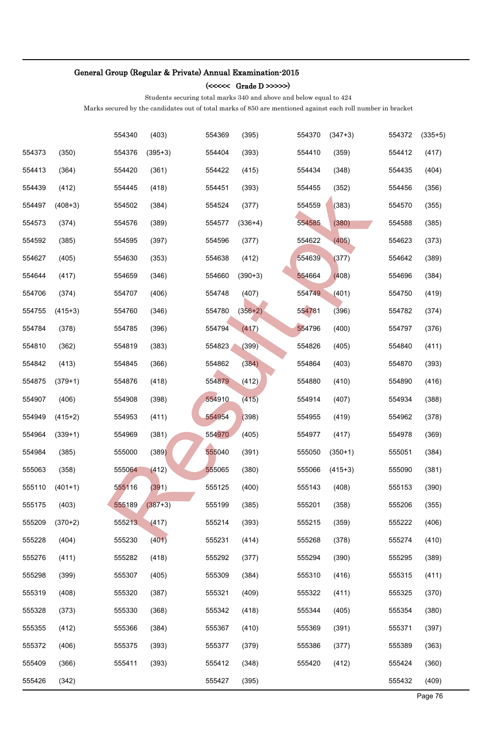### (<<<<< Grade D >>>>>)

Students securing total marks 340 and above and below equal to 424

|        |           | 554340 | (403)     | 554369 | (395)     | 554370 | $(347+3)$ | 554372 | $(335+5)$ |
|--------|-----------|--------|-----------|--------|-----------|--------|-----------|--------|-----------|
| 554373 | (350)     | 554376 | $(395+3)$ | 554404 | (393)     | 554410 | (359)     | 554412 | (417)     |
| 554413 | (364)     | 554420 | (361)     | 554422 | (415)     | 554434 | (348)     | 554435 | (404)     |
| 554439 | (412)     | 554445 | (418)     | 554451 | (393)     | 554455 | (352)     | 554456 | (356)     |
| 554497 | $(408+3)$ | 554502 | (384)     | 554524 | (377)     | 554559 | (383)     | 554570 | (355)     |
| 554573 | (374)     | 554576 | (389)     | 554577 | $(336+4)$ | 554585 | (380)     | 554588 | (385)     |
| 554592 | (385)     | 554595 | (397)     | 554596 | (377)     | 554622 | (405)     | 554623 | (373)     |
| 554627 | (405)     | 554630 | (353)     | 554638 | (412)     | 554639 | (377)     | 554642 | (389)     |
| 554644 | (417)     | 554659 | (346)     | 554660 | $(390+3)$ | 554664 | (408)     | 554696 | (384)     |
| 554706 | (374)     | 554707 | (406)     | 554748 | (407)     | 554749 | (401)     | 554750 | (419)     |
| 554755 | $(415+3)$ | 554760 | (346)     | 554780 | $(356+2)$ | 554781 | (396)     | 554782 | (374)     |
| 554784 | (378)     | 554785 | (396)     | 554794 | (417)     | 554796 | (400)     | 554797 | (376)     |
| 554810 | (362)     | 554819 | (383)     | 554823 | (399)     | 554826 | (405)     | 554840 | (411)     |
| 554842 | (413)     | 554845 | (366)     | 554862 | (384)     | 554864 | (403)     | 554870 | (393)     |
| 554875 | $(379+1)$ | 554876 | (418)     | 554879 | (412)     | 554880 | (410)     | 554890 | (416)     |
| 554907 | (406)     | 554908 | (398)     | 554910 | (415)     | 554914 | (407)     | 554934 | (388)     |
| 554949 | $(415+2)$ | 554953 | (411)     | 554954 | (398)     | 554955 | (419)     | 554962 | (378)     |
| 554964 | $(339+1)$ | 554969 | (381)     | 554970 | (405)     | 554977 | (417)     | 554978 | (369)     |
| 554984 | (385)     | 555000 | (389)     | 555040 | (391)     | 555050 | $(350+1)$ | 555051 | (384)     |
| 555063 | (358)     | 555064 | (412)     | 555065 | (380)     | 555066 | $(415+3)$ | 555090 | (381)     |
| 555110 | $(401+1)$ | 555116 | (391)     | 555125 | (400)     | 555143 | (408)     | 555153 | (390)     |
| 555175 | (403)     | 555189 | $(387+3)$ | 555199 | (385)     | 555201 | (358)     | 555206 | (355)     |
| 555209 | $(370+2)$ | 555213 | (417)     | 555214 | (393)     | 555215 | (359)     | 555222 | (406)     |
| 555228 | (404)     | 555230 | (401)     | 555231 | (414)     | 555268 | (378)     | 555274 | (410)     |
| 555276 | (411)     | 555282 | (418)     | 555292 | (377)     | 555294 | (390)     | 555295 | (389)     |
| 555298 | (399)     | 555307 | (405)     | 555309 | (384)     | 555310 | (416)     | 555315 | (411)     |
| 555319 | (408)     | 555320 | (387)     | 555321 | (409)     | 555322 | (411)     | 555325 | (370)     |
| 555328 | (373)     | 555330 | (368)     | 555342 | (418)     | 555344 | (405)     | 555354 | (380)     |
| 555355 | (412)     | 555366 | (384)     | 555367 | (410)     | 555369 | (391)     | 555371 | (397)     |
| 555372 | (406)     | 555375 | (393)     | 555377 | (379)     | 555386 | (377)     | 555389 | (363)     |
| 555409 | (366)     | 555411 | (393)     | 555412 | (348)     | 555420 | (412)     | 555424 | (360)     |
| 555426 | (342)     |        |           | 555427 | (395)     |        |           | 555432 | (409)     |
|        |           |        |           |        |           |        |           |        | Page 76   |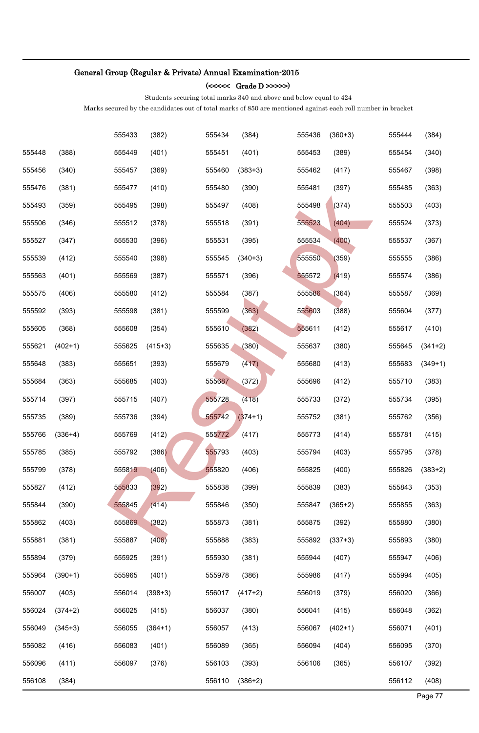### (<<<<< Grade D >>>>>)

Students securing total marks 340 and above and below equal to 424

|        |           | 555433 | (382)     | 555434 | (384)     | 555436 | $(360+3)$ | 555444 | (384)     |
|--------|-----------|--------|-----------|--------|-----------|--------|-----------|--------|-----------|
| 555448 | (388)     | 555449 | (401)     | 555451 | (401)     | 555453 | (389)     | 555454 | (340)     |
| 555456 | (340)     | 555457 | (369)     | 555460 | $(383+3)$ | 555462 | (417)     | 555467 | (398)     |
| 555476 | (381)     | 555477 | (410)     | 555480 | (390)     | 555481 | (397)     | 555485 | (363)     |
| 555493 | (359)     | 555495 | (398)     | 555497 | (408)     | 555498 | (374)     | 555503 | (403)     |
| 555506 | (346)     | 555512 | (378)     | 555518 | (391)     | 555523 | (404)     | 555524 | (373)     |
| 555527 | (347)     | 555530 | (396)     | 555531 | (395)     | 555534 | (400)     | 555537 | (367)     |
| 555539 | (412)     | 555540 | (398)     | 555545 | $(340+3)$ | 555550 | (359)     | 555555 | (386)     |
| 555563 | (401)     | 555569 | (387)     | 555571 | (396)     | 555572 | (419)     | 555574 | (386)     |
| 555575 | (406)     | 555580 | (412)     | 555584 | (387)     | 555586 | (364)     | 555587 | (369)     |
| 555592 | (393)     | 555598 | (381)     | 555599 | (363)     | 555603 | (388)     | 555604 | (377)     |
| 555605 | (368)     | 555608 | (354)     | 555610 | (382)     | 555611 | (412)     | 555617 | (410)     |
| 555621 | $(402+1)$ | 555625 | $(415+3)$ | 555635 | (380)     | 555637 | (380)     | 555645 | $(341+2)$ |
| 555648 | (383)     | 555651 | (393)     | 555679 | (417)     | 555680 | (413)     | 555683 | $(349+1)$ |
| 555684 | (363)     | 555685 | (403)     | 555687 | (372)     | 555696 | (412)     | 555710 | (383)     |
| 555714 | (397)     | 555715 | (407)     | 555728 | (418)     | 555733 | (372)     | 555734 | (395)     |
| 555735 | (389)     | 555736 | (394)     | 555742 | $(374+1)$ | 555752 | (381)     | 555762 | (356)     |
| 555766 | $(336+4)$ | 555769 | (412)     | 555772 | (417)     | 555773 | (414)     | 555781 | (415)     |
| 555785 | (385)     | 555792 | (386)     | 555793 | (403)     | 555794 | (403)     | 555795 | (378)     |
| 555799 | (378)     | 555819 | (406)     | 555820 | (406)     | 555825 | (400)     | 555826 | $(383+2)$ |
| 555827 | (412)     | 555833 | (392)     | 555838 | (399)     | 555839 | (383)     | 555843 | (353)     |
| 555844 | (390)     | 555845 | (414)     | 555846 | (350)     | 555847 | $(365+2)$ | 555855 | (363)     |
| 555862 | (403)     | 555869 | (382)     | 555873 | (381)     | 555875 | (392)     | 555880 | (380)     |
| 555881 | (381)     | 555887 | (406)     | 555888 | (383)     | 555892 | $(337+3)$ | 555893 | (380)     |
| 555894 | (379)     | 555925 | (391)     | 555930 | (381)     | 555944 | (407)     | 555947 | (406)     |
| 555964 | $(390+1)$ | 555965 | (401)     | 555978 | (386)     | 555986 | (417)     | 555994 | (405)     |
| 556007 | (403)     | 556014 | $(398+3)$ | 556017 | $(417+2)$ | 556019 | (379)     | 556020 | (366)     |
| 556024 | $(374+2)$ | 556025 | (415)     | 556037 | (380)     | 556041 | (415)     | 556048 | (362)     |
| 556049 | $(345+3)$ | 556055 | $(364+1)$ | 556057 | (413)     | 556067 | $(402+1)$ | 556071 | (401)     |
| 556082 | (416)     | 556083 | (401)     | 556089 | (365)     | 556094 | (404)     | 556095 | (370)     |
| 556096 | (411)     | 556097 | (376)     | 556103 | (393)     | 556106 | (365)     | 556107 | (392)     |
| 556108 | (384)     |        |           | 556110 | $(386+2)$ |        |           | 556112 | (408)     |
|        |           |        |           |        |           |        |           |        | Page 77   |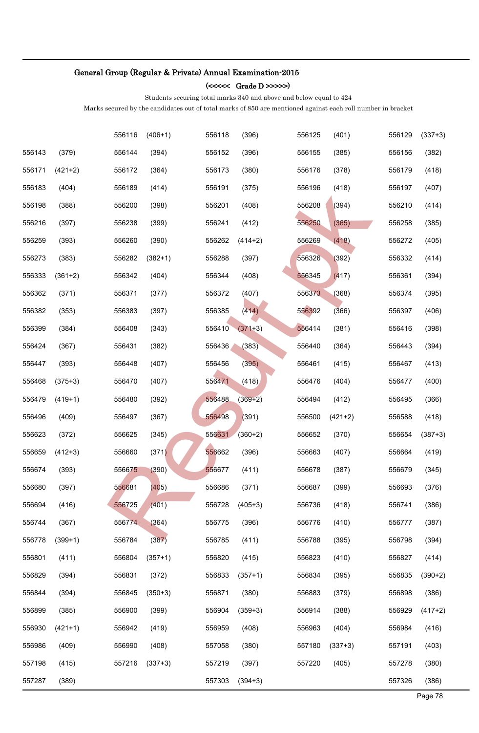### (<<<<< Grade D >>>>>)

Students securing total marks 340 and above and below equal to 424

|        |           | 556116 | $(406+1)$ | 556118 | (396)     | 556125 | (401)     | 556129 | $(337+3)$ |
|--------|-----------|--------|-----------|--------|-----------|--------|-----------|--------|-----------|
| 556143 | (379)     | 556144 | (394)     | 556152 | (396)     | 556155 | (385)     | 556156 | (382)     |
| 556171 | $(421+2)$ | 556172 | (364)     | 556173 | (380)     | 556176 | (378)     | 556179 | (418)     |
| 556183 | (404)     | 556189 | (414)     | 556191 | (375)     | 556196 | (418)     | 556197 | (407)     |
| 556198 | (388)     | 556200 | (398)     | 556201 | (408)     | 556208 | (394)     | 556210 | (414)     |
| 556216 | (397)     | 556238 | (399)     | 556241 | (412)     | 556250 | (365)     | 556258 | (385)     |
| 556259 | (393)     | 556260 | (390)     | 556262 | $(414+2)$ | 556269 | (418)     | 556272 | (405)     |
| 556273 | (383)     | 556282 | $(382+1)$ | 556288 | (397)     | 556326 | (392)     | 556332 | (414)     |
| 556333 | $(361+2)$ | 556342 | (404)     | 556344 | (408)     | 556345 | (417)     | 556361 | (394)     |
| 556362 | (371)     | 556371 | (377)     | 556372 | (407)     | 556373 | (368)     | 556374 | (395)     |
| 556382 | (353)     | 556383 | (397)     | 556385 | (414)     | 556392 | (366)     | 556397 | (406)     |
| 556399 | (384)     | 556408 | (343)     | 556410 | $(371+3)$ | 556414 | (381)     | 556416 | (398)     |
| 556424 | (367)     | 556431 | (382)     | 556436 | (383)     | 556440 | (364)     | 556443 | (394)     |
| 556447 | (393)     | 556448 | (407)     | 556456 | (395)     | 556461 | (415)     | 556467 | (413)     |
| 556468 | $(375+3)$ | 556470 | (407)     | 556471 | (418)     | 556476 | (404)     | 556477 | (400)     |
| 556479 | $(419+1)$ | 556480 | (392)     | 556488 | $(369+2)$ | 556494 | (412)     | 556495 | (366)     |
| 556496 | (409)     | 556497 | (367)     | 556498 | (391)     | 556500 | $(421+2)$ | 556588 | (418)     |
| 556623 | (372)     | 556625 | (345)     | 556631 | $(360+2)$ | 556652 | (370)     | 556654 | $(387+3)$ |
| 556659 | $(412+3)$ | 556660 | (371)     | 556662 | (396)     | 556663 | (407)     | 556664 | (419)     |
| 556674 | (393)     | 556675 | (390)     | 556677 | (411)     | 556678 | (387)     | 556679 | (345)     |
| 556680 | (397)     | 556681 | (405)     | 556686 | (371)     | 556687 | (399)     | 556693 | (376)     |
| 556694 | (416)     | 556725 | (401)     | 556728 | $(405+3)$ | 556736 | (418)     | 556741 | (386)     |
| 556744 | (367)     | 556774 | (364)     | 556775 | (396)     | 556776 | (410)     | 556777 | (387)     |
| 556778 | $(399+1)$ | 556784 | (387)     | 556785 | (411)     | 556788 | (395)     | 556798 | (394)     |
| 556801 | (411)     | 556804 | $(357+1)$ | 556820 | (415)     | 556823 | (410)     | 556827 | (414)     |
| 556829 | (394)     | 556831 | (372)     | 556833 | $(357+1)$ | 556834 | (395)     | 556835 | $(390+2)$ |
| 556844 | (394)     | 556845 | $(350+3)$ | 556871 | (380)     | 556883 | (379)     | 556898 | (386)     |
| 556899 | (385)     | 556900 | (399)     | 556904 | $(359+3)$ | 556914 | (388)     | 556929 | $(417+2)$ |
| 556930 | $(421+1)$ | 556942 | (419)     | 556959 | (408)     | 556963 | (404)     | 556984 | (416)     |
| 556986 | (409)     | 556990 | (408)     | 557058 | (380)     | 557180 | $(337+3)$ | 557191 | (403)     |
| 557198 | (415)     | 557216 | $(337+3)$ | 557219 | (397)     | 557220 | (405)     | 557278 | (380)     |
| 557287 | (389)     |        |           | 557303 | $(394+3)$ |        |           | 557326 | (386)     |
|        |           |        |           |        |           |        |           |        | Page 78   |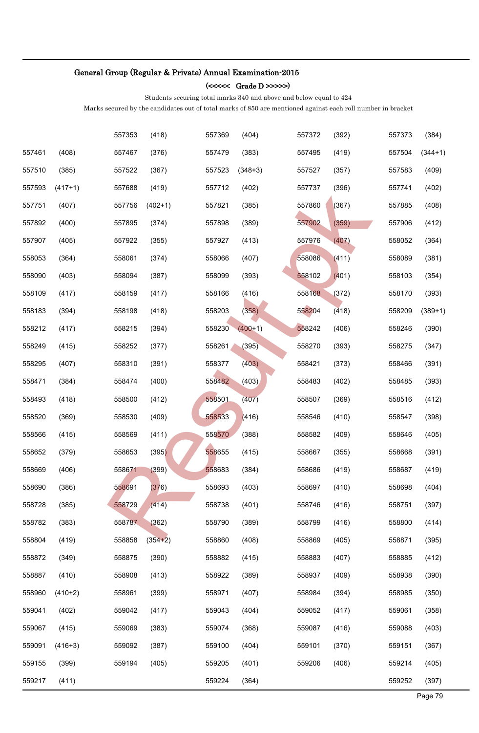### (<<<<< Grade D >>>>>)

Students securing total marks 340 and above and below equal to 424

|        |           | 557353 | (418)     | 557369 | (404)     | 557372 | (392) | 557373 | (384)     |
|--------|-----------|--------|-----------|--------|-----------|--------|-------|--------|-----------|
| 557461 | (408)     | 557467 | (376)     | 557479 | (383)     | 557495 | (419) | 557504 | $(344+1)$ |
| 557510 | (385)     | 557522 | (367)     | 557523 | $(348+3)$ | 557527 | (357) | 557583 | (409)     |
| 557593 | $(417+1)$ | 557688 | (419)     | 557712 | (402)     | 557737 | (396) | 557741 | (402)     |
| 557751 | (407)     | 557756 | $(402+1)$ | 557821 | (385)     | 557860 | (367) | 557885 | (408)     |
| 557892 | (400)     | 557895 | (374)     | 557898 | (389)     | 557902 | (359) | 557906 | (412)     |
| 557907 | (405)     | 557922 | (355)     | 557927 | (413)     | 557976 | (407) | 558052 | (364)     |
| 558053 | (364)     | 558061 | (374)     | 558066 | (407)     | 558086 | (411) | 558089 | (381)     |
| 558090 | (403)     | 558094 | (387)     | 558099 | (393)     | 558102 | (401) | 558103 | (354)     |
| 558109 | (417)     | 558159 | (417)     | 558166 | (416)     | 558168 | (372) | 558170 | (393)     |
| 558183 | (394)     | 558198 | (418)     | 558203 | (358)     | 558204 | (418) | 558209 | $(389+1)$ |
| 558212 | (417)     | 558215 | (394)     | 558230 | $(400+1)$ | 558242 | (406) | 558246 | (390)     |
| 558249 | (415)     | 558252 | (377)     | 558261 | (395)     | 558270 | (393) | 558275 | (347)     |
| 558295 | (407)     | 558310 | (391)     | 558377 | (403)     | 558421 | (373) | 558466 | (391)     |
| 558471 | (384)     | 558474 | (400)     | 558482 | (403)     | 558483 | (402) | 558485 | (393)     |
| 558493 | (418)     | 558500 | (412)     | 558501 | (407)     | 558507 | (369) | 558516 | (412)     |
| 558520 | (369)     | 558530 | (409)     | 558533 | (416)     | 558546 | (410) | 558547 | (398)     |
| 558566 | (415)     | 558569 | (411)     | 558570 | (388)     | 558582 | (409) | 558646 | (405)     |
| 558652 | (379)     | 558653 | (395)     | 558655 | (415)     | 558667 | (355) | 558668 | (391)     |
| 558669 | (406)     | 558671 | (399)     | 558683 | (384)     | 558686 | (419) | 558687 | (419)     |
| 558690 | (386)     | 558691 | (376)     | 558693 | (403)     | 558697 | (410) | 558698 | (404)     |
| 558728 | (385)     | 558729 | (414)     | 558738 | (401)     | 558746 | (416) | 558751 | (397)     |
| 558782 | (383)     | 558787 | (362)     | 558790 | (389)     | 558799 | (416) | 558800 | (414)     |
| 558804 | (419)     | 558858 | $(354+2)$ | 558860 | (408)     | 558869 | (405) | 558871 | (395)     |
| 558872 | (349)     | 558875 | (390)     | 558882 | (415)     | 558883 | (407) | 558885 | (412)     |
| 558887 | (410)     | 558908 | (413)     | 558922 | (389)     | 558937 | (409) | 558938 | (390)     |
| 558960 | $(410+2)$ | 558961 | (399)     | 558971 | (407)     | 558984 | (394) | 558985 | (350)     |
| 559041 | (402)     | 559042 | (417)     | 559043 | (404)     | 559052 | (417) | 559061 | (358)     |
| 559067 | (415)     | 559069 | (383)     | 559074 | (368)     | 559087 | (416) | 559088 | (403)     |
| 559091 | $(416+3)$ | 559092 | (387)     | 559100 | (404)     | 559101 | (370) | 559151 | (367)     |
| 559155 | (399)     | 559194 | (405)     | 559205 | (401)     | 559206 | (406) | 559214 | (405)     |
| 559217 | (411)     |        |           | 559224 | (364)     |        |       | 559252 | (397)     |
|        |           |        |           |        |           |        |       |        | Page 79   |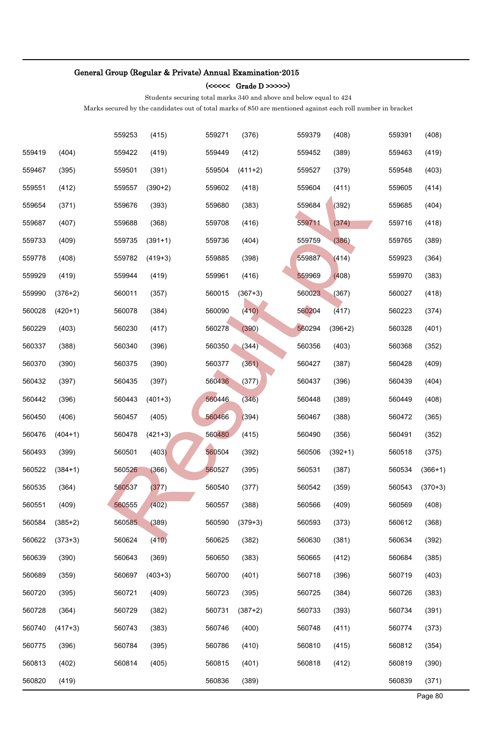### (<<<<< Grade D >>>>>)

Students securing total marks 340 and above and below equal to 424

|        |           | 559253 | (415)     | 559271 | (376)     | 559379 | (408)     | 559391 | (408)     |
|--------|-----------|--------|-----------|--------|-----------|--------|-----------|--------|-----------|
| 559419 | (404)     | 559422 | (419)     | 559449 | (412)     | 559452 | (389)     | 559463 | (419)     |
| 559467 | (395)     | 559501 | (391)     | 559504 | $(411+2)$ | 559527 | (379)     | 559548 | (403)     |
| 559551 | (412)     | 559557 | $(390+2)$ | 559602 | (418)     | 559604 | (411)     | 559605 | (414)     |
| 559654 | (371)     | 559676 | (393)     | 559680 | (383)     | 559684 | (392)     | 559685 | (404)     |
| 559687 | (407)     | 559688 | (368)     | 559708 | (416)     | 559711 | (374)     | 559716 | (418)     |
| 559733 | (409)     | 559735 | $(391+1)$ | 559736 | (404)     | 559759 | (386)     | 559765 | (389)     |
| 559778 | (408)     | 559782 | $(419+3)$ | 559885 | (398)     | 559887 | (414)     | 559923 | (364)     |
| 559929 | (419)     | 559944 | (419)     | 559961 | (416)     | 559969 | (408)     | 559970 | (383)     |
| 559990 | $(376+2)$ | 560011 | (357)     | 560015 | $(367+3)$ | 560023 | (367)     | 560027 | (418)     |
| 560028 | $(420+1)$ | 560078 | (384)     | 560090 | (410)     | 560204 | (417)     | 560223 | (374)     |
| 560229 | (403)     | 560230 | (417)     | 560278 | (390)     | 560294 | $(396+2)$ | 560328 | (401)     |
| 560337 | (388)     | 560340 | (396)     | 560350 | (344)     | 560356 | (403)     | 560368 | (352)     |
| 560370 | (390)     | 560375 | (390)     | 560377 | (361)     | 560427 | (387)     | 560428 | (409)     |
| 560432 | (397)     | 560435 | (397)     | 560436 | (377)     | 560437 | (396)     | 560439 | (404)     |
| 560442 | (396)     | 560443 | $(401+3)$ | 560446 | (346)     | 560448 | (389)     | 560449 | (408)     |
| 560450 | (406)     | 560457 | (405)     | 560466 | (394)     | 560467 | (388)     | 560472 | (365)     |
| 560476 | $(404+1)$ | 560478 | $(421+3)$ | 560480 | (415)     | 560490 | (356)     | 560491 | (352)     |
| 560493 | (399)     | 560501 | (403)     | 560504 | (392)     | 560506 | $(392+1)$ | 560518 | (375)     |
| 560522 | $(384+1)$ | 560526 | (366)     | 560527 | (395)     | 560531 | (387)     | 560534 | $(366+1)$ |
| 560535 | (364)     | 560537 | (377)     | 560540 | (377)     | 560542 | (359)     | 560543 | $(370+3)$ |
| 560551 | (409)     | 560555 | (402)     | 560557 | (388)     | 560566 | (409)     | 560569 | (408)     |
| 560584 | $(385+2)$ | 560585 | (389)     | 560590 | $(379+3)$ | 560593 | (373)     | 560612 | (368)     |
| 560622 | $(373+3)$ | 560624 | (410)     | 560625 | (382)     | 560630 | (381)     | 560634 | (392)     |
| 560639 | (390)     | 560643 | (369)     | 560650 | (383)     | 560665 | (412)     | 560684 | (385)     |
| 560689 | (359)     | 560697 | $(403+3)$ | 560700 | (401)     | 560718 | (396)     | 560719 | (403)     |
| 560720 | (395)     | 560721 | (409)     | 560723 | (395)     | 560725 | (384)     | 560726 | (383)     |
| 560728 | (364)     | 560729 | (382)     | 560731 | $(387+2)$ | 560733 | (393)     | 560734 | (391)     |
| 560740 | $(417+3)$ | 560743 | (383)     | 560746 | (400)     | 560748 | (411)     | 560774 | (373)     |
| 560775 | (396)     | 560784 | (395)     | 560786 | (410)     | 560810 | (415)     | 560812 | (354)     |
| 560813 | (402)     | 560814 | (405)     | 560815 | (401)     | 560818 | (412)     | 560819 | (390)     |
| 560820 | (419)     |        |           | 560836 | (389)     |        |           | 560839 | (371)     |
|        |           |        |           |        |           |        |           |        | Page 80   |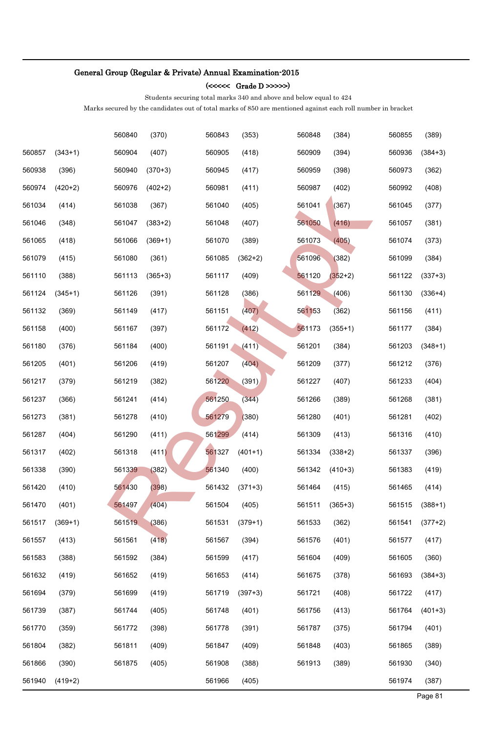### (<<<<< Grade D >>>>>)

Students securing total marks 340 and above and below equal to 424

|        |           | 560840 | (370)     | 560843 | (353)     | 560848 | (384)     | 560855 | (389)     |
|--------|-----------|--------|-----------|--------|-----------|--------|-----------|--------|-----------|
| 560857 | $(343+1)$ | 560904 | (407)     | 560905 | (418)     | 560909 | (394)     | 560936 | $(384+3)$ |
| 560938 | (396)     | 560940 | $(370+3)$ | 560945 | (417)     | 560959 | (398)     | 560973 | (362)     |
| 560974 | $(420+2)$ | 560976 | $(402+2)$ | 560981 | (411)     | 560987 | (402)     | 560992 | (408)     |
| 561034 | (414)     | 561038 | (367)     | 561040 | (405)     | 561041 | (367)     | 561045 | (377)     |
| 561046 | (348)     | 561047 | $(383+2)$ | 561048 | (407)     | 561050 | (416)     | 561057 | (381)     |
| 561065 | (418)     | 561066 | $(369+1)$ | 561070 | (389)     | 561073 | (405)     | 561074 | (373)     |
| 561079 | (415)     | 561080 | (361)     | 561085 | $(362+2)$ | 561096 | (382)     | 561099 | (384)     |
| 561110 | (388)     | 561113 | $(365+3)$ | 561117 | (409)     | 561120 | $(352+2)$ | 561122 | $(337+3)$ |
| 561124 | $(345+1)$ | 561126 | (391)     | 561128 | (386)     | 561129 | (406)     | 561130 | $(336+4)$ |
| 561132 | (369)     | 561149 | (417)     | 561151 | (407)     | 561153 | (362)     | 561156 | (411)     |
| 561158 | (400)     | 561167 | (397)     | 561172 | (412)     | 561173 | $(355+1)$ | 561177 | (384)     |
| 561180 | (376)     | 561184 | (400)     | 561191 | (411)     | 561201 | (384)     | 561203 | $(348+1)$ |
| 561205 | (401)     | 561206 | (419)     | 561207 | (404)     | 561209 | (377)     | 561212 | (376)     |
| 561217 | (379)     | 561219 | (382)     | 561220 | (391)     | 561227 | (407)     | 561233 | (404)     |
| 561237 | (366)     | 561241 | (414)     | 561250 | (344)     | 561266 | (389)     | 561268 | (381)     |
| 561273 | (381)     | 561278 | (410)     | 561279 | (380)     | 561280 | (401)     | 561281 | (402)     |
| 561287 | (404)     | 561290 | (411)     | 561299 | (414)     | 561309 | (413)     | 561316 | (410)     |
| 561317 | (402)     | 561318 | (411)     | 561327 | $(401+1)$ | 561334 | $(338+2)$ | 561337 | (396)     |
| 561338 | (390)     | 561339 | (382)     | 561340 | (400)     | 561342 | $(410+3)$ | 561383 | (419)     |
| 561420 | (410)     | 561430 | (398)     | 561432 | $(371+3)$ | 561464 | (415)     | 561465 | (414)     |
| 561470 | (401)     | 561497 | (404)     | 561504 | (405)     | 561511 | $(365+3)$ | 561515 | $(388+1)$ |
| 561517 | $(369+1)$ | 561519 | (386)     | 561531 | $(379+1)$ | 561533 | (362)     | 561541 | $(377+2)$ |
| 561557 | (413)     | 561561 | (418)     | 561567 | (394)     | 561576 | (401)     | 561577 | (417)     |
| 561583 | (388)     | 561592 | (384)     | 561599 | (417)     | 561604 | (409)     | 561605 | (360)     |
| 561632 | (419)     | 561652 | (419)     | 561653 | (414)     | 561675 | (378)     | 561693 | $(384+3)$ |
| 561694 | (379)     | 561699 | (419)     | 561719 | $(397+3)$ | 561721 | (408)     | 561722 | (417)     |
| 561739 | (387)     | 561744 | (405)     | 561748 | (401)     | 561756 | (413)     | 561764 | $(401+3)$ |
| 561770 | (359)     | 561772 | (398)     | 561778 | (391)     | 561787 | (375)     | 561794 | (401)     |
| 561804 | (382)     | 561811 | (409)     | 561847 | (409)     | 561848 | (403)     | 561865 | (389)     |
| 561866 | (390)     | 561875 | (405)     | 561908 | (388)     | 561913 | (389)     | 561930 | (340)     |
| 561940 | $(419+2)$ |        |           | 561966 | (405)     |        |           | 561974 | (387)     |
|        |           |        |           |        |           |        |           |        | Page 81   |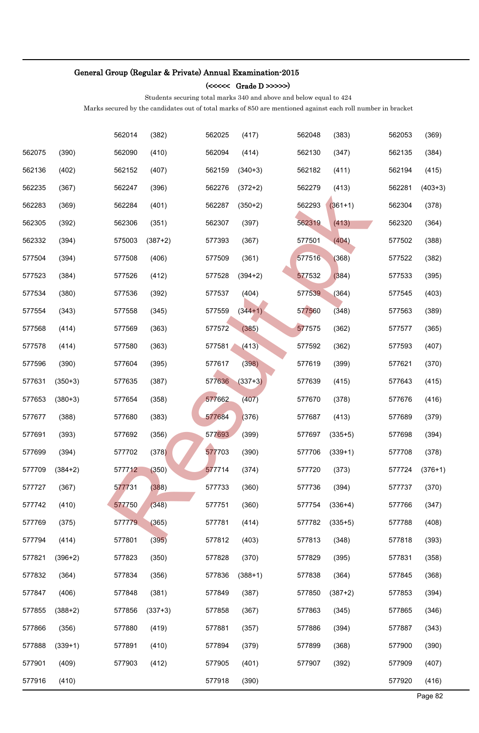#### (<<<<< Grade D >>>>>)

Students securing total marks 340 and above and below equal to 424

|        |           | 562014 | (382)     | 562025 | (417)     | 562048 | (383)     | 562053 | (369)     |
|--------|-----------|--------|-----------|--------|-----------|--------|-----------|--------|-----------|
| 562075 | (390)     | 562090 | (410)     | 562094 | (414)     | 562130 | (347)     | 562135 | (384)     |
| 562136 | (402)     | 562152 | (407)     | 562159 | $(340+3)$ | 562182 | (411)     | 562194 | (415)     |
| 562235 | (367)     | 562247 | (396)     | 562276 | $(372+2)$ | 562279 | (413)     | 562281 | $(403+3)$ |
| 562283 | (369)     | 562284 | (401)     | 562287 | $(350+2)$ | 562293 | $(361+1)$ | 562304 | (378)     |
| 562305 | (392)     | 562306 | (351)     | 562307 | (397)     | 562319 | (413)     | 562320 | (364)     |
| 562332 | (394)     | 575003 | $(387+2)$ | 577393 | (367)     | 577501 | (404)     | 577502 | (388)     |
| 577504 | (394)     | 577508 | (406)     | 577509 | (361)     | 577516 | (368)     | 577522 | (382)     |
| 577523 | (384)     | 577526 | (412)     | 577528 | $(394+2)$ | 577532 | (384)     | 577533 | (395)     |
| 577534 | (380)     | 577536 | (392)     | 577537 | (404)     | 577539 | (364)     | 577545 | (403)     |
| 577554 | (343)     | 577558 | (345)     | 577559 | $(344+1)$ | 577560 | (348)     | 577563 | (389)     |
| 577568 | (414)     | 577569 | (363)     | 577572 | (385)     | 577575 | (362)     | 577577 | (365)     |
| 577578 | (414)     | 577580 | (363)     | 577581 | (413)     | 577592 | (362)     | 577593 | (407)     |
| 577596 | (390)     | 577604 | (395)     | 577617 | (398)     | 577619 | (399)     | 577621 | (370)     |
| 577631 | $(350+3)$ | 577635 | (387)     | 577636 | $(337+3)$ | 577639 | (415)     | 577643 | (415)     |
| 577653 | $(380+3)$ | 577654 | (358)     | 577662 | (407)     | 577670 | (378)     | 577676 | (416)     |
| 577677 | (388)     | 577680 | (383)     | 577684 | (376)     | 577687 | (413)     | 577689 | (379)     |
| 577691 | (393)     | 577692 | (356)     | 577693 | (399)     | 577697 | $(335+5)$ | 577698 | (394)     |
| 577699 | (394)     | 577702 | (378)     | 577703 | (390)     | 577706 | $(339+1)$ | 577708 | (378)     |
| 577709 | $(384+2)$ | 577712 | (350)     | 577714 | (374)     | 577720 | (373)     | 577724 | $(376+1)$ |
| 577727 | (367)     | 577731 | (388)     | 577733 | (360)     | 577736 | (394)     | 577737 | (370)     |
| 577742 | (410)     | 577750 | (348)     | 577751 | (360)     | 577754 | $(336+4)$ | 577766 | (347)     |
| 577769 | (375)     | 577779 | (365)     | 577781 | (414)     | 577782 | $(335+5)$ | 577788 | (408)     |
| 577794 | (414)     | 577801 | (395)     | 577812 | (403)     | 577813 | (348)     | 577818 | (393)     |
| 577821 | $(396+2)$ | 577823 | (350)     | 577828 | (370)     | 577829 | (395)     | 577831 | (358)     |
| 577832 | (364)     | 577834 | (356)     | 577836 | $(388+1)$ | 577838 | (364)     | 577845 | (368)     |
| 577847 | (406)     | 577848 | (381)     | 577849 | (387)     | 577850 | $(387+2)$ | 577853 | (394)     |
| 577855 | $(388+2)$ | 577856 | $(337+3)$ | 577858 | (367)     | 577863 | (345)     | 577865 | (346)     |
| 577866 | (356)     | 577880 | (419)     | 577881 | (357)     | 577886 | (394)     | 577887 | (343)     |
| 577888 | $(339+1)$ | 577891 | (410)     | 577894 | (379)     | 577899 | (368)     | 577900 | (390)     |
| 577901 | (409)     | 577903 | (412)     | 577905 | (401)     | 577907 | (392)     | 577909 | (407)     |
| 577916 | (410)     |        |           | 577918 | (390)     |        |           | 577920 | (416)     |
|        |           |        |           |        |           |        |           |        | Page 82   |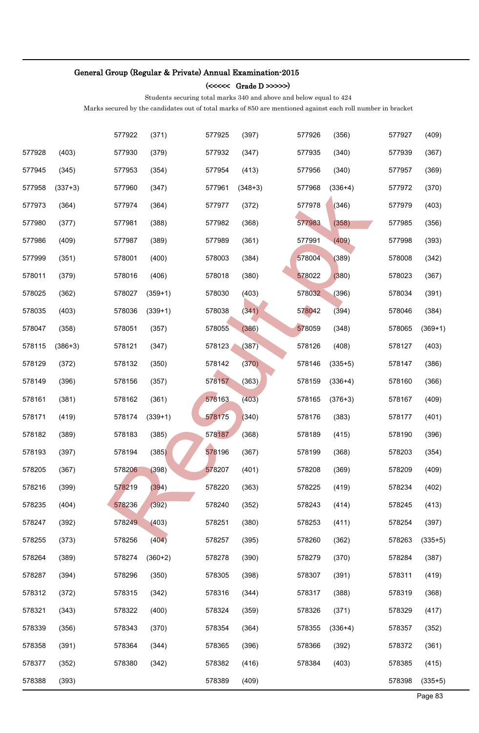#### (<<<<< Grade D >>>>>)

Students securing total marks 340 and above and below equal to 424

|        |           | 577922 | (371)     | 577925 | (397)     | 577926 | (356)     | 577927 | (409)     |
|--------|-----------|--------|-----------|--------|-----------|--------|-----------|--------|-----------|
| 577928 | (403)     | 577930 | (379)     | 577932 | (347)     | 577935 | (340)     | 577939 | (367)     |
| 577945 | (345)     | 577953 | (354)     | 577954 | (413)     | 577956 | (340)     | 577957 | (369)     |
| 577958 | $(337+3)$ | 577960 | (347)     | 577961 | $(348+3)$ | 577968 | $(336+4)$ | 577972 | (370)     |
| 577973 | (364)     | 577974 | (364)     | 577977 | (372)     | 577978 | (346)     | 577979 | (403)     |
| 577980 | (377)     | 577981 | (388)     | 577982 | (368)     | 577983 | (358)     | 577985 | (356)     |
| 577986 | (409)     | 577987 | (389)     | 577989 | (361)     | 577991 | (409)     | 577998 | (393)     |
| 577999 | (351)     | 578001 | (400)     | 578003 | (384)     | 578004 | (389)     | 578008 | (342)     |
| 578011 | (379)     | 578016 | (406)     | 578018 | (380)     | 578022 | (380)     | 578023 | (367)     |
| 578025 | (362)     | 578027 | $(359+1)$ | 578030 | (403)     | 578032 | (396)     | 578034 | (391)     |
| 578035 | (403)     | 578036 | $(339+1)$ | 578038 | (341)     | 578042 | (394)     | 578046 | (384)     |
| 578047 | (358)     | 578051 | (357)     | 578055 | (386)     | 578059 | (348)     | 578065 | $(369+1)$ |
| 578115 | $(386+3)$ | 578121 | (347)     | 578123 | (387)     | 578126 | (408)     | 578127 | (403)     |
| 578129 | (372)     | 578132 | (350)     | 578142 | (370)     | 578146 | $(335+5)$ | 578147 | (386)     |
| 578149 | (396)     | 578156 | (357)     | 578157 | (363)     | 578159 | $(336+4)$ | 578160 | (366)     |
| 578161 | (381)     | 578162 | (361)     | 578163 | (403)     | 578165 | $(376+3)$ | 578167 | (409)     |
| 578171 | (419)     | 578174 | $(339+1)$ | 578175 | (340)     | 578176 | (383)     | 578177 | (401)     |
| 578182 | (389)     | 578183 | (385)     | 578187 | (368)     | 578189 | (415)     | 578190 | (396)     |
| 578193 | (397)     | 578194 | (385)     | 578196 | (367)     | 578199 | (368)     | 578203 | (354)     |
| 578205 | (367)     | 578206 | (398)     | 578207 | (401)     | 578208 | (369)     | 578209 | (409)     |
| 578216 | (399)     | 578219 | (394)     | 578220 | (363)     | 578225 | (419)     | 578234 | (402)     |
| 578235 | (404)     | 578236 | (392)     | 578240 | (352)     | 578243 | (414)     | 578245 | (413)     |
| 578247 | (392)     | 578249 | (403)     | 578251 | (380)     | 578253 | (411)     | 578254 | (397)     |
| 578255 | (373)     | 578256 | (404)     | 578257 | (395)     | 578260 | (362)     | 578263 | $(335+5)$ |
| 578264 | (389)     | 578274 | $(360+2)$ | 578278 | (390)     | 578279 | (370)     | 578284 | (387)     |
| 578287 | (394)     | 578296 | (350)     | 578305 | (398)     | 578307 | (391)     | 578311 | (419)     |
| 578312 | (372)     | 578315 | (342)     | 578316 | (344)     | 578317 | (388)     | 578319 | (368)     |
| 578321 | (343)     | 578322 | (400)     | 578324 | (359)     | 578326 | (371)     | 578329 | (417)     |
| 578339 | (356)     | 578343 | (370)     | 578354 | (364)     | 578355 | $(336+4)$ | 578357 | (352)     |
| 578358 | (391)     | 578364 | (344)     | 578365 | (396)     | 578366 | (392)     | 578372 | (361)     |
| 578377 | (352)     | 578380 | (342)     | 578382 | (416)     | 578384 | (403)     | 578385 | (415)     |
| 578388 | (393)     |        |           | 578389 | (409)     |        |           | 578398 | $(335+5)$ |
|        |           |        |           |        |           |        |           |        | Page 83   |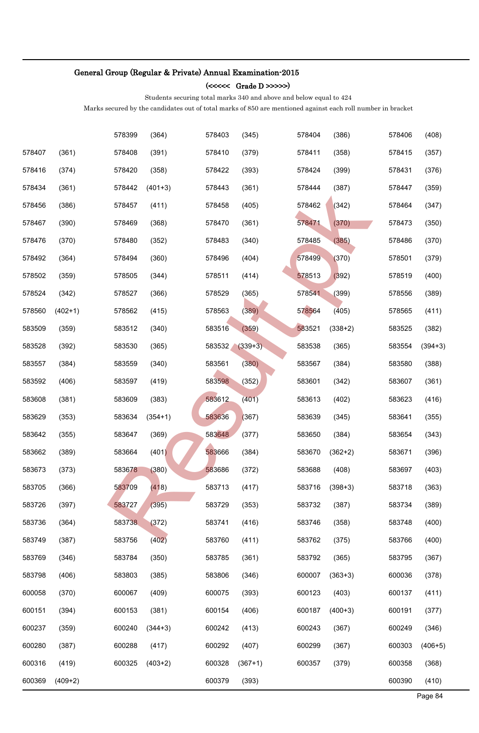### (<<<<< Grade D >>>>>)

Students securing total marks 340 and above and below equal to 424

|        |           | 578399 | (364)     | 578403 | (345)     | 578404 | (386)     | 578406 | (408)     |
|--------|-----------|--------|-----------|--------|-----------|--------|-----------|--------|-----------|
| 578407 | (361)     | 578408 | (391)     | 578410 | (379)     | 578411 | (358)     | 578415 | (357)     |
| 578416 | (374)     | 578420 | (358)     | 578422 | (393)     | 578424 | (399)     | 578431 | (376)     |
| 578434 | (361)     | 578442 | $(401+3)$ | 578443 | (361)     | 578444 | (387)     | 578447 | (359)     |
| 578456 | (386)     | 578457 | (411)     | 578458 | (405)     | 578462 | (342)     | 578464 | (347)     |
| 578467 | (390)     | 578469 | (368)     | 578470 | (361)     | 578471 | (370)     | 578473 | (350)     |
| 578476 | (370)     | 578480 | (352)     | 578483 | (340)     | 578485 | (385)     | 578486 | (370)     |
| 578492 | (364)     | 578494 | (360)     | 578496 | (404)     | 578499 | (370)     | 578501 | (379)     |
| 578502 | (359)     | 578505 | (344)     | 578511 | (414)     | 578513 | (392)     | 578519 | (400)     |
| 578524 | (342)     | 578527 | (366)     | 578529 | (365)     | 578541 | (399)     | 578556 | (389)     |
| 578560 | $(402+1)$ | 578562 | (415)     | 578563 | (389)     | 578564 | (405)     | 578565 | (411)     |
| 583509 | (359)     | 583512 | (340)     | 583516 | (359)     | 583521 | $(338+2)$ | 583525 | (382)     |
| 583528 | (392)     | 583530 | (365)     | 583532 | $(339+3)$ | 583538 | (365)     | 583554 | $(394+3)$ |
| 583557 | (384)     | 583559 | (340)     | 583561 | (380)     | 583567 | (384)     | 583580 | (388)     |
| 583592 | (406)     | 583597 | (419)     | 583598 | (352)     | 583601 | (342)     | 583607 | (361)     |
| 583608 | (381)     | 583609 | (383)     | 583612 | (401)     | 583613 | (402)     | 583623 | (416)     |
| 583629 | (353)     | 583634 | $(354+1)$ | 583636 | (367)     | 583639 | (345)     | 583641 | (355)     |
| 583642 | (355)     | 583647 | (369)     | 583648 | (377)     | 583650 | (384)     | 583654 | (343)     |
| 583662 | (389)     | 583664 | (401)     | 583666 | (384)     | 583670 | $(362+2)$ | 583671 | (396)     |
| 583673 | (373)     | 583678 | (380)     | 583686 | (372)     | 583688 | (408)     | 583697 | (403)     |
| 583705 | (366)     | 583709 | (418)     | 583713 | (417)     | 583716 | $(398+3)$ | 583718 | (363)     |
| 583726 | (397)     | 583727 | (395)     | 583729 | (353)     | 583732 | (387)     | 583734 | (389)     |
| 583736 | (364)     | 583738 | (372)     | 583741 | (416)     | 583746 | (358)     | 583748 | (400)     |
| 583749 | (387)     | 583756 | (402)     | 583760 | (411)     | 583762 | (375)     | 583766 | (400)     |
| 583769 | (346)     | 583784 | (350)     | 583785 | (361)     | 583792 | (365)     | 583795 | (367)     |
| 583798 | (406)     | 583803 | (385)     | 583806 | (346)     | 600007 | $(363+3)$ | 600036 | (378)     |
| 600058 | (370)     | 600067 | (409)     | 600075 | (393)     | 600123 | (403)     | 600137 | (411)     |
| 600151 | (394)     | 600153 | (381)     | 600154 | (406)     | 600187 | $(400+3)$ | 600191 | (377)     |
| 600237 | (359)     | 600240 | $(344+3)$ | 600242 | (413)     | 600243 | (367)     | 600249 | (346)     |
| 600280 | (387)     | 600288 | (417)     | 600292 | (407)     | 600299 | (367)     | 600303 | $(406+5)$ |
| 600316 | (419)     | 600325 | $(403+2)$ | 600328 | $(367+1)$ | 600357 | (379)     | 600358 | (368)     |
| 600369 | $(409+2)$ |        |           | 600379 | (393)     |        |           | 600390 | (410)     |
|        |           |        |           |        |           |        |           |        | Page 84   |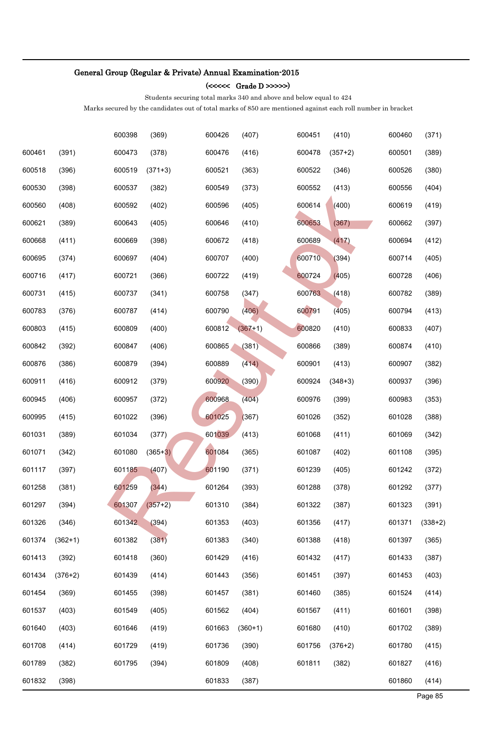#### (<<<<< Grade D >>>>>)

Students securing total marks 340 and above and below equal to 424

|        |           | 600398 | (369)     | 600426 | (407)     | 600451 | (410)     | 600460 | (371)     |
|--------|-----------|--------|-----------|--------|-----------|--------|-----------|--------|-----------|
| 600461 | (391)     | 600473 | (378)     | 600476 | (416)     | 600478 | $(357+2)$ | 600501 | (389)     |
| 600518 | (396)     | 600519 | $(371+3)$ | 600521 | (363)     | 600522 | (346)     | 600526 | (380)     |
| 600530 | (398)     | 600537 | (382)     | 600549 | (373)     | 600552 | (413)     | 600556 | (404)     |
| 600560 | (408)     | 600592 | (402)     | 600596 | (405)     | 600614 | (400)     | 600619 | (419)     |
| 600621 | (389)     | 600643 | (405)     | 600646 | (410)     | 600653 | (367)     | 600662 | (397)     |
| 600668 | (411)     | 600669 | (398)     | 600672 | (418)     | 600689 | (417)     | 600694 | (412)     |
| 600695 | (374)     | 600697 | (404)     | 600707 | (400)     | 600710 | (394)     | 600714 | (405)     |
| 600716 | (417)     | 600721 | (366)     | 600722 | (419)     | 600724 | (405)     | 600728 | (406)     |
| 600731 | (415)     | 600737 | (341)     | 600758 | (347)     | 600763 | (418)     | 600782 | (389)     |
| 600783 | (376)     | 600787 | (414)     | 600790 | (406)     | 600791 | (405)     | 600794 | (413)     |
| 600803 | (415)     | 600809 | (400)     | 600812 | $(367+1)$ | 600820 | (410)     | 600833 | (407)     |
| 600842 | (392)     | 600847 | (406)     | 600865 | (381)     | 600866 | (389)     | 600874 | (410)     |
| 600876 | (386)     | 600879 | (394)     | 600889 | (414)     | 600901 | (413)     | 600907 | (382)     |
| 600911 | (416)     | 600912 | (379)     | 600920 | (390)     | 600924 | $(348+3)$ | 600937 | (396)     |
| 600945 | (406)     | 600957 | (372)     | 600968 | (404)     | 600976 | (399)     | 600983 | (353)     |
| 600995 | (415)     | 601022 | (396)     | 601025 | (367)     | 601026 | (352)     | 601028 | (388)     |
| 601031 | (389)     | 601034 | (377)     | 601039 | (413)     | 601068 | (411)     | 601069 | (342)     |
| 601071 | (342)     | 601080 | $(365+3)$ | 601084 | (365)     | 601087 | (402)     | 601108 | (395)     |
| 601117 | (397)     | 601185 | (407)     | 601190 | (371)     | 601239 | (405)     | 601242 | (372)     |
| 601258 | (381)     | 601259 | (344)     | 601264 | (393)     | 601288 | (378)     | 601292 | (377)     |
| 601297 | (394)     | 601307 | $(357+2)$ | 601310 | (384)     | 601322 | (387)     | 601323 | (391)     |
| 601326 | (346)     | 601342 | (394)     | 601353 | (403)     | 601356 | (417)     | 601371 | $(338+2)$ |
| 601374 | $(362+1)$ | 601382 | (381)     | 601383 | (340)     | 601388 | (418)     | 601397 | (365)     |
| 601413 | (392)     | 601418 | (360)     | 601429 | (416)     | 601432 | (417)     | 601433 | (387)     |
| 601434 | $(376+2)$ | 601439 | (414)     | 601443 | (356)     | 601451 | (397)     | 601453 | (403)     |
| 601454 | (369)     | 601455 | (398)     | 601457 | (381)     | 601460 | (385)     | 601524 | (414)     |
| 601537 | (403)     | 601549 | (405)     | 601562 | (404)     | 601567 | (411)     | 601601 | (398)     |
| 601640 | (403)     | 601646 | (419)     | 601663 | $(360+1)$ | 601680 | (410)     | 601702 | (389)     |
| 601708 | (414)     | 601729 | (419)     | 601736 | (390)     | 601756 | $(376+2)$ | 601780 | (415)     |
| 601789 | (382)     | 601795 | (394)     | 601809 | (408)     | 601811 | (382)     | 601827 | (416)     |
| 601832 | (398)     |        |           | 601833 | (387)     |        |           | 601860 | (414)     |
|        |           |        |           |        |           |        |           |        | Page 85   |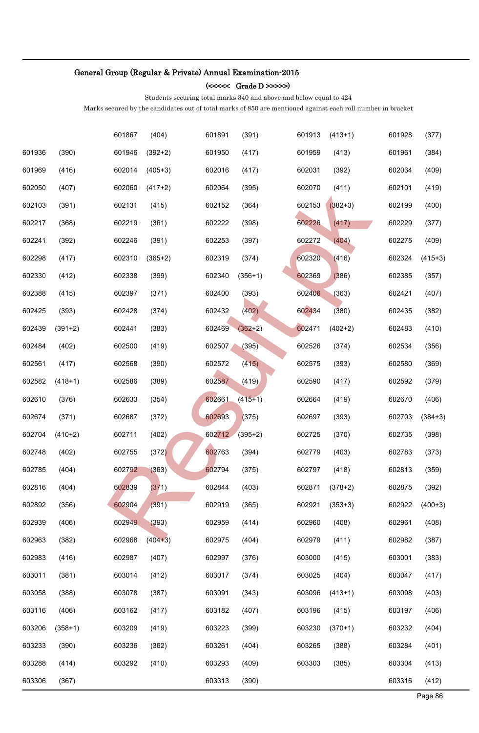### (<<<<< Grade D >>>>>)

Students securing total marks 340 and above and below equal to 424

|        |           | 601867 | (404)     | 601891 | (391)     | 601913 | $(413+1)$ | 601928 | (377)     |
|--------|-----------|--------|-----------|--------|-----------|--------|-----------|--------|-----------|
| 601936 | (390)     | 601946 | $(392+2)$ | 601950 | (417)     | 601959 | (413)     | 601961 | (384)     |
| 601969 | (416)     | 602014 | $(405+3)$ | 602016 | (417)     | 602031 | (392)     | 602034 | (409)     |
| 602050 | (407)     | 602060 | $(417+2)$ | 602064 | (395)     | 602070 | (411)     | 602101 | (419)     |
| 602103 | (391)     | 602131 | (415)     | 602152 | (364)     | 602153 | $(382+3)$ | 602199 | (400)     |
| 602217 | (368)     | 602219 | (361)     | 602222 | (398)     | 602226 | (417)     | 602229 | (377)     |
| 602241 | (392)     | 602246 | (391)     | 602253 | (397)     | 602272 | (404)     | 602275 | (409)     |
| 602298 | (417)     | 602310 | $(365+2)$ | 602319 | (374)     | 602320 | (416)     | 602324 | $(415+3)$ |
| 602330 | (412)     | 602338 | (399)     | 602340 | $(356+1)$ | 602369 | (386)     | 602385 | (357)     |
| 602388 | (415)     | 602397 | (371)     | 602400 | (393)     | 602406 | (363)     | 602421 | (407)     |
| 602425 | (393)     | 602428 | (374)     | 602432 | (402)     | 602434 | (380)     | 602435 | (382)     |
| 602439 | $(391+2)$ | 602441 | (383)     | 602469 | $(362+2)$ | 602471 | $(402+2)$ | 602483 | (410)     |
| 602484 | (402)     | 602500 | (419)     | 602507 | (395)     | 602526 | (374)     | 602534 | (356)     |
| 602561 | (417)     | 602568 | (390)     | 602572 | (415)     | 602575 | (393)     | 602580 | (369)     |
| 602582 | $(418+1)$ | 602586 | (389)     | 602587 | (419)     | 602590 | (417)     | 602592 | (379)     |
| 602610 | (376)     | 602633 | (354)     | 602661 | $(415+1)$ | 602664 | (419)     | 602670 | (406)     |
| 602674 | (371)     | 602687 | (372)     | 602693 | (375)     | 602697 | (393)     | 602703 | $(384+3)$ |
| 602704 | $(410+2)$ | 602711 | (402)     | 602712 | $(395+2)$ | 602725 | (370)     | 602735 | (398)     |
| 602748 | (402)     | 602755 | (372)     | 602763 | (394)     | 602779 | (403)     | 602783 | (373)     |
| 602785 | (404)     | 602792 | (363)     | 602794 | (375)     | 602797 | (418)     | 602813 | (359)     |
| 602816 | (404)     | 602839 | (371)     | 602844 | (403)     | 602871 | $(378+2)$ | 602875 | (392)     |
| 602892 | (356)     | 602904 | (391)     | 602919 | (365)     | 602921 | $(353+3)$ | 602922 | $(400+3)$ |
| 602939 | (406)     | 602949 | (393)     | 602959 | (414)     | 602960 | (408)     | 602961 | (408)     |
| 602963 | (382)     | 602968 | $(404+3)$ | 602975 | (404)     | 602979 | (411)     | 602982 | (387)     |
| 602983 | (416)     | 602987 | (407)     | 602997 | (376)     | 603000 | (415)     | 603001 | (383)     |
| 603011 | (381)     | 603014 | (412)     | 603017 | (374)     | 603025 | (404)     | 603047 | (417)     |
| 603058 | (388)     | 603078 | (387)     | 603091 | (343)     | 603096 | $(413+1)$ | 603098 | (403)     |
| 603116 | (406)     | 603162 | (417)     | 603182 | (407)     | 603196 | (415)     | 603197 | (406)     |
| 603206 | $(358+1)$ | 603209 | (419)     | 603223 | (399)     | 603230 | $(370+1)$ | 603232 | (404)     |
| 603233 | (390)     | 603236 | (362)     | 603261 | (404)     | 603265 | (388)     | 603284 | (401)     |
| 603288 | (414)     | 603292 | (410)     | 603293 | (409)     | 603303 | (385)     | 603304 | (413)     |
| 603306 | (367)     |        |           | 603313 | (390)     |        |           | 603316 | (412)     |
|        |           |        |           |        |           |        |           |        | Page 86   |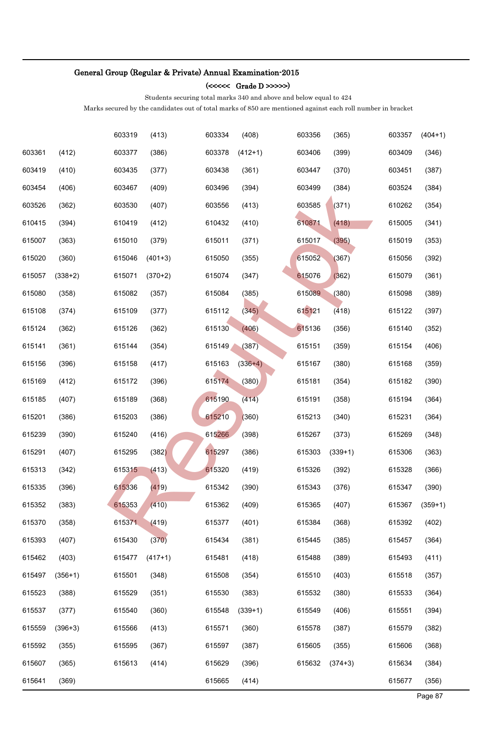#### (<<<<< Grade D >>>>>)

Students securing total marks 340 and above and below equal to 424

|        |           | 603319 | (413)     | 603334 | (408)     | 603356 | (365)     | 603357 | $(404+1)$ |
|--------|-----------|--------|-----------|--------|-----------|--------|-----------|--------|-----------|
| 603361 | (412)     | 603377 | (386)     | 603378 | $(412+1)$ | 603406 | (399)     | 603409 | (346)     |
| 603419 | (410)     | 603435 | (377)     | 603438 | (361)     | 603447 | (370)     | 603451 | (387)     |
| 603454 | (406)     | 603467 | (409)     | 603496 | (394)     | 603499 | (384)     | 603524 | (384)     |
| 603526 | (362)     | 603530 | (407)     | 603556 | (413)     | 603585 | (371)     | 610262 | (354)     |
| 610415 | (394)     | 610419 | (412)     | 610432 | (410)     | 610871 | (418)     | 615005 | (341)     |
| 615007 | (363)     | 615010 | (379)     | 615011 | (371)     | 615017 | (395)     | 615019 | (353)     |
| 615020 | (360)     | 615046 | $(401+3)$ | 615050 | (355)     | 615052 | (367)     | 615056 | (392)     |
| 615057 | $(338+2)$ | 615071 | $(370+2)$ | 615074 | (347)     | 615076 | (362)     | 615079 | (361)     |
| 615080 | (358)     | 615082 | (357)     | 615084 | (385)     | 615089 | (380)     | 615098 | (389)     |
| 615108 | (374)     | 615109 | (377)     | 615112 | (345)     | 615121 | (418)     | 615122 | (397)     |
| 615124 | (362)     | 615126 | (362)     | 615130 | (406)     | 615136 | (356)     | 615140 | (352)     |
| 615141 | (361)     | 615144 | (354)     | 615149 | (387)     | 615151 | (359)     | 615154 | (406)     |
| 615156 | (396)     | 615158 | (417)     | 615163 | $(336+4)$ | 615167 | (380)     | 615168 | (359)     |
| 615169 | (412)     | 615172 | (396)     | 615174 | (380)     | 615181 | (354)     | 615182 | (390)     |
| 615185 | (407)     | 615189 | (368)     | 615190 | (414)     | 615191 | (358)     | 615194 | (364)     |
| 615201 | (386)     | 615203 | (386)     | 615210 | (360)     | 615213 | (340)     | 615231 | (364)     |
| 615239 | (390)     | 615240 | (416)     | 615266 | (398)     | 615267 | (373)     | 615269 | (348)     |
| 615291 | (407)     | 615295 | (382)     | 615297 | (386)     | 615303 | $(339+1)$ | 615306 | (363)     |
| 615313 | (342)     | 615315 | (413)     | 615320 | (419)     | 615326 | (392)     | 615328 | (366)     |
| 615335 | (396)     | 615336 | (419)     | 615342 | (390)     | 615343 | (376)     | 615347 | (390)     |
| 615352 | (383)     | 615353 | (410)     | 615362 | (409)     | 615365 | (407)     | 615367 | $(359+1)$ |
| 615370 | (358)     | 615371 | (419)     | 615377 | (401)     | 615384 | (368)     | 615392 | (402)     |
| 615393 | (407)     | 615430 | (370)     | 615434 | (381)     | 615445 | (385)     | 615457 | (364)     |
| 615462 | (403)     | 615477 | $(417+1)$ | 615481 | (418)     | 615488 | (389)     | 615493 | (411)     |
| 615497 | $(356+1)$ | 615501 | (348)     | 615508 | (354)     | 615510 | (403)     | 615518 | (357)     |
| 615523 | (388)     | 615529 | (351)     | 615530 | (383)     | 615532 | (380)     | 615533 | (364)     |
| 615537 | (377)     | 615540 | (360)     | 615548 | $(339+1)$ | 615549 | (406)     | 615551 | (394)     |
| 615559 | $(396+3)$ | 615566 | (413)     | 615571 | (360)     | 615578 | (387)     | 615579 | (382)     |
| 615592 | (355)     | 615595 | (367)     | 615597 | (387)     | 615605 | (355)     | 615606 | (368)     |
| 615607 | (365)     | 615613 | (414)     | 615629 | (396)     | 615632 | $(374+3)$ | 615634 | (384)     |
| 615641 | (369)     |        |           | 615665 | (414)     |        |           | 615677 | (356)     |
|        |           |        |           |        |           |        |           |        | Page 87   |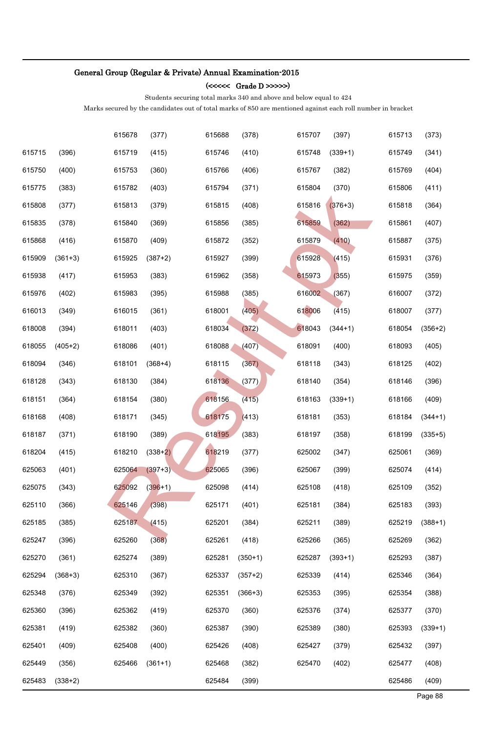### (<<<<< Grade D >>>>>)

Students securing total marks 340 and above and below equal to 424

|        |           | 615678 | (377)     | 615688 | (378)     | 615707 | (397)     | 615713 | (373)     |
|--------|-----------|--------|-----------|--------|-----------|--------|-----------|--------|-----------|
| 615715 | (396)     | 615719 | (415)     | 615746 | (410)     | 615748 | $(339+1)$ | 615749 | (341)     |
| 615750 | (400)     | 615753 | (360)     | 615766 | (406)     | 615767 | (382)     | 615769 | (404)     |
| 615775 | (383)     | 615782 | (403)     | 615794 | (371)     | 615804 | (370)     | 615806 | (411)     |
| 615808 | (377)     | 615813 | (379)     | 615815 | (408)     | 615816 | $(376+3)$ | 615818 | (364)     |
| 615835 | (378)     | 615840 | (369)     | 615856 | (385)     | 615859 | (362)     | 615861 | (407)     |
| 615868 | (416)     | 615870 | (409)     | 615872 | (352)     | 615879 | (410)     | 615887 | (375)     |
| 615909 | $(361+3)$ | 615925 | $(387+2)$ | 615927 | (399)     | 615928 | (415)     | 615931 | (376)     |
| 615938 | (417)     | 615953 | (383)     | 615962 | (358)     | 615973 | (355)     | 615975 | (359)     |
| 615976 | (402)     | 615983 | (395)     | 615988 | (385)     | 616002 | (367)     | 616007 | (372)     |
| 616013 | (349)     | 616015 | (361)     | 618001 | (405)     | 618006 | (415)     | 618007 | (377)     |
| 618008 | (394)     | 618011 | (403)     | 618034 | (372)     | 618043 | $(344+1)$ | 618054 | $(356+2)$ |
| 618055 | $(405+2)$ | 618086 | (401)     | 618088 | (407)     | 618091 | (400)     | 618093 | (405)     |
| 618094 | (346)     | 618101 | $(368+4)$ | 618115 | (367)     | 618118 | (343)     | 618125 | (402)     |
| 618128 | (343)     | 618130 | (384)     | 618136 | (377)     | 618140 | (354)     | 618146 | (396)     |
| 618151 | (364)     | 618154 | (380)     | 618156 | (415)     | 618163 | $(339+1)$ | 618166 | (409)     |
| 618168 | (408)     | 618171 | (345)     | 618175 | (413)     | 618181 | (353)     | 618184 | $(344+1)$ |
| 618187 | (371)     | 618190 | (389)     | 618195 | (383)     | 618197 | (358)     | 618199 | $(335+5)$ |
| 618204 | (415)     | 618210 | $(338+2)$ | 618219 | (377)     | 625002 | (347)     | 625061 | (369)     |
| 625063 | (401)     | 625064 | $(397+3)$ | 625065 | (396)     | 625067 | (399)     | 625074 | (414)     |
| 625075 | (343)     | 625092 | $(396+1)$ | 625098 | (414)     | 625108 | (418)     | 625109 | (352)     |
| 625110 | (366)     | 625146 | (398)     | 625171 | (401)     | 625181 | (384)     | 625183 | (393)     |
| 625185 | (385)     | 625187 | (415)     | 625201 | (384)     | 625211 | (389)     | 625219 | $(388+1)$ |
| 625247 | (396)     | 625260 | (368)     | 625261 | (418)     | 625266 | (365)     | 625269 | (362)     |
| 625270 | (361)     | 625274 | (389)     | 625281 | $(350+1)$ | 625287 | $(393+1)$ | 625293 | (387)     |
| 625294 | $(368+3)$ | 625310 | (367)     | 625337 | $(357+2)$ | 625339 | (414)     | 625346 | (364)     |
| 625348 | (376)     | 625349 | (392)     | 625351 | $(366+3)$ | 625353 | (395)     | 625354 | (388)     |
| 625360 | (396)     | 625362 | (419)     | 625370 | (360)     | 625376 | (374)     | 625377 | (370)     |
| 625381 | (419)     | 625382 | (360)     | 625387 | (390)     | 625389 | (380)     | 625393 | $(339+1)$ |
| 625401 | (409)     | 625408 | (400)     | 625426 | (408)     | 625427 | (379)     | 625432 | (397)     |
| 625449 | (356)     | 625466 | $(361+1)$ | 625468 | (382)     | 625470 | (402)     | 625477 | (408)     |
| 625483 | $(338+2)$ |        |           | 625484 | (399)     |        |           | 625486 | (409)     |
|        |           |        |           |        |           |        |           |        | Page 88   |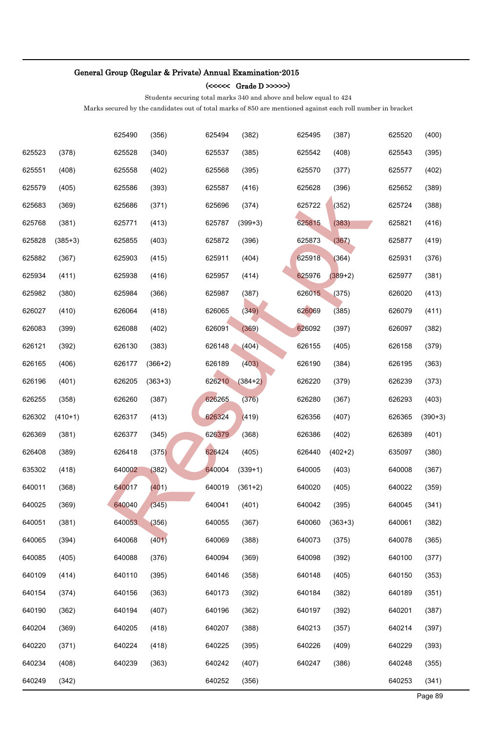### (<<<<< Grade D >>>>>)

Students securing total marks 340 and above and below equal to 424

|        |             | 625490 | (356)     | 625494 | (382)     | 625495 | (387)     | 625520 | (400)     |
|--------|-------------|--------|-----------|--------|-----------|--------|-----------|--------|-----------|
| 625523 | (378)       | 625528 | (340)     | 625537 | (385)     | 625542 | (408)     | 625543 | (395)     |
| 625551 | (408)       | 625558 | (402)     | 625568 | (395)     | 625570 | (377)     | 625577 | (402)     |
| 625579 | (405)       | 625586 | (393)     | 625587 | (416)     | 625628 | (396)     | 625652 | (389)     |
| 625683 | (369)       | 625686 | (371)     | 625696 | (374)     | 625722 | (352)     | 625724 | (388)     |
| 625768 | (381)       | 625771 | (413)     | 625787 | $(399+3)$ | 625815 | (383)     | 625821 | (416)     |
| 625828 | $(385 + 3)$ | 625855 | (403)     | 625872 | (396)     | 625873 | (367)     | 625877 | (419)     |
| 625882 | (367)       | 625903 | (415)     | 625911 | (404)     | 625918 | (364)     | 625931 | (376)     |
| 625934 | (411)       | 625938 | (416)     | 625957 | (414)     | 625976 | $(389+2)$ | 625977 | (381)     |
| 625982 | (380)       | 625984 | (366)     | 625987 | (387)     | 626015 | (375)     | 626020 | (413)     |
| 626027 | (410)       | 626064 | (418)     | 626065 | (349)     | 626069 | (385)     | 626079 | (411)     |
| 626083 | (399)       | 626088 | (402)     | 626091 | (369)     | 626092 | (397)     | 626097 | (382)     |
| 626121 | (392)       | 626130 | (383)     | 626148 | (404)     | 626155 | (405)     | 626158 | (379)     |
| 626165 | (406)       | 626177 | $(366+2)$ | 626189 | (403)     | 626190 | (384)     | 626195 | (363)     |
| 626196 | (401)       | 626205 | $(363+3)$ | 626210 | $(384+2)$ | 626220 | (379)     | 626239 | (373)     |
| 626255 | (358)       | 626260 | (387)     | 626265 | (376)     | 626280 | (367)     | 626293 | (403)     |
| 626302 | $(410+1)$   | 626317 | (413)     | 626324 | (419)     | 626356 | (407)     | 626365 | $(390+3)$ |
| 626369 | (381)       | 626377 | (345)     | 626379 | (368)     | 626386 | (402)     | 626389 | (401)     |
| 626408 | (389)       | 626418 | (375)     | 626424 | (405)     | 626440 | $(402+2)$ | 635097 | (380)     |
| 635302 | (418)       | 640002 | (382)     | 640004 | $(339+1)$ | 640005 | (403)     | 640008 | (367)     |
| 640011 | (368)       | 640017 | (401)     | 640019 | $(361+2)$ | 640020 | (405)     | 640022 | (359)     |
| 640025 | (369)       | 640040 | (345)     | 640041 | (401)     | 640042 | (395)     | 640045 | (341)     |
| 640051 | (381)       | 640053 | (356)     | 640055 | (367)     | 640060 | $(363+3)$ | 640061 | (382)     |
| 640065 | (394)       | 640068 | (401)     | 640069 | (388)     | 640073 | (375)     | 640078 | (365)     |
| 640085 | (405)       | 640088 | (376)     | 640094 | (369)     | 640098 | (392)     | 640100 | (377)     |
| 640109 | (414)       | 640110 | (395)     | 640146 | (358)     | 640148 | (405)     | 640150 | (353)     |
| 640154 | (374)       | 640156 | (363)     | 640173 | (392)     | 640184 | (382)     | 640189 | (351)     |
| 640190 | (362)       | 640194 | (407)     | 640196 | (362)     | 640197 | (392)     | 640201 | (387)     |
| 640204 | (369)       | 640205 | (418)     | 640207 | (388)     | 640213 | (357)     | 640214 | (397)     |
| 640220 | (371)       | 640224 | (418)     | 640225 | (395)     | 640226 | (409)     | 640229 | (393)     |
| 640234 | (408)       | 640239 | (363)     | 640242 | (407)     | 640247 | (386)     | 640248 | (355)     |
| 640249 | (342)       |        |           | 640252 | (356)     |        |           | 640253 | (341)     |
|        |             |        |           |        |           |        |           |        | Page 89   |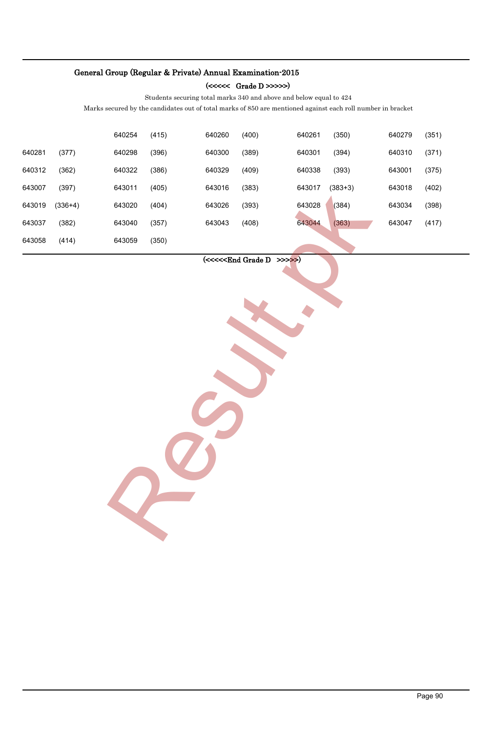### (<<<<< Grade D >>>>>)

Students securing total marks 340 and above and below equal to 424

Marks secured by the candidates out of total marks of 850 are mentioned against each roll number in bracket

|        |           | 640254 | (415) | 640260 | (400) | 640261                             | (350)     | 640279 | (351)   |
|--------|-----------|--------|-------|--------|-------|------------------------------------|-----------|--------|---------|
| 640281 | (377)     | 640298 | (396) | 640300 | (389) | 640301                             | (394)     | 640310 | (371)   |
| 640312 | (362)     | 640322 | (386) | 640329 | (409) | 640338                             | (393)     | 643001 | (375)   |
| 643007 | (397)     | 643011 | (405) | 643016 | (383) | 643017                             | $(383+3)$ | 643018 | (402)   |
| 643019 | $(336+4)$ | 643020 | (404) | 643026 | (393) | 643028                             | (384)     | 643034 | (398)   |
| 643037 | (382)     | 643040 | (357) | 643043 | (408) | 643044                             | (363)     | 643047 | (417)   |
| 643058 | (414)     | 643059 | (350) |        |       |                                    |           |        |         |
|        |           |        |       |        |       | $(\ll\ll\ll\ll$ End Grade D >>>>>) |           |        | Page 90 |

### $(\ll\ll\ll$ End Grade D >>>>>)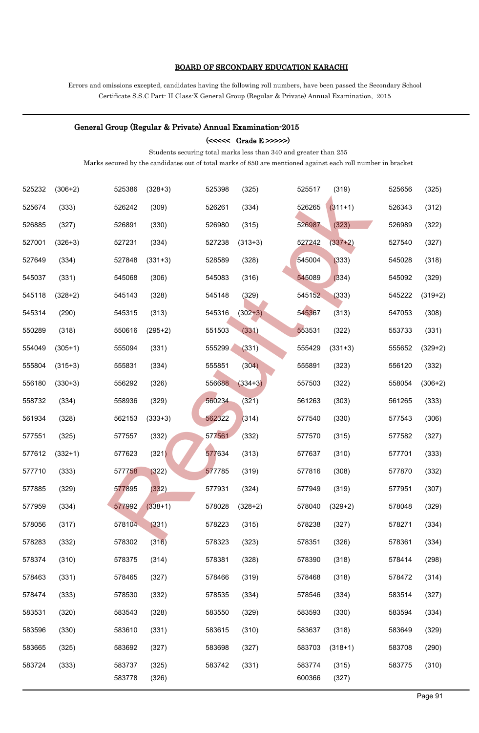### BOARD OF SECONDARY EDUCATION KARACHI

Errors and omissions excepted, candidates having the following roll numbers, have been passed the Secondary School Certificate S.S.C Part- II Class-X General Group (Regular & Private) Annual Examination, 2015

#### General Group (Regular & Private) Annual Examination-2015

 $(\text{<<}\text{<<} \text{ Grade E} \text{>>>})$ 

Students securing total marks less than 340 and greater than 255

| 525232 | $(306+2)$ | 525386 | $(328+3)$ | 525398 | (325)     | 525517 | (319)     | 525656 | (325)     |
|--------|-----------|--------|-----------|--------|-----------|--------|-----------|--------|-----------|
| 525674 | (333)     | 526242 | (309)     | 526261 | (334)     | 526265 | $(311+1)$ | 526343 | (312)     |
| 526885 | (327)     | 526891 | (330)     | 526980 | (315)     | 526987 | (323)     | 526989 | (322)     |
| 527001 | $(326+3)$ | 527231 | (334)     | 527238 | $(313+3)$ | 527242 | $(337+2)$ | 527540 | (327)     |
| 527649 | (334)     | 527848 | $(331+3)$ | 528589 | (328)     | 545004 | (333)     | 545028 | (318)     |
| 545037 | (331)     | 545068 | (306)     | 545083 | (316)     | 545089 | (334)     | 545092 | (329)     |
| 545118 | $(328+2)$ | 545143 | (328)     | 545148 | (329)     | 545152 | (333)     | 545222 | $(319+2)$ |
| 545314 | (290)     | 545315 | (313)     | 545316 | $(302+3)$ | 545367 | (313)     | 547053 | (308)     |
| 550289 | (318)     | 550616 | $(295+2)$ | 551503 | (331)     | 553531 | (322)     | 553733 | (331)     |
| 554049 | $(305+1)$ | 555094 | (331)     | 555299 | (331)     | 555429 | $(331+3)$ | 555652 | $(329+2)$ |
| 555804 | $(315+3)$ | 555831 | (334)     | 555851 | (304)     | 555891 | (323)     | 556120 | (332)     |
| 556180 | $(330+3)$ | 556292 | (326)     | 556688 | $(334+3)$ | 557503 | (322)     | 558054 | $(306+2)$ |
| 558732 | (334)     | 558936 | (329)     | 560234 | (321)     | 561263 | (303)     | 561265 | (333)     |
| 561934 | (328)     | 562153 | $(333+3)$ | 562322 | (314)     | 577540 | (330)     | 577543 | (306)     |
| 577551 | (325)     | 577557 | (332)     | 577561 | (332)     | 577570 | (315)     | 577582 | (327)     |
| 577612 | $(332+1)$ | 577623 | (321)     | 577634 | (313)     | 577637 | (310)     | 577701 | (333)     |
| 577710 | (333)     | 577758 | (322)     | 577785 | (319)     | 577816 | (308)     | 577870 | (332)     |
| 577885 | (329)     | 577895 | (332)     | 577931 | (324)     | 577949 | (319)     | 577951 | (307)     |
| 577959 | (334)     | 577992 | $(338+1)$ | 578028 | $(328+2)$ | 578040 | $(329+2)$ | 578048 | (329)     |
| 578056 | (317)     | 578104 | (331)     | 578223 | (315)     | 578238 | (327)     | 578271 | (334)     |
| 578283 | (332)     | 578302 | (316)     | 578323 | (323)     | 578351 | (326)     | 578361 | (334)     |
| 578374 | (310)     | 578375 | (314)     | 578381 | (328)     | 578390 | (318)     | 578414 | (298)     |
| 578463 | (331)     | 578465 | (327)     | 578466 | (319)     | 578468 | (318)     | 578472 | (314)     |
| 578474 | (333)     | 578530 | (332)     | 578535 | (334)     | 578546 | (334)     | 583514 | (327)     |
| 583531 | (320)     | 583543 | (328)     | 583550 | (329)     | 583593 | (330)     | 583594 | (334)     |
| 583596 | (330)     | 583610 | (331)     | 583615 | (310)     | 583637 | (318)     | 583649 | (329)     |
| 583665 | (325)     | 583692 | (327)     | 583698 | (327)     | 583703 | $(318+1)$ | 583708 | (290)     |
| 583724 | (333)     | 583737 | (325)     | 583742 | (331)     | 583774 | (315)     | 583775 | (310)     |
|        |           | 583778 | (326)     |        |           | 600366 | (327)     |        |           |
|        |           |        |           |        |           |        |           |        | Page 91   |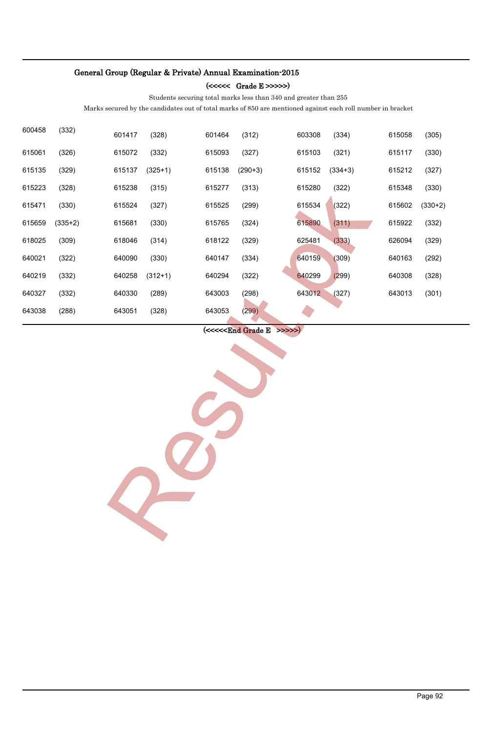#### (<<<<< Grade E >>>>>)

Students securing total marks less than 340 and greater than 255

Marks secured by the candidates out of total marks of 850 are mentioned against each roll number in bracket

| 600458 | (332)     | 601417 | (328)     | 601464        | (312)                              | 603308 | (334)     | 615058 | (305)     |
|--------|-----------|--------|-----------|---------------|------------------------------------|--------|-----------|--------|-----------|
| 615061 | (326)     | 615072 | (332)     | 615093        | (327)                              | 615103 | (321)     | 615117 | (330)     |
| 615135 | (329)     | 615137 | $(325+1)$ | 615138        | $(290+3)$                          | 615152 | $(334+3)$ | 615212 | (327)     |
| 615223 | (328)     | 615238 | (315)     | 615277        | (313)                              | 615280 | (322)     | 615348 | (330)     |
| 615471 | (330)     | 615524 | (327)     | 615525        | (299)                              | 615534 | (322)     | 615602 | $(330+2)$ |
| 615659 | $(335+2)$ | 615681 | (330)     | 615765        | (324)                              | 615890 | (311)     | 615922 | (332)     |
| 618025 | (309)     | 618046 | (314)     | 618122        | (329)                              | 625481 | (333)     | 626094 | (329)     |
| 640021 | (322)     | 640090 | (330)     | 640147        | (334)                              | 640159 | (309)     | 640163 | (292)     |
| 640219 | (332)     | 640258 | $(312+1)$ | 640294        | (322)                              | 640299 | (299)     | 640308 | (328)     |
| 640327 | (332)     | 640330 | (289)     | 643003        | (298)                              | 643012 | (327)     | 643013 | (301)     |
| 643038 | (288)     | 643051 | (328)     | 643053        | (299)                              |        |           |        |           |
|        |           |        |           |               | $(\ll\ll\ll\ll$ End Grade E >>>>>) |        |           |        |           |
|        |           |        |           |               |                                    |        |           |        |           |
|        |           |        |           |               |                                    |        |           |        |           |
|        |           |        |           |               |                                    |        |           |        |           |
|        |           |        |           |               |                                    |        |           |        |           |
|        |           |        |           | $\mathcal{L}$ |                                    |        |           |        |           |
|        |           |        |           |               |                                    |        |           |        |           |
|        |           |        |           |               |                                    |        |           |        |           |
|        |           |        |           |               |                                    |        |           |        |           |
|        |           |        |           |               |                                    |        |           |        |           |
|        |           |        |           |               |                                    |        |           |        |           |
|        |           |        |           |               |                                    |        |           |        |           |
|        |           |        |           |               |                                    |        |           |        |           |
|        |           |        |           |               |                                    |        |           |        |           |
|        |           |        |           |               |                                    |        |           |        |           |
|        |           |        |           |               |                                    |        |           |        |           |
|        |           |        |           |               |                                    |        |           |        |           |
|        |           |        |           |               |                                    |        |           |        |           |
|        |           |        |           |               |                                    |        |           |        |           |
|        |           |        |           |               |                                    |        |           |        |           |
|        |           |        |           |               |                                    |        |           |        | Page 92   |

### (<<<<<End Grade E >>>>>)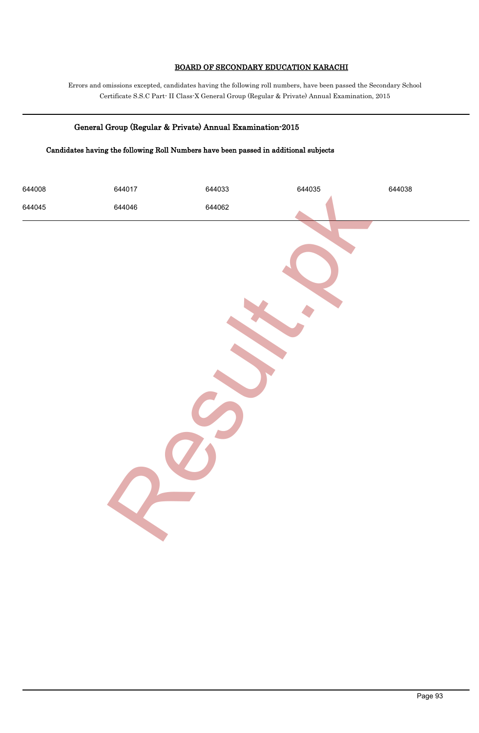### BOARD OF SECONDARY EDUCATION KARACHI

Errors and omissions excepted, candidates having the following roll numbers, have been passed the Secondary School Certificate S.S.C Part- II Class-X General Group (Regular & Private) Annual Examination, 2015

### General Group (Regular & Private) Annual Examination-2015

### Candidates having the following Roll Numbers have been passed in additional subjects

| 644008 | 644017 | 644033 | 644035 | 644038  |
|--------|--------|--------|--------|---------|
| 644045 | 644046 | 644062 |        |         |
|        |        |        |        | Page 93 |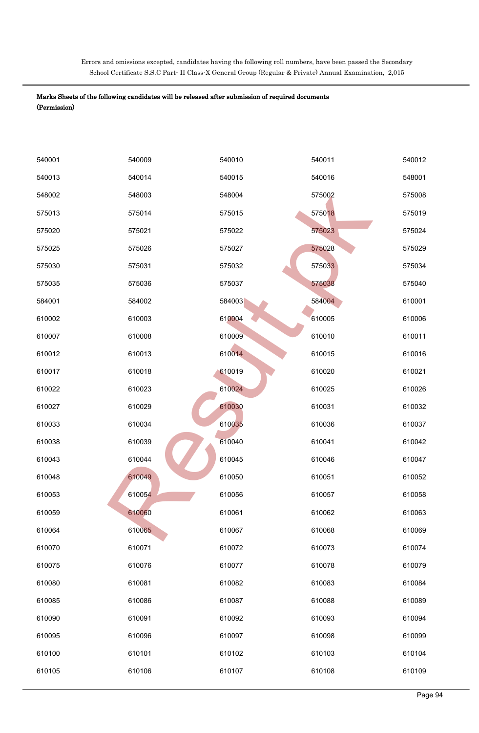Errors and omissions excepted, candidates having the following roll numbers, have been passed the Secondary School Certificate S.S.C Part- II Class-X General Group (Regular & Private) Annual Examination, 2,015

| 540001 | 540009 | 540010 | 540011 | 540012  |
|--------|--------|--------|--------|---------|
| 540013 | 540014 | 540015 | 540016 | 548001  |
| 548002 | 548003 | 548004 | 575002 | 575008  |
| 575013 | 575014 | 575015 | 575018 | 575019  |
| 575020 | 575021 | 575022 | 575023 | 575024  |
| 575025 | 575026 | 575027 | 575028 | 575029  |
| 575030 | 575031 | 575032 | 575033 | 575034  |
| 575035 | 575036 | 575037 | 575038 | 575040  |
| 584001 | 584002 | 584003 | 584004 | 610001  |
| 610002 | 610003 | 610004 | 610005 | 610006  |
| 610007 | 610008 | 610009 | 610010 | 610011  |
| 610012 | 610013 | 610014 | 610015 | 610016  |
| 610017 | 610018 | 610019 | 610020 | 610021  |
| 610022 | 610023 | 610024 | 610025 | 610026  |
| 610027 | 610029 | 610030 | 610031 | 610032  |
| 610033 | 610034 | 610035 | 610036 | 610037  |
| 610038 | 610039 | 610040 | 610041 | 610042  |
| 610043 | 610044 | 610045 | 610046 | 610047  |
| 610048 | 610049 | 610050 | 610051 | 610052  |
| 610053 | 610054 | 610056 | 610057 | 610058  |
| 610059 | 610060 | 610061 | 610062 | 610063  |
| 610064 | 610065 | 610067 | 610068 | 610069  |
| 610070 | 610071 | 610072 | 610073 | 610074  |
| 610075 | 610076 | 610077 | 610078 | 610079  |
| 610080 | 610081 | 610082 | 610083 | 610084  |
| 610085 | 610086 | 610087 | 610088 | 610089  |
| 610090 | 610091 | 610092 | 610093 | 610094  |
| 610095 | 610096 | 610097 | 610098 | 610099  |
| 610100 | 610101 | 610102 | 610103 | 610104  |
| 610105 | 610106 | 610107 | 610108 | 610109  |
|        |        |        |        | Page 94 |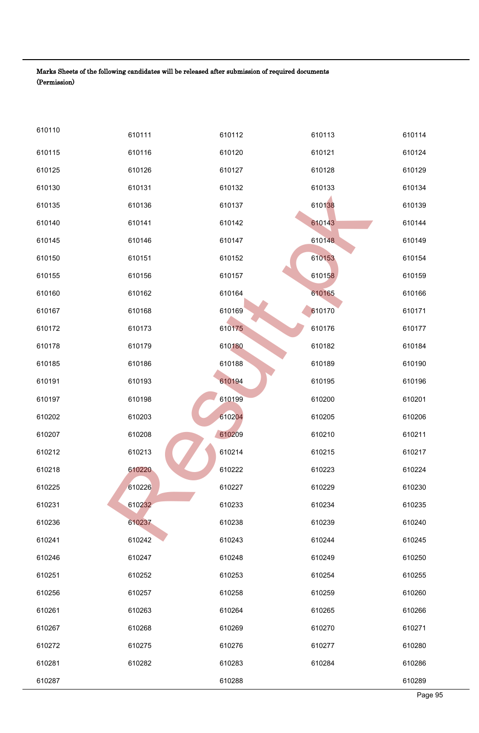| 610110 | 610111 | 610112 | 610113 | 610114  |
|--------|--------|--------|--------|---------|
| 610115 | 610116 | 610120 | 610121 | 610124  |
| 610125 | 610126 | 610127 | 610128 | 610129  |
| 610130 | 610131 | 610132 | 610133 | 610134  |
| 610135 | 610136 | 610137 | 610138 | 610139  |
| 610140 | 610141 | 610142 | 610143 | 610144  |
| 610145 | 610146 | 610147 | 610148 | 610149  |
| 610150 | 610151 | 610152 | 610153 | 610154  |
| 610155 | 610156 | 610157 | 610158 | 610159  |
| 610160 | 610162 | 610164 | 610165 | 610166  |
| 610167 | 610168 | 610169 | 610170 | 610171  |
| 610172 | 610173 | 610175 | 610176 | 610177  |
| 610178 | 610179 | 610180 | 610182 | 610184  |
| 610185 | 610186 | 610188 | 610189 | 610190  |
| 610191 | 610193 | 610194 | 610195 | 610196  |
| 610197 | 610198 | 610199 | 610200 | 610201  |
| 610202 | 610203 | 610204 | 610205 | 610206  |
| 610207 | 610208 | 610209 | 610210 | 610211  |
| 610212 | 610213 | 610214 | 610215 | 610217  |
| 610218 | 610220 | 610222 | 610223 | 610224  |
| 610225 | 610226 | 610227 | 610229 | 610230  |
| 610231 | 610232 | 610233 | 610234 | 610235  |
| 610236 | 610237 | 610238 | 610239 | 610240  |
| 610241 | 610242 | 610243 | 610244 | 610245  |
| 610246 | 610247 | 610248 | 610249 | 610250  |
| 610251 | 610252 | 610253 | 610254 | 610255  |
| 610256 | 610257 | 610258 | 610259 | 610260  |
| 610261 | 610263 | 610264 | 610265 | 610266  |
| 610267 | 610268 | 610269 | 610270 | 610271  |
| 610272 | 610275 | 610276 | 610277 | 610280  |
| 610281 | 610282 | 610283 | 610284 | 610286  |
| 610287 |        | 610288 |        | 610289  |
|        |        |        |        | Page 95 |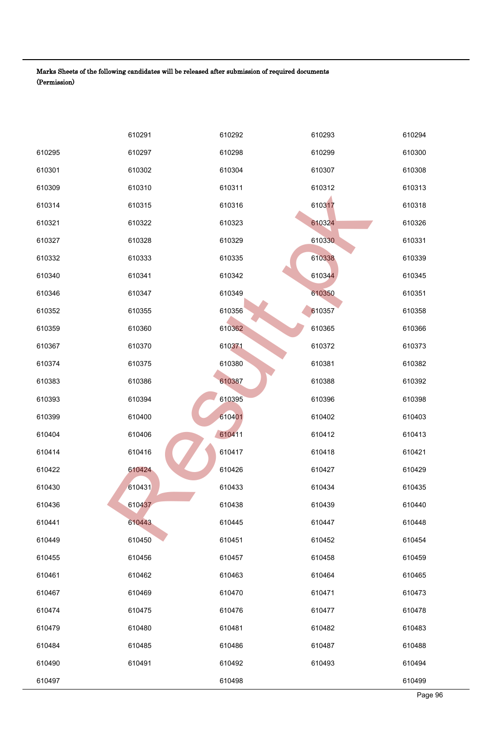|        | 610291 | 610292 | 610293 | 610294  |
|--------|--------|--------|--------|---------|
| 610295 | 610297 | 610298 | 610299 | 610300  |
| 610301 | 610302 | 610304 | 610307 | 610308  |
| 610309 | 610310 | 610311 | 610312 | 610313  |
| 610314 | 610315 | 610316 | 610317 | 610318  |
| 610321 | 610322 | 610323 | 610324 | 610326  |
| 610327 | 610328 | 610329 | 610330 | 610331  |
| 610332 | 610333 | 610335 | 610338 | 610339  |
| 610340 | 610341 | 610342 | 610344 | 610345  |
| 610346 | 610347 | 610349 | 610350 | 610351  |
| 610352 | 610355 | 610356 | 610357 | 610358  |
| 610359 | 610360 | 610362 | 610365 | 610366  |
| 610367 | 610370 | 610371 | 610372 | 610373  |
| 610374 | 610375 | 610380 | 610381 | 610382  |
| 610383 | 610386 | 610387 | 610388 | 610392  |
| 610393 | 610394 | 610395 | 610396 | 610398  |
| 610399 | 610400 | 610401 | 610402 | 610403  |
| 610404 | 610406 | 610411 | 610412 | 610413  |
| 610414 | 610416 | 610417 | 610418 | 610421  |
| 610422 | 610424 | 610426 | 610427 | 610429  |
| 610430 | 610431 | 610433 | 610434 | 610435  |
| 610436 | 610437 | 610438 | 610439 | 610440  |
| 610441 | 610443 | 610445 | 610447 | 610448  |
| 610449 | 610450 | 610451 | 610452 | 610454  |
| 610455 | 610456 | 610457 | 610458 | 610459  |
| 610461 | 610462 | 610463 | 610464 | 610465  |
| 610467 | 610469 | 610470 | 610471 | 610473  |
| 610474 | 610475 | 610476 | 610477 | 610478  |
| 610479 | 610480 | 610481 | 610482 | 610483  |
| 610484 | 610485 | 610486 | 610487 | 610488  |
| 610490 | 610491 | 610492 | 610493 | 610494  |
| 610497 |        | 610498 |        | 610499  |
|        |        |        |        | Page 96 |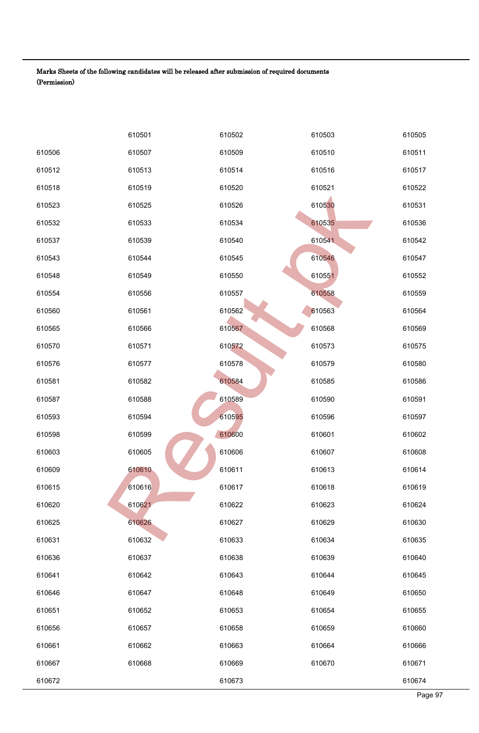|        | 610501 | 610502 | 610503 | 610505  |
|--------|--------|--------|--------|---------|
| 610506 | 610507 | 610509 | 610510 | 610511  |
| 610512 | 610513 | 610514 | 610516 | 610517  |
| 610518 | 610519 | 610520 | 610521 | 610522  |
| 610523 | 610525 | 610526 | 610530 | 610531  |
| 610532 | 610533 | 610534 | 610535 | 610536  |
| 610537 | 610539 | 610540 | 610541 | 610542  |
| 610543 | 610544 | 610545 | 610546 | 610547  |
| 610548 | 610549 | 610550 | 610551 | 610552  |
| 610554 | 610556 | 610557 | 610558 | 610559  |
| 610560 | 610561 | 610562 | 610563 | 610564  |
| 610565 | 610566 | 610567 | 610568 | 610569  |
| 610570 | 610571 | 610572 | 610573 | 610575  |
| 610576 | 610577 | 610578 | 610579 | 610580  |
| 610581 | 610582 | 610584 | 610585 | 610586  |
| 610587 | 610588 | 610589 | 610590 | 610591  |
| 610593 | 610594 | 610595 | 610596 | 610597  |
| 610598 | 610599 | 610600 | 610601 | 610602  |
| 610603 | 610605 | 610606 | 610607 | 610608  |
| 610609 | 610610 | 610611 | 610613 | 610614  |
| 610615 | 610616 | 610617 | 610618 | 610619  |
| 610620 | 610621 | 610622 | 610623 | 610624  |
| 610625 | 610626 | 610627 | 610629 | 610630  |
| 610631 | 610632 | 610633 | 610634 | 610635  |
| 610636 | 610637 | 610638 | 610639 | 610640  |
| 610641 | 610642 | 610643 | 610644 | 610645  |
| 610646 | 610647 | 610648 | 610649 | 610650  |
| 610651 | 610652 | 610653 | 610654 | 610655  |
| 610656 | 610657 | 610658 | 610659 | 610660  |
| 610661 | 610662 | 610663 | 610664 | 610666  |
| 610667 | 610668 | 610669 | 610670 | 610671  |
| 610672 |        | 610673 |        | 610674  |
|        |        |        |        | Page 97 |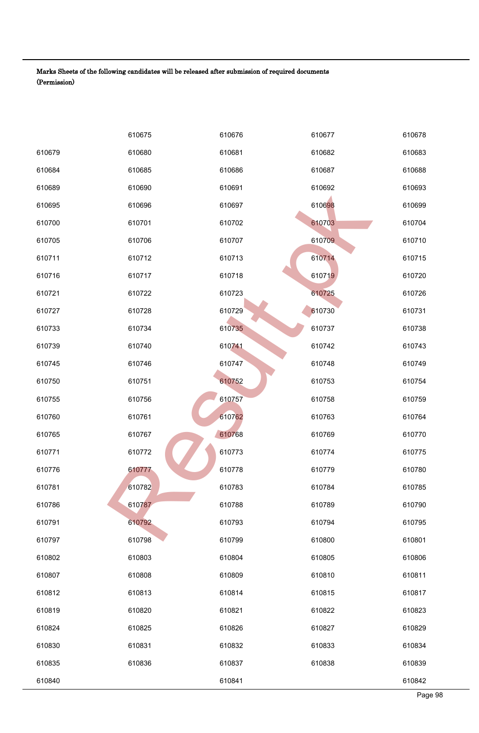|        | 610675 | 610676 | 610677 | 610678  |
|--------|--------|--------|--------|---------|
| 610679 | 610680 | 610681 | 610682 | 610683  |
| 610684 | 610685 | 610686 | 610687 | 610688  |
| 610689 | 610690 | 610691 | 610692 | 610693  |
| 610695 | 610696 | 610697 | 610698 | 610699  |
| 610700 | 610701 | 610702 | 610703 | 610704  |
| 610705 | 610706 | 610707 | 610709 | 610710  |
| 610711 | 610712 | 610713 | 610714 | 610715  |
| 610716 | 610717 | 610718 | 610719 | 610720  |
| 610721 | 610722 | 610723 | 610725 | 610726  |
| 610727 | 610728 | 610729 | 610730 | 610731  |
| 610733 | 610734 | 610735 | 610737 | 610738  |
| 610739 | 610740 | 610741 | 610742 | 610743  |
| 610745 | 610746 | 610747 | 610748 | 610749  |
| 610750 | 610751 | 610752 | 610753 | 610754  |
| 610755 | 610756 | 610757 | 610758 | 610759  |
| 610760 | 610761 | 610762 | 610763 | 610764  |
| 610765 | 610767 | 610768 | 610769 | 610770  |
| 610771 | 610772 | 610773 | 610774 | 610775  |
| 610776 | 610777 | 610778 | 610779 | 610780  |
| 610781 | 610782 | 610783 | 610784 | 610785  |
| 610786 | 610787 | 610788 | 610789 | 610790  |
| 610791 | 610792 | 610793 | 610794 | 610795  |
| 610797 | 610798 | 610799 | 610800 | 610801  |
| 610802 | 610803 | 610804 | 610805 | 610806  |
| 610807 | 610808 | 610809 | 610810 | 610811  |
| 610812 | 610813 | 610814 | 610815 | 610817  |
| 610819 | 610820 | 610821 | 610822 | 610823  |
| 610824 | 610825 | 610826 | 610827 | 610829  |
| 610830 | 610831 | 610832 | 610833 | 610834  |
| 610835 | 610836 | 610837 | 610838 | 610839  |
| 610840 |        | 610841 |        | 610842  |
|        |        |        |        | Page 98 |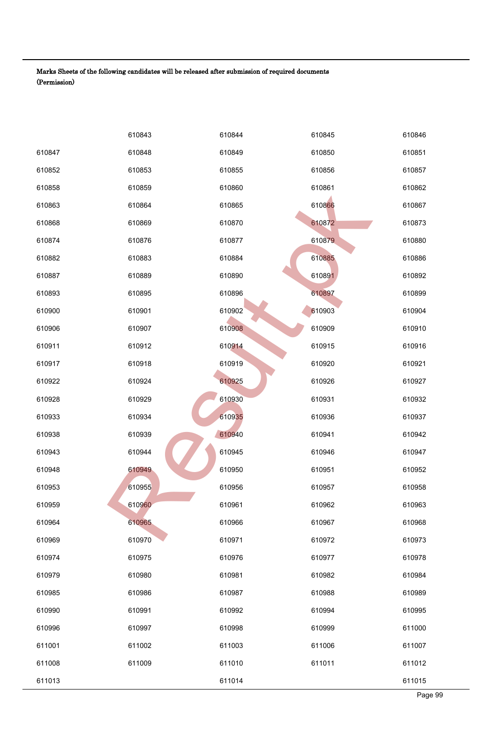|        | 610843 | 610844 | 610845 | 610846  |
|--------|--------|--------|--------|---------|
| 610847 | 610848 | 610849 | 610850 | 610851  |
| 610852 | 610853 | 610855 | 610856 | 610857  |
| 610858 | 610859 | 610860 | 610861 | 610862  |
| 610863 | 610864 | 610865 | 610866 | 610867  |
| 610868 | 610869 | 610870 | 610872 | 610873  |
| 610874 | 610876 | 610877 | 610879 | 610880  |
| 610882 | 610883 | 610884 | 610885 | 610886  |
| 610887 | 610889 | 610890 | 610891 | 610892  |
| 610893 | 610895 | 610896 | 610897 | 610899  |
| 610900 | 610901 | 610902 | 610903 | 610904  |
| 610906 | 610907 | 610908 | 610909 | 610910  |
| 610911 | 610912 | 610914 | 610915 | 610916  |
| 610917 | 610918 | 610919 | 610920 | 610921  |
| 610922 | 610924 | 610925 | 610926 | 610927  |
| 610928 | 610929 | 610930 | 610931 | 610932  |
| 610933 | 610934 | 610935 | 610936 | 610937  |
| 610938 | 610939 | 610940 | 610941 | 610942  |
| 610943 | 610944 | 610945 | 610946 | 610947  |
| 610948 | 610949 | 610950 | 610951 | 610952  |
| 610953 | 610955 | 610956 | 610957 | 610958  |
| 610959 | 610960 | 610961 | 610962 | 610963  |
| 610964 | 610965 | 610966 | 610967 | 610968  |
| 610969 | 610970 | 610971 | 610972 | 610973  |
| 610974 | 610975 | 610976 | 610977 | 610978  |
| 610979 | 610980 | 610981 | 610982 | 610984  |
| 610985 | 610986 | 610987 | 610988 | 610989  |
| 610990 | 610991 | 610992 | 610994 | 610995  |
| 610996 | 610997 | 610998 | 610999 | 611000  |
| 611001 | 611002 | 611003 | 611006 | 611007  |
| 611008 | 611009 | 611010 | 611011 | 611012  |
| 611013 |        | 611014 |        | 611015  |
|        |        |        |        | Page 99 |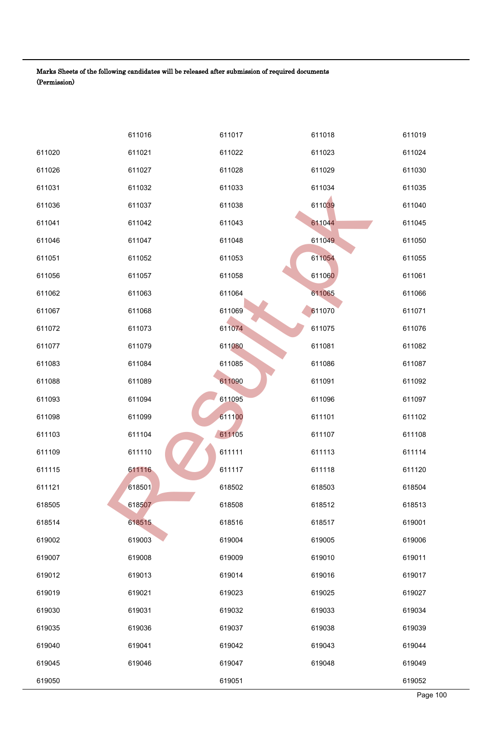|        | 611016 | 611017 | 611018 | 611019   |
|--------|--------|--------|--------|----------|
| 611020 | 611021 | 611022 | 611023 | 611024   |
| 611026 | 611027 | 611028 | 611029 | 611030   |
| 611031 | 611032 | 611033 | 611034 | 611035   |
| 611036 | 611037 | 611038 | 611039 | 611040   |
| 611041 | 611042 | 611043 | 611044 | 611045   |
| 611046 | 611047 | 611048 | 611049 | 611050   |
| 611051 | 611052 | 611053 | 611054 | 611055   |
| 611056 | 611057 | 611058 | 611060 | 611061   |
| 611062 | 611063 | 611064 | 611065 | 611066   |
| 611067 | 611068 | 611069 | 611070 | 611071   |
| 611072 | 611073 | 611074 | 611075 | 611076   |
| 611077 | 611079 | 611080 | 611081 | 611082   |
| 611083 | 611084 | 611085 | 611086 | 611087   |
| 611088 | 611089 | 611090 | 611091 | 611092   |
| 611093 | 611094 | 611095 | 611096 | 611097   |
| 611098 | 611099 | 611100 | 611101 | 611102   |
| 611103 | 611104 | 611105 | 611107 | 611108   |
| 611109 | 611110 | 611111 | 611113 | 611114   |
| 611115 | 611116 | 611117 | 611118 | 611120   |
| 611121 | 618501 | 618502 | 618503 | 618504   |
| 618505 | 618507 | 618508 | 618512 | 618513   |
| 618514 | 618515 | 618516 | 618517 | 619001   |
| 619002 | 619003 | 619004 | 619005 | 619006   |
| 619007 | 619008 | 619009 | 619010 | 619011   |
| 619012 | 619013 | 619014 | 619016 | 619017   |
| 619019 | 619021 | 619023 | 619025 | 619027   |
| 619030 | 619031 | 619032 | 619033 | 619034   |
| 619035 | 619036 | 619037 | 619038 | 619039   |
| 619040 | 619041 | 619042 | 619043 | 619044   |
| 619045 | 619046 | 619047 | 619048 | 619049   |
| 619050 |        | 619051 |        | 619052   |
|        |        |        |        | Page 100 |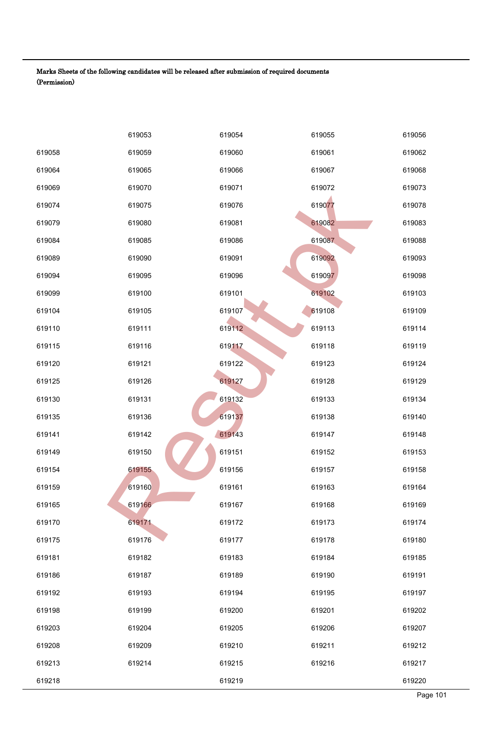|        | 619053 | 619054 | 619055 | 619056   |
|--------|--------|--------|--------|----------|
| 619058 | 619059 | 619060 | 619061 | 619062   |
| 619064 | 619065 | 619066 | 619067 | 619068   |
| 619069 | 619070 | 619071 | 619072 | 619073   |
| 619074 | 619075 | 619076 | 619077 | 619078   |
| 619079 | 619080 | 619081 | 619082 | 619083   |
| 619084 | 619085 | 619086 | 619087 | 619088   |
| 619089 | 619090 | 619091 | 619092 | 619093   |
| 619094 | 619095 | 619096 | 619097 | 619098   |
| 619099 | 619100 | 619101 | 619102 | 619103   |
| 619104 | 619105 | 619107 | 619108 | 619109   |
| 619110 | 619111 | 619112 | 619113 | 619114   |
| 619115 | 619116 | 619117 | 619118 | 619119   |
| 619120 | 619121 | 619122 | 619123 | 619124   |
| 619125 | 619126 | 619127 | 619128 | 619129   |
| 619130 | 619131 | 619132 | 619133 | 619134   |
| 619135 | 619136 | 619137 | 619138 | 619140   |
| 619141 | 619142 | 619143 | 619147 | 619148   |
| 619149 | 619150 | 619151 | 619152 | 619153   |
| 619154 | 619155 | 619156 | 619157 | 619158   |
| 619159 | 619160 | 619161 | 619163 | 619164   |
| 619165 | 619166 | 619167 | 619168 | 619169   |
| 619170 | 619171 | 619172 | 619173 | 619174   |
| 619175 | 619176 | 619177 | 619178 | 619180   |
| 619181 | 619182 | 619183 | 619184 | 619185   |
| 619186 | 619187 | 619189 | 619190 | 619191   |
| 619192 | 619193 | 619194 | 619195 | 619197   |
| 619198 | 619199 | 619200 | 619201 | 619202   |
| 619203 | 619204 | 619205 | 619206 | 619207   |
| 619208 | 619209 | 619210 | 619211 | 619212   |
| 619213 | 619214 | 619215 | 619216 | 619217   |
| 619218 |        | 619219 |        | 619220   |
|        |        |        |        | Page 101 |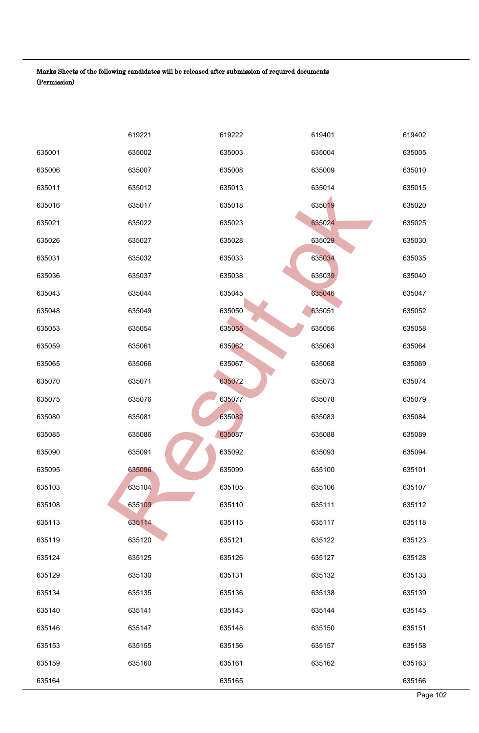|        | 619221 | 619222 | 619401 | 619402   |
|--------|--------|--------|--------|----------|
| 635001 | 635002 | 635003 | 635004 | 635005   |
| 635006 | 635007 | 635008 | 635009 | 635010   |
| 635011 | 635012 | 635013 | 635014 | 635015   |
| 635016 | 635017 | 635018 | 635019 | 635020   |
| 635021 | 635022 | 635023 | 635024 | 635025   |
| 635026 | 635027 | 635028 | 635029 | 635030   |
| 635031 | 635032 | 635033 | 635034 | 635035   |
| 635036 | 635037 | 635038 | 635039 | 635040   |
| 635043 | 635044 | 635045 | 635046 | 635047   |
| 635048 | 635049 | 635050 | 635051 | 635052   |
| 635053 | 635054 | 635055 | 635056 | 635058   |
| 635059 | 635061 | 635062 | 635063 | 635064   |
| 635065 | 635066 | 635067 | 635068 | 635069   |
| 635070 | 635071 | 635072 | 635073 | 635074   |
| 635075 | 635076 | 635077 | 635078 | 635079   |
| 635080 | 635081 | 635082 | 635083 | 635084   |
| 635085 | 635086 | 635087 | 635088 | 635089   |
| 635090 | 635091 | 635092 | 635093 | 635094   |
| 635095 | 635096 | 635099 | 635100 | 635101   |
| 635103 | 635104 | 635105 | 635106 | 635107   |
| 635108 | 635109 | 635110 | 635111 | 635112   |
| 635113 | 635114 | 635115 | 635117 | 635118   |
| 635119 | 635120 | 635121 | 635122 | 635123   |
| 635124 | 635125 | 635126 | 635127 | 635128   |
| 635129 | 635130 | 635131 | 635132 | 635133   |
| 635134 | 635135 | 635136 | 635138 | 635139   |
| 635140 | 635141 | 635143 | 635144 | 635145   |
| 635146 | 635147 | 635148 | 635150 | 635151   |
| 635153 | 635155 | 635156 | 635157 | 635158   |
| 635159 | 635160 | 635161 | 635162 | 635163   |
| 635164 |        | 635165 |        | 635166   |
|        |        |        |        | Page 102 |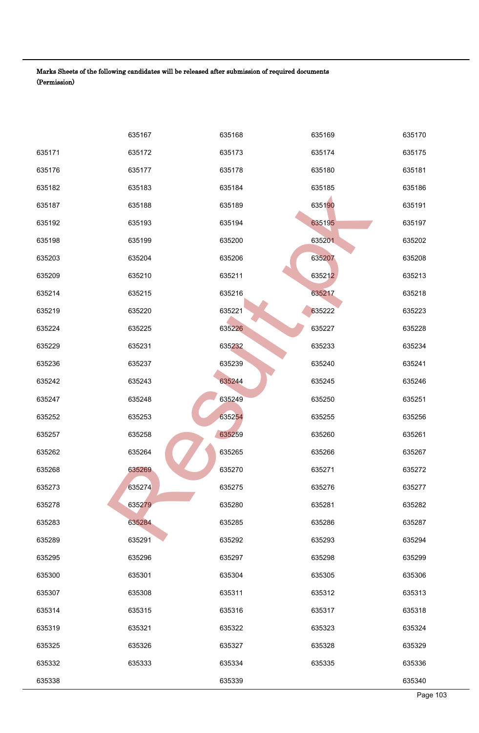|        | 635167 | 635168 | 635169 | 635170   |
|--------|--------|--------|--------|----------|
| 635171 | 635172 | 635173 | 635174 | 635175   |
| 635176 | 635177 | 635178 | 635180 | 635181   |
| 635182 | 635183 | 635184 | 635185 | 635186   |
| 635187 | 635188 | 635189 | 635190 | 635191   |
| 635192 | 635193 | 635194 | 635195 | 635197   |
| 635198 | 635199 | 635200 | 635201 | 635202   |
| 635203 | 635204 | 635206 | 635207 | 635208   |
| 635209 | 635210 | 635211 | 635212 | 635213   |
| 635214 | 635215 | 635216 | 635217 | 635218   |
| 635219 | 635220 | 635221 | 635222 | 635223   |
| 635224 | 635225 | 635226 | 635227 | 635228   |
| 635229 | 635231 | 635232 | 635233 | 635234   |
| 635236 | 635237 | 635239 | 635240 | 635241   |
| 635242 | 635243 | 635244 | 635245 | 635246   |
| 635247 | 635248 | 635249 | 635250 | 635251   |
| 635252 | 635253 | 635254 | 635255 | 635256   |
| 635257 | 635258 | 635259 | 635260 | 635261   |
| 635262 | 635264 | 635265 | 635266 | 635267   |
| 635268 | 635269 | 635270 | 635271 | 635272   |
| 635273 | 635274 | 635275 | 635276 | 635277   |
| 635278 | 635279 | 635280 | 635281 | 635282   |
| 635283 | 635284 | 635285 | 635286 | 635287   |
| 635289 | 635291 | 635292 | 635293 | 635294   |
| 635295 | 635296 | 635297 | 635298 | 635299   |
| 635300 | 635301 | 635304 | 635305 | 635306   |
| 635307 | 635308 | 635311 | 635312 | 635313   |
| 635314 | 635315 | 635316 | 635317 | 635318   |
| 635319 | 635321 | 635322 | 635323 | 635324   |
| 635325 | 635326 | 635327 | 635328 | 635329   |
| 635332 | 635333 | 635334 | 635335 | 635336   |
| 635338 |        | 635339 |        | 635340   |
|        |        |        |        | Page 103 |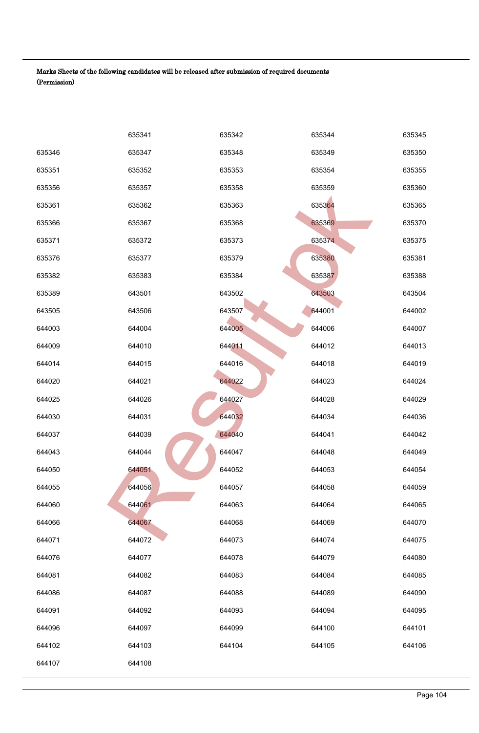|        | 635341 | 635342 | 635344 | 635345   |
|--------|--------|--------|--------|----------|
| 635346 | 635347 | 635348 | 635349 | 635350   |
| 635351 | 635352 | 635353 | 635354 | 635355   |
| 635356 | 635357 | 635358 | 635359 | 635360   |
| 635361 | 635362 | 635363 | 635364 | 635365   |
| 635366 | 635367 | 635368 | 635369 | 635370   |
| 635371 | 635372 | 635373 | 635374 | 635375   |
| 635376 | 635377 | 635379 | 635380 | 635381   |
| 635382 | 635383 | 635384 | 635387 | 635388   |
| 635389 | 643501 | 643502 | 643503 | 643504   |
| 643505 | 643506 | 643507 | 644001 | 644002   |
| 644003 | 644004 | 644005 | 644006 | 644007   |
| 644009 | 644010 | 644011 | 644012 | 644013   |
| 644014 | 644015 | 644016 | 644018 | 644019   |
| 644020 | 644021 | 644022 | 644023 | 644024   |
| 644025 | 644026 | 644027 | 644028 | 644029   |
| 644030 | 644031 | 644032 | 644034 | 644036   |
| 644037 | 644039 | 644040 | 644041 | 644042   |
| 644043 | 644044 | 644047 | 644048 | 644049   |
| 644050 | 644051 | 644052 | 644053 | 644054   |
| 644055 | 644056 | 644057 | 644058 | 644059   |
| 644060 | 644061 | 644063 | 644064 | 644065   |
| 644066 | 644067 | 644068 | 644069 | 644070   |
| 644071 | 644072 | 644073 | 644074 | 644075   |
| 644076 | 644077 | 644078 | 644079 | 644080   |
| 644081 | 644082 | 644083 | 644084 | 644085   |
| 644086 | 644087 | 644088 | 644089 | 644090   |
| 644091 | 644092 | 644093 | 644094 | 644095   |
| 644096 | 644097 | 644099 | 644100 | 644101   |
| 644102 | 644103 | 644104 | 644105 | 644106   |
| 644107 | 644108 |        |        |          |
|        |        |        |        |          |
|        |        |        |        | Page 104 |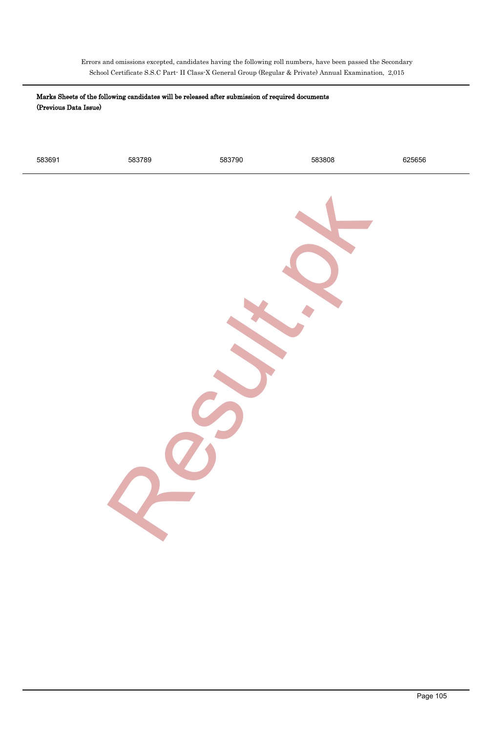Errors and omissions excepted, candidates having the following roll numbers, have been passed the Secondary School Certificate S.S.C Part- II Class-X General Group (Regular & Private) Annual Examination, 2,015